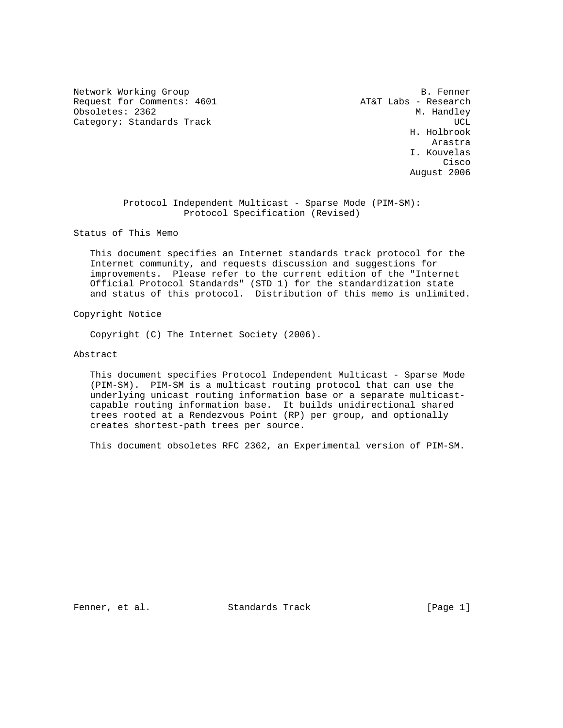Network Working Group and the set of the set of the set of the B. Fenner Request for Comments: 4601 AT&T Labs - Research Obsoletes: 2362 M. Handley Category: Standards Track UCL 2007 (2008) 2012 12:30 UCL 2012 2022 2023

 H. Holbrook **Arastra** Arastra de la contra de la contra de la contra de la contra de la contra de la contra de la contra de I. Kouvelas **Cisco de la contrata de la contrata de la contrata de la contrata de la contrata de la contrata de la contrat** August 2006

> Protocol Independent Multicast - Sparse Mode (PIM-SM): Protocol Specification (Revised)

Status of This Memo

 This document specifies an Internet standards track protocol for the Internet community, and requests discussion and suggestions for improvements. Please refer to the current edition of the "Internet Official Protocol Standards" (STD 1) for the standardization state and status of this protocol. Distribution of this memo is unlimited.

Copyright Notice

Copyright (C) The Internet Society (2006).

### Abstract

 This document specifies Protocol Independent Multicast - Sparse Mode (PIM-SM). PIM-SM is a multicast routing protocol that can use the underlying unicast routing information base or a separate multicast capable routing information base. It builds unidirectional shared trees rooted at a Rendezvous Point (RP) per group, and optionally creates shortest-path trees per source.

This document obsoletes RFC 2362, an Experimental version of PIM-SM.

Fenner, et al. Standards Track [Page 1]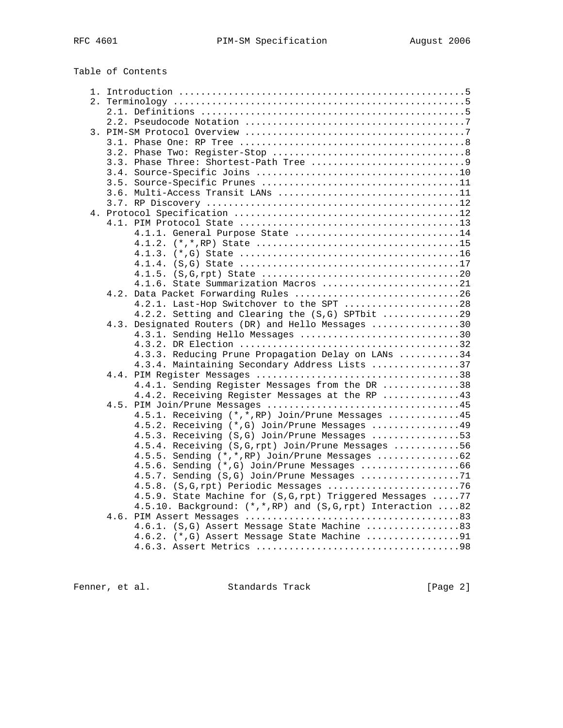| Table of Contents                                             |  |
|---------------------------------------------------------------|--|
|                                                               |  |
|                                                               |  |
|                                                               |  |
|                                                               |  |
|                                                               |  |
|                                                               |  |
|                                                               |  |
|                                                               |  |
|                                                               |  |
|                                                               |  |
|                                                               |  |
|                                                               |  |
|                                                               |  |
|                                                               |  |
| 4.1.1. General Purpose State 14                               |  |
|                                                               |  |
|                                                               |  |
|                                                               |  |
| 4.1.6. State Summarization Macros 21                          |  |
| Data Packet Forwarding Rules 26<br>4.2.                       |  |
| 4.2.1. Last-Hop Switchover to the SPT 28                      |  |
| 4.2.2. Setting and Clearing the (S,G) SPTbit 29               |  |
| 4.3. Designated Routers (DR) and Hello Messages 30            |  |
| 4.3.1. Sending Hello Messages 30                              |  |
|                                                               |  |
| 4.3.3. Reducing Prune Propagation Delay on LANs 34            |  |
| 4.3.4. Maintaining Secondary Address Lists 37                 |  |
|                                                               |  |
| 4.4.1. Sending Register Messages from the DR 38               |  |
| 4.4.2. Receiving Register Messages at the RP 43               |  |
|                                                               |  |
| 4.5.1. Receiving (*,*, RP) Join/Prune Messages 45             |  |
| 4.5.2. Receiving (*, G) Join/Prune Messages 49                |  |
| 4.5.3. Receiving (S,G) Join/Prune Messages 53                 |  |
| 4.5.4. Receiving (S, G, rpt) Join/Prune Messages 56           |  |
| 4.5.5. Sending (*,*, RP) Join/Prune Messages 62               |  |
| 4.5.6. Sending (*, G) Join/Prune Messages 66                  |  |
| 4.5.7. Sending (S,G) Join/Prune Messages 71                   |  |
|                                                               |  |
| 4.5.9. State Machine for (S, G, rpt) Triggered Messages  77   |  |
| 4.5.10. Background: (*,*, RP) and (S, G, rpt) Interaction  82 |  |
|                                                               |  |
| 4.6.1. (S,G) Assert Message State Machine 83                  |  |
| 4.6.2. (*,G) Assert Message State Machine 91                  |  |
|                                                               |  |
|                                                               |  |

Fenner, et al. Standards Track [Page 2]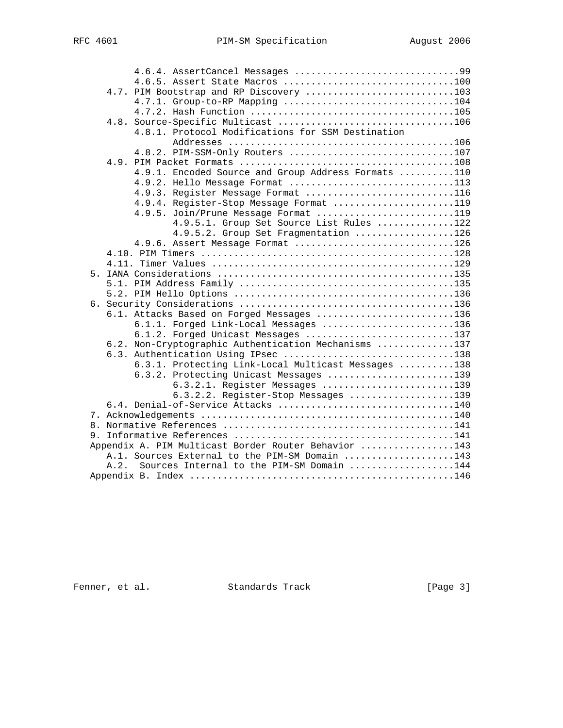|      | 4.6.4. AssertCancel Messages 99                      |                                           |
|------|------------------------------------------------------|-------------------------------------------|
|      |                                                      |                                           |
|      | 4.7. PIM Bootstrap and RP Discovery 103              |                                           |
|      | 4.7.1. Group-to-RP Mapping 104                       |                                           |
|      |                                                      |                                           |
|      |                                                      |                                           |
|      | 4.8.1. Protocol Modifications for SSM Destination    |                                           |
|      |                                                      |                                           |
|      | 4.8.2. PIM-SSM-Only Routers 107                      |                                           |
|      |                                                      |                                           |
|      | 4.9.1. Encoded Source and Group Address Formats 110  |                                           |
|      | 4.9.2. Hello Message Format 113                      |                                           |
|      | 4.9.3. Register Message Format 116                   |                                           |
|      | 4.9.4. Register-Stop Message Format 119              |                                           |
|      | 4.9.5. Join/Prune Message Format 119                 |                                           |
|      |                                                      | 4.9.5.1. Group Set Source List Rules 122  |
|      |                                                      | 4.9.5.2. Group Set Fragmentation 126      |
|      | 4.9.6. Assert Message Format 126                     |                                           |
|      |                                                      |                                           |
|      |                                                      |                                           |
|      |                                                      |                                           |
|      |                                                      |                                           |
|      |                                                      |                                           |
|      |                                                      |                                           |
|      | 6.1. Attacks Based on Forged Messages 136            |                                           |
|      | 6.1.1. Forged Link-Local Messages 136                |                                           |
|      | 6.1.2. Forged Unicast Messages 137                   |                                           |
|      | 6.2. Non-Cryptographic Authentication Mechanisms 137 |                                           |
|      | 6.3. Authentication Using IPsec 138                  |                                           |
|      | 6.3.1. Protecting Link-Local Multicast Messages 138  |                                           |
|      | 6.3.2. Protecting Unicast Messages 139               |                                           |
|      |                                                      | 6.3.2.1. Register Messages 139            |
|      | 6.4. Denial-of-Service Attacks 140                   | 6.3.2.2. Register-Stop Messages 139       |
|      |                                                      |                                           |
|      |                                                      |                                           |
|      |                                                      |                                           |
|      | Appendix A. PIM Multicast Border Router Behavior 143 |                                           |
|      | A.1. Sources External to the PIM-SM Domain 143       |                                           |
| A.2. |                                                      | Sources Internal to the PIM-SM Domain 144 |
|      |                                                      |                                           |
|      |                                                      |                                           |

Fenner, et al. Standards Track [Page 3]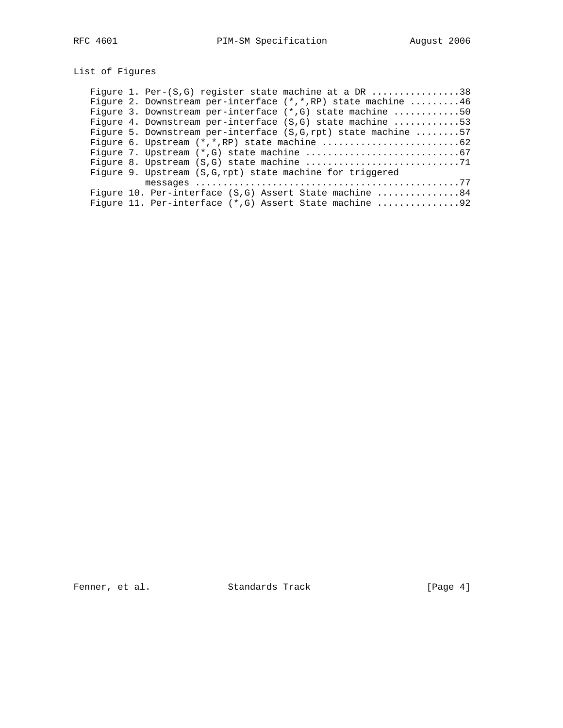# List of Figures

| Figure 1. Per- $(S, G)$ register state machine at a DR 38     |
|---------------------------------------------------------------|
| Fiqure 2. Downstream per-interface (*,*, RP) state machine 46 |
| Figure 3. Downstream per-interface $(*,G)$ state machine 50   |
| Fiqure 4. Downstream per-interface (S,G) state machine 53     |
| Fiqure 5. Downstream per-interface (S,G,rpt) state machine 57 |
|                                                               |
|                                                               |
|                                                               |
| Figure 9. Upstream (S, G, rpt) state machine for triggered    |
|                                                               |
| Figure 10. Per-interface $(S,G)$ Assert State machine 84      |
| Figure 11. Per-interface (*, G) Assert State machine 92       |

Fenner, et al. Standards Track [Page 4]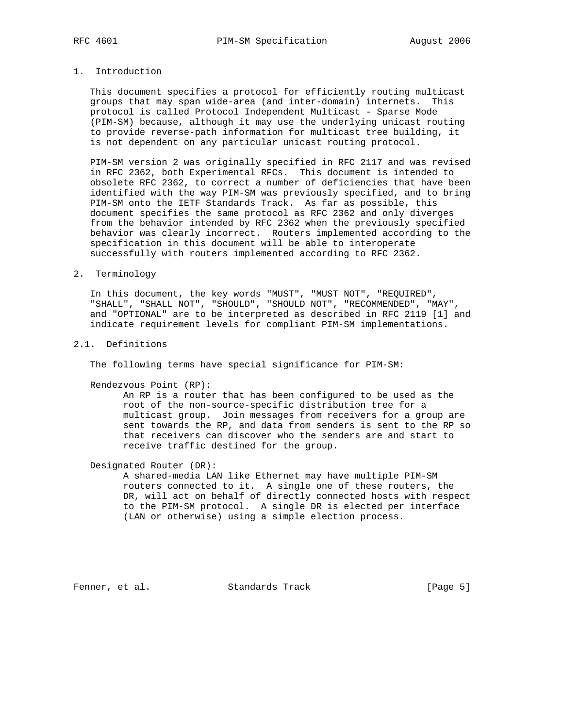# 1. Introduction

 This document specifies a protocol for efficiently routing multicast groups that may span wide-area (and inter-domain) internets. This protocol is called Protocol Independent Multicast - Sparse Mode (PIM-SM) because, although it may use the underlying unicast routing to provide reverse-path information for multicast tree building, it is not dependent on any particular unicast routing protocol.

 PIM-SM version 2 was originally specified in RFC 2117 and was revised in RFC 2362, both Experimental RFCs. This document is intended to obsolete RFC 2362, to correct a number of deficiencies that have been identified with the way PIM-SM was previously specified, and to bring PIM-SM onto the IETF Standards Track. As far as possible, this document specifies the same protocol as RFC 2362 and only diverges from the behavior intended by RFC 2362 when the previously specified behavior was clearly incorrect. Routers implemented according to the specification in this document will be able to interoperate successfully with routers implemented according to RFC 2362.

#### 2. Terminology

 In this document, the key words "MUST", "MUST NOT", "REQUIRED", "SHALL", "SHALL NOT", "SHOULD", "SHOULD NOT", "RECOMMENDED", "MAY", and "OPTIONAL" are to be interpreted as described in RFC 2119 [1] and indicate requirement levels for compliant PIM-SM implementations.

### 2.1. Definitions

The following terms have special significance for PIM-SM:

Rendezvous Point (RP):

 An RP is a router that has been configured to be used as the root of the non-source-specific distribution tree for a multicast group. Join messages from receivers for a group are sent towards the RP, and data from senders is sent to the RP so that receivers can discover who the senders are and start to receive traffic destined for the group.

Designated Router (DR):

 A shared-media LAN like Ethernet may have multiple PIM-SM routers connected to it. A single one of these routers, the DR, will act on behalf of directly connected hosts with respect to the PIM-SM protocol. A single DR is elected per interface (LAN or otherwise) using a simple election process.

Fenner, et al. Standards Track [Page 5]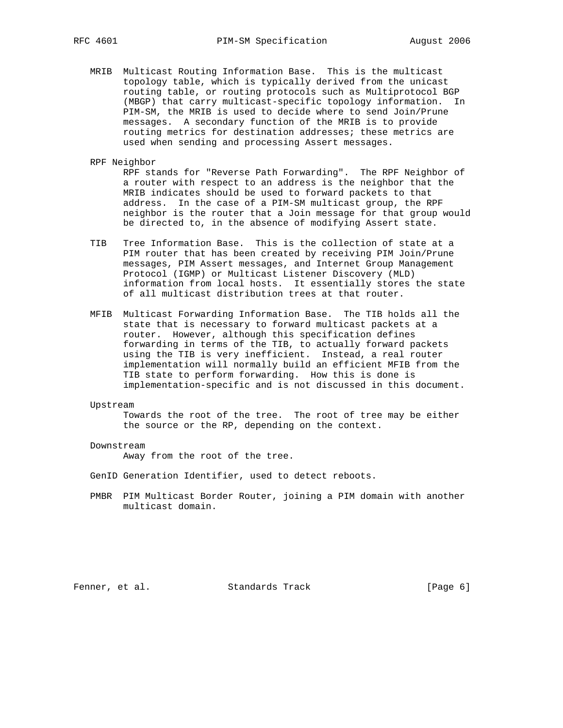- MRIB Multicast Routing Information Base. This is the multicast topology table, which is typically derived from the unicast routing table, or routing protocols such as Multiprotocol BGP (MBGP) that carry multicast-specific topology information. In PIM-SM, the MRIB is used to decide where to send Join/Prune messages. A secondary function of the MRIB is to provide routing metrics for destination addresses; these metrics are used when sending and processing Assert messages.
- RPF Neighbor

 RPF stands for "Reverse Path Forwarding". The RPF Neighbor of a router with respect to an address is the neighbor that the MRIB indicates should be used to forward packets to that address. In the case of a PIM-SM multicast group, the RPF neighbor is the router that a Join message for that group would be directed to, in the absence of modifying Assert state.

- TIB Tree Information Base. This is the collection of state at a PIM router that has been created by receiving PIM Join/Prune messages, PIM Assert messages, and Internet Group Management Protocol (IGMP) or Multicast Listener Discovery (MLD) information from local hosts. It essentially stores the state of all multicast distribution trees at that router.
- MFIB Multicast Forwarding Information Base. The TIB holds all the state that is necessary to forward multicast packets at a router. However, although this specification defines forwarding in terms of the TIB, to actually forward packets using the TIB is very inefficient. Instead, a real router implementation will normally build an efficient MFIB from the TIB state to perform forwarding. How this is done is implementation-specific and is not discussed in this document.

#### Upstream

 Towards the root of the tree. The root of tree may be either the source or the RP, depending on the context.

#### Downstream

Away from the root of the tree.

GenID Generation Identifier, used to detect reboots.

 PMBR PIM Multicast Border Router, joining a PIM domain with another multicast domain.

Fenner, et al. Standards Track [Page 6]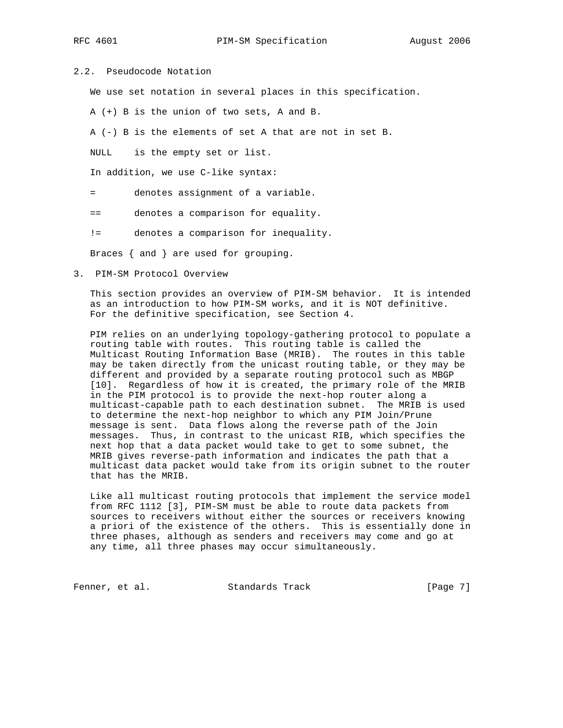# 2.2. Pseudocode Notation

We use set notation in several places in this specification.

A (+) B is the union of two sets, A and B.

A (-) B is the elements of set A that are not in set B.

NULL is the empty set or list.

In addition, we use C-like syntax:

- = denotes assignment of a variable.
- == denotes a comparison for equality.
- != denotes a comparison for inequality.

Braces { and } are used for grouping.

3. PIM-SM Protocol Overview

 This section provides an overview of PIM-SM behavior. It is intended as an introduction to how PIM-SM works, and it is NOT definitive. For the definitive specification, see Section 4.

 PIM relies on an underlying topology-gathering protocol to populate a routing table with routes. This routing table is called the Multicast Routing Information Base (MRIB). The routes in this table may be taken directly from the unicast routing table, or they may be different and provided by a separate routing protocol such as MBGP [10]. Regardless of how it is created, the primary role of the MRIB in the PIM protocol is to provide the next-hop router along a multicast-capable path to each destination subnet. The MRIB is used to determine the next-hop neighbor to which any PIM Join/Prune message is sent. Data flows along the reverse path of the Join messages. Thus, in contrast to the unicast RIB, which specifies the next hop that a data packet would take to get to some subnet, the MRIB gives reverse-path information and indicates the path that a multicast data packet would take from its origin subnet to the router that has the MRIB.

 Like all multicast routing protocols that implement the service model from RFC 1112 [3], PIM-SM must be able to route data packets from sources to receivers without either the sources or receivers knowing a priori of the existence of the others. This is essentially done in three phases, although as senders and receivers may come and go at any time, all three phases may occur simultaneously.

Fenner, et al. Standards Track [Page 7]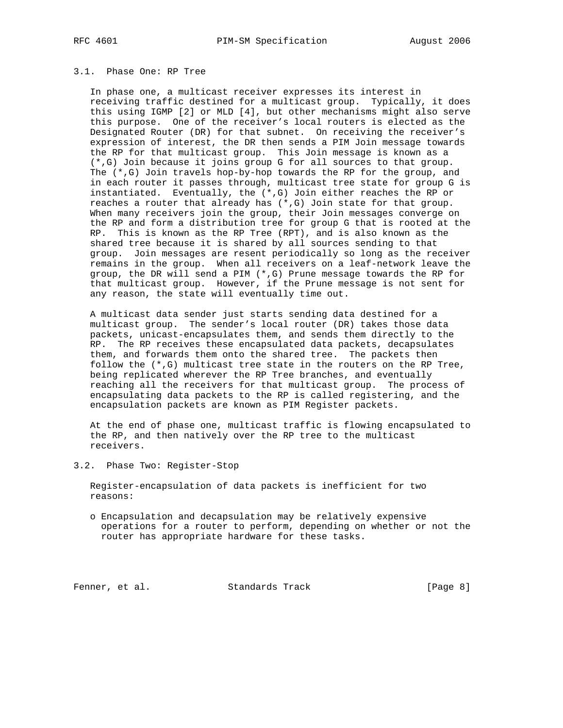# 3.1. Phase One: RP Tree

 In phase one, a multicast receiver expresses its interest in receiving traffic destined for a multicast group. Typically, it does this using IGMP [2] or MLD [4], but other mechanisms might also serve this purpose. One of the receiver's local routers is elected as the Designated Router (DR) for that subnet. On receiving the receiver's expression of interest, the DR then sends a PIM Join message towards the RP for that multicast group. This Join message is known as a (\*,G) Join because it joins group G for all sources to that group. The (\*,G) Join travels hop-by-hop towards the RP for the group, and in each router it passes through, multicast tree state for group G is instantiated. Eventually, the (\*,G) Join either reaches the RP or reaches a router that already has (\*,G) Join state for that group. When many receivers join the group, their Join messages converge on the RP and form a distribution tree for group G that is rooted at the RP. This is known as the RP Tree (RPT), and is also known as the shared tree because it is shared by all sources sending to that group. Join messages are resent periodically so long as the receiver remains in the group. When all receivers on a leaf-network leave the group, the DR will send a PIM (\*,G) Prune message towards the RP for that multicast group. However, if the Prune message is not sent for any reason, the state will eventually time out.

 A multicast data sender just starts sending data destined for a multicast group. The sender's local router (DR) takes those data packets, unicast-encapsulates them, and sends them directly to the RP. The RP receives these encapsulated data packets, decapsulates them, and forwards them onto the shared tree. The packets then follow the (\*,G) multicast tree state in the routers on the RP Tree, being replicated wherever the RP Tree branches, and eventually reaching all the receivers for that multicast group. The process of encapsulating data packets to the RP is called registering, and the encapsulation packets are known as PIM Register packets.

 At the end of phase one, multicast traffic is flowing encapsulated to the RP, and then natively over the RP tree to the multicast receivers.

3.2. Phase Two: Register-Stop

 Register-encapsulation of data packets is inefficient for two reasons:

 o Encapsulation and decapsulation may be relatively expensive operations for a router to perform, depending on whether or not the router has appropriate hardware for these tasks.

Fenner, et al. Standards Track [Page 8]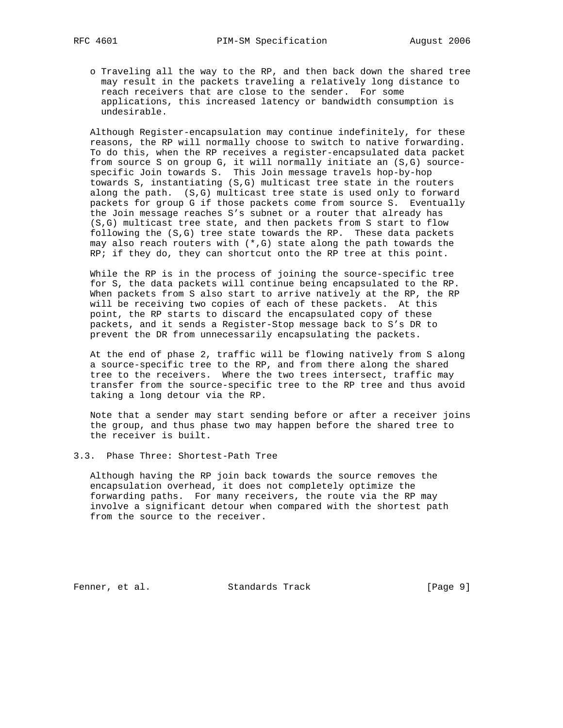o Traveling all the way to the RP, and then back down the shared tree may result in the packets traveling a relatively long distance to reach receivers that are close to the sender. For some applications, this increased latency or bandwidth consumption is undesirable.

 Although Register-encapsulation may continue indefinitely, for these reasons, the RP will normally choose to switch to native forwarding. To do this, when the RP receives a register-encapsulated data packet from source S on group G, it will normally initiate an (S,G) source specific Join towards S. This Join message travels hop-by-hop towards S, instantiating (S,G) multicast tree state in the routers along the path. (S,G) multicast tree state is used only to forward packets for group G if those packets come from source S. Eventually the Join message reaches S's subnet or a router that already has (S,G) multicast tree state, and then packets from S start to flow following the (S,G) tree state towards the RP. These data packets may also reach routers with  $(*,G)$  state along the path towards the RP; if they do, they can shortcut onto the RP tree at this point.

 While the RP is in the process of joining the source-specific tree for S, the data packets will continue being encapsulated to the RP. When packets from S also start to arrive natively at the RP, the RP will be receiving two copies of each of these packets. At this point, the RP starts to discard the encapsulated copy of these packets, and it sends a Register-Stop message back to S's DR to prevent the DR from unnecessarily encapsulating the packets.

 At the end of phase 2, traffic will be flowing natively from S along a source-specific tree to the RP, and from there along the shared tree to the receivers. Where the two trees intersect, traffic may transfer from the source-specific tree to the RP tree and thus avoid taking a long detour via the RP.

 Note that a sender may start sending before or after a receiver joins the group, and thus phase two may happen before the shared tree to the receiver is built.

3.3. Phase Three: Shortest-Path Tree

 Although having the RP join back towards the source removes the encapsulation overhead, it does not completely optimize the forwarding paths. For many receivers, the route via the RP may involve a significant detour when compared with the shortest path from the source to the receiver.

Fenner, et al. Standards Track [Page 9]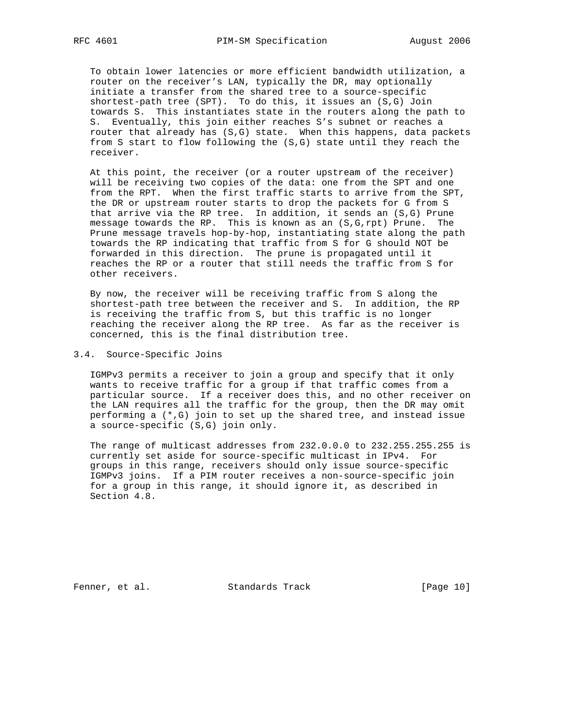To obtain lower latencies or more efficient bandwidth utilization, a router on the receiver's LAN, typically the DR, may optionally initiate a transfer from the shared tree to a source-specific shortest-path tree (SPT). To do this, it issues an (S,G) Join towards S. This instantiates state in the routers along the path to S. Eventually, this join either reaches S's subnet or reaches a router that already has (S,G) state. When this happens, data packets from S start to flow following the (S,G) state until they reach the receiver.

 At this point, the receiver (or a router upstream of the receiver) will be receiving two copies of the data: one from the SPT and one from the RPT. When the first traffic starts to arrive from the SPT, the DR or upstream router starts to drop the packets for G from S that arrive via the RP tree. In addition, it sends an (S,G) Prune message towards the RP. This is known as an (S,G,rpt) Prune. The Prune message travels hop-by-hop, instantiating state along the path towards the RP indicating that traffic from S for G should NOT be forwarded in this direction. The prune is propagated until it reaches the RP or a router that still needs the traffic from S for other receivers.

 By now, the receiver will be receiving traffic from S along the shortest-path tree between the receiver and S. In addition, the RP is receiving the traffic from S, but this traffic is no longer reaching the receiver along the RP tree. As far as the receiver is concerned, this is the final distribution tree.

#### 3.4. Source-Specific Joins

 IGMPv3 permits a receiver to join a group and specify that it only wants to receive traffic for a group if that traffic comes from a particular source. If a receiver does this, and no other receiver on the LAN requires all the traffic for the group, then the DR may omit performing a (\*,G) join to set up the shared tree, and instead issue a source-specific (S,G) join only.

 The range of multicast addresses from 232.0.0.0 to 232.255.255.255 is currently set aside for source-specific multicast in IPv4. For groups in this range, receivers should only issue source-specific IGMPv3 joins. If a PIM router receives a non-source-specific join for a group in this range, it should ignore it, as described in Section 4.8.

Fenner, et al. Standards Track [Page 10]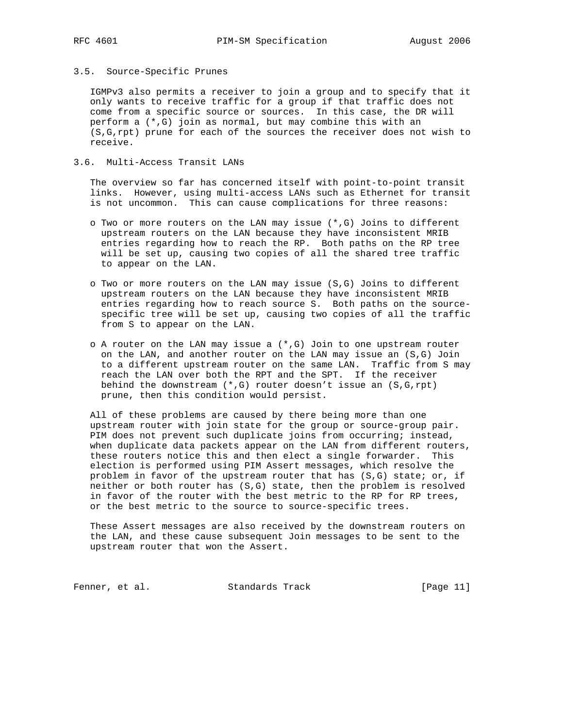# 3.5. Source-Specific Prunes

 IGMPv3 also permits a receiver to join a group and to specify that it only wants to receive traffic for a group if that traffic does not come from a specific source or sources. In this case, the DR will perform a (\*,G) join as normal, but may combine this with an (S,G,rpt) prune for each of the sources the receiver does not wish to receive.

### 3.6. Multi-Access Transit LANs

 The overview so far has concerned itself with point-to-point transit links. However, using multi-access LANs such as Ethernet for transit is not uncommon. This can cause complications for three reasons:

- o Two or more routers on the LAN may issue (\*,G) Joins to different upstream routers on the LAN because they have inconsistent MRIB entries regarding how to reach the RP. Both paths on the RP tree will be set up, causing two copies of all the shared tree traffic to appear on the LAN.
- o Two or more routers on the LAN may issue (S,G) Joins to different upstream routers on the LAN because they have inconsistent MRIB entries regarding how to reach source S. Both paths on the source specific tree will be set up, causing two copies of all the traffic from S to appear on the LAN.
- o A router on the LAN may issue a (\*,G) Join to one upstream router on the LAN, and another router on the LAN may issue an (S,G) Join to a different upstream router on the same LAN. Traffic from S may reach the LAN over both the RPT and the SPT. If the receiver behind the downstream (\*,G) router doesn't issue an (S,G,rpt) prune, then this condition would persist.

 All of these problems are caused by there being more than one upstream router with join state for the group or source-group pair. PIM does not prevent such duplicate joins from occurring; instead, when duplicate data packets appear on the LAN from different routers, these routers notice this and then elect a single forwarder. This election is performed using PIM Assert messages, which resolve the problem in favor of the upstream router that has (S,G) state; or, if neither or both router has (S,G) state, then the problem is resolved in favor of the router with the best metric to the RP for RP trees, or the best metric to the source to source-specific trees.

 These Assert messages are also received by the downstream routers on the LAN, and these cause subsequent Join messages to be sent to the upstream router that won the Assert.

Fenner, et al. Standards Track [Page 11]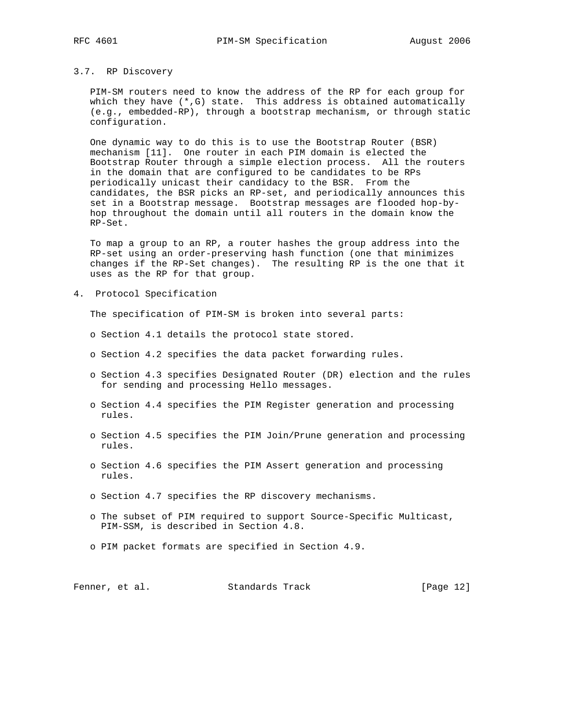#### 3.7. RP Discovery

 PIM-SM routers need to know the address of the RP for each group for which they have (\*,G) state. This address is obtained automatically (e.g., embedded-RP), through a bootstrap mechanism, or through static configuration.

 One dynamic way to do this is to use the Bootstrap Router (BSR) mechanism [11]. One router in each PIM domain is elected the Bootstrap Router through a simple election process. All the routers in the domain that are configured to be candidates to be RPs periodically unicast their candidacy to the BSR. From the candidates, the BSR picks an RP-set, and periodically announces this set in a Bootstrap message. Bootstrap messages are flooded hop-by hop throughout the domain until all routers in the domain know the RP-Set.

 To map a group to an RP, a router hashes the group address into the RP-set using an order-preserving hash function (one that minimizes changes if the RP-Set changes). The resulting RP is the one that it uses as the RP for that group.

4. Protocol Specification

The specification of PIM-SM is broken into several parts:

- o Section 4.1 details the protocol state stored.
- o Section 4.2 specifies the data packet forwarding rules.
- o Section 4.3 specifies Designated Router (DR) election and the rules for sending and processing Hello messages.
- o Section 4.4 specifies the PIM Register generation and processing rules.
- o Section 4.5 specifies the PIM Join/Prune generation and processing rules.
- o Section 4.6 specifies the PIM Assert generation and processing rules.
- o Section 4.7 specifies the RP discovery mechanisms.
- o The subset of PIM required to support Source-Specific Multicast, PIM-SSM, is described in Section 4.8.
- o PIM packet formats are specified in Section 4.9.

Fenner, et al. Standards Track [Page 12]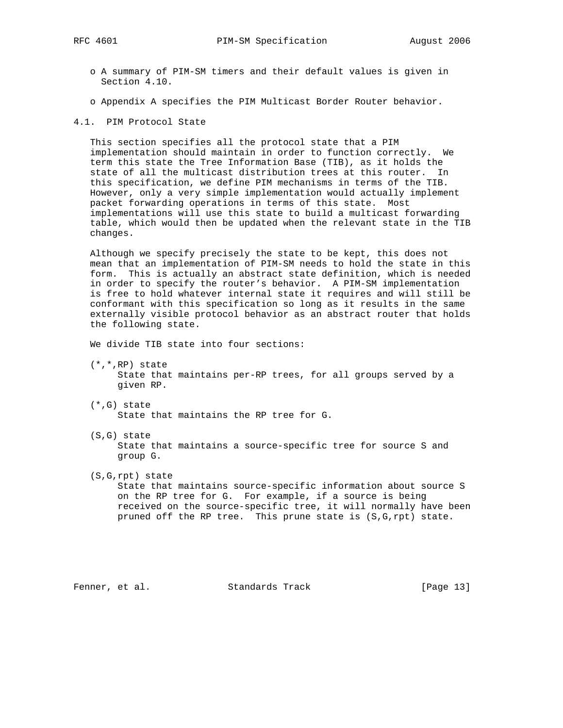- o A summary of PIM-SM timers and their default values is given in Section 4.10.
- o Appendix A specifies the PIM Multicast Border Router behavior.
- 4.1. PIM Protocol State

 This section specifies all the protocol state that a PIM implementation should maintain in order to function correctly. We term this state the Tree Information Base (TIB), as it holds the state of all the multicast distribution trees at this router. In this specification, we define PIM mechanisms in terms of the TIB. However, only a very simple implementation would actually implement packet forwarding operations in terms of this state. Most implementations will use this state to build a multicast forwarding table, which would then be updated when the relevant state in the TIB changes.

 Although we specify precisely the state to be kept, this does not mean that an implementation of PIM-SM needs to hold the state in this form. This is actually an abstract state definition, which is needed in order to specify the router's behavior. A PIM-SM implementation is free to hold whatever internal state it requires and will still be conformant with this specification so long as it results in the same externally visible protocol behavior as an abstract router that holds the following state.

We divide TIB state into four sections:

- (\*,\*,RP) state State that maintains per-RP trees, for all groups served by a given RP.
- (\*,G) state State that maintains the RP tree for G.
- (S,G) state State that maintains a source-specific tree for source S and group G.
- (S,G,rpt) state

 State that maintains source-specific information about source S on the RP tree for G. For example, if a source is being received on the source-specific tree, it will normally have been pruned off the RP tree. This prune state is (S,G,rpt) state.

Fenner, et al. Standards Track [Page 13]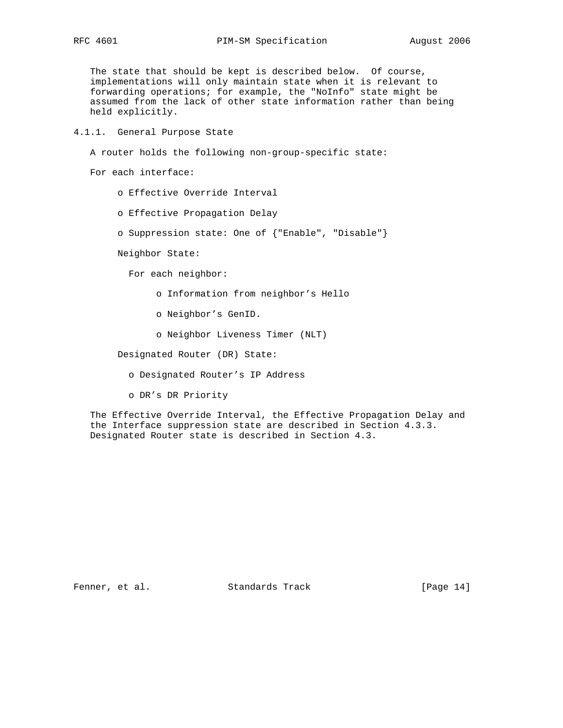The state that should be kept is described below. Of course, implementations will only maintain state when it is relevant to forwarding operations; for example, the "NoInfo" state might be assumed from the lack of other state information rather than being held explicitly.

4.1.1. General Purpose State

A router holds the following non-group-specific state:

For each interface:

o Effective Override Interval

o Effective Propagation Delay

o Suppression state: One of {"Enable", "Disable"}

Neighbor State:

For each neighbor:

o Information from neighbor's Hello

o Neighbor's GenID.

o Neighbor Liveness Timer (NLT)

Designated Router (DR) State:

o Designated Router's IP Address

o DR's DR Priority

 The Effective Override Interval, the Effective Propagation Delay and the Interface suppression state are described in Section 4.3.3. Designated Router state is described in Section 4.3.

Fenner, et al. Standards Track [Page 14]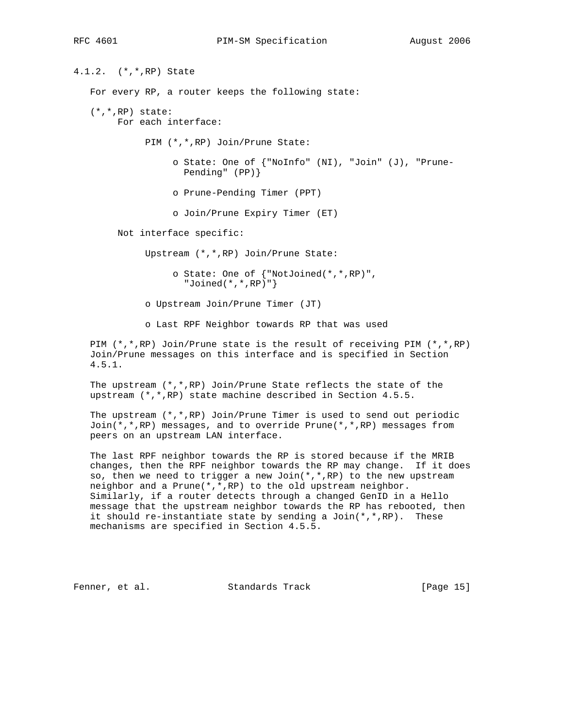4.1.2. (\*,\*,RP) State For every RP, a router keeps the following state: (\*,\*,RP) state: For each interface: PIM (\*,\*,RP) Join/Prune State: o State: One of {"NoInfo" (NI), "Join" (J), "Prune- Pending" (PP)} o Prune-Pending Timer (PPT) o Join/Prune Expiry Timer (ET) Not interface specific: Upstream (\*,\*,RP) Join/Prune State: o State: One of {"NotJoined(\*,\*,RP)", "Joined(\*,\*,RP)"} o Upstream Join/Prune Timer (JT) o Last RPF Neighbor towards RP that was used PIM (\*,\*,RP) Join/Prune state is the result of receiving PIM (\*,\*,RP) Join/Prune messages on this interface and is specified in Section 4.5.1. The upstream (\*,\*,RP) Join/Prune State reflects the state of the upstream (\*,\*,RP) state machine described in Section 4.5.5.

 The upstream (\*,\*,RP) Join/Prune Timer is used to send out periodic Join(\*,\*,RP) messages, and to override Prune(\*,\*,RP) messages from peers on an upstream LAN interface.

 The last RPF neighbor towards the RP is stored because if the MRIB changes, then the RPF neighbor towards the RP may change. If it does so, then we need to trigger a new Join(\*,\*,RP) to the new upstream neighbor and a Prune(\*,\*,RP) to the old upstream neighbor. Similarly, if a router detects through a changed GenID in a Hello message that the upstream neighbor towards the RP has rebooted, then it should re-instantiate state by sending a Join $(*,*,RP)$ . These mechanisms are specified in Section 4.5.5.

Fenner, et al. Standards Track [Page 15]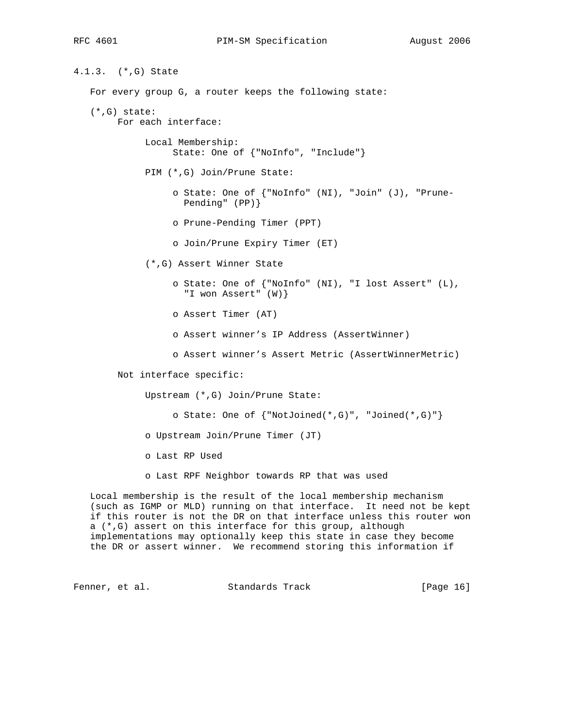4.1.3. (\*,G) State For every group G, a router keeps the following state: (\*,G) state: For each interface: Local Membership: State: One of {"NoInfo", "Include"} PIM (\*,G) Join/Prune State: o State: One of {"NoInfo" (NI), "Join" (J), "Prune- Pending" (PP)} o Prune-Pending Timer (PPT) o Join/Prune Expiry Timer (ET) (\*,G) Assert Winner State o State: One of {"NoInfo" (NI), "I lost Assert" (L), "I won Assert" (W)} o Assert Timer (AT) o Assert winner's IP Address (AssertWinner) o Assert winner's Assert Metric (AssertWinnerMetric) Not interface specific: Upstream (\*,G) Join/Prune State: o State: One of {"NotJoined(\*,G)", "Joined(\*,G)"} o Upstream Join/Prune Timer (JT) o Last RP Used o Last RPF Neighbor towards RP that was used Local membership is the result of the local membership mechanism (such as IGMP or MLD) running on that interface. It need not be kept if this router is not the DR on that interface unless this router won a (\*,G) assert on this interface for this group, although implementations may optionally keep this state in case they become the DR or assert winner. We recommend storing this information if

Fenner, et al. Standards Track [Page 16]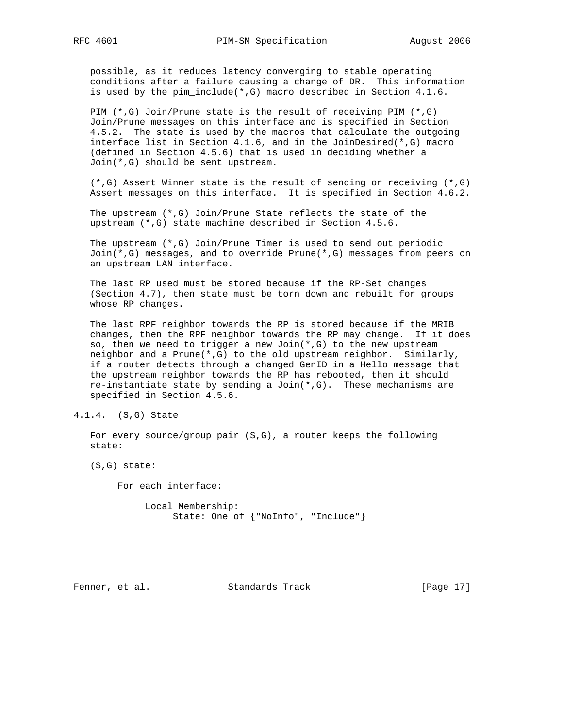possible, as it reduces latency converging to stable operating conditions after a failure causing a change of DR. This information is used by the pim\_include(\*,G) macro described in Section 4.1.6.

 PIM (\*,G) Join/Prune state is the result of receiving PIM (\*,G) Join/Prune messages on this interface and is specified in Section 4.5.2. The state is used by the macros that calculate the outgoing interface list in Section 4.1.6, and in the JoinDesired(\*,G) macro (defined in Section 4.5.6) that is used in deciding whether a Join(\*,G) should be sent upstream.

 (\*,G) Assert Winner state is the result of sending or receiving (\*,G) Assert messages on this interface. It is specified in Section 4.6.2.

 The upstream (\*,G) Join/Prune State reflects the state of the upstream (\*,G) state machine described in Section 4.5.6.

 The upstream (\*,G) Join/Prune Timer is used to send out periodic Join(\*,G) messages, and to override Prune(\*,G) messages from peers on an upstream LAN interface.

 The last RP used must be stored because if the RP-Set changes (Section 4.7), then state must be torn down and rebuilt for groups whose RP changes.

 The last RPF neighbor towards the RP is stored because if the MRIB changes, then the RPF neighbor towards the RP may change. If it does so, then we need to trigger a new Join $(*$ , G) to the new upstream neighbor and a Prune(\*,G) to the old upstream neighbor. Similarly, if a router detects through a changed GenID in a Hello message that the upstream neighbor towards the RP has rebooted, then it should re-instantiate state by sending a  $Join(*,G)$ . These mechanisms are specified in Section 4.5.6.

 For every source/group pair (S,G), a router keeps the following state:

(S,G) state:

For each interface:

 Local Membership: State: One of {"NoInfo", "Include"}

Fenner, et al. Standards Track [Page 17]

<sup>4.1.4. (</sup>S,G) State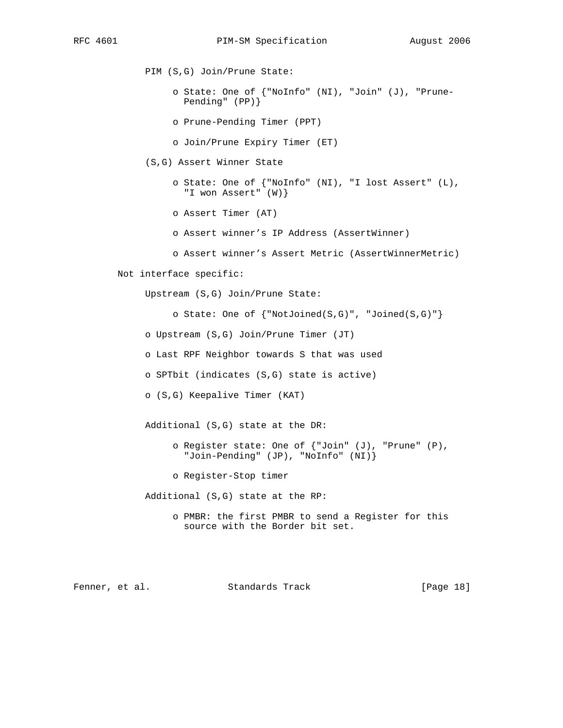PIM (S,G) Join/Prune State:

- o State: One of {"NoInfo" (NI), "Join" (J), "Prune- Pending" (PP)}
- o Prune-Pending Timer (PPT)
- o Join/Prune Expiry Timer (ET)
- (S,G) Assert Winner State

 o State: One of {"NoInfo" (NI), "I lost Assert" (L), "I won Assert" (W)}

- o Assert Timer (AT)
- o Assert winner's IP Address (AssertWinner)
- o Assert winner's Assert Metric (AssertWinnerMetric)
- Not interface specific:

Upstream (S,G) Join/Prune State:

o State: One of {"NotJoined(S,G)", "Joined(S,G)"}

o Upstream (S,G) Join/Prune Timer (JT)

o Last RPF Neighbor towards S that was used

o SPTbit (indicates (S,G) state is active)

o (S,G) Keepalive Timer (KAT)

Additional (S,G) state at the DR:

- o Register state: One of {"Join" (J), "Prune" (P), "Join-Pending" (JP), "NoInfo" (NI)}
- o Register-Stop timer

Additional (S,G) state at the RP:

 o PMBR: the first PMBR to send a Register for this source with the Border bit set.

Fenner, et al. Standards Track [Page 18]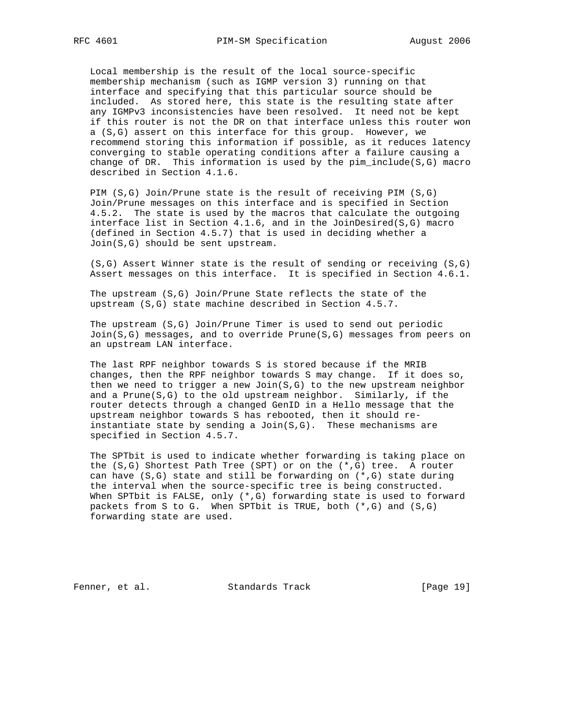Local membership is the result of the local source-specific membership mechanism (such as IGMP version 3) running on that interface and specifying that this particular source should be included. As stored here, this state is the resulting state after any IGMPv3 inconsistencies have been resolved. It need not be kept if this router is not the DR on that interface unless this router won a (S,G) assert on this interface for this group. However, we recommend storing this information if possible, as it reduces latency converging to stable operating conditions after a failure causing a change of DR. This information is used by the pim  $include(S,G)$  macro described in Section 4.1.6.

 PIM (S,G) Join/Prune state is the result of receiving PIM (S,G) Join/Prune messages on this interface and is specified in Section 4.5.2. The state is used by the macros that calculate the outgoing interface list in Section  $4.1.6$ , and in the JoinDesired( $S, G$ ) macro (defined in Section 4.5.7) that is used in deciding whether a Join(S,G) should be sent upstream.

 (S,G) Assert Winner state is the result of sending or receiving (S,G) Assert messages on this interface. It is specified in Section 4.6.1.

 The upstream (S,G) Join/Prune State reflects the state of the upstream (S,G) state machine described in Section 4.5.7.

 The upstream (S,G) Join/Prune Timer is used to send out periodic Join(S,G) messages, and to override Prune(S,G) messages from peers on an upstream LAN interface.

 The last RPF neighbor towards S is stored because if the MRIB changes, then the RPF neighbor towards S may change. If it does so, then we need to trigger a new  $Join(S,G)$  to the new upstream neighbor and a Prune(S,G) to the old upstream neighbor. Similarly, if the router detects through a changed GenID in a Hello message that the upstream neighbor towards S has rebooted, then it should re instantiate state by sending a  $Join(S,G)$ . These mechanisms are specified in Section 4.5.7.

 The SPTbit is used to indicate whether forwarding is taking place on the  $(S,G)$  Shortest Path Tree (SPT) or on the  $(*,G)$  tree. A router can have (S,G) state and still be forwarding on (\*,G) state during the interval when the source-specific tree is being constructed. When SPTbit is FALSE, only (\*,G) forwarding state is used to forward packets from S to G. When SPTbit is TRUE, both  $(*,G)$  and  $(S,G)$ forwarding state are used.

Fenner, et al. Standards Track [Page 19]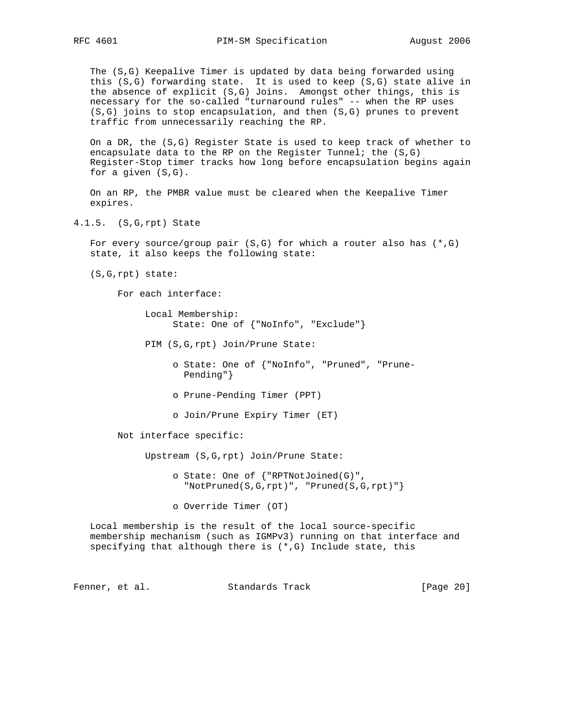The (S,G) Keepalive Timer is updated by data being forwarded using this (S,G) forwarding state. It is used to keep (S,G) state alive in the absence of explicit (S,G) Joins. Amongst other things, this is necessary for the so-called "turnaround rules" -- when the RP uses (S,G) joins to stop encapsulation, and then (S,G) prunes to prevent traffic from unnecessarily reaching the RP.

 On a DR, the (S,G) Register State is used to keep track of whether to encapsulate data to the RP on the Register Tunnel; the  $(S,G)$  Register-Stop timer tracks how long before encapsulation begins again for a given (S,G).

 On an RP, the PMBR value must be cleared when the Keepalive Timer expires.

4.1.5. (S,G,rpt) State

For every source/group pair (S,G) for which a router also has  $(*$ ,G) state, it also keeps the following state:

(S,G,rpt) state:

For each interface:

 Local Membership: State: One of {"NoInfo", "Exclude"}

PIM (S,G,rpt) Join/Prune State:

 o State: One of {"NoInfo", "Pruned", "Prune- Pending"}

- o Prune-Pending Timer (PPT)
- o Join/Prune Expiry Timer (ET)

Not interface specific:

Upstream (S,G,rpt) Join/Prune State:

 o State: One of {"RPTNotJoined(G)", "NotPruned(S,G,rpt)", "Pruned(S,G,rpt)"}

o Override Timer (OT)

 Local membership is the result of the local source-specific membership mechanism (such as IGMPv3) running on that interface and specifying that although there is (\*,G) Include state, this

Fenner, et al. Standards Track [Page 20]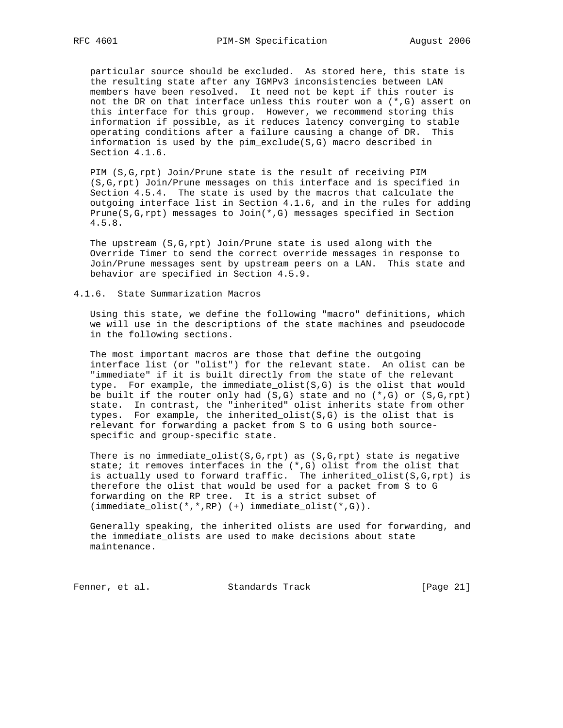particular source should be excluded. As stored here, this state is the resulting state after any IGMPv3 inconsistencies between LAN members have been resolved. It need not be kept if this router is not the DR on that interface unless this router won a  $(*$ , G) assert on this interface for this group. However, we recommend storing this information if possible, as it reduces latency converging to stable operating conditions after a failure causing a change of DR. This information is used by the pim\_exclude(S,G) macro described in Section 4.1.6.

 PIM (S,G,rpt) Join/Prune state is the result of receiving PIM (S,G,rpt) Join/Prune messages on this interface and is specified in Section 4.5.4. The state is used by the macros that calculate the outgoing interface list in Section 4.1.6, and in the rules for adding Prune(S,G,rpt) messages to Join(\*,G) messages specified in Section 4.5.8.

 The upstream (S,G,rpt) Join/Prune state is used along with the Override Timer to send the correct override messages in response to Join/Prune messages sent by upstream peers on a LAN. This state and behavior are specified in Section 4.5.9.

#### 4.1.6. State Summarization Macros

 Using this state, we define the following "macro" definitions, which we will use in the descriptions of the state machines and pseudocode in the following sections.

 The most important macros are those that define the outgoing interface list (or "olist") for the relevant state. An olist can be "immediate" if it is built directly from the state of the relevant type. For example, the immediate\_olist(S,G) is the olist that would be built if the router only had  $(S,G)$  state and no  $(*,G)$  or  $(S,G,rpt)$  state. In contrast, the "inherited" olist inherits state from other types. For example, the inherited\_olist(S,G) is the olist that is relevant for forwarding a packet from S to G using both source specific and group-specific state.

There is no immediate\_olist( $S, G, rpt$ ) as ( $S, G, rpt$ ) state is negative state; it removes interfaces in the (\*,G) olist from the olist that is actually used to forward traffic. The inherited\_olist(S,G,rpt) is therefore the olist that would be used for a packet from S to G forwarding on the RP tree. It is a strict subset of  $(\text{immediate\_olist}(*,*,RP) (+) \text{immediate\_olist}(*,G)).$ 

 Generally speaking, the inherited olists are used for forwarding, and the immediate\_olists are used to make decisions about state maintenance.

Fenner, et al. Standards Track [Page 21]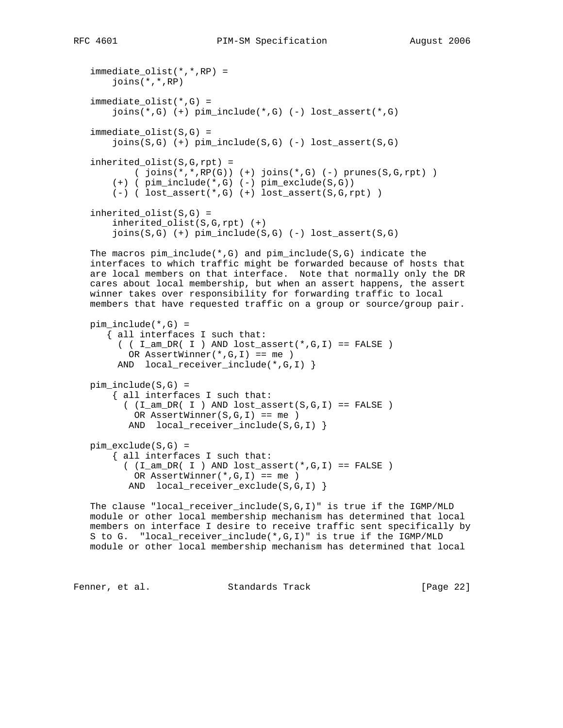```
 immediate_olist(*,*,RP) =
     joins(*,*,RP)
 immediate_olist(*,G) =
     joins(*,G) (+) pim_include(*,G) (-) lost_assert(*,G)
 immediate_olist(S,G) =
    joins(S,G) (+) pim\_include(S,G) (-) lost_assert(S,G)
 inherited_olist(S,G,rpt) =
        ( joins(*,*,RP(G)) (+) joins(*,G) (-) prunes(S,G,rpt) )
    (+) ( \text{pim\_include} (* , G) ( -) \text{pim\_exclude}(S, G) )
     (-) ( lost_assert(*,G) (+) lost_assert(S,G,rpt) )
 inherited_olist(S,G) =
     inherited_olist(S,G,rpt) (+)
     joins(S,G) (+) pim_include(S,G) (-) lost_assert(S,G)
 The macros pim_include(*,G) and pim_include(S,G) indicate the
 interfaces to which traffic might be forwarded because of hosts that
 are local members on that interface. Note that normally only the DR
 cares about local membership, but when an assert happens, the assert
 winner takes over responsibility for forwarding traffic to local
 members that have requested traffic on a group or source/group pair.
pim\_include(*, G) = { all interfaces I such that:
     ( I_{am\_DR}( I ) AND lost_assert(*, G, I ) == FALSE )
        OR AssertWinner(*,G,I) == me )
     AND local_receiver_include(*,G,I) }
pim\_include(S,G) = { all interfaces I such that:
      ( (I_\text{am\_DR}( I ) AND lost_assert(S,G,I) == FALSE )
        OR AssertWinner(S,G,I) == meAND local_receiver_include(S,G,I) }
 pim_exclude(S,G) =
     { all interfaces I such that:
      ( (I_\text{am\_DR}( I ) AND lost_assert(*, G, I) == FALSE ) OR AssertWinner(*,G,I) == me )
       AND local_receiver_exclude(S,G,I) }
 The clause "local_receiver_include(S,G,I)" is true if the IGMP/MLD
 module or other local membership mechanism has determined that local
 members on interface I desire to receive traffic sent specifically by
 S to G. "local_receiver_include(*,G,I)" is true if the IGMP/MLD
```

```
 module or other local membership mechanism has determined that local
```
Fenner, et al. Standards Track [Page 22]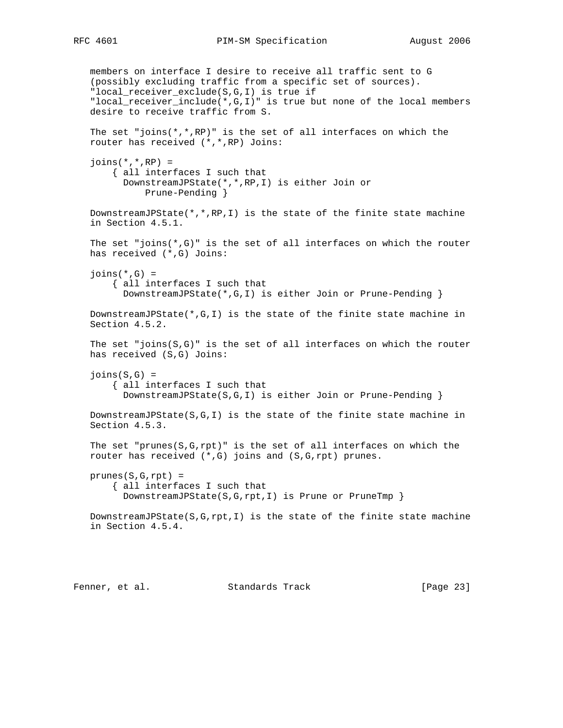members on interface I desire to receive all traffic sent to G (possibly excluding traffic from a specific set of sources). "local\_receiver\_exclude(S,G,I) is true if "local\_receiver\_include(\*,G,I)" is true but none of the local members desire to receive traffic from S. The set "joins( $*,*,$ RP)" is the set of all interfaces on which the router has received (\*,\*,RP) Joins:  $joins(*,*,RP) =$  { all interfaces I such that DownstreamJPState(\*,\*,RP,I) is either Join or Prune-Pending } DownstreamJPState( $*,*,$ RP,I) is the state of the finite state machine in Section 4.5.1. The set "joins( $*, G$ )" is the set of all interfaces on which the router has received (\*,G) Joins:  $joins(*,G) =$  { all interfaces I such that DownstreamJPState(\*,G,I) is either Join or Prune-Pending } DownstreamJPState(\*,G,I) is the state of the finite state machine in Section 4.5.2. The set "joins $(S, G)$ " is the set of all interfaces on which the router has received (S,G) Joins:  $joins(S,G) =$  { all interfaces I such that DownstreamJPState(S,G,I) is either Join or Prune-Pending } DownstreamJPState(S,G,I) is the state of the finite state machine in Section 4.5.3. The set "prunes( $S, G, rpt$ )" is the set of all interfaces on which the router has received (\*,G) joins and (S,G,rpt) prunes. prunes(S,G,rpt) = { all interfaces I such that DownstreamJPState(S,G,rpt,I) is Prune or PruneTmp } DownstreamJPState( $S, G, rpt, I$ ) is the state of the finite state machine in Section 4.5.4.

Fenner, et al. Standards Track [Page 23]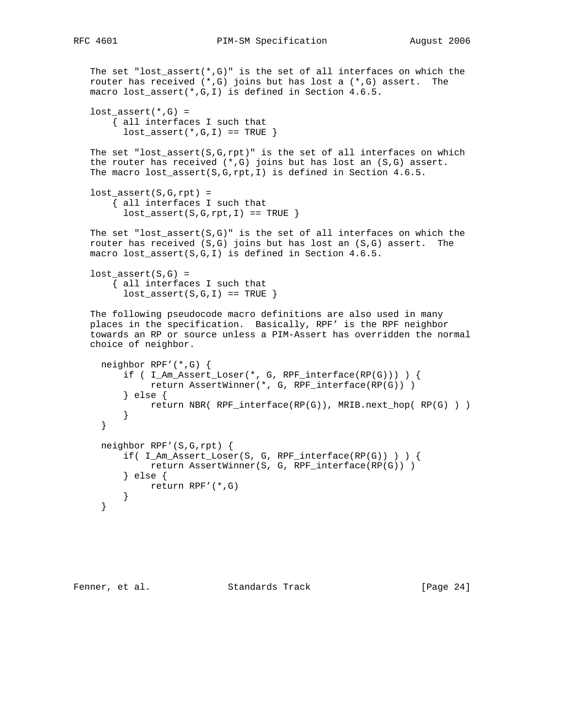```
The set "lost_assert(*,G)" is the set of all interfaces on which the
 router has received (*,G) joins but has lost a (*,G) assert. The
 macro lost_assert(*,G,I) is defined in Section 4.6.5.
lost\_assert(*, G) = { all interfaces I such that
      lost\_assert(*, G, I) == TRUE }
The set "lost_assert(S, G, rpt)" is the set of all interfaces on which
the router has received (*,G) joins but has lost an (S,G) assert.
 The macro lost_assert(S,G,rpt,I) is defined in Section 4.6.5.
lost assert(S,G,rpt) = { all interfaces I such that
      lost\_assert(S, G, rpt, I) == TRUE }
The set "lost_assert(S, G)" is the set of all interfaces on which the
 router has received (S,G) joins but has lost an (S,G) assert. The
 macro lost_assert(S,G,I) is defined in Section 4.6.5.
lost\_assert(S,G) = { all interfaces I such that
      lost\_assert(S,G,I) == TRUE }
 The following pseudocode macro definitions are also used in many
 places in the specification. Basically, RPF' is the RPF neighbor
 towards an RP or source unless a PIM-Assert has overridden the normal
 choice of neighbor.
   neighbor RPF'(*,G) {
      if ( I_MAssert_Loser(*, G, RPF_interface(RP(G))) ) {
            return AssertWinner(*, G, RPF_interface(RP(G)) )
       } else {
           return NBR( RPF_interface(RP(G)), MRIB.next_hop( RP(G) ) )
       }
   }
   neighbor RPF'(S,G,rpt) {
       if( I_Am_Assert_Loser(S, G, RPF_interface(RP(G)) ) ) {
           return AssertWinner(S, G, RPF interface(RP(G)) )
       } else {
          return RPF'(*,G)
       }
   }
```

```
Fenner, et al. Standards Track [Page 24]
```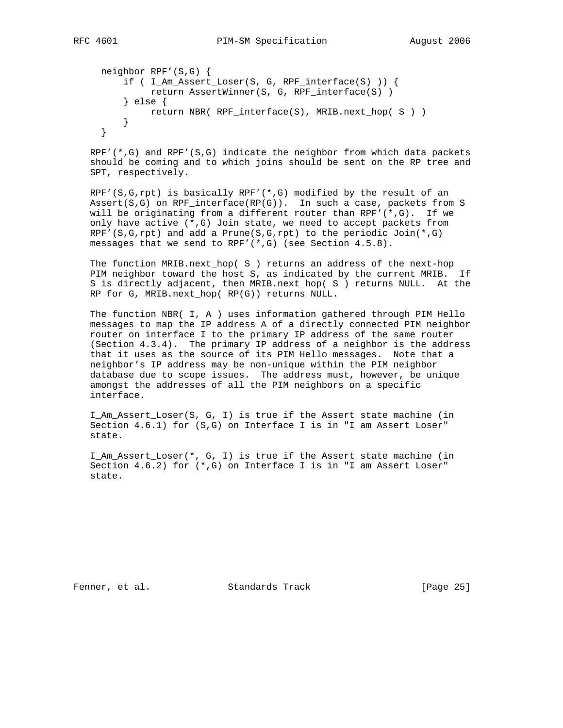```
 neighbor RPF'(S,G) {
     if ( I_Am_Assert_Loser(S, G, RPF_interface(S) )) {
          return AssertWinner(S, G, RPF_interface(S) )
     } else {
        return NBR( RPF_interface(S), MRIB.next_hop( S ) )
     }
 }
```
 $RPF'$ (\*,G) and  $RPF'$ (S,G) indicate the neighbor from which data packets should be coming and to which joins should be sent on the RP tree and SPT, respectively.

RPF'(S,G,rpt) is basically RPF'( $*,G$ ) modified by the result of an Assert(S,G) on RPF\_interface(RP(G)). In such a case, packets from S will be originating from a different router than  $RPF'(*, G)$ . If we only have active (\*,G) Join state, we need to accept packets from RPF'(S,G,rpt) and add a Prune(S,G,rpt) to the periodic  $Join(*,G)$ messages that we send to RPF'(\*,G) (see Section 4.5.8).

 The function MRIB.next\_hop( S ) returns an address of the next-hop PIM neighbor toward the host S, as indicated by the current MRIB. If S is directly adjacent, then MRIB.next\_hop( S ) returns NULL. At the RP for G, MRIB.next\_hop( RP(G)) returns NULL.

 The function NBR( I, A ) uses information gathered through PIM Hello messages to map the IP address A of a directly connected PIM neighbor router on interface I to the primary IP address of the same router (Section 4.3.4). The primary IP address of a neighbor is the address that it uses as the source of its PIM Hello messages. Note that a neighbor's IP address may be non-unique within the PIM neighbor database due to scope issues. The address must, however, be unique amongst the addresses of all the PIM neighbors on a specific interface.

 I\_Am\_Assert\_Loser(S, G, I) is true if the Assert state machine (in Section 4.6.1) for (S,G) on Interface I is in "I am Assert Loser" state.

 I\_Am\_Assert\_Loser(\*, G, I) is true if the Assert state machine (in Section 4.6.2) for (\*,G) on Interface I is in "I am Assert Loser" state.

Fenner, et al. Standards Track [Page 25]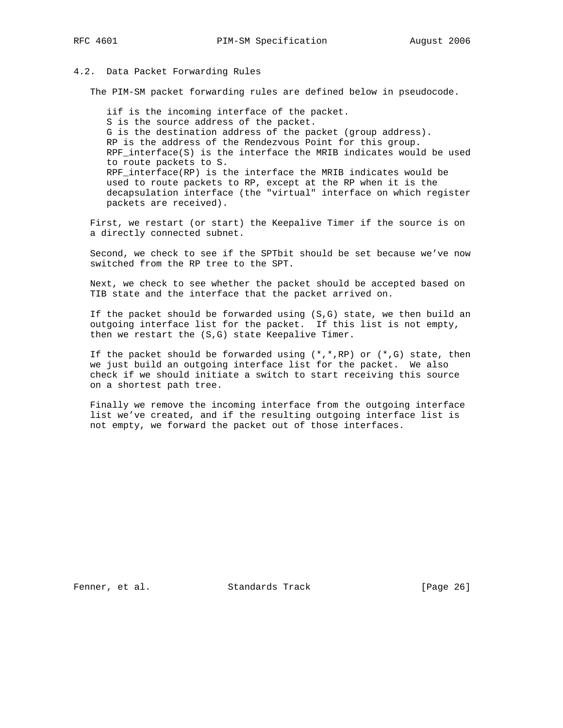#### 4.2. Data Packet Forwarding Rules

The PIM-SM packet forwarding rules are defined below in pseudocode.

 iif is the incoming interface of the packet. S is the source address of the packet. G is the destination address of the packet (group address). RP is the address of the Rendezvous Point for this group. RPF\_interface(S) is the interface the MRIB indicates would be used to route packets to S. RPF\_interface(RP) is the interface the MRIB indicates would be used to route packets to RP, except at the RP when it is the decapsulation interface (the "virtual" interface on which register packets are received).

 First, we restart (or start) the Keepalive Timer if the source is on a directly connected subnet.

 Second, we check to see if the SPTbit should be set because we've now switched from the RP tree to the SPT.

 Next, we check to see whether the packet should be accepted based on TIB state and the interface that the packet arrived on.

 If the packet should be forwarded using (S,G) state, we then build an outgoing interface list for the packet. If this list is not empty, then we restart the (S,G) state Keepalive Timer.

If the packet should be forwarded using  $(*,*,RP)$  or  $(*,G)$  state, then we just build an outgoing interface list for the packet. We also check if we should initiate a switch to start receiving this source on a shortest path tree.

 Finally we remove the incoming interface from the outgoing interface list we've created, and if the resulting outgoing interface list is not empty, we forward the packet out of those interfaces.

Fenner, et al. Standards Track [Page 26]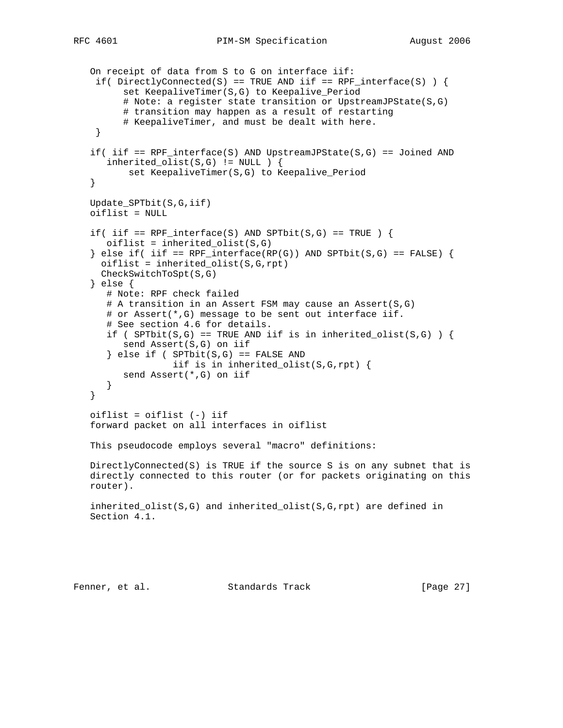```
 On receipt of data from S to G on interface iif:
 if( DirectlyConnected(S) == TRUE AND iif == RPF_ interface(S) ) {
       set KeepaliveTimer(S,G) to Keepalive_Period
       # Note: a register state transition or UpstreamJPState(S,G)
       # transition may happen as a result of restarting
       # KeepaliveTimer, and must be dealt with here.
  }
if( iif == RPF_interface(S) AND UpstreamJPState(S,G) == Joined AND
  inherited olist(S,G) != NULL ) {
        set KeepaliveTimer(S,G) to Keepalive_Period
 }
 Update_SPTbit(S,G,iif)
 oiflist = NULL
if( iif == RPF_interface(S) AND SPTbit(S,G) == TRUE ) {
    oiflist = inherited_olist(S,G)
} else if( iif == RPF\_interface(RP(G)) AND SPTbit(S,G) == FALSE) {
  oiflist = inherited_olist(S,G,rpt) CheckSwitchToSpt(S,G)
 } else {
    # Note: RPF check failed
    # A transition in an Assert FSM may cause an Assert(S,G)
    # or Assert(*,G) message to be sent out interface iif.
    # See section 4.6 for details.
   if ( SPTbit(S,G) == TRUE AND iif is in inherited_olist(S,G) ) {
       send Assert(S,G) on iif
   \} else if ( SPTbit(S,G) == FALSE AND
                iif is in inherited_olist(S,G,rpt) {
      send Assert(*,G) on iif
    }
 }
 oiflist = oiflist (-) iif
 forward packet on all interfaces in oiflist
 This pseudocode employs several "macro" definitions:
 DirectlyConnected(S) is TRUE if the source S is on any subnet that is
 directly connected to this router (or for packets originating on this
 router).
 inherited_olist(S,G) and inherited_olist(S,G,rpt) are defined in
 Section 4.1.
```
Fenner, et al. Standards Track [Page 27]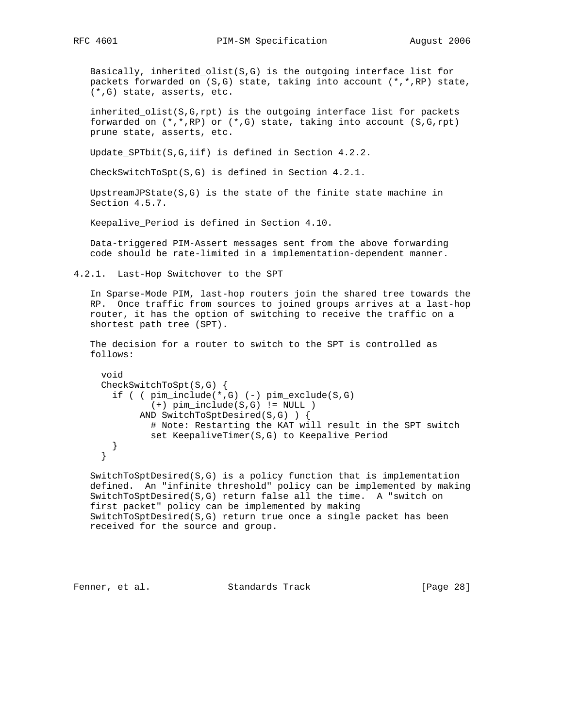Basically, inherited\_olist(S,G) is the outgoing interface list for packets forwarded on (S,G) state, taking into account (\*,\*,RP) state, (\*,G) state, asserts, etc.

 inherited\_olist(S,G,rpt) is the outgoing interface list for packets forwarded on  $(*,*,RP)$  or  $(*,G)$  state, taking into account  $(S,G,rpt)$ prune state, asserts, etc.

Update\_SPTbit(S,G,iif) is defined in Section 4.2.2.

CheckSwitchToSpt(S,G) is defined in Section 4.2.1.

 UpstreamJPState(S,G) is the state of the finite state machine in Section 4.5.7.

Keepalive Period is defined in Section 4.10.

 Data-triggered PIM-Assert messages sent from the above forwarding code should be rate-limited in a implementation-dependent manner.

4.2.1. Last-Hop Switchover to the SPT

 In Sparse-Mode PIM, last-hop routers join the shared tree towards the RP. Once traffic from sources to joined groups arrives at a last-hop router, it has the option of switching to receive the traffic on a shortest path tree (SPT).

 The decision for a router to switch to the SPT is controlled as follows:

```
 void
 CheckSwitchToSpt(S,G) {
   if ( ( pim_include(*,G) (-) pim_exclude(S,G)
          (+) pim_include(S,G) != NULL )
        AND SwitchToSptDesired(S,G) ) {
          # Note: Restarting the KAT will result in the SPT switch
          set KeepaliveTimer(S,G) to Keepalive_Period
   }
 }
```
 SwitchToSptDesired(S,G) is a policy function that is implementation defined. An "infinite threshold" policy can be implemented by making SwitchToSptDesired(S,G) return false all the time. A "switch on first packet" policy can be implemented by making SwitchToSptDesired(S,G) return true once a single packet has been received for the source and group.

Fenner, et al. Standards Track [Page 28]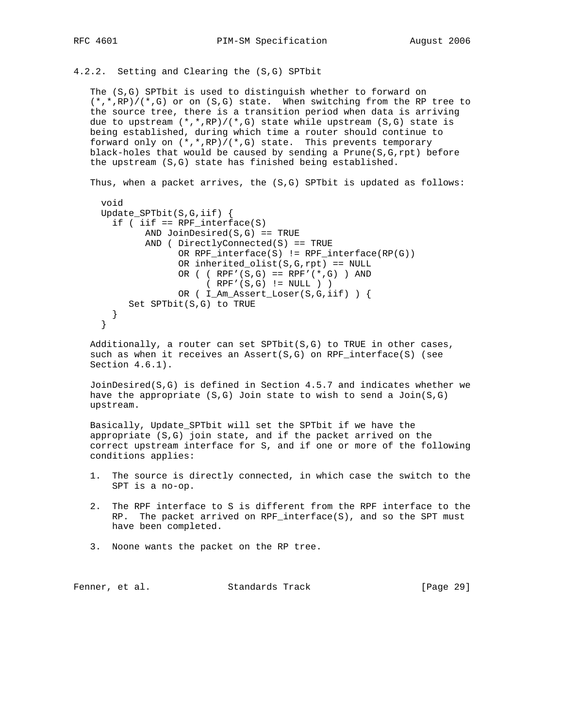4.2.2. Setting and Clearing the (S,G) SPTbit

 The (S,G) SPTbit is used to distinguish whether to forward on  $(*$ ,\*,RP)/(\*,G) or on (S,G) state. When switching from the RP tree to the source tree, there is a transition period when data is arriving due to upstream  $(*,*,RP)/(*,G)$  state while upstream  $(S,G)$  state is being established, during which time a router should continue to forward only on  $(*$ , \*, RP)/(\*, G) state. This prevents temporary black-holes that would be caused by sending a  $Prune(S, G, rpt)$  before the upstream (S,G) state has finished being established.

Thus, when a packet arrives, the (S,G) SPTbit is updated as follows:

```
 void
 Update_SPTbit(S,G,iif) {
  if ( iif == RPF_interface(S)AND JoinDesired(S,G) == TRUE
         AND ( DirectlyConnected(S) == TRUE
               OR RPF_interface(S) != RPF_interface(RP(G))
              OR inherited_olist(S, G, rpt) == NULL
              OR ( (RPF'(S,G) == RPF'(*,G) ) AND
                    ( RPF'(S,G) != NULL ) )
               OR ( I_Am_Assert_Loser(S,G,iif) ) {
      Set SPTbit(S,G) to TRUE
   }
 }
```
 Additionally, a router can set SPTbit(S,G) to TRUE in other cases, such as when it receives an Assert( $S, G$ ) on RPF\_interface( $S$ ) (see Section 4.6.1).

 JoinDesired(S,G) is defined in Section 4.5.7 and indicates whether we have the appropriate  $(S,G)$  Join state to wish to send a Join $(S,G)$ upstream.

 Basically, Update\_SPTbit will set the SPTbit if we have the appropriate (S,G) join state, and if the packet arrived on the correct upstream interface for S, and if one or more of the following conditions applies:

- 1. The source is directly connected, in which case the switch to the SPT is a no-op.
- 2. The RPF interface to S is different from the RPF interface to the RP. The packet arrived on RPF\_interface(S), and so the SPT must have been completed.
- 3. Noone wants the packet on the RP tree.

Fenner, et al. Standards Track [Page 29]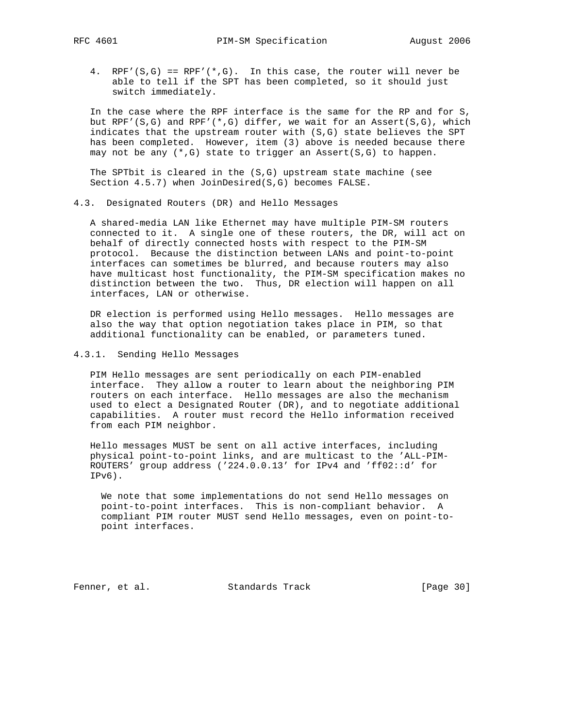4. RPF'(S,G) ==  $RPF'$ (\*,G). In this case, the router will never be able to tell if the SPT has been completed, so it should just switch immediately.

 In the case where the RPF interface is the same for the RP and for S, but RPF'(S,G) and RPF'(\*,G) differ, we wait for an Assert(S,G), which indicates that the upstream router with (S,G) state believes the SPT has been completed. However, item (3) above is needed because there may not be any  $(*,G)$  state to trigger an Assert(S,G) to happen.

 The SPTbit is cleared in the (S,G) upstream state machine (see Section 4.5.7) when JoinDesired(S,G) becomes FALSE.

4.3. Designated Routers (DR) and Hello Messages

 A shared-media LAN like Ethernet may have multiple PIM-SM routers connected to it. A single one of these routers, the DR, will act on behalf of directly connected hosts with respect to the PIM-SM protocol. Because the distinction between LANs and point-to-point interfaces can sometimes be blurred, and because routers may also have multicast host functionality, the PIM-SM specification makes no distinction between the two. Thus, DR election will happen on all interfaces, LAN or otherwise.

 DR election is performed using Hello messages. Hello messages are also the way that option negotiation takes place in PIM, so that additional functionality can be enabled, or parameters tuned.

4.3.1. Sending Hello Messages

 PIM Hello messages are sent periodically on each PIM-enabled interface. They allow a router to learn about the neighboring PIM routers on each interface. Hello messages are also the mechanism used to elect a Designated Router (DR), and to negotiate additional capabilities. A router must record the Hello information received from each PIM neighbor.

 Hello messages MUST be sent on all active interfaces, including physical point-to-point links, and are multicast to the 'ALL-PIM- ROUTERS' group address ('224.0.0.13' for IPv4 and 'ff02::d' for IPv6).

 We note that some implementations do not send Hello messages on point-to-point interfaces. This is non-compliant behavior. A compliant PIM router MUST send Hello messages, even on point-to point interfaces.

Fenner, et al. Standards Track [Page 30]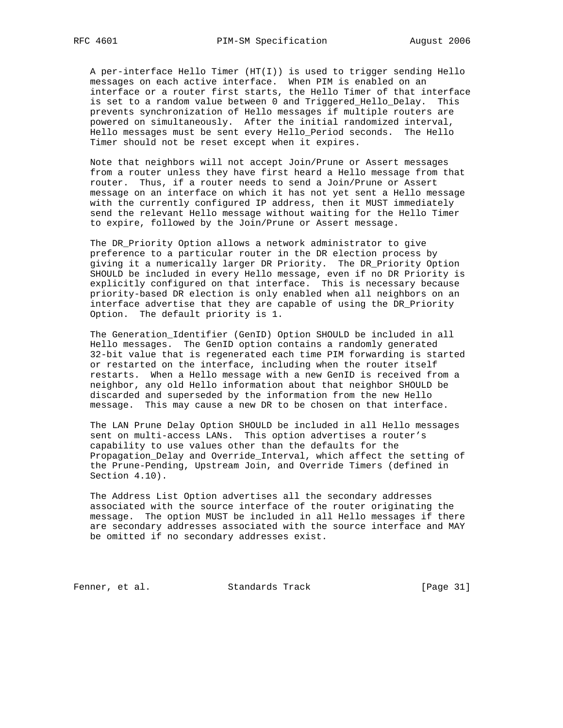A per-interface Hello Timer (HT(I)) is used to trigger sending Hello messages on each active interface. When PIM is enabled on an interface or a router first starts, the Hello Timer of that interface is set to a random value between 0 and Triggered\_Hello\_Delay. This prevents synchronization of Hello messages if multiple routers are powered on simultaneously. After the initial randomized interval, Hello messages must be sent every Hello\_Period seconds. The Hello Timer should not be reset except when it expires.

 Note that neighbors will not accept Join/Prune or Assert messages from a router unless they have first heard a Hello message from that router. Thus, if a router needs to send a Join/Prune or Assert message on an interface on which it has not yet sent a Hello message with the currently configured IP address, then it MUST immediately send the relevant Hello message without waiting for the Hello Timer to expire, followed by the Join/Prune or Assert message.

 The DR\_Priority Option allows a network administrator to give preference to a particular router in the DR election process by giving it a numerically larger DR Priority. The DR\_Priority Option SHOULD be included in every Hello message, even if no DR Priority is explicitly configured on that interface. This is necessary because priority-based DR election is only enabled when all neighbors on an interface advertise that they are capable of using the DR\_Priority Option. The default priority is 1.

 The Generation\_Identifier (GenID) Option SHOULD be included in all Hello messages. The GenID option contains a randomly generated 32-bit value that is regenerated each time PIM forwarding is started or restarted on the interface, including when the router itself restarts. When a Hello message with a new GenID is received from a neighbor, any old Hello information about that neighbor SHOULD be discarded and superseded by the information from the new Hello message. This may cause a new DR to be chosen on that interface.

 The LAN Prune Delay Option SHOULD be included in all Hello messages sent on multi-access LANs. This option advertises a router's capability to use values other than the defaults for the Propagation\_Delay and Override\_Interval, which affect the setting of the Prune-Pending, Upstream Join, and Override Timers (defined in Section 4.10).

 The Address List Option advertises all the secondary addresses associated with the source interface of the router originating the message. The option MUST be included in all Hello messages if there are secondary addresses associated with the source interface and MAY be omitted if no secondary addresses exist.

Fenner, et al. Standards Track [Page 31]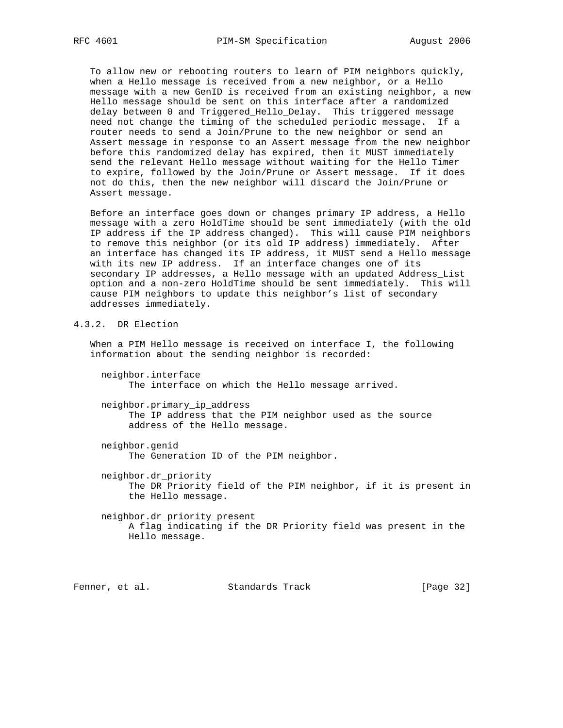To allow new or rebooting routers to learn of PIM neighbors quickly, when a Hello message is received from a new neighbor, or a Hello message with a new GenID is received from an existing neighbor, a new Hello message should be sent on this interface after a randomized delay between 0 and Triggered\_Hello\_Delay. This triggered message need not change the timing of the scheduled periodic message. If a router needs to send a Join/Prune to the new neighbor or send an Assert message in response to an Assert message from the new neighbor before this randomized delay has expired, then it MUST immediately send the relevant Hello message without waiting for the Hello Timer to expire, followed by the Join/Prune or Assert message. If it does not do this, then the new neighbor will discard the Join/Prune or Assert message.

 Before an interface goes down or changes primary IP address, a Hello message with a zero HoldTime should be sent immediately (with the old IP address if the IP address changed). This will cause PIM neighbors to remove this neighbor (or its old IP address) immediately. After an interface has changed its IP address, it MUST send a Hello message with its new IP address. If an interface changes one of its secondary IP addresses, a Hello message with an updated Address\_List option and a non-zero HoldTime should be sent immediately. This will cause PIM neighbors to update this neighbor's list of secondary addresses immediately.

# 4.3.2. DR Election

 When a PIM Hello message is received on interface I, the following information about the sending neighbor is recorded:

 neighbor.interface The interface on which the Hello message arrived.

 neighbor.primary\_ip\_address The IP address that the PIM neighbor used as the source address of the Hello message.

 neighbor.genid The Generation ID of the PIM neighbor.

 neighbor.dr\_priority The DR Priority field of the PIM neighbor, if it is present in the Hello message.

 neighbor.dr\_priority\_present A flag indicating if the DR Priority field was present in the Hello message.

Fenner, et al. Standards Track [Page 32]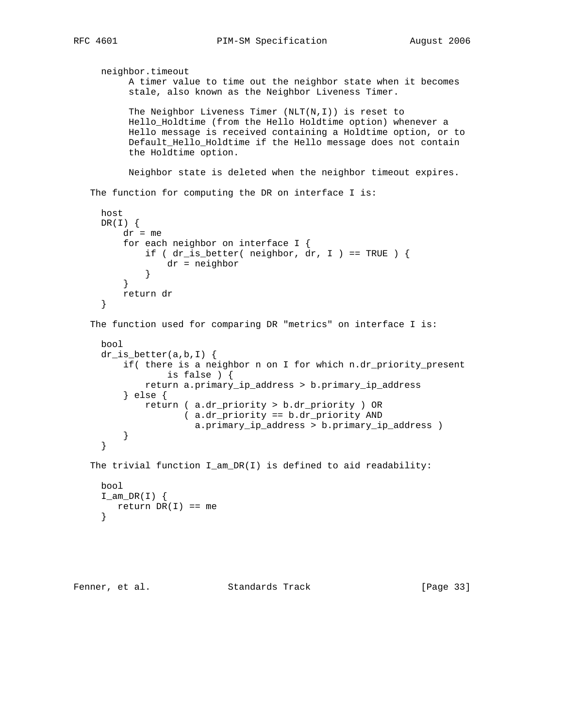```
 neighbor.timeout
          A timer value to time out the neighbor state when it becomes
          stale, also known as the Neighbor Liveness Timer.
          The Neighbor Liveness Timer (NLT(N,I)) is reset to
          Hello_Holdtime (from the Hello Holdtime option) whenever a
          Hello message is received containing a Holdtime option, or to
          Default_Hello_Holdtime if the Hello message does not contain
          the Holdtime option.
          Neighbor state is deleted when the neighbor timeout expires.
  The function for computing the DR on interface I is:
     host
     DR(I) {
        dr = me for each neighbor on interface I {
            if ( dr_is_better( neighbor, dr, I ) == TRUE ) {
                 dr = neighbor
 }
          }
         return dr
      }
   The function used for comparing DR "metrics" on interface I is:
     bool
     dr_is_better(a,b,I) {
         if( there is a neighbor n on I for which n.dr_priority_present
                  is false ) {
              return a.primary_ip_address > b.primary_ip_address
          } else {
             return ( a.dr_priority > b.dr_priority ) OR
                    ( a.dr_priority == b.dr_priority AND
                      a.primary_ip_address > b.primary_ip_address )
          }
      }
   The trivial function I_am_DR(I) is defined to aid readability:
```

```
 bool
I\_am\_DR(I) {
  return DR(I) == me }
```

```
Fenner, et al. Standards Track [Page 33]
```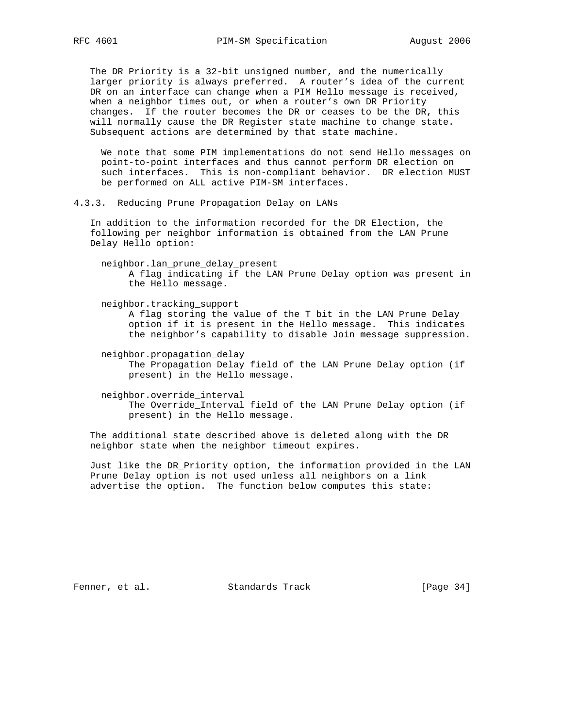The DR Priority is a 32-bit unsigned number, and the numerically larger priority is always preferred. A router's idea of the current DR on an interface can change when a PIM Hello message is received, when a neighbor times out, or when a router's own DR Priority changes. If the router becomes the DR or ceases to be the DR, this will normally cause the DR Register state machine to change state. Subsequent actions are determined by that state machine.

 We note that some PIM implementations do not send Hello messages on point-to-point interfaces and thus cannot perform DR election on such interfaces. This is non-compliant behavior. DR election MUST be performed on ALL active PIM-SM interfaces.

4.3.3. Reducing Prune Propagation Delay on LANs

 In addition to the information recorded for the DR Election, the following per neighbor information is obtained from the LAN Prune Delay Hello option:

- neighbor.lan\_prune\_delay\_present A flag indicating if the LAN Prune Delay option was present in the Hello message.
- neighbor.tracking\_support A flag storing the value of the T bit in the LAN Prune Delay option if it is present in the Hello message. This indicates the neighbor's capability to disable Join message suppression.
- neighbor.propagation\_delay The Propagation Delay field of the LAN Prune Delay option (if present) in the Hello message.
- neighbor.override\_interval The Override\_Interval field of the LAN Prune Delay option (if present) in the Hello message.

 The additional state described above is deleted along with the DR neighbor state when the neighbor timeout expires.

 Just like the DR\_Priority option, the information provided in the LAN Prune Delay option is not used unless all neighbors on a link advertise the option. The function below computes this state:

Fenner, et al. Standards Track [Page 34]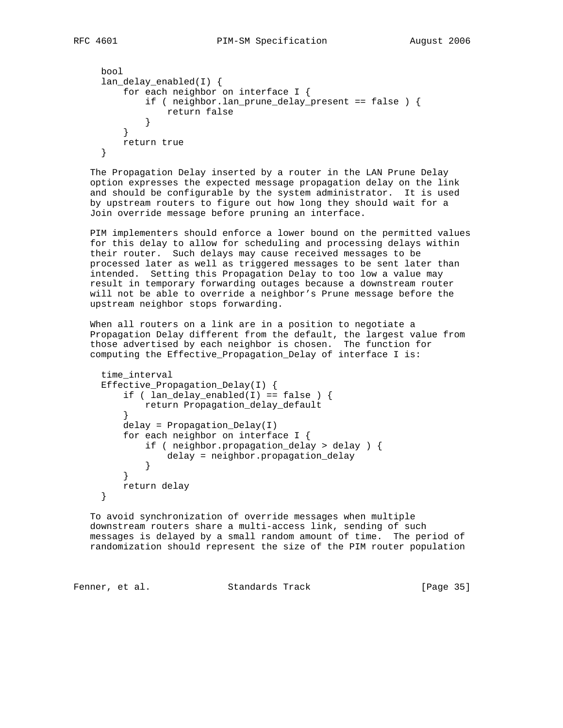```
 bool
     lan_delay_enabled(I) {
         for each neighbor on interface I {
            if ( neighbor.lan prune delay present == false ) {
                 return false
 }
         }
         return true
     }
```
 The Propagation Delay inserted by a router in the LAN Prune Delay option expresses the expected message propagation delay on the link and should be configurable by the system administrator. It is used by upstream routers to figure out how long they should wait for a Join override message before pruning an interface.

 PIM implementers should enforce a lower bound on the permitted values for this delay to allow for scheduling and processing delays within their router. Such delays may cause received messages to be processed later as well as triggered messages to be sent later than intended. Setting this Propagation Delay to too low a value may result in temporary forwarding outages because a downstream router will not be able to override a neighbor's Prune message before the upstream neighbor stops forwarding.

 When all routers on a link are in a position to negotiate a Propagation Delay different from the default, the largest value from those advertised by each neighbor is chosen. The function for computing the Effective\_Propagation\_Delay of interface I is:

```
 time_interval
     Effective_Propagation_Delay(I) {
        if ( lan\_delay\_enabled(I) == false ) {
             return Propagation_delay_default
         }
         delay = Propagation_Delay(I)
         for each neighbor on interface I {
             if ( neighbor.propagation_delay > delay ) {
                 delay = neighbor.propagation_delay
 }
 }
         return delay
     }
```
 To avoid synchronization of override messages when multiple downstream routers share a multi-access link, sending of such messages is delayed by a small random amount of time. The period of randomization should represent the size of the PIM router population

```
Fenner, et al. Standards Track [Page 35]
```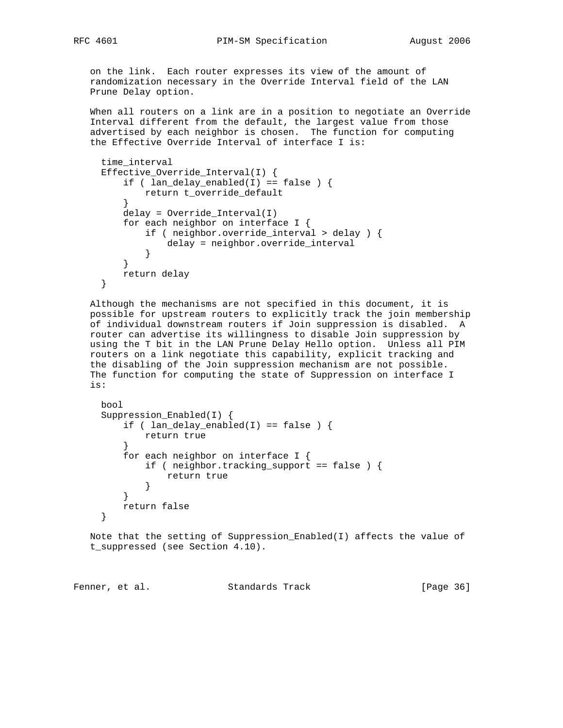on the link. Each router expresses its view of the amount of randomization necessary in the Override Interval field of the LAN Prune Delay option.

 When all routers on a link are in a position to negotiate an Override Interval different from the default, the largest value from those advertised by each neighbor is chosen. The function for computing the Effective Override Interval of interface I is:

```
 time_interval
     Effective_Override_Interval(I) {
        if ( lan\_delay\_enabled(I) == false ) {
             return t_override_default
 }
         delay = Override_Interval(I)
         for each neighbor on interface I {
             if ( neighbor.override_interval > delay ) {
                 delay = neighbor.override_interval
 }
         }
         return delay
     }
```
 Although the mechanisms are not specified in this document, it is possible for upstream routers to explicitly track the join membership of individual downstream routers if Join suppression is disabled. A router can advertise its willingness to disable Join suppression by using the T bit in the LAN Prune Delay Hello option. Unless all PIM routers on a link negotiate this capability, explicit tracking and the disabling of the Join suppression mechanism are not possible. The function for computing the state of Suppression on interface I is:

```
 bool
     Suppression_Enabled(I) {
        if ( lan\_delay\_enabled(I) == false ) {
             return true
 }
         for each neighbor on interface I {
             if ( neighbor.tracking_support == false ) {
                return true
 }
         }
         return false
     }
```
 Note that the setting of Suppression\_Enabled(I) affects the value of t\_suppressed (see Section 4.10).

Fenner, et al. Standards Track [Page 36]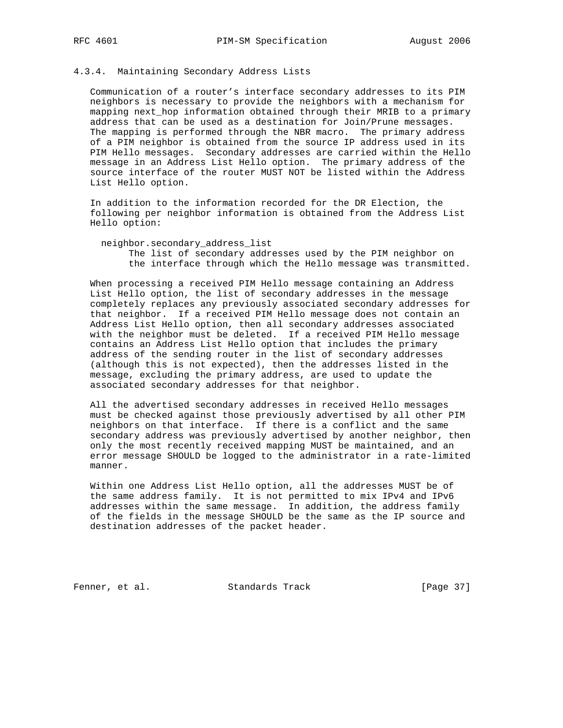# 4.3.4. Maintaining Secondary Address Lists

 Communication of a router's interface secondary addresses to its PIM neighbors is necessary to provide the neighbors with a mechanism for mapping next\_hop information obtained through their MRIB to a primary address that can be used as a destination for Join/Prune messages. The mapping is performed through the NBR macro. The primary address of a PIM neighbor is obtained from the source IP address used in its PIM Hello messages. Secondary addresses are carried within the Hello message in an Address List Hello option. The primary address of the source interface of the router MUST NOT be listed within the Address List Hello option.

 In addition to the information recorded for the DR Election, the following per neighbor information is obtained from the Address List Hello option:

neighbor.secondary\_address\_list

 The list of secondary addresses used by the PIM neighbor on the interface through which the Hello message was transmitted.

 When processing a received PIM Hello message containing an Address List Hello option, the list of secondary addresses in the message completely replaces any previously associated secondary addresses for that neighbor. If a received PIM Hello message does not contain an Address List Hello option, then all secondary addresses associated with the neighbor must be deleted. If a received PIM Hello message contains an Address List Hello option that includes the primary address of the sending router in the list of secondary addresses (although this is not expected), then the addresses listed in the message, excluding the primary address, are used to update the associated secondary addresses for that neighbor.

 All the advertised secondary addresses in received Hello messages must be checked against those previously advertised by all other PIM neighbors on that interface. If there is a conflict and the same secondary address was previously advertised by another neighbor, then only the most recently received mapping MUST be maintained, and an error message SHOULD be logged to the administrator in a rate-limited manner.

 Within one Address List Hello option, all the addresses MUST be of the same address family. It is not permitted to mix IPv4 and IPv6 addresses within the same message. In addition, the address family of the fields in the message SHOULD be the same as the IP source and destination addresses of the packet header.

Fenner, et al. Standards Track [Page 37]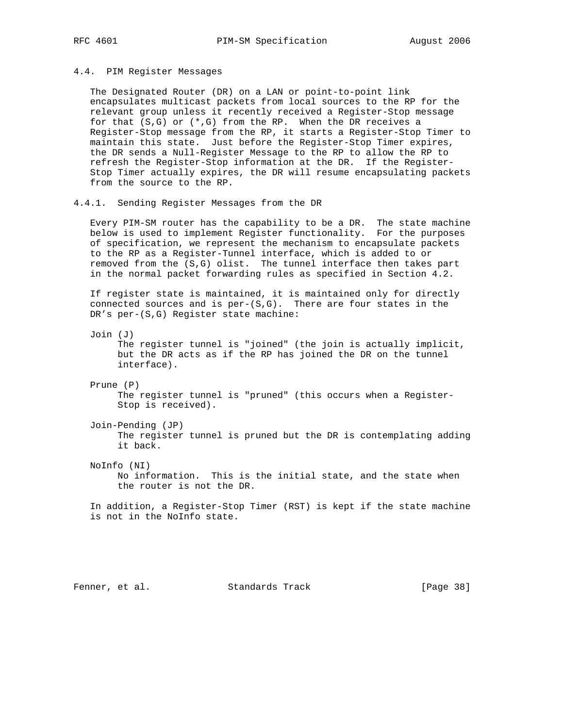### 4.4. PIM Register Messages

 The Designated Router (DR) on a LAN or point-to-point link encapsulates multicast packets from local sources to the RP for the relevant group unless it recently received a Register-Stop message for that (S,G) or (\*,G) from the RP. When the DR receives a Register-Stop message from the RP, it starts a Register-Stop Timer to maintain this state. Just before the Register-Stop Timer expires, the DR sends a Null-Register Message to the RP to allow the RP to refresh the Register-Stop information at the DR. If the Register- Stop Timer actually expires, the DR will resume encapsulating packets from the source to the RP.

### 4.4.1. Sending Register Messages from the DR

 Every PIM-SM router has the capability to be a DR. The state machine below is used to implement Register functionality. For the purposes of specification, we represent the mechanism to encapsulate packets to the RP as a Register-Tunnel interface, which is added to or removed from the (S,G) olist. The tunnel interface then takes part in the normal packet forwarding rules as specified in Section 4.2.

 If register state is maintained, it is maintained only for directly connected sources and is  $per-(S,G)$ . There are four states in the DR's per-(S,G) Register state machine:

Join (J)

 The register tunnel is "joined" (the join is actually implicit, but the DR acts as if the RP has joined the DR on the tunnel interface).

Prune (P)

 The register tunnel is "pruned" (this occurs when a Register- Stop is received).

Join-Pending (JP)

 The register tunnel is pruned but the DR is contemplating adding it back.

NoInfo (NI)

 No information. This is the initial state, and the state when the router is not the DR.

 In addition, a Register-Stop Timer (RST) is kept if the state machine is not in the NoInfo state.

Fenner, et al. Standards Track [Page 38]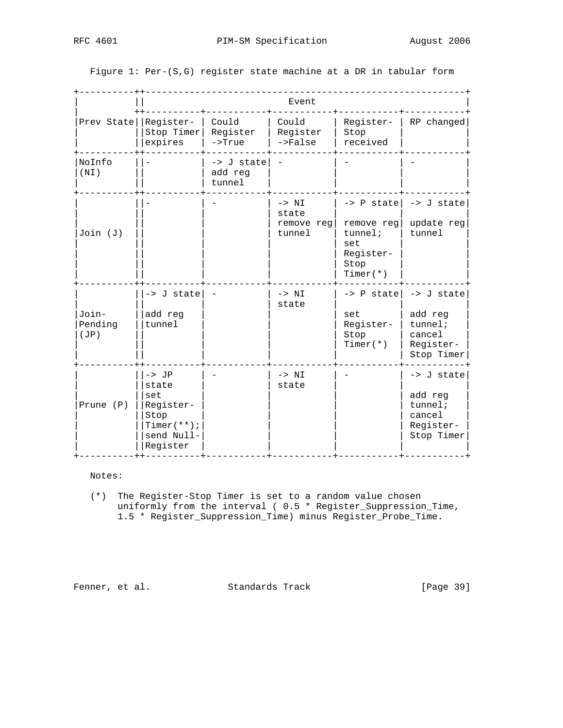Figure 1: Per-(S,G) register state machine at a DR in tabular form

|                          | Event                                                                                   |                                 |                                          |                                                                                               |                                                                          |
|--------------------------|-----------------------------------------------------------------------------------------|---------------------------------|------------------------------------------|-----------------------------------------------------------------------------------------------|--------------------------------------------------------------------------|
| Prev State   Register-   | Stop Timer<br>expires                                                                   | Could<br>Register<br>$->True$   | Could<br>Register<br>$->False$           | Register-<br>Stop<br>received                                                                 | RP changed                                                               |
| NoInfo<br>(NI)           |                                                                                         | -> J state<br>add reg<br>tunnel |                                          |                                                                                               |                                                                          |
| Join (J)                 |                                                                                         |                                 | $-> NI$<br>state<br>remove req<br>tunnel | $\rightarrow$ P statel<br>remove reg<br>$t$ unnel;<br>set<br>Register-<br>Stop<br>Timer $(*)$ | -> J state<br>update reg<br>tunnel                                       |
| Join-<br>Pending<br>(JP) | -> J state<br>add reg<br>tunnel                                                         |                                 | $-> NI$<br>state                         | -> P state<br>set<br>Register-<br>Stop<br>Timer $(*)$                                         | -> J state<br>add reg<br>$t$ unnel;<br>cancel<br>Register-<br>Stop Timer |
| Prune $(P)$              | $->$ JP<br>state<br>set<br>Register-<br>Stop<br>$Timer(**)$ ;<br>send Null-<br>Register |                                 | $-> NI$<br>state                         |                                                                                               | -> J state<br>add reg<br>$t$ unnel;<br>cancel<br>Register-<br>Stop Timer |

### Notes:

 (\*) The Register-Stop Timer is set to a random value chosen uniformly from the interval ( 0.5 \* Register\_Suppression\_Time, 1.5 \* Register\_Suppression\_Time) minus Register\_Probe\_Time.

Fenner, et al. Standards Track [Page 39]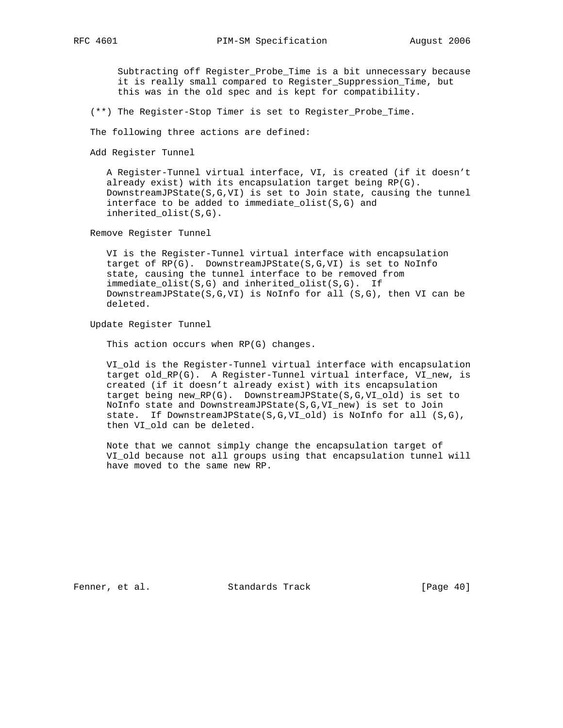Subtracting off Register\_Probe\_Time is a bit unnecessary because it is really small compared to Register\_Suppression\_Time, but this was in the old spec and is kept for compatibility.

(\*\*) The Register-Stop Timer is set to Register\_Probe\_Time.

The following three actions are defined:

Add Register Tunnel

 A Register-Tunnel virtual interface, VI, is created (if it doesn't already exist) with its encapsulation target being RP(G). DownstreamJPState(S,G,VI) is set to Join state, causing the tunnel interface to be added to immediate\_olist(S,G) and inherited\_olist(S,G).

Remove Register Tunnel

 VI is the Register-Tunnel virtual interface with encapsulation target of RP(G). DownstreamJPState(S,G,VI) is set to NoInfo state, causing the tunnel interface to be removed from immediate\_olist(S,G) and inherited\_olist(S,G). If DownstreamJPState(S,G,VI) is NoInfo for all (S,G), then VI can be deleted.

Update Register Tunnel

This action occurs when RP(G) changes.

 VI\_old is the Register-Tunnel virtual interface with encapsulation target old\_RP(G). A Register-Tunnel virtual interface, VI\_new, is created (if it doesn't already exist) with its encapsulation target being new\_RP(G). DownstreamJPState(S,G,VI\_old) is set to NoInfo state and DownstreamJPState(S,G,VI\_new) is set to Join state. If DownstreamJPState(S,G,VI\_old) is NoInfo for all (S,G), then VI\_old can be deleted.

 Note that we cannot simply change the encapsulation target of VI\_old because not all groups using that encapsulation tunnel will have moved to the same new RP.

Fenner, et al. Standards Track [Page 40]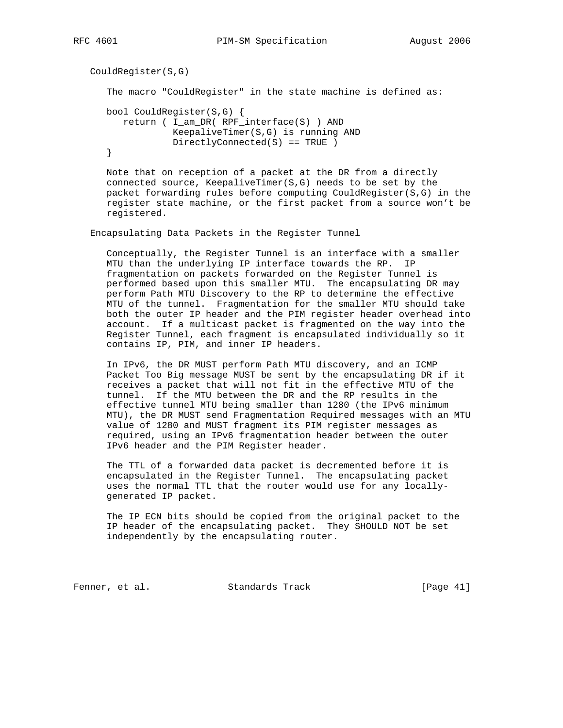```
 CouldRegister(S,G)
    The macro "CouldRegister" in the state machine is defined as:
   bool CouldRegister(S,G) {
      return ( I_am_DR( RPF_interface(S) ) AND
                KeepaliveTimer(S,G) is running AND
                DirectlyConnected(S) == TRUE )
    }
```
 Note that on reception of a packet at the DR from a directly connected source, KeepaliveTimer(S,G) needs to be set by the packet forwarding rules before computing CouldRegister(S,G) in the register state machine, or the first packet from a source won't be registered.

Encapsulating Data Packets in the Register Tunnel

 Conceptually, the Register Tunnel is an interface with a smaller MTU than the underlying IP interface towards the RP. IP fragmentation on packets forwarded on the Register Tunnel is performed based upon this smaller MTU. The encapsulating DR may perform Path MTU Discovery to the RP to determine the effective MTU of the tunnel. Fragmentation for the smaller MTU should take both the outer IP header and the PIM register header overhead into account. If a multicast packet is fragmented on the way into the Register Tunnel, each fragment is encapsulated individually so it contains IP, PIM, and inner IP headers.

 In IPv6, the DR MUST perform Path MTU discovery, and an ICMP Packet Too Big message MUST be sent by the encapsulating DR if it receives a packet that will not fit in the effective MTU of the tunnel. If the MTU between the DR and the RP results in the effective tunnel MTU being smaller than 1280 (the IPv6 minimum MTU), the DR MUST send Fragmentation Required messages with an MTU value of 1280 and MUST fragment its PIM register messages as required, using an IPv6 fragmentation header between the outer IPv6 header and the PIM Register header.

 The TTL of a forwarded data packet is decremented before it is encapsulated in the Register Tunnel. The encapsulating packet uses the normal TTL that the router would use for any locally generated IP packet.

 The IP ECN bits should be copied from the original packet to the IP header of the encapsulating packet. They SHOULD NOT be set independently by the encapsulating router.

Fenner, et al. Standards Track [Page 41]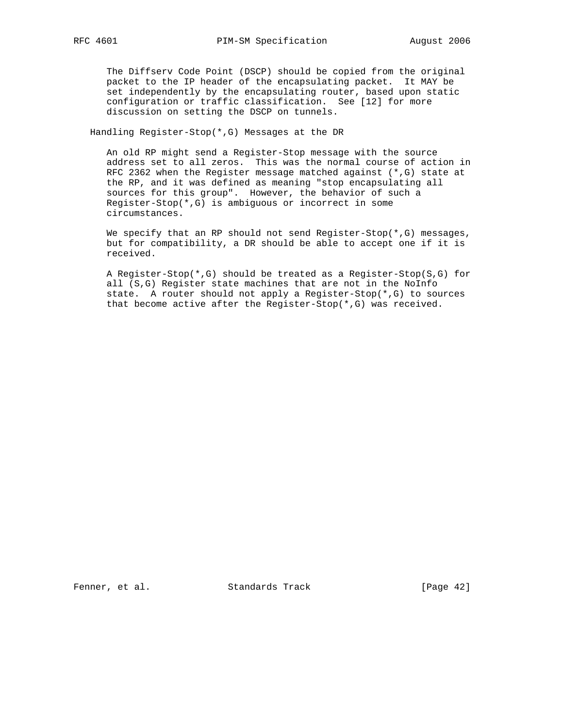The Diffserv Code Point (DSCP) should be copied from the original packet to the IP header of the encapsulating packet. It MAY be set independently by the encapsulating router, based upon static configuration or traffic classification. See [12] for more discussion on setting the DSCP on tunnels.

Handling Register-Stop(\*,G) Messages at the DR

 An old RP might send a Register-Stop message with the source address set to all zeros. This was the normal course of action in RFC 2362 when the Register message matched against (\*,G) state at the RP, and it was defined as meaning "stop encapsulating all sources for this group". However, the behavior of such a Register-Stop(\*,G) is ambiguous or incorrect in some circumstances.

We specify that an RP should not send Register-Stop( $*, G$ ) messages, but for compatibility, a DR should be able to accept one if it is received.

 A Register-Stop(\*,G) should be treated as a Register-Stop(S,G) for all (S,G) Register state machines that are not in the NoInfo state. A router should not apply a Register-Stop(\*,G) to sources that become active after the Register-Stop(\*,G) was received.

Fenner, et al. Standards Track [Page 42]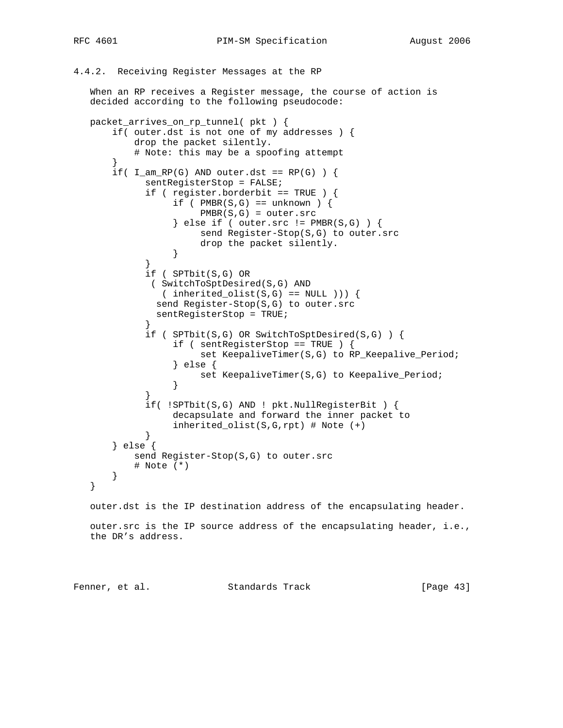# 4.4.2. Receiving Register Messages at the RP

 When an RP receives a Register message, the course of action is decided according to the following pseudocode:

```
 packet_arrives_on_rp_tunnel( pkt ) {
       if( outer.dst is not one of my addresses ) {
           drop the packet silently.
           # Note: this may be a spoofing attempt
       }
      if( I_{am\_RP(G)} AND outer.dst == RP(G) ) {
             sentRegisterStop = FALSE;
             if ( register.borderbit == TRUE ) {
                 if ( PMBR(S,G) == unknown ) {
                     PMBR(S,G) = outer.src } else if ( outer.src != PMBR(S,G) ) {
                      send Register-Stop(S,G) to outer.src
                      drop the packet silently.
 }
 }
             if ( SPTbit(S,G) OR
              ( SwitchToSptDesired(S,G) AND
               (\n  inherited\_olist(S,G) == NULL )) ( send Register-Stop(S,G) to outer.src
               sentRegisterStop = TRUE;
 }
             if ( SPTbit(S,G) OR SwitchToSptDesired(S,G) ) {
                  if ( sentRegisterStop == TRUE ) {
                      set KeepaliveTimer(S,G) to RP_Keepalive_Period;
                  } else {
                 set KeepaliveTimer(S,G) to Keepalive_Period;<br>}
 }
 }
             if( !SPTbit(S,G) AND ! pkt.NullRegisterBit ) {
                  decapsulate and forward the inner packet to
            inherited_olist(S,G,rpt) # Note (+)
 }
       } else {
           send Register-Stop(S,G) to outer.src
           # Note (*)
       }
   }
   outer.dst is the IP destination address of the encapsulating header.
   outer.src is the IP source address of the encapsulating header, i.e.,
   the DR's address.
```
Fenner, et al. Standards Track [Page 43]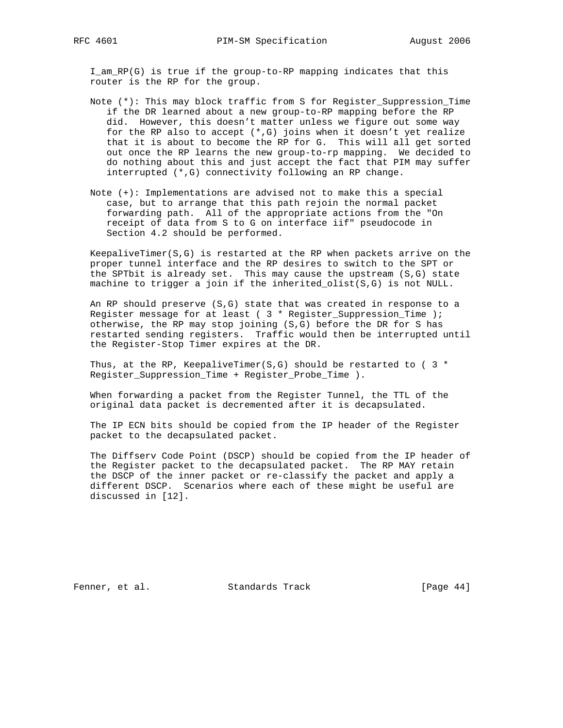I\_am\_RP(G) is true if the group-to-RP mapping indicates that this router is the RP for the group.

- Note (\*): This may block traffic from S for Register\_Suppression\_Time if the DR learned about a new group-to-RP mapping before the RP did. However, this doesn't matter unless we figure out some way for the RP also to accept (\*,G) joins when it doesn't yet realize that it is about to become the RP for G. This will all get sorted out once the RP learns the new group-to-rp mapping. We decided to do nothing about this and just accept the fact that PIM may suffer interrupted (\*,G) connectivity following an RP change.
- Note (+): Implementations are advised not to make this a special case, but to arrange that this path rejoin the normal packet forwarding path. All of the appropriate actions from the "On receipt of data from S to G on interface iif" pseudocode in Section 4.2 should be performed.

 KeepaliveTimer(S,G) is restarted at the RP when packets arrive on the proper tunnel interface and the RP desires to switch to the SPT or the SPTbit is already set. This may cause the upstream (S,G) state machine to trigger a join if the inherited\_olist(S,G) is not NULL.

 An RP should preserve (S,G) state that was created in response to a Register message for at least ( 3 \* Register\_Suppression\_Time ); otherwise, the RP may stop joining (S,G) before the DR for S has restarted sending registers. Traffic would then be interrupted until the Register-Stop Timer expires at the DR.

Thus, at the RP, KeepaliveTimer(S,G) should be restarted to ( $3 *$ Register\_Suppression\_Time + Register\_Probe\_Time ).

 When forwarding a packet from the Register Tunnel, the TTL of the original data packet is decremented after it is decapsulated.

 The IP ECN bits should be copied from the IP header of the Register packet to the decapsulated packet.

 The Diffserv Code Point (DSCP) should be copied from the IP header of the Register packet to the decapsulated packet. The RP MAY retain the DSCP of the inner packet or re-classify the packet and apply a different DSCP. Scenarios where each of these might be useful are discussed in [12].

Fenner, et al. Standards Track [Page 44]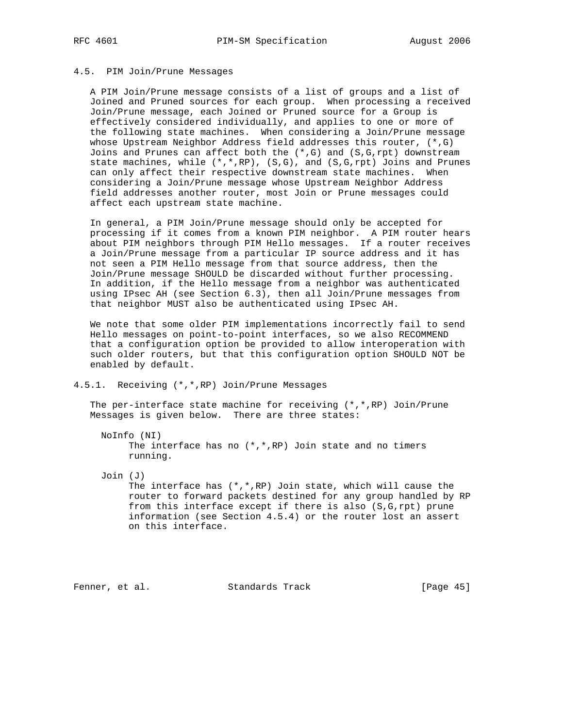## 4.5. PIM Join/Prune Messages

 A PIM Join/Prune message consists of a list of groups and a list of Joined and Pruned sources for each group. When processing a received Join/Prune message, each Joined or Pruned source for a Group is effectively considered individually, and applies to one or more of the following state machines. When considering a Join/Prune message whose Upstream Neighbor Address field addresses this router, (\*,G) Joins and Prunes can affect both the  $(*,G)$  and  $(S,G,rpt)$  downstream state machines, while  $(*,*,RP)$ ,  $(S,G)$ , and  $(S,G,rpt)$  Joins and Prunes can only affect their respective downstream state machines. When considering a Join/Prune message whose Upstream Neighbor Address field addresses another router, most Join or Prune messages could affect each upstream state machine.

 In general, a PIM Join/Prune message should only be accepted for processing if it comes from a known PIM neighbor. A PIM router hears about PIM neighbors through PIM Hello messages. If a router receives a Join/Prune message from a particular IP source address and it has not seen a PIM Hello message from that source address, then the Join/Prune message SHOULD be discarded without further processing. In addition, if the Hello message from a neighbor was authenticated using IPsec AH (see Section 6.3), then all Join/Prune messages from that neighbor MUST also be authenticated using IPsec AH.

 We note that some older PIM implementations incorrectly fail to send Hello messages on point-to-point interfaces, so we also RECOMMEND that a configuration option be provided to allow interoperation with such older routers, but that this configuration option SHOULD NOT be enabled by default.

## 4.5.1. Receiving (\*,\*,RP) Join/Prune Messages

 The per-interface state machine for receiving (\*,\*,RP) Join/Prune Messages is given below. There are three states:

NoInfo (NI)

```
The interface has no (*,*,RP) Join state and no timers
 running.
```
 Join (J) The interface has  $(*,*,RP)$  Join state, which will cause the router to forward packets destined for any group handled by RP from this interface except if there is also (S,G,rpt) prune information (see Section 4.5.4) or the router lost an assert on this interface.

Fenner, et al. Standards Track [Page 45]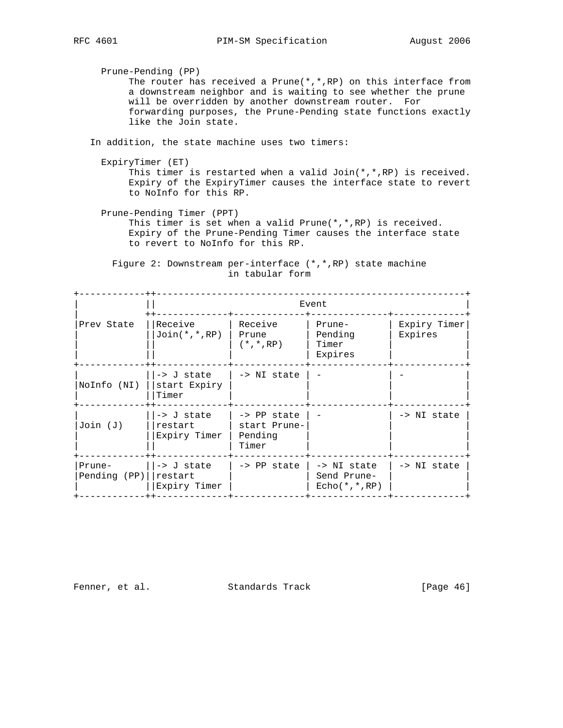Prune-Pending (PP) The router has received a Prune(\*,\*,RP) on this interface from a downstream neighbor and is waiting to see whether the prune will be overridden by another downstream router. For forwarding purposes, the Prune-Pending state functions exactly like the Join state.

In addition, the state machine uses two timers:

ExpiryTimer (ET)

 This timer is restarted when a valid Join(\*,\*,RP) is received. Expiry of the ExpiryTimer causes the interface state to revert to NoInfo for this RP.

 Prune-Pending Timer (PPT) This timer is set when a valid Prune(\*,\*,RP) is received. Expiry of the Prune-Pending Timer causes the interface state to revert to NoInfo for this RP.

 Figure 2: Downstream per-interface (\*,\*,RP) state machine in tabular form

|                        | Event                                 |                                                 |                                              |                         |
|------------------------|---------------------------------------|-------------------------------------------------|----------------------------------------------|-------------------------|
| Prev State             | Receive<br>$Join(*,*,RP)$             | Receive<br>Prune<br>$(*,*,RP)$                  | Prune-<br>Pending<br>Timer<br>Expires        | Expiry Timer<br>Expires |
| NoInfo (NI)            | -> J state<br>start Expiry<br>Timer   | -> NI state                                     |                                              |                         |
| $Join$ $(J)$           | -> J state<br>restart<br>Expiry Timer | -> PP state<br>start Prune-<br>Pending<br>Timer |                                              | -> NI state             |
| Prune-<br>Pending (PP) | -> J state<br>restart<br>Expiry Timer | -> PP state                                     | -> NI state<br>Send Prune-<br>$Echo(*,*,RP)$ | -> NI state             |

Fenner, et al. Standards Track [Page 46]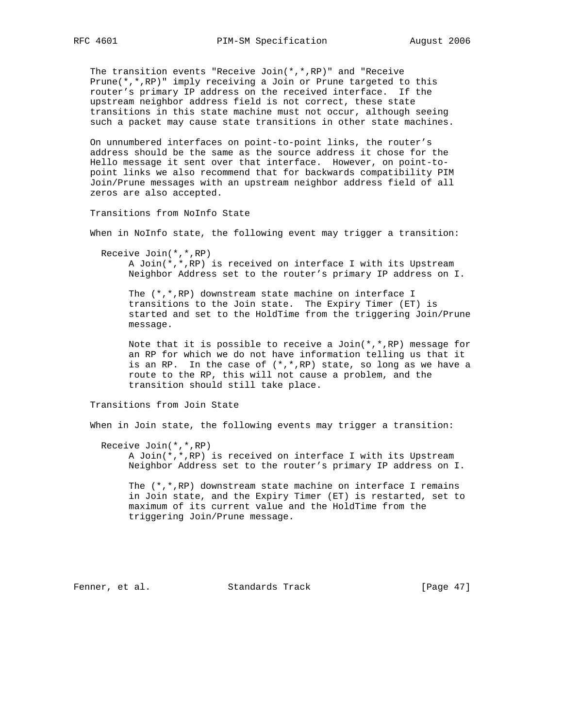The transition events "Receive Join(\*,\*,RP)" and "Receive Prune(\*,\*,RP)" imply receiving a Join or Prune targeted to this router's primary IP address on the received interface. If the upstream neighbor address field is not correct, these state transitions in this state machine must not occur, although seeing such a packet may cause state transitions in other state machines.

 On unnumbered interfaces on point-to-point links, the router's address should be the same as the source address it chose for the Hello message it sent over that interface. However, on point-to point links we also recommend that for backwards compatibility PIM Join/Prune messages with an upstream neighbor address field of all zeros are also accepted.

Transitions from NoInfo State

When in NoInfo state, the following event may trigger a transition:

Receive Join(\*,\*,RP)

 A Join(\*,\*,RP) is received on interface I with its Upstream Neighbor Address set to the router's primary IP address on I.

 The (\*,\*,RP) downstream state machine on interface I transitions to the Join state. The Expiry Timer (ET) is started and set to the HoldTime from the triggering Join/Prune message.

Note that it is possible to receive a Join( $*,*,$ RP) message for an RP for which we do not have information telling us that it is an RP. In the case of  $(*,*,RP)$  state, so long as we have a route to the RP, this will not cause a problem, and the transition should still take place.

Transitions from Join State

When in Join state, the following events may trigger a transition:

Receive Join(\*,\*,RP)

 A Join(\*,\*,RP) is received on interface I with its Upstream Neighbor Address set to the router's primary IP address on I.

The  $(*,*,RP)$  downstream state machine on interface I remains in Join state, and the Expiry Timer (ET) is restarted, set to maximum of its current value and the HoldTime from the triggering Join/Prune message.

Fenner, et al. Standards Track [Page 47]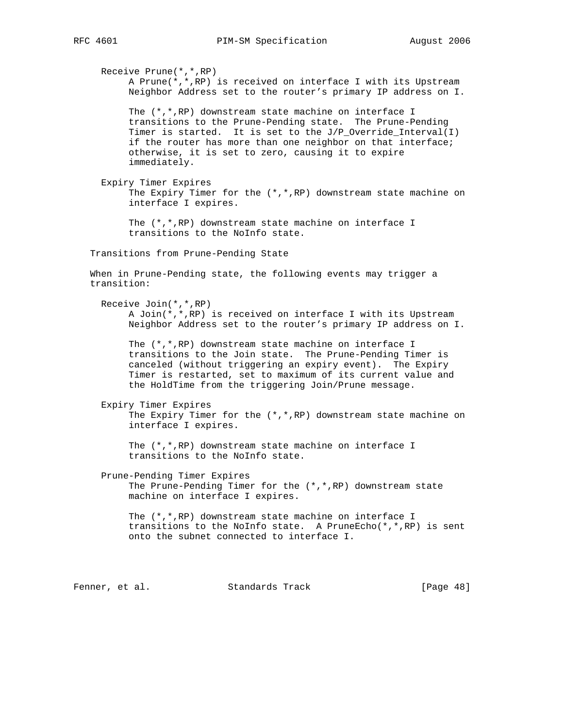A Prune(\*,\*,RP) is received on interface I with its Upstream Neighbor Address set to the router's primary IP address on I. The (\*,\*,RP) downstream state machine on interface I transitions to the Prune-Pending state. The Prune-Pending Timer is started. It is set to the  $J/P\_Override\_Interval(I)$  if the router has more than one neighbor on that interface; otherwise, it is set to zero, causing it to expire immediately. Expiry Timer Expires The Expiry Timer for the  $(*,*,RP)$  downstream state machine on interface I expires. The (\*,\*,RP) downstream state machine on interface I transitions to the NoInfo state. Transitions from Prune-Pending State When in Prune-Pending state, the following events may trigger a transition: Receive Join(\*,\*,RP) A Join(\*,\*,RP) is received on interface I with its Upstream Neighbor Address set to the router's primary IP address on I. The (\*,\*,RP) downstream state machine on interface I transitions to the Join state. The Prune-Pending Timer is canceled (without triggering an expiry event). The Expiry Timer is restarted, set to maximum of its current value and the HoldTime from the triggering Join/Prune message. Expiry Timer Expires The Expiry Timer for the (\*,\*,RP) downstream state machine on interface I expires. The (\*,\*,RP) downstream state machine on interface I transitions to the NoInfo state. Prune-Pending Timer Expires The Prune-Pending Timer for the (\*,\*,RP) downstream state machine on interface I expires. The (\*,\*,RP) downstream state machine on interface I transitions to the NoInfo state. A PruneEcho( $*,*,$ RP) is sent onto the subnet connected to interface I. Fenner, et al. Standards Track [Page 48]

Receive Prune(\*,\*,RP)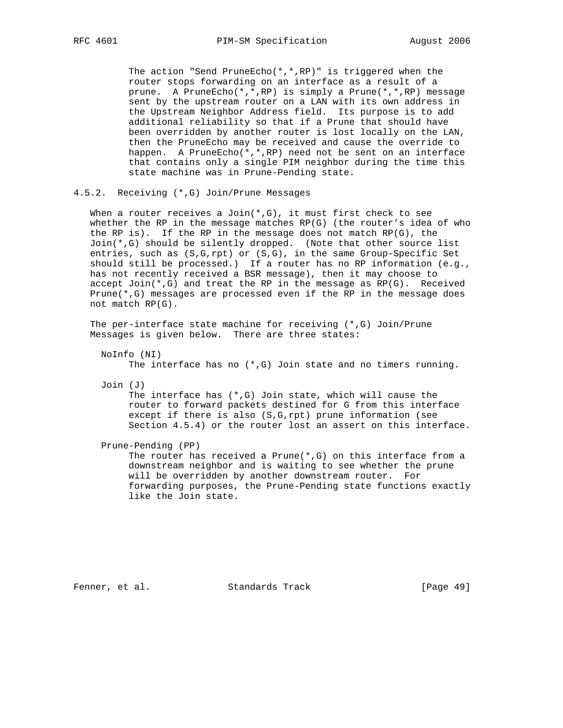The action "Send PruneEcho(\*,\*,RP)" is triggered when the router stops forwarding on an interface as a result of a prune. A PruneEcho(\*,\*,RP) is simply a Prune(\*,\*,RP) message sent by the upstream router on a LAN with its own address in the Upstream Neighbor Address field. Its purpose is to add additional reliability so that if a Prune that should have been overridden by another router is lost locally on the LAN, then the PruneEcho may be received and cause the override to happen. A PruneEcho(\*,\*,RP) need not be sent on an interface that contains only a single PIM neighbor during the time this state machine was in Prune-Pending state.

## 4.5.2. Receiving (\*,G) Join/Prune Messages

When a router receives a Join( $*,G$ ), it must first check to see whether the RP in the message matches  $RP(G)$  (the router's idea of who the RP is). If the RP in the message does not match  $RP(G)$ , the Join(\*,G) should be silently dropped. (Note that other source list entries, such as (S,G,rpt) or (S,G), in the same Group-Specific Set should still be processed.) If a router has no RP information (e.g., has not recently received a BSR message), then it may choose to accept  $Join(*,G)$  and treat the RP in the message as  $RP(G)$ . Received Prune(\*,G) messages are processed even if the RP in the message does not match RP(G).

 The per-interface state machine for receiving (\*,G) Join/Prune Messages is given below. There are three states:

 NoInfo (NI) The interface has no  $(*$ , G) Join state and no timers running.

Join (J)

The interface has  $(*$ , G) Join state, which will cause the router to forward packets destined for G from this interface except if there is also (S,G,rpt) prune information (see Section 4.5.4) or the router lost an assert on this interface.

Prune-Pending (PP)

The router has received a Prune $(*$ , G) on this interface from a downstream neighbor and is waiting to see whether the prune will be overridden by another downstream router. For forwarding purposes, the Prune-Pending state functions exactly like the Join state.

Fenner, et al. Standards Track [Page 49]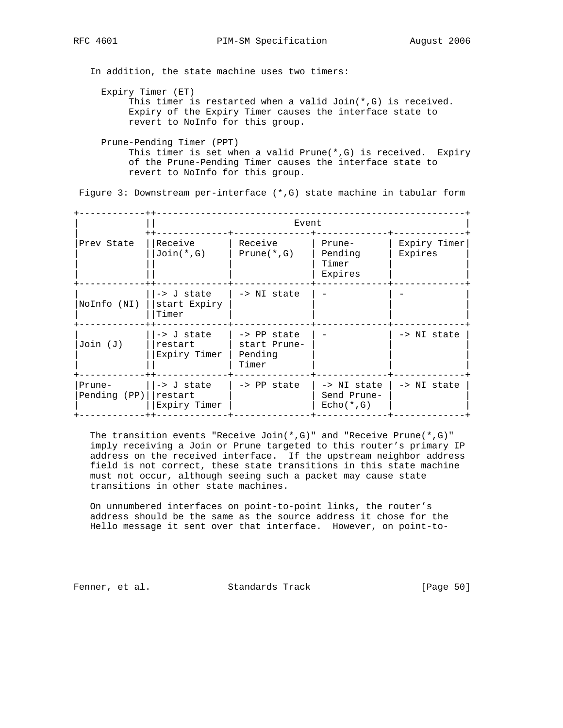In addition, the state machine uses two timers:

Expiry Timer (ET)

 This timer is restarted when a valid Join(\*,G) is received. Expiry of the Expiry Timer causes the interface state to revert to NoInfo for this group.

 Prune-Pending Timer (PPT) This timer is set when a valid Prune $(*$ , G) is received. Expiry of the Prune-Pending Timer causes the interface state to revert to NoInfo for this group.

Figure 3: Downstream per-interface (\*,G) state machine in tabular form

|                          | Event                                            |                                                 |                                            |                         |
|--------------------------|--------------------------------------------------|-------------------------------------------------|--------------------------------------------|-------------------------|
| Prev State               | Receive<br>$Join(*, G)$                          | Receive<br>$Prune(*, G)$                        | Prune-<br>Pending<br>Timer<br>Expires      | Expiry Timer<br>Expires |
| NoInfo (NI)              | -> J state<br>start Expiry<br>Timer              | -> NI state                                     |                                            |                         |
| $Join$ $(J)$             | -> J state<br>restart<br>Expiry Timer            | -> PP state<br>start Prune-<br>Pending<br>Timer |                                            | -> NI state             |
| Prune-<br>Pending $(PP)$ | $\rightarrow$ J state<br>restart<br>Expiry Timer | $\rightarrow$ PP state                          | -> NI state<br>Send Prune-<br>$Echo(*, G)$ | -> NI state             |

 The transition events "Receive Join(\*,G)" and "Receive Prune(\*,G)" imply receiving a Join or Prune targeted to this router's primary IP address on the received interface. If the upstream neighbor address field is not correct, these state transitions in this state machine must not occur, although seeing such a packet may cause state transitions in other state machines.

 On unnumbered interfaces on point-to-point links, the router's address should be the same as the source address it chose for the Hello message it sent over that interface. However, on point-to-

Fenner, et al. Standards Track [Page 50]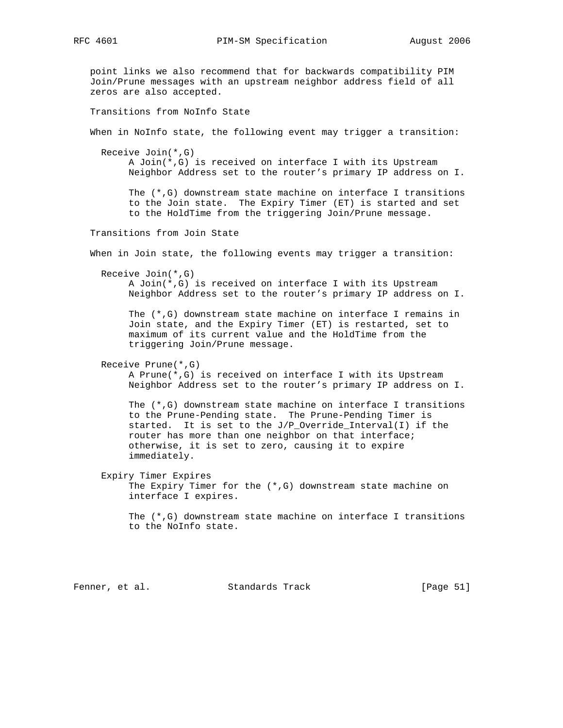point links we also recommend that for backwards compatibility PIM Join/Prune messages with an upstream neighbor address field of all zeros are also accepted. Transitions from NoInfo State When in NoInfo state, the following event may trigger a transition: Receive Join(\*,G) A Join(\*,G) is received on interface I with its Upstream Neighbor Address set to the router's primary IP address on I. The (\*,G) downstream state machine on interface I transitions to the Join state. The Expiry Timer (ET) is started and set to the HoldTime from the triggering Join/Prune message. Transitions from Join State When in Join state, the following events may trigger a transition: Receive Join(\*,G) A Join(\*,G) is received on interface I with its Upstream Neighbor Address set to the router's primary IP address on I. The (\*,G) downstream state machine on interface I remains in Join state, and the Expiry Timer (ET) is restarted, set to maximum of its current value and the HoldTime from the triggering Join/Prune message. Receive Prune(\*,G) A Prune(\*,G) is received on interface I with its Upstream Neighbor Address set to the router's primary IP address on I. The (\*,G) downstream state machine on interface I transitions to the Prune-Pending state. The Prune-Pending Timer is started. It is set to the J/P\_Override\_Interval(I) if the router has more than one neighbor on that interface; otherwise, it is set to zero, causing it to expire immediately. Expiry Timer Expires The Expiry Timer for the (\*,G) downstream state machine on interface I expires. The (\*,G) downstream state machine on interface I transitions to the NoInfo state.

Fenner, et al. Standards Track [Page 51]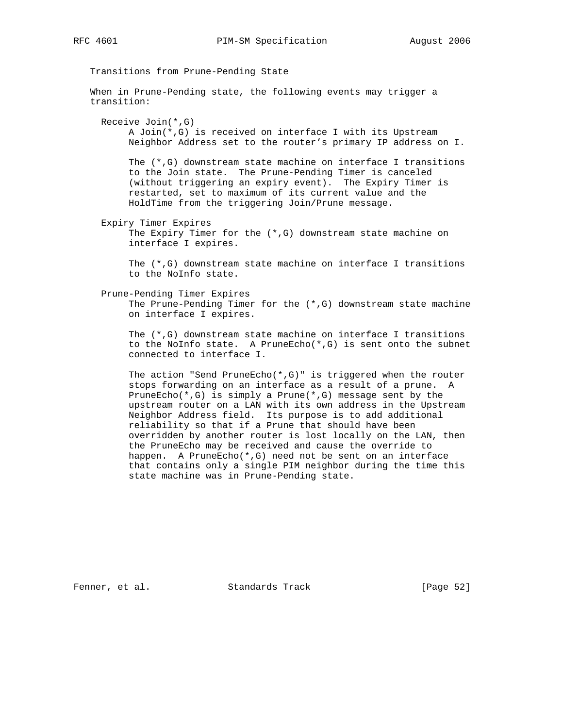Transitions from Prune-Pending State When in Prune-Pending state, the following events may trigger a transition: Receive Join(\*,G) A Join(\*,G) is received on interface I with its Upstream Neighbor Address set to the router's primary IP address on I. The (\*,G) downstream state machine on interface I transitions to the Join state. The Prune-Pending Timer is canceled (without triggering an expiry event). The Expiry Timer is restarted, set to maximum of its current value and the HoldTime from the triggering Join/Prune message. Expiry Timer Expires The Expiry Timer for the (\*,G) downstream state machine on interface I expires. The (\*,G) downstream state machine on interface I transitions to the NoInfo state. Prune-Pending Timer Expires The Prune-Pending Timer for the  $(*,G)$  downstream state machine on interface I expires. The (\*,G) downstream state machine on interface I transitions to the NoInfo state. A PruneEcho(\*,G) is sent onto the subnet connected to interface I. The action "Send PruneEcho(\*,G)" is triggered when the router stops forwarding on an interface as a result of a prune. A PruneEcho(\*,G) is simply a Prune(\*,G) message sent by the upstream router on a LAN with its own address in the Upstream Neighbor Address field. Its purpose is to add additional reliability so that if a Prune that should have been overridden by another router is lost locally on the LAN, then the PruneEcho may be received and cause the override to happen. A PruneEcho(\*,G) need not be sent on an interface that contains only a single PIM neighbor during the time this

Fenner, et al. Standards Track [Page 52]

state machine was in Prune-Pending state.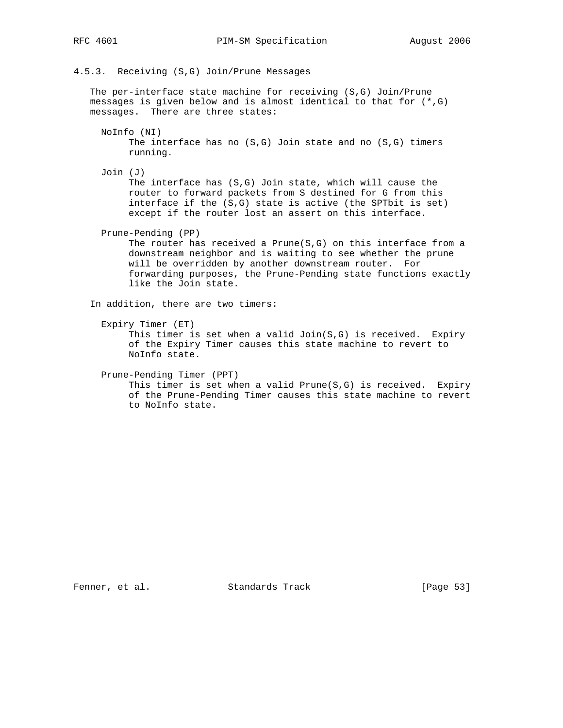4.5.3. Receiving (S,G) Join/Prune Messages

 The per-interface state machine for receiving (S,G) Join/Prune messages is given below and is almost identical to that for (\*,G) messages. There are three states:

 NoInfo (NI) The interface has no  $(S,G)$  Join state and no  $(S,G)$  timers running.

 Join (J) The interface has (S,G) Join state, which will cause the router to forward packets from S destined for G from this interface if the (S,G) state is active (the SPTbit is set) except if the router lost an assert on this interface.

Prune-Pending (PP)

The router has received a Prune( $S, G$ ) on this interface from a downstream neighbor and is waiting to see whether the prune will be overridden by another downstream router. For forwarding purposes, the Prune-Pending state functions exactly like the Join state.

In addition, there are two timers:

Expiry Timer (ET)

This timer is set when a valid  $Join(S,G)$  is received. Expiry of the Expiry Timer causes this state machine to revert to NoInfo state.

Prune-Pending Timer (PPT)

 This timer is set when a valid Prune(S,G) is received. Expiry of the Prune-Pending Timer causes this state machine to revert to NoInfo state.

Fenner, et al. Standards Track [Page 53]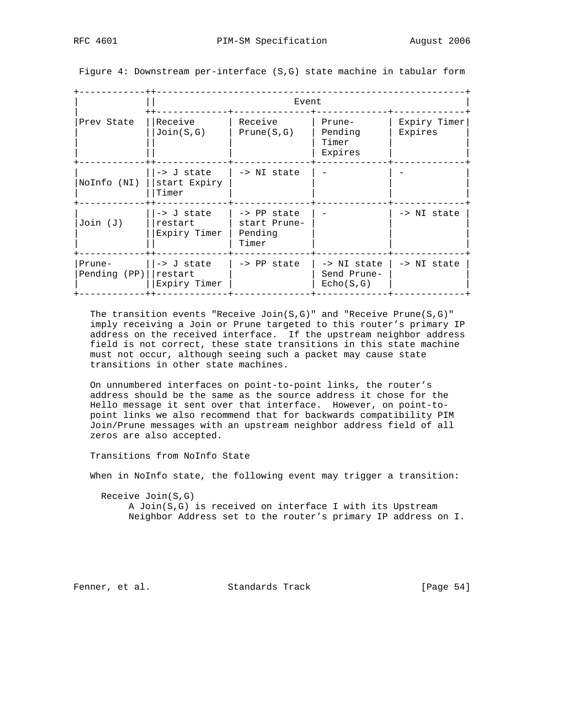Figure 4: Downstream per-interface (S,G) state machine in tabular form

|                        | Event                                            |                                                 |                                         |                         |  |
|------------------------|--------------------------------------------------|-------------------------------------------------|-----------------------------------------|-------------------------|--|
| Prev State             | Receive<br>Join(S,G)                             | Receive<br>Prune(S,G)                           | Prune-<br>Pending<br>Timer<br>Expires   | Expiry Timer<br>Expires |  |
| NoInfo (NI)            | -> J state<br>start Expiry<br>Timer              | -> NI state                                     |                                         |                         |  |
| $Join$ $(J)$           | -> J state<br>restart<br>Expiry Timer            | -> PP state<br>start Prune-<br>Pending<br>Timer |                                         | -> NI state             |  |
| Prune-<br>Pending (PP) | $\rightarrow$ J state<br>restart<br>Expiry Timer | -> PP state                                     | -> NI state<br>Send Prune-<br>Echo(S,G) | -> NI state             |  |

The transition events "Receive Join( $S, G$ )" and "Receive Prune( $S, G$ )" imply receiving a Join or Prune targeted to this router's primary IP address on the received interface. If the upstream neighbor address field is not correct, these state transitions in this state machine must not occur, although seeing such a packet may cause state transitions in other state machines.

 On unnumbered interfaces on point-to-point links, the router's address should be the same as the source address it chose for the Hello message it sent over that interface. However, on point-to point links we also recommend that for backwards compatibility PIM Join/Prune messages with an upstream neighbor address field of all zeros are also accepted.

Transitions from NoInfo State

When in NoInfo state, the following event may trigger a transition:

 Receive Join(S,G) A Join(S,G) is received on interface I with its Upstream Neighbor Address set to the router's primary IP address on I.

Fenner, et al. Standards Track [Page 54]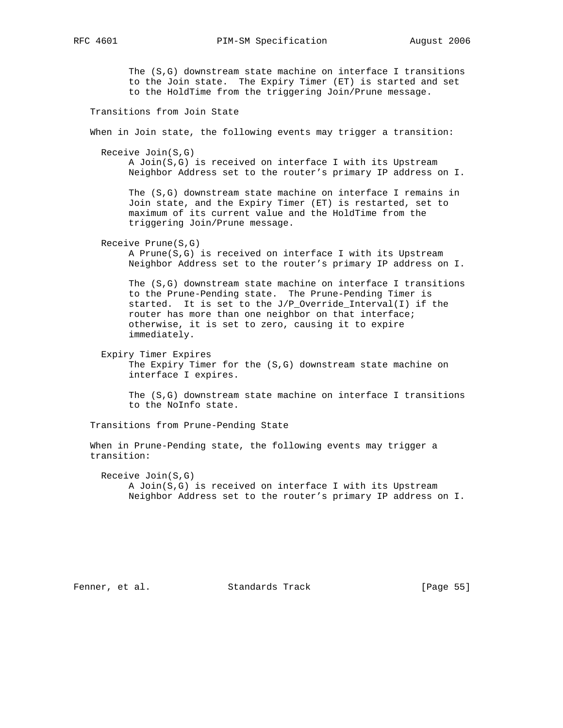RFC 4601 **PIM-SM** Specification August 2006

 The (S,G) downstream state machine on interface I transitions to the Join state. The Expiry Timer (ET) is started and set to the HoldTime from the triggering Join/Prune message.

Transitions from Join State

When in Join state, the following events may trigger a transition:

Receive Join(S,G)

 A Join(S,G) is received on interface I with its Upstream Neighbor Address set to the router's primary IP address on I.

 The (S,G) downstream state machine on interface I remains in Join state, and the Expiry Timer (ET) is restarted, set to maximum of its current value and the HoldTime from the triggering Join/Prune message.

Receive Prune(S,G)

 A Prune(S,G) is received on interface I with its Upstream Neighbor Address set to the router's primary IP address on I.

 The (S,G) downstream state machine on interface I transitions to the Prune-Pending state. The Prune-Pending Timer is started. It is set to the J/P\_Override\_Interval(I) if the router has more than one neighbor on that interface; otherwise, it is set to zero, causing it to expire immediately.

 Expiry Timer Expires The Expiry Timer for the (S,G) downstream state machine on interface I expires.

 The (S,G) downstream state machine on interface I transitions to the NoInfo state.

Transitions from Prune-Pending State

 When in Prune-Pending state, the following events may trigger a transition:

 Receive Join(S,G) A Join(S,G) is received on interface I with its Upstream Neighbor Address set to the router's primary IP address on I.

Fenner, et al. Standards Track [Page 55]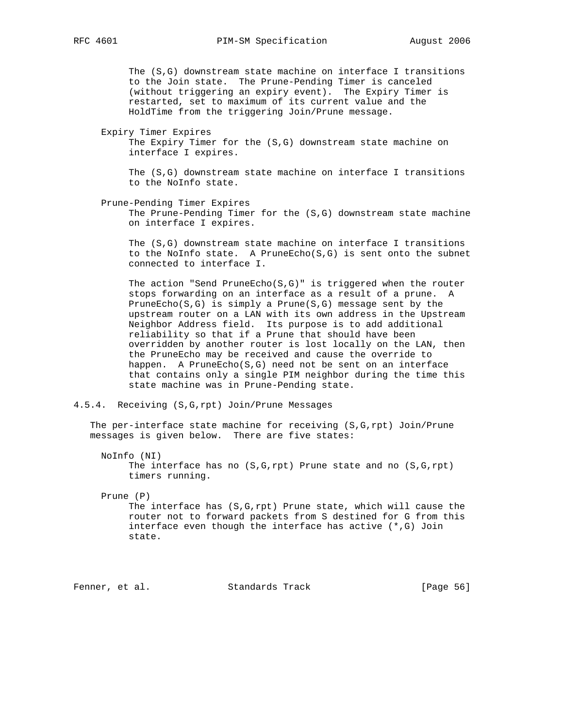The (S,G) downstream state machine on interface I transitions to the Join state. The Prune-Pending Timer is canceled (without triggering an expiry event). The Expiry Timer is restarted, set to maximum of its current value and the HoldTime from the triggering Join/Prune message.

Expiry Timer Expires

 The Expiry Timer for the (S,G) downstream state machine on interface I expires.

 The (S,G) downstream state machine on interface I transitions to the NoInfo state.

 Prune-Pending Timer Expires The Prune-Pending Timer for the (S,G) downstream state machine on interface I expires.

 The (S,G) downstream state machine on interface I transitions to the NoInfo state. A PruneEcho(S,G) is sent onto the subnet connected to interface I.

 The action "Send PruneEcho(S,G)" is triggered when the router stops forwarding on an interface as a result of a prune. A PruneEcho(S,G) is simply a Prune(S,G) message sent by the upstream router on a LAN with its own address in the Upstream Neighbor Address field. Its purpose is to add additional reliability so that if a Prune that should have been overridden by another router is lost locally on the LAN, then the PruneEcho may be received and cause the override to happen. A PruneEcho(S,G) need not be sent on an interface that contains only a single PIM neighbor during the time this state machine was in Prune-Pending state.

4.5.4. Receiving (S,G,rpt) Join/Prune Messages

 The per-interface state machine for receiving (S,G,rpt) Join/Prune messages is given below. There are five states:

 NoInfo (NI) The interface has no (S,G,rpt) Prune state and no (S,G,rpt) timers running.

Prune (P)

 The interface has (S,G,rpt) Prune state, which will cause the router not to forward packets from S destined for G from this interface even though the interface has active (\*,G) Join state.

Fenner, et al. Standards Track [Page 56]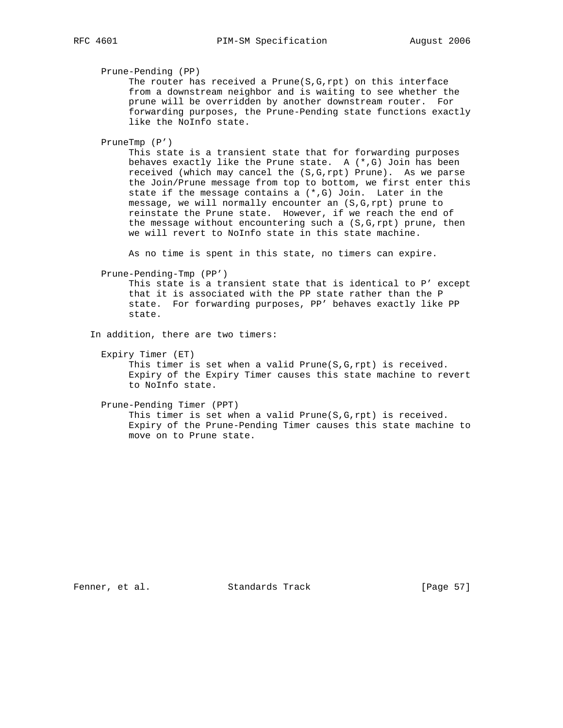Prune-Pending (PP)

The router has received a Prune( $S, G, rpt$ ) on this interface from a downstream neighbor and is waiting to see whether the prune will be overridden by another downstream router. For forwarding purposes, the Prune-Pending state functions exactly like the NoInfo state.

PruneTmp (P')

 This state is a transient state that for forwarding purposes behaves exactly like the Prune state. A (\*,G) Join has been received (which may cancel the (S,G,rpt) Prune). As we parse the Join/Prune message from top to bottom, we first enter this state if the message contains a (\*,G) Join. Later in the message, we will normally encounter an (S,G,rpt) prune to reinstate the Prune state. However, if we reach the end of the message without encountering such a  $(S, G, rpt)$  prune, then we will revert to NoInfo state in this state machine.

As no time is spent in this state, no timers can expire.

Prune-Pending-Tmp (PP')

 This state is a transient state that is identical to P' except that it is associated with the PP state rather than the P state. For forwarding purposes, PP' behaves exactly like PP state.

In addition, there are two timers:

 Expiry Timer (ET) This timer is set when a valid Prune( $S, G, rpt$ ) is received. Expiry of the Expiry Timer causes this state machine to revert to NoInfo state.

 Prune-Pending Timer (PPT) This timer is set when a valid Prune(S,G,rpt) is received. Expiry of the Prune-Pending Timer causes this state machine to move on to Prune state.

Fenner, et al. Standards Track [Page 57]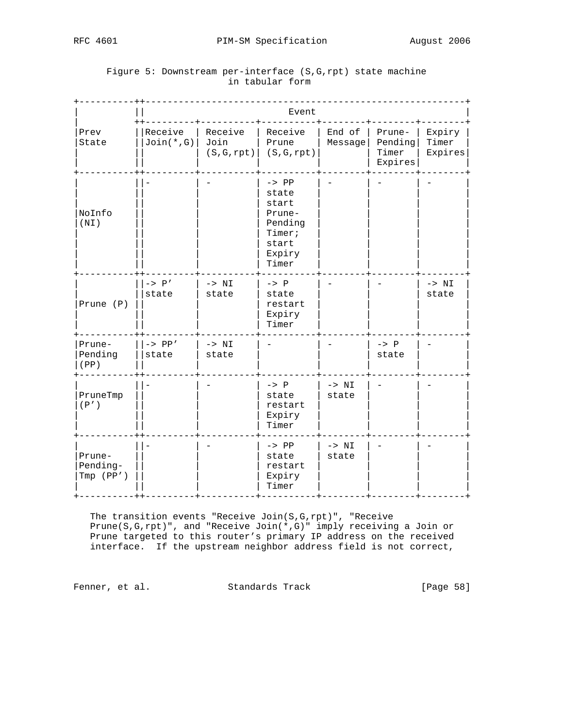|                                 | Event                   |                                |                                                                                      |                   |                                       |                            |
|---------------------------------|-------------------------|--------------------------------|--------------------------------------------------------------------------------------|-------------------|---------------------------------------|----------------------------|
| Prev<br>State                   | Receive<br>$Join(*, G)$ | Receive<br>Join<br>(S, G, rpt) | Receive<br>Prune<br>(S, G, rpt)                                                      | End of<br>Message | Prune-<br>Pending<br>Timer<br>Expires | Expiry<br>Timer<br>Expires |
| NoInfo<br>(NI)                  |                         |                                | $-> PP$<br>state<br>start<br>Prune-<br>Pending<br>Timer;<br>start<br>Expiry<br>Timer |                   |                                       |                            |
| Prune (P)                       | $-> P'$<br>state        | $-> NI$<br>state               | $-> P$<br>state<br>restart<br>Expiry<br>Timer                                        |                   |                                       | $-> NI$<br>state           |
| Prune-<br>Pending<br>(PP)       | $-> PP'$<br>state       | $-> NI$<br>state               |                                                                                      |                   | $-> P$<br>state                       |                            |
| PruneTmp<br>(P')                |                         |                                | $-> P$<br>state<br>restart<br>Expiry<br>Timer                                        | $-> NI$<br>state  |                                       |                            |
| Prune-<br>Pending-<br>Tmp (PP') |                         |                                | $-> PP$<br>state<br>restart<br>Expiry<br>Timer                                       | $-> NI$<br>state  |                                       |                            |

# Figure 5: Downstream per-interface (S,G,rpt) state machine in tabular form

 The transition events "Receive Join(S,G,rpt)", "Receive Prune(S,G,rpt)", and "Receive Join(\*,G)" imply receiving a Join or Prune targeted to this router's primary IP address on the received interface. If the upstream neighbor address field is not correct,

Fenner, et al. Standards Track [Page 58]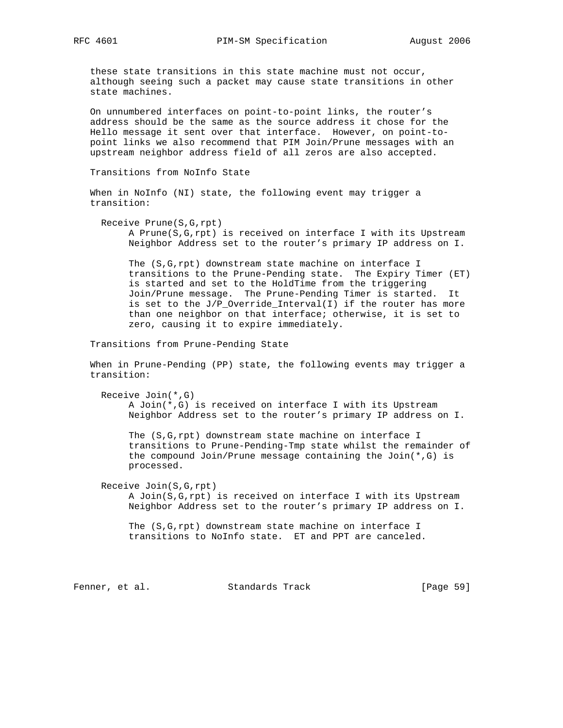these state transitions in this state machine must not occur, although seeing such a packet may cause state transitions in other state machines.

 On unnumbered interfaces on point-to-point links, the router's address should be the same as the source address it chose for the Hello message it sent over that interface. However, on point-to point links we also recommend that PIM Join/Prune messages with an upstream neighbor address field of all zeros are also accepted.

Transitions from NoInfo State

 When in NoInfo (NI) state, the following event may trigger a transition:

 Receive Prune(S,G,rpt) A Prune(S,G,rpt) is received on interface I with its Upstream Neighbor Address set to the router's primary IP address on I.

 The (S,G,rpt) downstream state machine on interface I transitions to the Prune-Pending state. The Expiry Timer (ET) is started and set to the HoldTime from the triggering Join/Prune message. The Prune-Pending Timer is started. It is set to the J/P\_Override\_Interval(I) if the router has more than one neighbor on that interface; otherwise, it is set to zero, causing it to expire immediately.

Transitions from Prune-Pending State

 When in Prune-Pending (PP) state, the following events may trigger a transition:

Receive Join(\*,G)

 A Join(\*,G) is received on interface I with its Upstream Neighbor Address set to the router's primary IP address on I.

 The (S,G,rpt) downstream state machine on interface I transitions to Prune-Pending-Tmp state whilst the remainder of the compound Join/Prune message containing the Join(\*,G) is processed.

Receive Join(S,G,rpt)

 A Join(S,G,rpt) is received on interface I with its Upstream Neighbor Address set to the router's primary IP address on I.

 The (S,G,rpt) downstream state machine on interface I transitions to NoInfo state. ET and PPT are canceled.

Fenner, et al. Standards Track [Page 59]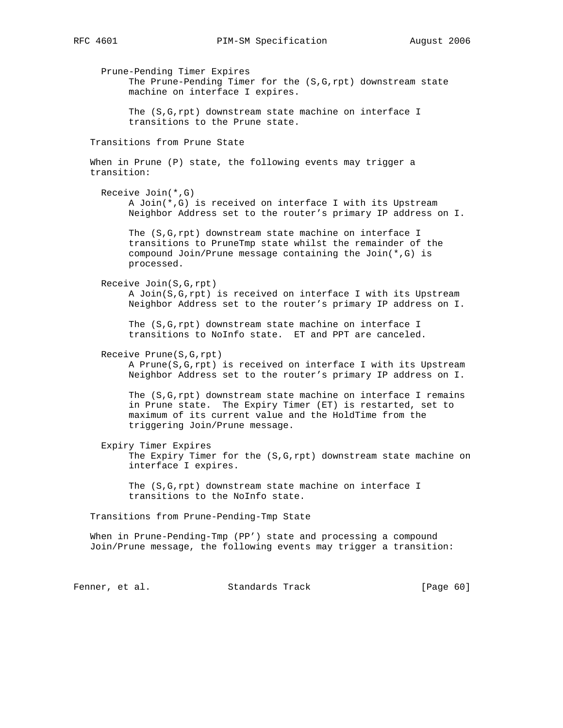Prune-Pending Timer Expires The Prune-Pending Timer for the (S,G,rpt) downstream state machine on interface I expires. The (S,G,rpt) downstream state machine on interface I transitions to the Prune state. Transitions from Prune State When in Prune (P) state, the following events may trigger a transition: Receive Join(\*,G) A Join(\*,G) is received on interface I with its Upstream Neighbor Address set to the router's primary IP address on I. The (S,G,rpt) downstream state machine on interface I transitions to PruneTmp state whilst the remainder of the compound Join/Prune message containing the Join(\*,G) is processed. Receive Join(S,G,rpt) A Join(S,G,rpt) is received on interface I with its Upstream Neighbor Address set to the router's primary IP address on I. The (S,G,rpt) downstream state machine on interface I transitions to NoInfo state. ET and PPT are canceled. Receive Prune(S,G,rpt) A Prune(S,G,rpt) is received on interface I with its Upstream Neighbor Address set to the router's primary IP address on I. The (S,G,rpt) downstream state machine on interface I remains in Prune state. The Expiry Timer (ET) is restarted, set to maximum of its current value and the HoldTime from the triggering Join/Prune message. Expiry Timer Expires The Expiry Timer for the (S,G,rpt) downstream state machine on interface I expires. The (S,G,rpt) downstream state machine on interface I transitions to the NoInfo state. Transitions from Prune-Pending-Tmp State When in Prune-Pending-Tmp (PP') state and processing a compound Join/Prune message, the following events may trigger a transition: Fenner, et al. Standards Track [Page 60]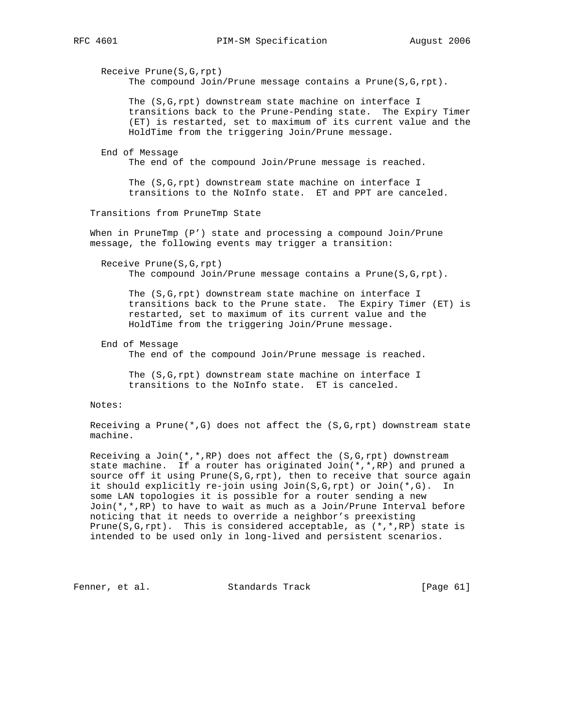Receive Prune(S,G,rpt) The compound  $Join/Prune$  message contains a  $Prune(S, G, rpt)$ . The (S,G,rpt) downstream state machine on interface I transitions back to the Prune-Pending state. The Expiry Timer (ET) is restarted, set to maximum of its current value and the HoldTime from the triggering Join/Prune message. End of Message The end of the compound Join/Prune message is reached. The (S,G,rpt) downstream state machine on interface I transitions to the NoInfo state. ET and PPT are canceled. Transitions from PruneTmp State When in PruneTmp (P') state and processing a compound Join/Prune message, the following events may trigger a transition: Receive Prune(S,G,rpt) The compound Join/Prune message contains a Prune(S, G, rpt). The (S,G,rpt) downstream state machine on interface I transitions back to the Prune state. The Expiry Timer (ET) is restarted, set to maximum of its current value and the HoldTime from the triggering Join/Prune message. End of Message The end of the compound Join/Prune message is reached. The (S,G,rpt) downstream state machine on interface I transitions to the NoInfo state. ET is canceled. Notes: Receiving a Prune( $*, G$ ) does not affect the (S,G,rpt) downstream state machine. Receiving a Join(\*,\*,RP) does not affect the  $(S, G, rpt)$  downstream state machine. If a router has originated Join(\*,\*,RP) and pruned a source off it using Prune(S,G,rpt), then to receive that source again it should explicitly re-join using Join(S,G,rpt) or Join(\*,G). In some LAN topologies it is possible for a router sending a new Join(\*,\*,RP) to have to wait as much as a Join/Prune Interval before noticing that it needs to override a neighbor's preexisting Prune(S,G,rpt). This is considered acceptable, as  $(*,*,RP)$  state is intended to be used only in long-lived and persistent scenarios. Fenner, et al. Standards Track [Page 61]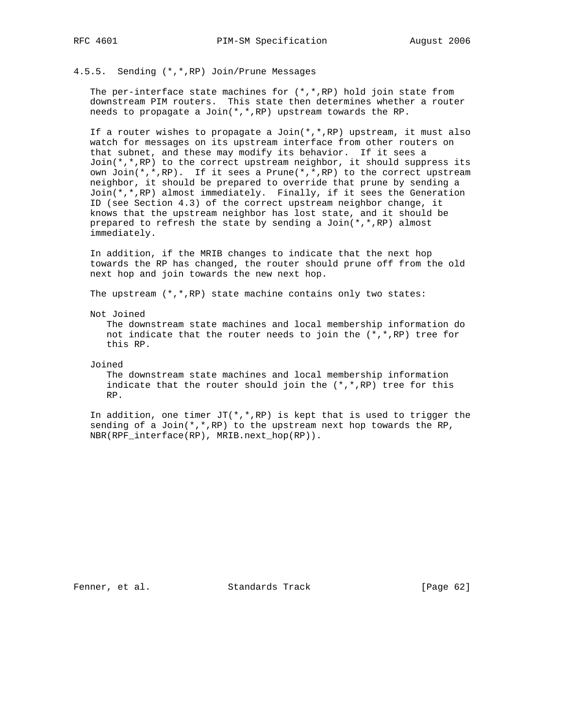4.5.5. Sending (\*,\*,RP) Join/Prune Messages

The per-interface state machines for  $(*,*,RP)$  hold join state from downstream PIM routers. This state then determines whether a router needs to propagate a Join(\*,\*,RP) upstream towards the RP.

 If a router wishes to propagate a Join(\*,\*,RP) upstream, it must also watch for messages on its upstream interface from other routers on that subnet, and these may modify its behavior. If it sees a  $Join(*,*,RP)$  to the correct upstream neighbor, it should suppress its own Join(\*,\*,RP). If it sees a Prune(\*,\*,RP) to the correct upstream neighbor, it should be prepared to override that prune by sending a Join(\*,\*,RP) almost immediately. Finally, if it sees the Generation ID (see Section 4.3) of the correct upstream neighbor change, it knows that the upstream neighbor has lost state, and it should be prepared to refresh the state by sending a  $Join(*,*,RP)$  almost immediately.

 In addition, if the MRIB changes to indicate that the next hop towards the RP has changed, the router should prune off from the old next hop and join towards the new next hop.

The upstream (\*,\*,RP) state machine contains only two states:

Not Joined

 The downstream state machines and local membership information do not indicate that the router needs to join the  $(*,*,RP)$  tree for this RP.

Joined

 The downstream state machines and local membership information indicate that the router should join the  $(*,*,RP)$  tree for this RP.

In addition, one timer  $JT(*,*,RP)$  is kept that is used to trigger the sending of a Join $(*,*,RP)$  to the upstream next hop towards the RP, NBR(RPF\_interface(RP), MRIB.next\_hop(RP)).

Fenner, et al. Standards Track [Page 62]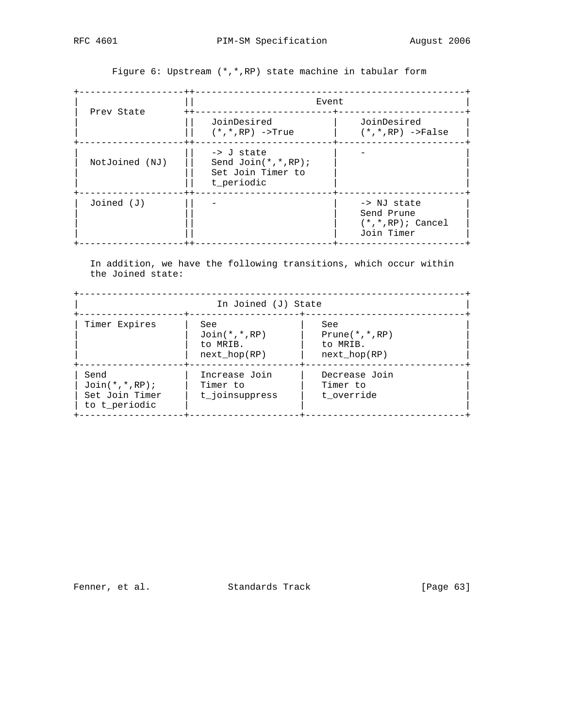+-------------------++-------------------------------------------------+ | || Event | | Prev State ++-------------------------+-----------------------+ | || JoinDesired | JoinDesired | | || (\*,\*,RP) ->True | (\*,\*,RP) ->False | +-------------------++-------------------------+-----------------------+ | || -> J state | - | | NotJoined (NJ) || Send Join(\*,\*,RP); | | | || Set Join Timer to | | | || t\_periodic | | +-------------------++-------------------------+-----------------------+  $J\circ$ ined (J)  $|$  -  $|$  -  $|$  -> NJ state Send Prune | || | (\*,\*,RP); Cancel | | || | Join Timer | +-------------------++-------------------------+-----------------------+

Figure 6: Upstream (\*,\*,RP) state machine in tabular form

 In addition, we have the following transitions, which occur within the Joined state:

+----------------------------------------------------------------------+ In Joined (J) State +-------------------+--------------------+-----------------------------+ | Timer Expires | See | See | See | See | See | See | See | See | See | See | See | See | See | See | See | See | See | See | See | See | See | See | See | See | See | See | See | See | See | See | See | See | See | See | | | Join(\*,\*,RP) | Prune(\*,\*,RP) | | | to MRIB. | to MRIB. | | | next\_hop(RP) | next\_hop(RP) | +-------------------+--------------------+-----------------------------+ | Send | Increase Join | Decrease Join | | Join(\*,\*,RP); | Timer to | Timer to | | Set Join Timer | t\_joinsuppress | t\_override | | to t\_periodic | | | +-------------------+--------------------+-----------------------------+

Fenner, et al. Standards Track [Page 63]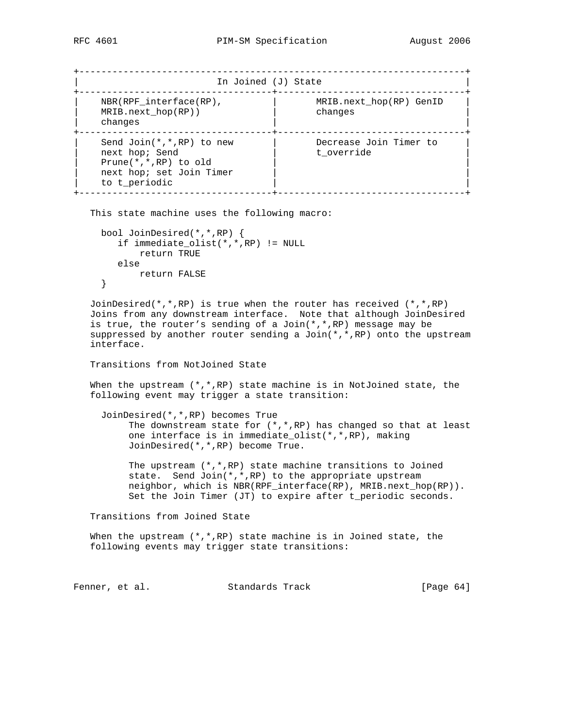```
+----------------------------------------------------------------------+
                In Joined (J) State
    +-----------------------------------+----------------------------------+
| NBR(RPF_interface(RP), | MRIB.next_hop(RP) GenID |
| MRIB.next_hop(RP)) | changes |
| changes | |
+-----------------------------------+----------------------------------+
| Send Join(*,*,RP) to new | Decrease Join Timer to |
| next hop; Send | t_override |
| Prune(*,*,RP) to old | |
| next hop; set Join Timer | |
  to t_periodic
+-----------------------------------+----------------------------------+
```
This state machine uses the following macro:

```
 bool JoinDesired(*,*,RP) {
  if immediate_olist(*,*,RP) != NULL
       return TRUE
   else
      return FALSE
 }
```
JoinDesired( $*,*,$ RP) is true when the router has received  $(*,*,$ RP) Joins from any downstream interface. Note that although JoinDesired is true, the router's sending of a  $Join(*,*,RP)$  message may be suppressed by another router sending a Join $(*,*,RP)$  onto the upstream interface.

Transitions from NotJoined State

When the upstream  $(*$ ,  $*,$ RP) state machine is in NotJoined state, the following event may trigger a state transition:

 JoinDesired(\*,\*,RP) becomes True The downstream state for (\*,\*,RP) has changed so that at least one interface is in immediate\_olist(\*,\*,RP), making JoinDesired(\*,\*,RP) become True.

 The upstream (\*,\*,RP) state machine transitions to Joined state. Send Join(\*,\*,RP) to the appropriate upstream neighbor, which is NBR(RPF\_interface(RP), MRIB.next\_hop(RP)). Set the Join Timer (JT) to expire after t\_periodic seconds.

Transitions from Joined State

When the upstream  $(*,*,RP)$  state machine is in Joined state, the following events may trigger state transitions:

Fenner, et al. Standards Track [Page 64]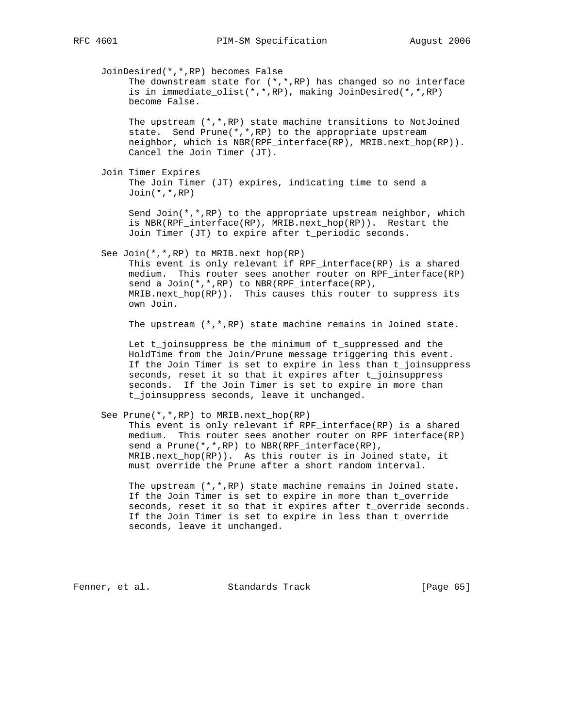JoinDesired(\*,\*,RP) becomes False The downstream state for (\*,\*,RP) has changed so no interface is in immediate\_olist(\*,\*,RP), making JoinDesired(\*,\*,RP) become False. The upstream  $(*$ ,  $*,$ RP) state machine transitions to NotJoined state. Send Prune(\*,\*,RP) to the appropriate upstream neighbor, which is NBR(RPF\_interface(RP), MRIB.next\_hop(RP)). Cancel the Join Timer (JT). Join Timer Expires The Join Timer (JT) expires, indicating time to send a Join(\*,\*,RP) Send Join( $*,*,$ RP) to the appropriate upstream neighbor, which is NBR(RPF interface(RP), MRIB.next hop(RP)). Restart the Join Timer (JT) to expire after t\_periodic seconds. See Join(\*,\*,RP) to MRIB.next\_hop(RP) This event is only relevant if RPF\_interface(RP) is a shared medium. This router sees another router on RPF\_interface(RP) send a Join(\*,\*,RP) to NBR(RPF\_interface(RP), MRIB.next\_hop(RP)). This causes this router to suppress its own Join. The upstream (\*,\*,RP) state machine remains in Joined state. Let t joinsuppress be the minimum of t suppressed and the HoldTime from the Join/Prune message triggering this event. If the Join Timer is set to expire in less than t\_joinsuppress seconds, reset it so that it expires after t\_joinsuppress seconds. If the Join Timer is set to expire in more than t\_joinsuppress seconds, leave it unchanged. See Prune(\*,\*,RP) to MRIB.next\_hop(RP) This event is only relevant if RPF\_interface(RP) is a shared medium. This router sees another router on RPF\_interface(RP) send a Prune(\*,\*,RP) to NBR(RPF\_interface(RP), MRIB.next\_hop(RP)). As this router is in Joined state, it must override the Prune after a short random interval. The upstream  $(*,*,RP)$  state machine remains in Joined state.

 If the Join Timer is set to expire in more than t\_override seconds, reset it so that it expires after t\_override seconds. If the Join Timer is set to expire in less than t\_override seconds, leave it unchanged.

Fenner, et al. Standards Track [Page 65]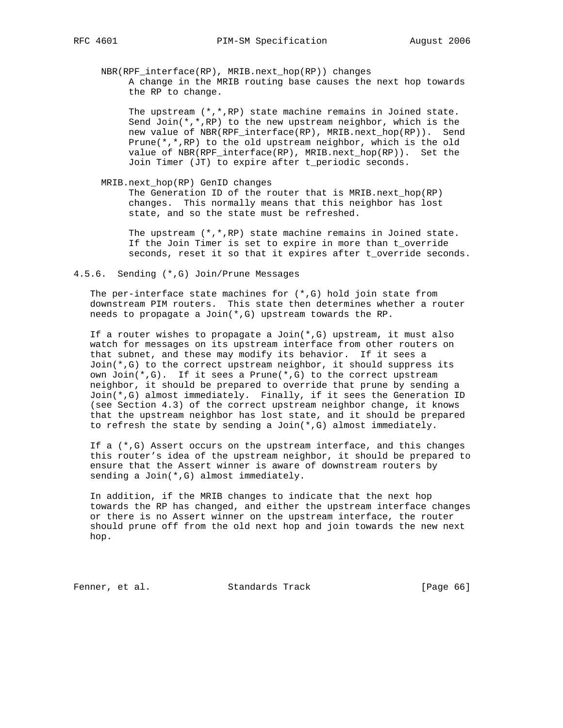NBR(RPF\_interface(RP), MRIB.next\_hop(RP)) changes A change in the MRIB routing base causes the next hop towards the RP to change.

 The upstream (\*,\*,RP) state machine remains in Joined state. Send Join( $*,*,$ RP) to the new upstream neighbor, which is the new value of NBR(RPF\_interface(RP), MRIB.next\_hop(RP)). Send Prune(\*,\*,RP) to the old upstream neighbor, which is the old value of NBR(RPF\_interface(RP), MRIB.next\_hop(RP)). Set the Join Timer (JT) to expire after t\_periodic seconds.

MRIB.next\_hop(RP) GenID changes

 The Generation ID of the router that is MRIB.next\_hop(RP) changes. This normally means that this neighbor has lost state, and so the state must be refreshed.

 The upstream (\*,\*,RP) state machine remains in Joined state. If the Join Timer is set to expire in more than t\_override seconds, reset it so that it expires after t\_override seconds.

4.5.6. Sending (\*,G) Join/Prune Messages

The per-interface state machines for  $(*,G)$  hold join state from downstream PIM routers. This state then determines whether a router needs to propagate a Join(\*,G) upstream towards the RP.

If a router wishes to propagate a  $Join(*,G)$  upstream, it must also watch for messages on its upstream interface from other routers on that subnet, and these may modify its behavior. If it sees a Join(\*,G) to the correct upstream neighbor, it should suppress its own Join(\*,G). If it sees a Prune(\*,G) to the correct upstream neighbor, it should be prepared to override that prune by sending a Join(\*,G) almost immediately. Finally, if it sees the Generation ID (see Section 4.3) of the correct upstream neighbor change, it knows that the upstream neighbor has lost state, and it should be prepared to refresh the state by sending a Join $(*$ , G) almost immediately.

If a  $(*$ , G) Assert occurs on the upstream interface, and this changes this router's idea of the upstream neighbor, it should be prepared to ensure that the Assert winner is aware of downstream routers by sending a Join(\*,G) almost immediately.

 In addition, if the MRIB changes to indicate that the next hop towards the RP has changed, and either the upstream interface changes or there is no Assert winner on the upstream interface, the router should prune off from the old next hop and join towards the new next hop.

Fenner, et al. Standards Track [Page 66]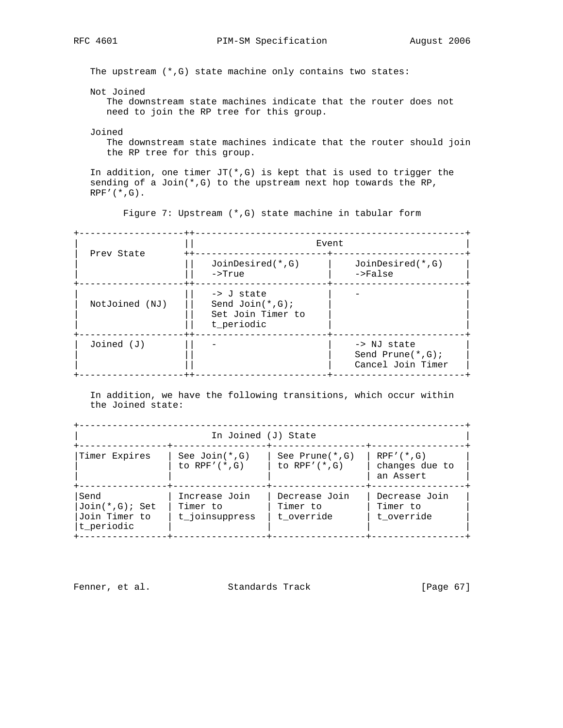The upstream (\*,G) state machine only contains two states:

Not Joined

 The downstream state machines indicate that the router does not need to join the RP tree for this group.

Joined

 The downstream state machines indicate that the router should join the RP tree for this group.

In addition, one timer  $JT(*,G)$  is kept that is used to trigger the sending of a Join(\*,G) to the upstream next hop towards the RP,  $RPF'$  $(*$ , $G)$ .

Figure 7: Upstream (\*,G) state machine in tabular form

| Prev State     | $- + +$<br>Event<br>$----++--$                                                 |                                                           |  |  |
|----------------|--------------------------------------------------------------------------------|-----------------------------------------------------------|--|--|
|                | $++$<br>$JoinDesired(*, G)$<br>$\rightarrow$ True                              | $JoinDesired(*, G)$<br>$->False$                          |  |  |
| NotJoined (NJ) | $\rightarrow$ J state<br>Send $Join(*, G);$<br>Set Join Timer to<br>t periodic |                                                           |  |  |
| $Joined$ $(J)$ | - + +                                                                          | -> NJ state<br>Send Prune $(*$ , G);<br>Cancel Join Timer |  |  |

 In addition, we have the following transitions, which occur within the Joined state:

+----------------------------------------------------------------------+ In Joined (J) State +----------------+-----------------+-----------------+-----------------+ |Timer Expires | See Join(\*,G) | See Prune(\*,G) | RPF'(\*,G) |  $\vert$  to RPF'(\*,G)  $\vert$  to RPF'(\*,G)  $\vert$  changes due to  $\vert$ | | | | an Assert | +----------------+-----------------+-----------------+-----------------+ |Send | Increase Join | Decrease Join | Decrease Join |  $|Join(*,G);$  Set | Timer to | Timer to | Timer to | |Join Timer to  $|t_j$  t\_joinsuppress  $|t_j$  t\_override  $|t_j|$  t\_override  $|t_j|$  $|\texttt{t\_periodic}|\qquad |\qquad \qquad |$ +----------------+-----------------+-----------------+-----------------+

Fenner, et al. Standards Track [Page 67]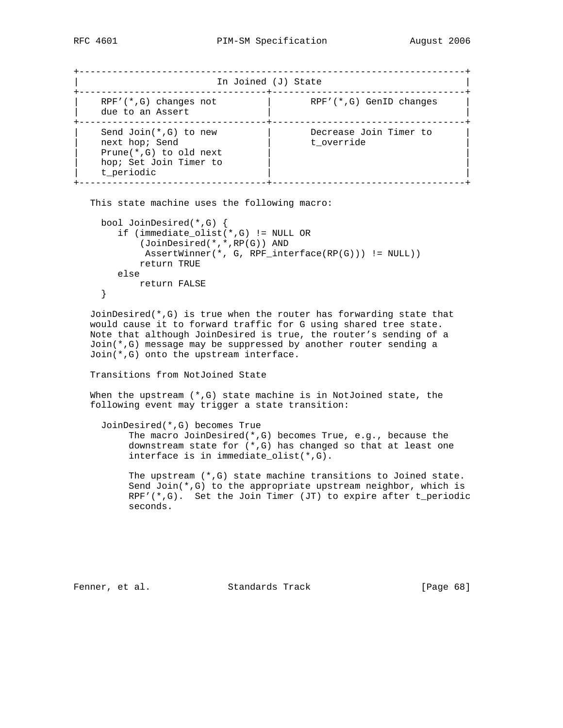+----------------------------------------------------------------------+ In Joined (J) State +----------------------------------+-----------------------------------+ | RPF'(\*,G) changes not | RPF'(\*,G) GenID changes |  $\vert$  due to an Assert  $\vert$   $\vert$ +----------------------------------+-----------------------------------+ | Send Join(\*,G) to new | Decrease Join Timer to | | next hop; Send | t\_override | t\_override | | Prune(\*,G) to old next<br>| Prune(\*,G) to old next<br>| https:// hop; Set Join Timer to t\_periodic +----------------------------------+-----------------------------------+

```
 This state machine uses the following macro:
```

```
 bool JoinDesired(*,G) {
    if (immediate_olist(*,G) != NULL OR
        (JoinDesired(*,*,RP(G)) AND
         AssertWinner(*, G, RPF_interface(RP(G))) != NULL))
        return TRUE
    else
       return FALSE
 }
```
 JoinDesired(\*,G) is true when the router has forwarding state that would cause it to forward traffic for G using shared tree state. Note that although JoinDesired is true, the router's sending of a Join(\*,G) message may be suppressed by another router sending a Join(\*,G) onto the upstream interface.

## Transitions from NotJoined State

 When the upstream (\*,G) state machine is in NotJoined state, the following event may trigger a state transition:

```
 JoinDesired(*,G) becomes True
```
 The macro JoinDesired(\*,G) becomes True, e.g., because the downstream state for (\*,G) has changed so that at least one interface is in immediate\_olist(\*,G).

 The upstream (\*,G) state machine transitions to Joined state. Send Join( $*,G$ ) to the appropriate upstream neighbor, which is  $RPF'$  (\*,G). Set the Join Timer (JT) to expire after t\_periodic seconds.

Fenner, et al. Standards Track [Page 68]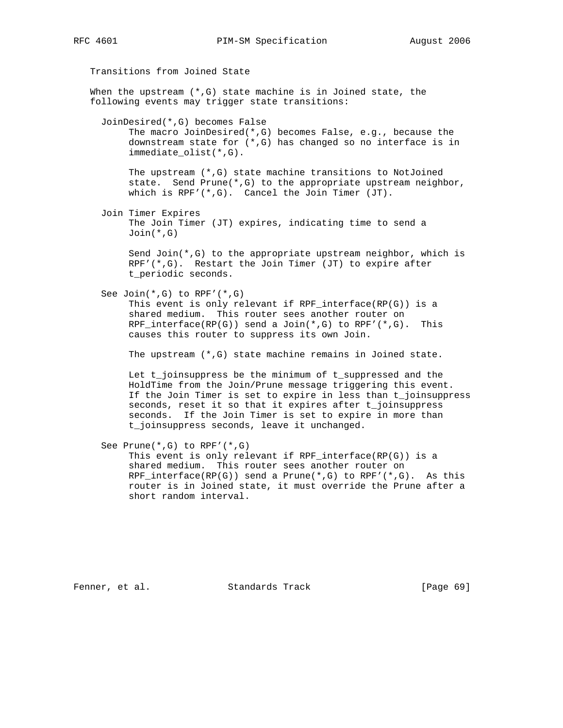Transitions from Joined State When the upstream  $(*$ , G) state machine is in Joined state, the following events may trigger state transitions: JoinDesired(\*,G) becomes False The macro JoinDesired(\*,G) becomes False, e.g., because the downstream state for (\*,G) has changed so no interface is in immediate\_olist(\*,G). The upstream (\*,G) state machine transitions to NotJoined state. Send Prune( $*, G$ ) to the appropriate upstream neighbor, which is RPF'(\*,G). Cancel the Join Timer (JT). Join Timer Expires The Join Timer (JT) expires, indicating time to send a Join(\*,G) Send Join(\*,G) to the appropriate upstream neighbor, which is RPF'( $*, G$ ). Restart the Join Timer (JT) to expire after t\_periodic seconds. See Join(\*,G) to RPF'(\*,G) This event is only relevant if RPF\_interface(RP(G)) is a shared medium. This router sees another router on RPF\_interface(RP(G)) send a Join(\*,G) to RPF'(\*,G). This causes this router to suppress its own Join. The upstream (\*,G) state machine remains in Joined state. Let t\_joinsuppress be the minimum of t\_suppressed and the HoldTime from the Join/Prune message triggering this event. If the Join Timer is set to expire in less than t\_joinsuppress seconds, reset it so that it expires after t\_joinsuppress seconds. If the Join Timer is set to expire in more than t\_joinsuppress seconds, leave it unchanged. See Prune(\*,G) to RPF'(\*,G) This event is only relevant if RPF\_interface(RP(G)) is a shared medium. This router sees another router on RPF\_interface(RP(G)) send a Prune(\*,G) to RPF'(\*,G). As this router is in Joined state, it must override the Prune after a

short random interval.

Fenner, et al. Standards Track [Page 69]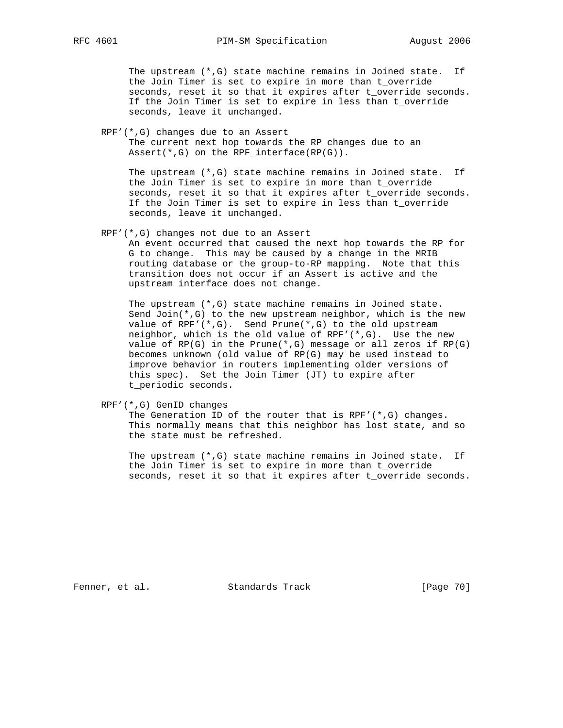The upstream (\*,G) state machine remains in Joined state. If the Join Timer is set to expire in more than t\_override seconds, reset it so that it expires after t\_override seconds. If the Join Timer is set to expire in less than t\_override seconds, leave it unchanged.

 RPF'(\*,G) changes due to an Assert The current next hop towards the RP changes due to an Assert(\*,G) on the RPF\_interface(RP(G)).

 The upstream (\*,G) state machine remains in Joined state. If the Join Timer is set to expire in more than t\_override seconds, reset it so that it expires after t\_override seconds. If the Join Timer is set to expire in less than t\_override seconds, leave it unchanged.

RPF'(\*,G) changes not due to an Assert

 An event occurred that caused the next hop towards the RP for G to change. This may be caused by a change in the MRIB routing database or the group-to-RP mapping. Note that this transition does not occur if an Assert is active and the upstream interface does not change.

 The upstream (\*,G) state machine remains in Joined state. Send Join(\*,G) to the new upstream neighbor, which is the new value of RPF'( $*, G$ ). Send Prune( $*, G$ ) to the old upstream neighbor, which is the old value of RPF'(\*,G). Use the new value of  $RP(G)$  in the Prune( $*, G$ ) message or all zeros if  $RP(G)$  becomes unknown (old value of RP(G) may be used instead to improve behavior in routers implementing older versions of this spec). Set the Join Timer (JT) to expire after t\_periodic seconds.

RPF'(\*,G) GenID changes

 The Generation ID of the router that is RPF'(\*,G) changes. This normally means that this neighbor has lost state, and so the state must be refreshed.

 The upstream (\*,G) state machine remains in Joined state. If the Join Timer is set to expire in more than t\_override seconds, reset it so that it expires after t\_override seconds.

Fenner, et al. Standards Track [Page 70]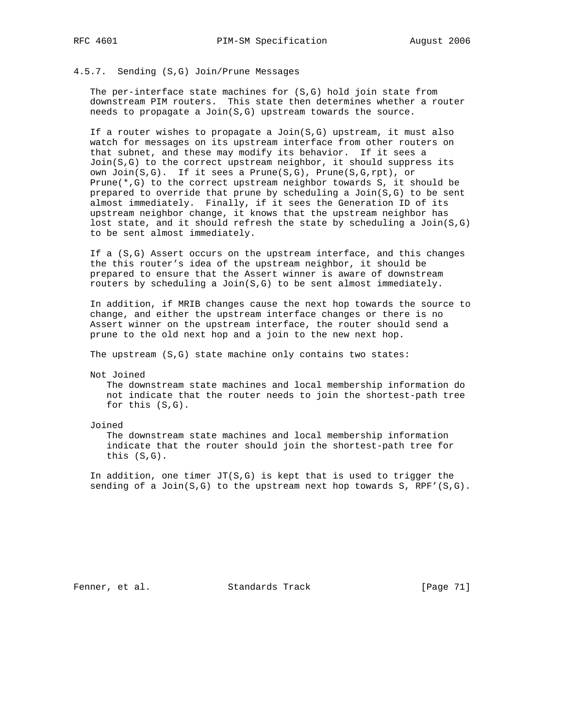# 4.5.7. Sending (S,G) Join/Prune Messages

 The per-interface state machines for (S,G) hold join state from downstream PIM routers. This state then determines whether a router needs to propagate a Join(S,G) upstream towards the source.

 If a router wishes to propagate a Join(S,G) upstream, it must also watch for messages on its upstream interface from other routers on that subnet, and these may modify its behavior. If it sees a Join(S,G) to the correct upstream neighbor, it should suppress its own Join(S,G). If it sees a Prune(S,G), Prune(S,G,rpt), or Prune( $*,G$ ) to the correct upstream neighbor towards S, it should be prepared to override that prune by scheduling a Join(S,G) to be sent almost immediately. Finally, if it sees the Generation ID of its upstream neighbor change, it knows that the upstream neighbor has lost state, and it should refresh the state by scheduling a  $Join(S,G)$ to be sent almost immediately.

 If a (S,G) Assert occurs on the upstream interface, and this changes the this router's idea of the upstream neighbor, it should be prepared to ensure that the Assert winner is aware of downstream routers by scheduling a  $Join(S,G)$  to be sent almost immediately.

 In addition, if MRIB changes cause the next hop towards the source to change, and either the upstream interface changes or there is no Assert winner on the upstream interface, the router should send a prune to the old next hop and a join to the new next hop.

The upstream (S,G) state machine only contains two states:

Not Joined

 The downstream state machines and local membership information do not indicate that the router needs to join the shortest-path tree for this (S,G).

Joined

 The downstream state machines and local membership information indicate that the router should join the shortest-path tree for this (S,G).

In addition, one timer  $JT(S,G)$  is kept that is used to trigger the sending of a Join( $S, G$ ) to the upstream next hop towards  $S$ , RPF'( $S, G$ ).

Fenner, et al. Standards Track [Page 71]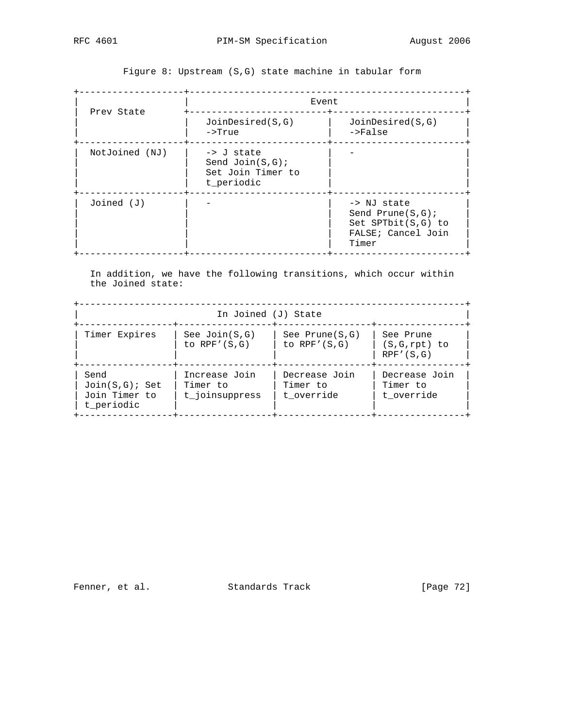+-------------------+--------------------------------------------------+ | | Event | | Prev State +-------------------------+------------------------+ | | JoinDesired(S,G) | JoinDesired(S,G) | | | ->True | ->False | +-------------------+-------------------------+------------------------+  $NotJoined (NJ)$  | -> J state Send Join(S,G); Set Join Timer to t\_periodic +-------------------+-------------------------+------------------------+  $J\text{oined (J)}$  | -  $\qquad$  | -> NJ state Send Prune(S,G); Set SPTbit(S,G) to FALSE; Cancel Join | | | Timer | +-------------------+-------------------------+------------------------+

Figure 8: Upstream (S,G) state machine in tabular form

 In addition, we have the following transitions, which occur within the Joined state:

+----------------------------------------------------------------------+ In Joined (J) State +-----------------+-----------------+-----------------+----------------+ | Timer Expires | See Join(S,G) | See Prune(S,G) | See Prune | | | to RPF'(S,G) | to RPF'(S,G) | (S,G,rpt) to | | | | | RPF'(S,G) | +-----------------+-----------------+-----------------+----------------+ | Send | Increase Join | Decrease Join | Decrease Join | | Join(S,G); Set | Timer to | Timer to | Timer to | | Join Timer to | t\_joinsuppress | t\_override | t\_override | | t\_periodic | | | | +-----------------+-----------------+-----------------+----------------+

Fenner, et al. Standards Track [Page 72]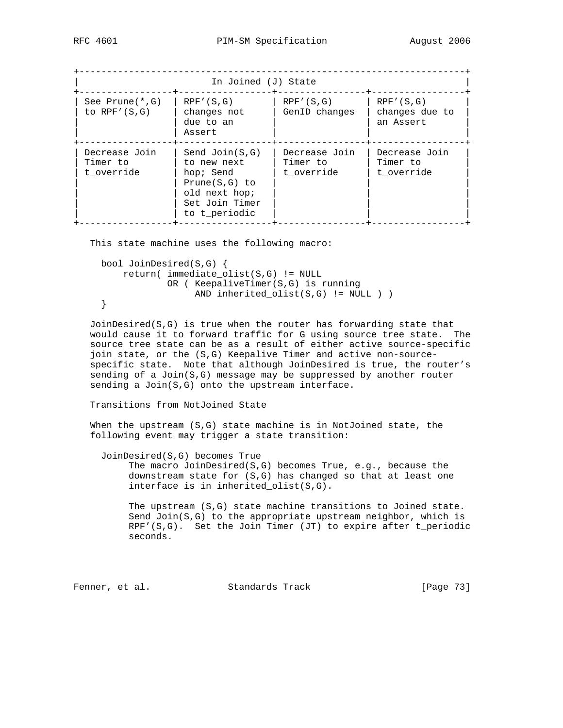| In Joined (J) State                     |                                                                                                                     |                                         |                                            |  |  |  |
|-----------------------------------------|---------------------------------------------------------------------------------------------------------------------|-----------------------------------------|--------------------------------------------|--|--|--|
| See Prune $(*$ , G)<br>to $RPF'(S,G)$   | RPF' (S, G)<br>changes not<br>due to an<br>Assert                                                                   | RPF' (S, G)<br>GenID changes            | RPF' (S, G)<br>changes due to<br>an Assert |  |  |  |
| Decrease Join<br>Timer to<br>t override | Send $Join(S,G)$<br>to new next<br>hop; Send<br>$Prune(S,G)$ to<br>old next hop;<br>Set Join Timer<br>to t periodic | Decrease Join<br>Timer to<br>t override | Decrease Join<br>Timer to<br>t override    |  |  |  |

This state machine uses the following macro:

```
 bool JoinDesired(S,G) {
     return( immediate_olist(S,G) != NULL
             OR ( KeepaliveTimer(S,G) is running
                  AND inherited_olist(S,G) != NULL ) )
 }
```
 JoinDesired(S,G) is true when the router has forwarding state that would cause it to forward traffic for G using source tree state. The source tree state can be as a result of either active source-specific join state, or the (S,G) Keepalive Timer and active non-source specific state. Note that although JoinDesired is true, the router's sending of a Join(S,G) message may be suppressed by another router sending a Join(S,G) onto the upstream interface.

## Transitions from NotJoined State

 When the upstream (S,G) state machine is in NotJoined state, the following event may trigger a state transition:

JoinDesired(S,G) becomes True

 The macro JoinDesired(S,G) becomes True, e.g., because the downstream state for (S,G) has changed so that at least one interface is in inherited\_olist(S,G).

 The upstream (S,G) state machine transitions to Joined state. Send Join( $S, G$ ) to the appropriate upstream neighbor, which is RPF'(S,G). Set the Join Timer (JT) to expire after t\_periodic seconds.

Fenner, et al. Standards Track [Page 73]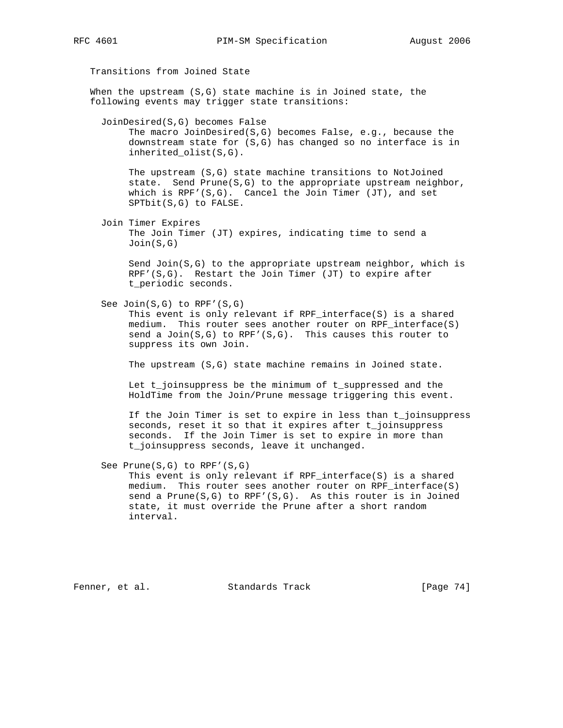Transitions from Joined State

 When the upstream (S,G) state machine is in Joined state, the following events may trigger state transitions:

JoinDesired(S,G) becomes False

 The macro JoinDesired(S,G) becomes False, e.g., because the downstream state for (S,G) has changed so no interface is in inherited\_olist(S,G).

 The upstream (S,G) state machine transitions to NotJoined state. Send Prune( $S, G$ ) to the appropriate upstream neighbor, which is RPF'(S,G). Cancel the Join Timer (JT), and set SPTbit(S,G) to FALSE.

 Join Timer Expires The Join Timer (JT) expires, indicating time to send a Join(S,G)

Send Join $(S, G)$  to the appropriate upstream neighbor, which is  $RPF'(S,G)$ . Restart the Join Timer (JT) to expire after t\_periodic seconds.

See Join(S,G) to RPF'(S,G)

 This event is only relevant if RPF\_interface(S) is a shared medium. This router sees another router on RPF\_interface(S) send a  $Join(S,G)$  to RPF'(S,G). This causes this router to suppress its own Join.

The upstream (S,G) state machine remains in Joined state.

 Let t\_joinsuppress be the minimum of t\_suppressed and the HoldTime from the Join/Prune message triggering this event.

 If the Join Timer is set to expire in less than t\_joinsuppress seconds, reset it so that it expires after t\_joinsuppress seconds. If the Join Timer is set to expire in more than t\_joinsuppress seconds, leave it unchanged.

See Prune(S,G) to RPF'(S,G)

 This event is only relevant if RPF\_interface(S) is a shared medium. This router sees another router on RPF\_interface(S) send a Prune(S,G) to RPF'(S,G). As this router is in Joined state, it must override the Prune after a short random interval.

Fenner, et al. Standards Track [Page 74]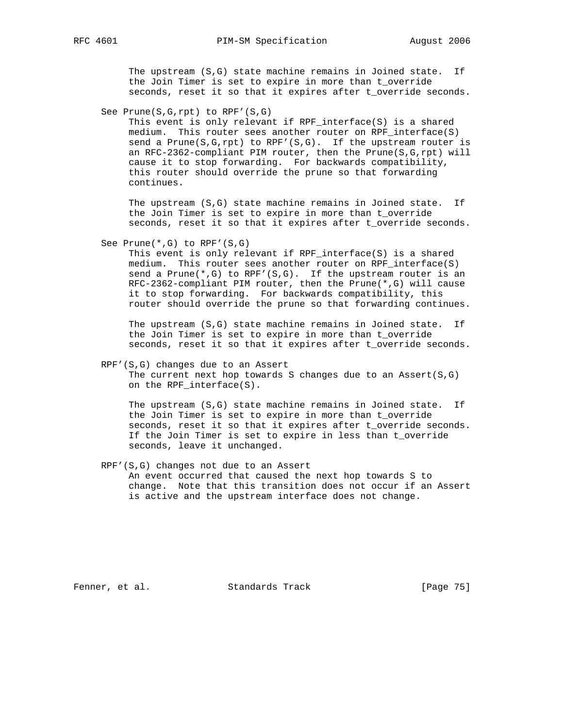The upstream (S,G) state machine remains in Joined state. If the Join Timer is set to expire in more than t\_override seconds, reset it so that it expires after t\_override seconds.

See Prune(S,G,rpt) to RPF'(S,G)

 This event is only relevant if RPF\_interface(S) is a shared medium. This router sees another router on RPF\_interface(S) send a Prune( $S, G, rpt$ ) to RPF'( $S, G$ ). If the upstream router is an RFC-2362-compliant PIM router, then the Prune(S,G,rpt) will cause it to stop forwarding. For backwards compatibility, this router should override the prune so that forwarding continues.

 The upstream (S,G) state machine remains in Joined state. If the Join Timer is set to expire in more than t\_override seconds, reset it so that it expires after t\_override seconds.

See Prune(\*,G) to RPF'(S,G)

 This event is only relevant if RPF\_interface(S) is a shared medium. This router sees another router on RPF\_interface(S) send a Prune(\*,G) to RPF'( $S$ , $G$ ). If the upstream router is an RFC-2362-compliant PIM router, then the Prune(\*,G) will cause it to stop forwarding. For backwards compatibility, this router should override the prune so that forwarding continues.

 The upstream (S,G) state machine remains in Joined state. If the Join Timer is set to expire in more than t\_override seconds, reset it so that it expires after t\_override seconds.

 RPF'(S,G) changes due to an Assert The current next hop towards S changes due to an Assert( $S, G$ ) on the RPF\_interface(S).

 The upstream (S,G) state machine remains in Joined state. If the Join Timer is set to expire in more than t\_override seconds, reset it so that it expires after t\_override seconds. If the Join Timer is set to expire in less than t\_override seconds, leave it unchanged.

 RPF'(S,G) changes not due to an Assert An event occurred that caused the next hop towards S to change. Note that this transition does not occur if an Assert is active and the upstream interface does not change.

Fenner, et al. Standards Track [Page 75]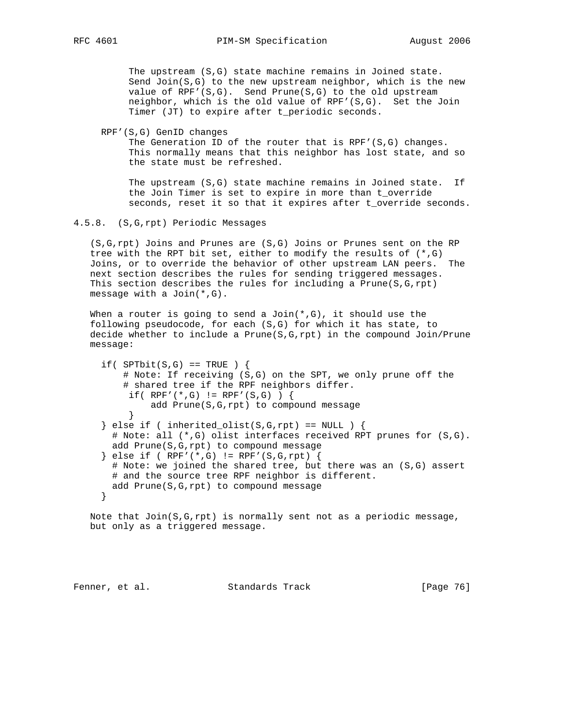The upstream (S,G) state machine remains in Joined state. Send Join( $S, G$ ) to the new upstream neighbor, which is the new value of RPF'(S,G). Send Prune(S,G) to the old upstream neighbor, which is the old value of RPF'(S,G). Set the Join Timer (JT) to expire after t\_periodic seconds.

RPF'(S,G) GenID changes

The Generation ID of the router that is RPF'(S,G) changes. This normally means that this neighbor has lost state, and so the state must be refreshed.

 The upstream (S,G) state machine remains in Joined state. If the Join Timer is set to expire in more than t\_override seconds, reset it so that it expires after t\_override seconds.

4.5.8. (S,G,rpt) Periodic Messages

 (S,G,rpt) Joins and Prunes are (S,G) Joins or Prunes sent on the RP tree with the RPT bit set, either to modify the results of (\*,G) Joins, or to override the behavior of other upstream LAN peers. The next section describes the rules for sending triggered messages. This section describes the rules for including a Prune(S,G,rpt) message with a Join(\*,G).

When a router is going to send a  $Join(*,G)$ , it should use the following pseudocode, for each (S,G) for which it has state, to decide whether to include a Prune( $S, G, rpt$ ) in the compound Join/Prune message:

if(  $SPTbit(S,G) == TRUE$  ) { # Note: If receiving (S,G) on the SPT, we only prune off the # shared tree if the RPF neighbors differ. if( RPF'(\*,G) != RPF'(S,G) ) { add Prune(S,G,rpt) to compound message }  $\}$  else if ( inherited\_olist(S,G,rpt) == NULL ) { # Note: all (\*,G) olist interfaces received RPT prunes for (S,G). add Prune(S,G,rpt) to compound message } else if ( RPF'(\*,G) != RPF'(S,G,rpt) { # Note: we joined the shared tree, but there was an (S,G) assert # and the source tree RPF neighbor is different. add Prune(S,G,rpt) to compound message }

Note that  $Join(S, G, rpt)$  is normally sent not as a periodic message, but only as a triggered message.

Fenner, et al. Standards Track [Page 76]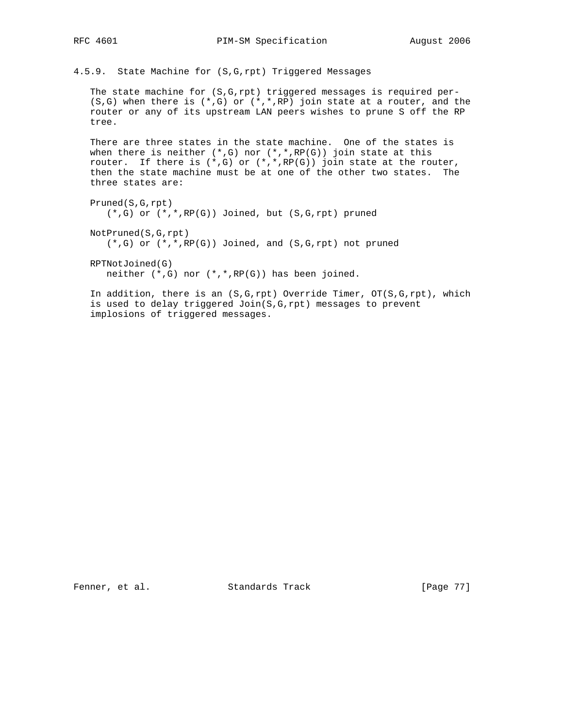4.5.9. State Machine for (S,G,rpt) Triggered Messages

 The state machine for (S,G,rpt) triggered messages is required per-  $(S,G)$  when there is  $(*,G)$  or  $(*,*,RP)$  join state at a router, and the router or any of its upstream LAN peers wishes to prune S off the RP tree.

 There are three states in the state machine. One of the states is when there is neither  $(*,G)$  nor  $(*,*,RP(G))$  join state at this router. If there is  $(*,G)$  or  $(*,*,RP(G))$  join state at the router, then the state machine must be at one of the other two states. The three states are:

 Pruned(S,G,rpt)  $(*$ ,G) or  $(*$ , $*$ , RP(G)) Joined, but  $(S,G, rpt)$  pruned NotPruned(S,G,rpt)  $(*$ ,G) or  $(*$ ,  $*$ ,  $RP(G)$ ) Joined, and  $(S, G, rpt)$  not pruned

 RPTNotJoined(G) neither (\*,G) nor (\*,\*,RP(G)) has been joined.

 In addition, there is an (S,G,rpt) Override Timer, OT(S,G,rpt), which is used to delay triggered Join(S,G,rpt) messages to prevent implosions of triggered messages.

Fenner, et al. Standards Track [Page 77]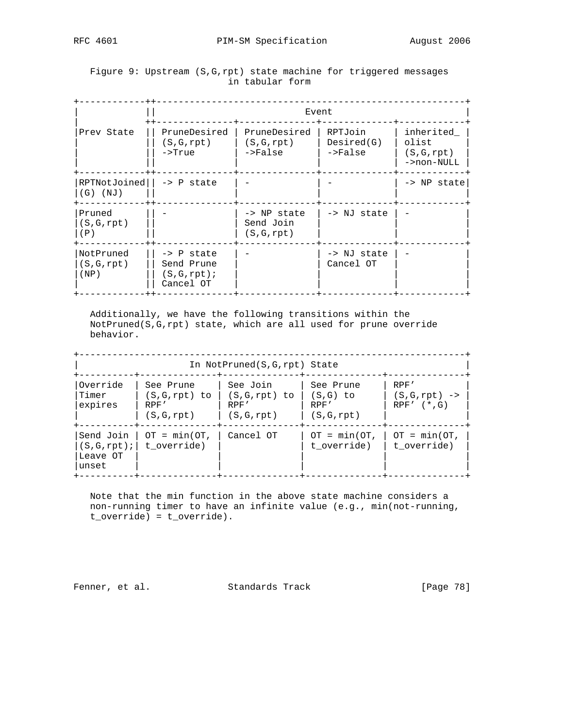## Figure 9: Upstream (S,G,rpt) state machine for triggered messages in tabular form

|                                | Event                                                               |                                          |                                    |                                                 |
|--------------------------------|---------------------------------------------------------------------|------------------------------------------|------------------------------------|-------------------------------------------------|
| Prev State                     | PruneDesired<br>(S, G, rpt)<br>->True                               | PruneDesired<br>(S, G, rpt)<br>$->False$ | RPTJoin<br>Desired(G)<br>$->False$ | inherited<br>olist<br>(S, G, rpt)<br>->non-NULL |
| RPTNotJoined<br>$(G)$ (NJ)     | $\rightarrow$ P state                                               |                                          |                                    | -> NP state                                     |
| Pruned<br>(S, G, rpt)<br>(P)   |                                                                     | -> NP state<br>Send Join<br>(S,G,rpt)    | -> NJ state                        |                                                 |
| NotPruned<br>(S,G,rpt)<br>(NP) | $\rightarrow$ P state<br>Send Prune<br>$(S, G, rpt)$ ;<br>Cancel OT |                                          | -> NJ state<br>Cancel OT           |                                                 |

 Additionally, we have the following transitions within the NotPruned(S,G,rpt) state, which are all used for prune override behavior.

|                                |                                                  | In NotPruned(S,G,rpt) State<br>-----+----         |                                              |                                                |
|--------------------------------|--------------------------------------------------|---------------------------------------------------|----------------------------------------------|------------------------------------------------|
| Override<br>Timer<br>expires   | See Prune<br>(S,G,rpt) to<br>RPF'<br>(S, G, rpt) | See Join<br>(S,G,rpt) to  <br>RPF'<br>(S, G, rpt) | See Prune<br>(S,G) to<br>RPF'<br>(S, G, rpt) | RPF'<br>$(S, G, rpt)$ -><br>$RPF'$ $(*$ , $G)$ |
| Send Join<br>Leave OT<br>unset | $OT = min(OT,$<br>(S, G, rpt);   t override)     | Cancel OT                                         | $OT = min(OT,  $<br>t override)              | $OT = min(OT,$<br>t override)                  |

 Note that the min function in the above state machine considers a non-running timer to have an infinite value (e.g., min(not-running, t\_override) = t\_override).

Fenner, et al. Standards Track [Page 78]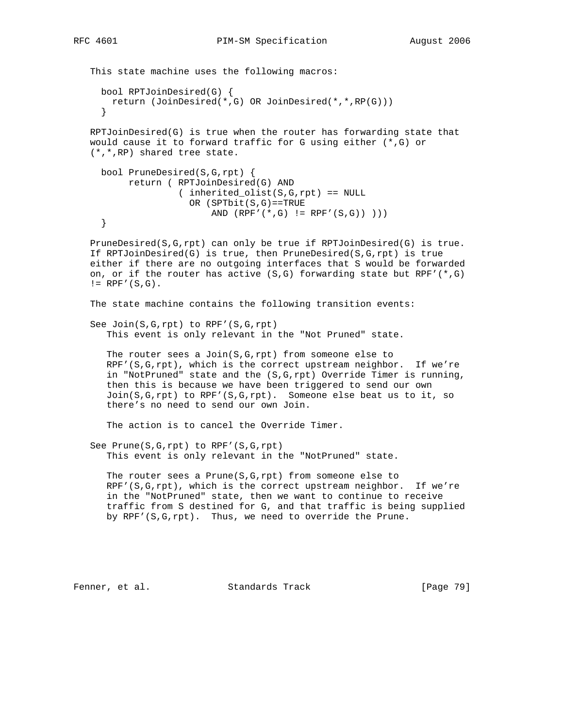This state machine uses the following macros: bool RPTJoinDesired(G) { return (JoinDesired(\*,G) OR JoinDesired(\*,\*,RP(G))) } RPTJoinDesired(G) is true when the router has forwarding state that would cause it to forward traffic for G using either (\*,G) or (\*,\*,RP) shared tree state. bool PruneDesired(S,G,rpt) { return ( RPTJoinDesired(G) AND ( inherited\_olist(S,G,rpt) == NULL OR (SPTbit(S,G)==TRUE AND  $(RPF'({*}, G) := RPF'({S}, G)) ))$  } PruneDesired(S,G,rpt) can only be true if RPTJoinDesired(G) is true. If RPTJoinDesired(G) is true, then PruneDesired(S,G,rpt) is true either if there are no outgoing interfaces that S would be forwarded on, or if the router has active  $(S,G)$  forwarding state but RPF' $(*,G)$  $!=$  RPF'(S,G). The state machine contains the following transition events: See Join(S,G,rpt) to RPF'(S,G,rpt) This event is only relevant in the "Not Pruned" state. The router sees a Join(S,G,rpt) from someone else to RPF'(S,G,rpt), which is the correct upstream neighbor. If we're in "NotPruned" state and the (S,G,rpt) Override Timer is running, then this is because we have been triggered to send our own Join(S,G,rpt) to RPF'(S,G,rpt). Someone else beat us to it, so there's no need to send our own Join. The action is to cancel the Override Timer. See Prune(S,G,rpt) to RPF'(S,G,rpt) This event is only relevant in the "NotPruned" state. The router sees a Prune(S,G,rpt) from someone else to RPF'(S,G,rpt), which is the correct upstream neighbor. If we're in the "NotPruned" state, then we want to continue to receive traffic from S destined for G, and that traffic is being supplied by RPF'(S,G,rpt). Thus, we need to override the Prune.

Fenner, et al. Standards Track [Page 79]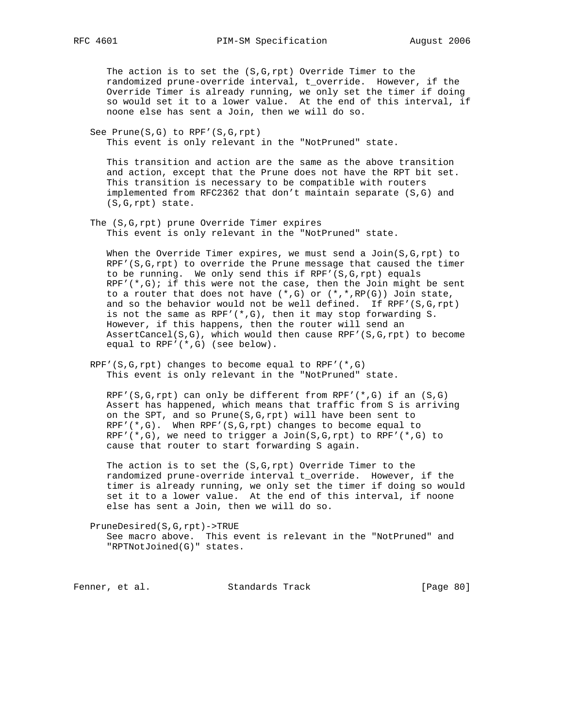The action is to set the (S,G,rpt) Override Timer to the randomized prune-override interval, t\_override. However, if the Override Timer is already running, we only set the timer if doing so would set it to a lower value. At the end of this interval, if noone else has sent a Join, then we will do so.

 See Prune(S,G) to RPF'(S,G,rpt) This event is only relevant in the "NotPruned" state.

 This transition and action are the same as the above transition and action, except that the Prune does not have the RPT bit set. This transition is necessary to be compatible with routers implemented from RFC2362 that don't maintain separate (S,G) and (S,G,rpt) state.

 The (S,G,rpt) prune Override Timer expires This event is only relevant in the "NotPruned" state.

 When the Override Timer expires, we must send a Join(S,G,rpt) to RPF'(S,G,rpt) to override the Prune message that caused the timer to be running. We only send this if  $RPF'(S,G,rpt)$  equals RPF'( $*, G$ ); if this were not the case, then the Join might be sent to a router that does not have  $(*,G)$  or  $(*,*,RP(G))$  Join state, and so the behavior would not be well defined. If RPF'(S,G,rpt) is not the same as RPF'(\*,G), then it may stop forwarding S. However, if this happens, then the router will send an AssertCancel(S,G), which would then cause RPF'(S,G,rpt) to become equal to RPF'(\*,G) (see below).

RPF'(S,G,rpt) changes to become equal to RPF' $(*$ ,G) This event is only relevant in the "NotPruned" state.

RPF'(S,G,rpt) can only be different from RPF'( $*,G$ ) if an (S,G) Assert has happened, which means that traffic from S is arriving on the SPT, and so Prune(S,G,rpt) will have been sent to RPF'(\*,G). When RPF'(S,G,rpt) changes to become equal to  $RPF'$  (\*,G), we need to trigger a Join(S,G,rpt) to  $RPF'$  (\*,G) to cause that router to start forwarding S again.

 The action is to set the (S,G,rpt) Override Timer to the randomized prune-override interval t\_override. However, if the timer is already running, we only set the timer if doing so would set it to a lower value. At the end of this interval, if noone else has sent a Join, then we will do so.

 PruneDesired(S,G,rpt)->TRUE See macro above. This event is relevant in the "NotPruned" and "RPTNotJoined(G)" states.

Fenner, et al. Standards Track [Page 80]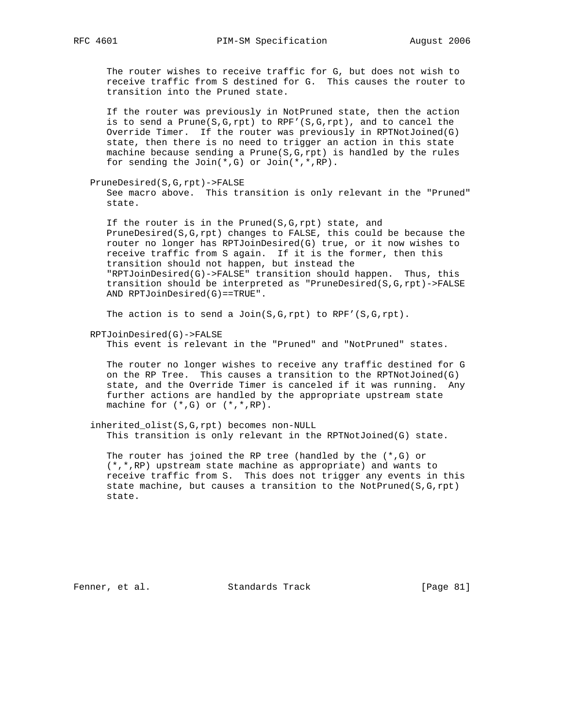The router wishes to receive traffic for G, but does not wish to receive traffic from S destined for G. This causes the router to transition into the Pruned state.

 If the router was previously in NotPruned state, then the action is to send a Prune(S,G,rpt) to RPF'(S,G,rpt), and to cancel the Override Timer. If the router was previously in RPTNotJoined(G) state, then there is no need to trigger an action in this state machine because sending a Prune $(S, G, rpt)$  is handled by the rules for sending the Join(\*,G) or Join(\*,\*,RP).

PruneDesired(S,G,rpt)->FALSE

 See macro above. This transition is only relevant in the "Pruned" state.

 If the router is in the Pruned(S,G,rpt) state, and PruneDesired(S,G,rpt) changes to FALSE, this could be because the router no longer has RPTJoinDesired(G) true, or it now wishes to receive traffic from S again. If it is the former, then this transition should not happen, but instead the "RPTJoinDesired(G)->FALSE" transition should happen. Thus, this transition should be interpreted as "PruneDesired(S,G,rpt)->FALSE AND RPTJoinDesired(G)==TRUE".

The action is to send a Join(S,G,rpt) to RPF'(S,G,rpt).

RPTJoinDesired(G)->FALSE

This event is relevant in the "Pruned" and "NotPruned" states.

 The router no longer wishes to receive any traffic destined for G on the RP Tree. This causes a transition to the RPTNotJoined(G) state, and the Override Timer is canceled if it was running. Any further actions are handled by the appropriate upstream state machine for (\*,G) or (\*,\*,RP).

 inherited\_olist(S,G,rpt) becomes non-NULL This transition is only relevant in the RPTNotJoined(G) state.

The router has joined the RP tree (handled by the  $(*,G)$  or (\*,\*,RP) upstream state machine as appropriate) and wants to receive traffic from S. This does not trigger any events in this state machine, but causes a transition to the NotPruned( $S, G, rpt$ ) state.

Fenner, et al. Standards Track [Page 81]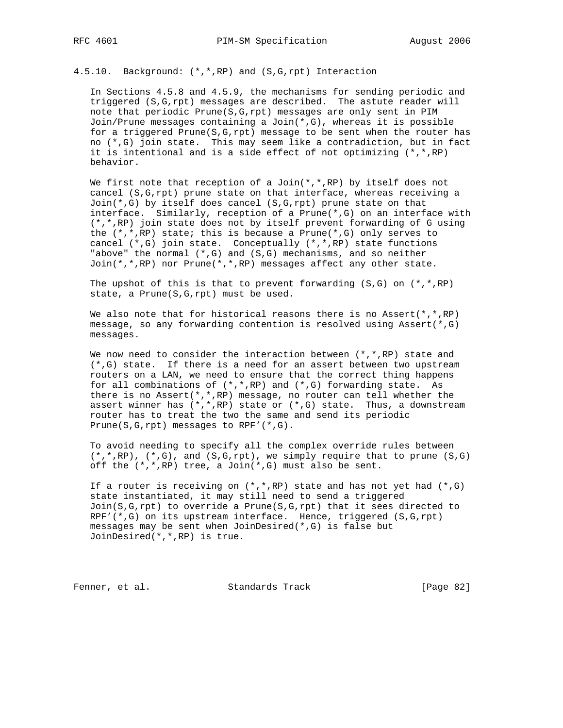4.5.10. Background: (\*,\*,RP) and (S,G,rpt) Interaction

 In Sections 4.5.8 and 4.5.9, the mechanisms for sending periodic and triggered (S,G,rpt) messages are described. The astute reader will note that periodic Prune(S,G,rpt) messages are only sent in PIM Join/Prune messages containing a Join $(*,G)$ , whereas it is possible for a triggered Prune(S,G,rpt) message to be sent when the router has no (\*,G) join state. This may seem like a contradiction, but in fact it is intentional and is a side effect of not optimizing  $(*,*,RP)$ behavior.

We first note that reception of a Join( $*,*,$ RP) by itself does not cancel (S,G,rpt) prune state on that interface, whereas receiving a Join(\*,G) by itself does cancel (S,G,rpt) prune state on that interface. Similarly, reception of a Prune(\*,G) on an interface with (\*,\*,RP) join state does not by itself prevent forwarding of G using the (\*,\*,RP) state; this is because a Prune(\*,G) only serves to cancel (\*,G) join state. Conceptually (\*,\*,RP) state functions "above" the normal  $(*,G)$  and  $(S,G)$  mechanisms, and so neither Join(\*,\*,RP) nor Prune(\*,\*,RP) messages affect any other state.

The upshot of this is that to prevent forwarding  $(S,G)$  on  $(*,*,RP)$ state, a Prune(S,G,rpt) must be used.

We also note that for historical reasons there is no Assert(\*,\*,RP) message, so any forwarding contention is resolved using Assert(\*,G) messages.

We now need to consider the interaction between  $(*$ , \*, RP) state and (\*,G) state. If there is a need for an assert between two upstream routers on a LAN, we need to ensure that the correct thing happens for all combinations of  $(*$ ,  $*,$ RP) and  $(*$ ,  $G)$  forwarding state. As there is no Assert( $*,*,$ RP) message, no router can tell whether the assert winner has  $(*,*,RP)$  state or  $(*,G)$  state. Thus, a downstream router has to treat the two the same and send its periodic Prune(S,G,rpt) messages to RPF'(\*,G).

 To avoid needing to specify all the complex override rules between  $(*,*,RP)$ ,  $(*,G)$ , and  $(S,G,rpt)$ , we simply require that to prune  $(S,G)$ off the (\*,\*,RP) tree, a Join(\*,G) must also be sent.

If a router is receiving on  $(*$ , \*, RP) state and has not yet had  $(*$ , G) state instantiated, it may still need to send a triggered  $Join(S,G,rpt)$  to override a Prune(S,G,rpt) that it sees directed to RPF'(\*,G) on its upstream interface. Hence, triggered (S,G,rpt) messages may be sent when JoinDesired(\*,G) is false but JoinDesired(\*,\*,RP) is true.

Fenner, et al. Standards Track [Page 82]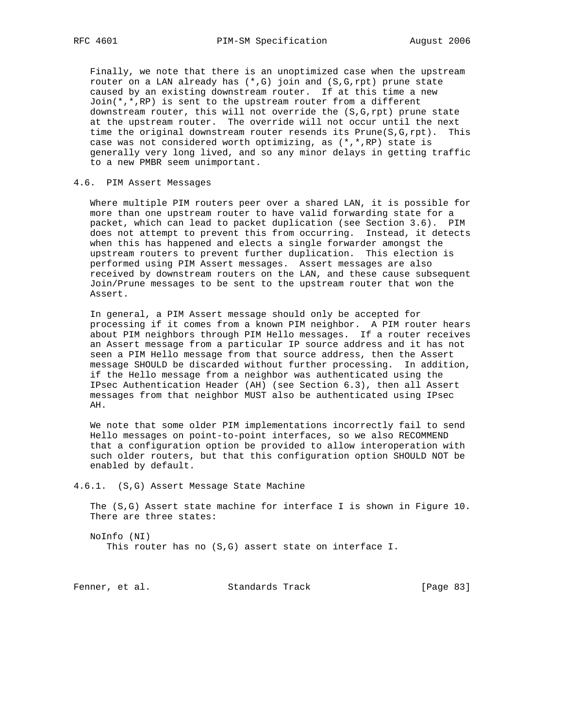Finally, we note that there is an unoptimized case when the upstream router on a LAN already has  $(*,G)$  join and  $(S,G,rpt)$  prune state caused by an existing downstream router. If at this time a new Join(\*,\*,RP) is sent to the upstream router from a different downstream router, this will not override the (S,G,rpt) prune state at the upstream router. The override will not occur until the next time the original downstream router resends its Prune(S,G,rpt). This case was not considered worth optimizing, as (\*,\*,RP) state is generally very long lived, and so any minor delays in getting traffic to a new PMBR seem unimportant.

## 4.6. PIM Assert Messages

 Where multiple PIM routers peer over a shared LAN, it is possible for more than one upstream router to have valid forwarding state for a packet, which can lead to packet duplication (see Section 3.6). PIM does not attempt to prevent this from occurring. Instead, it detects when this has happened and elects a single forwarder amongst the upstream routers to prevent further duplication. This election is performed using PIM Assert messages. Assert messages are also received by downstream routers on the LAN, and these cause subsequent Join/Prune messages to be sent to the upstream router that won the Assert.

 In general, a PIM Assert message should only be accepted for processing if it comes from a known PIM neighbor. A PIM router hears about PIM neighbors through PIM Hello messages. If a router receives an Assert message from a particular IP source address and it has not seen a PIM Hello message from that source address, then the Assert message SHOULD be discarded without further processing. In addition, if the Hello message from a neighbor was authenticated using the IPsec Authentication Header (AH) (see Section 6.3), then all Assert messages from that neighbor MUST also be authenticated using IPsec AH.

 We note that some older PIM implementations incorrectly fail to send Hello messages on point-to-point interfaces, so we also RECOMMEND that a configuration option be provided to allow interoperation with such older routers, but that this configuration option SHOULD NOT be enabled by default.

4.6.1. (S,G) Assert Message State Machine

 The (S,G) Assert state machine for interface I is shown in Figure 10. There are three states:

 NoInfo (NI) This router has no (S,G) assert state on interface I.

Fenner, et al. Standards Track [Page 83]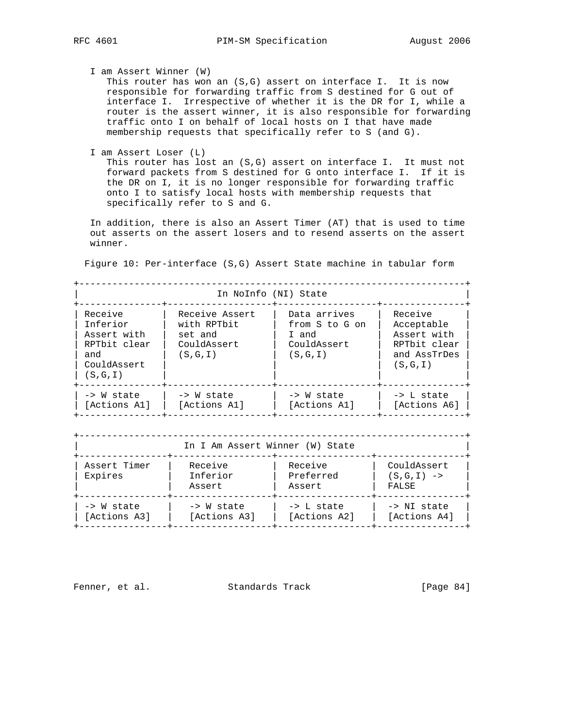I am Assert Winner (W)

This router has won an  $(S, G)$  assert on interface I. It is now responsible for forwarding traffic from S destined for G out of interface I. Irrespective of whether it is the DR for I, while a router is the assert winner, it is also responsible for forwarding traffic onto I on behalf of local hosts on I that have made membership requests that specifically refer to S (and G).

I am Assert Loser (L)

 This router has lost an (S,G) assert on interface I. It must not forward packets from S destined for G onto interface I. If it is the DR on I, it is no longer responsible for forwarding traffic onto I to satisfy local hosts with membership requests that specifically refer to S and G.

 In addition, there is also an Assert Timer (AT) that is used to time out asserts on the assert losers and to resend asserts on the assert winner.

Figure 10: Per-interface (S,G) Assert State machine in tabular form

+----------------------------------------------------------------------+ In NoInfo (NI) State +---------------+-------------------+------------------+---------------+ | Receive | Receive Assert | Data arrives | Receive | | Inferior | with RPTbit | from S to G on | Acceptable | | Assert with | set and | I and | Assert with | | RPTbit clear | CouldAssert | CouldAssert | RPTbit clear | | and  $|(S,G,I)$  |  $(S,G,I)$  | and AssTrDes | | CouldAssert | | | (S,G,I) | | (S,G,I) | | | | +---------------+-------------------+------------------+---------------+ | -> W state | -> W state | -> W state | -> L state | | [Actions A1] | [Actions A1] | [Actions A1] | [Actions A6] | +---------------+-------------------+------------------+---------------+

| In I Am Assert Winner (W) State |                               |                                       |                                      |  |
|---------------------------------|-------------------------------|---------------------------------------|--------------------------------------|--|
| Assert Timer<br>Expires         | Receive<br>Inferior<br>Assert | Receive<br>Preferred<br>Assert        | CouldAssert<br>$(S,G,I)$ -><br>FALSE |  |
| -> W state<br>[Actions A3]      | -> W state<br>[Actions A3]    | $\rightarrow$ L state<br>[Actions A2] | -> NI state<br>[Actions A4]          |  |

Fenner, et al. Standards Track [Page 84]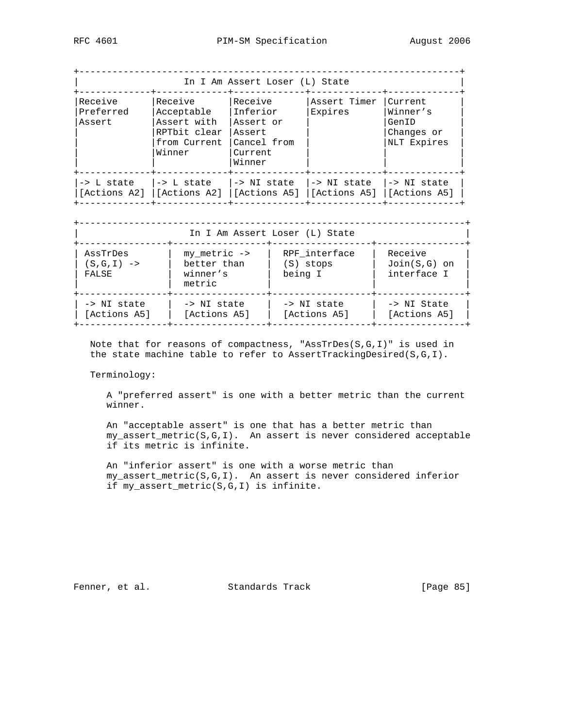| In I Am Assert Loser (L) State |                                                                                |                                                                                      |                         |                                                           |
|--------------------------------|--------------------------------------------------------------------------------|--------------------------------------------------------------------------------------|-------------------------|-----------------------------------------------------------|
| Receive<br>Preferred<br>Assert | Receive<br>Acceptable<br>Assert with<br>RPTbit clear<br>from Current<br>Winner | Receive<br>Inferior<br>Assert or<br>Assert<br>Cancel from<br>Current<br>Winner       | Assert Timer<br>Expires | Current<br>Winner's<br>GenID<br>Changes or<br>NLT Expires |
| -> L state                     | l-> L state                                                                    | l-> NI state<br>[Actions A2]  [Actions A2]  [Actions A5]  [Actions A5]  [Actions A5] | l-> NI state            | -> NI state                                               |

| In I Am Assert Loser (L) State    |                                                       |                                       |                                          |  |
|-----------------------------------|-------------------------------------------------------|---------------------------------------|------------------------------------------|--|
| AssTrDes<br>$(S,G,I)$ -><br>FALSE | $my$ metric $->$<br>better than<br>winner's<br>metric | RPF interface<br>(S) stops<br>being I | Receive<br>$Join(S,G)$ on<br>interface I |  |
| -> NI state<br>[Actions A5]       | -> NI state<br>[Actions A5]                           | -> NI state<br>[Actions A5]           | -> NI State<br>[Actions A5]              |  |

 Note that for reasons of compactness, "AssTrDes(S,G,I)" is used in the state machine table to refer to AssertTrackingDesired(S,G,I).

Terminology:

 A "preferred assert" is one with a better metric than the current winner.

 An "acceptable assert" is one that has a better metric than my\_assert\_metric(S,G,I). An assert is never considered acceptable if its metric is infinite.

 An "inferior assert" is one with a worse metric than my\_assert\_metric(S,G,I). An assert is never considered inferior if my\_assert\_metric(S,G,I) is infinite.

Fenner, et al. Standards Track [Page 85]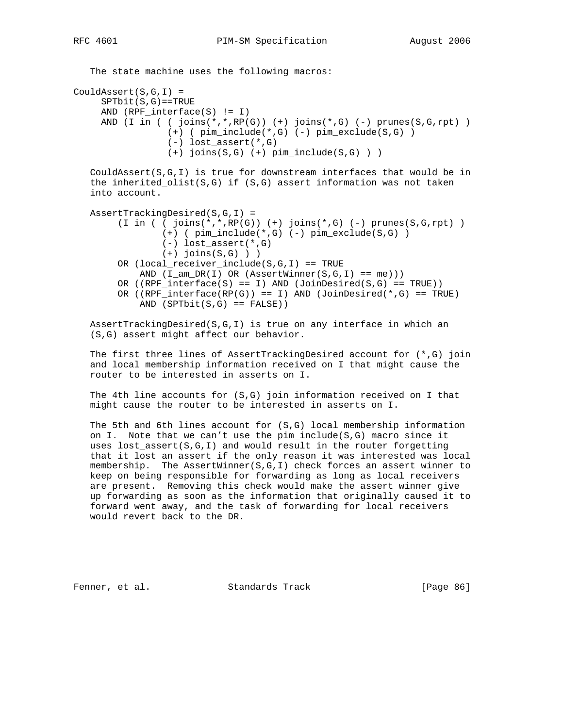```
The state machine uses the following macros:
CouldAssert(S,G,I) =
     SPTbit(S,G) == TRUE AND (RPF_interface(S) != I)
     AND (I in ( ( joins(*,*,RP(G)) (+) joins(*,G) (-) prunes(S,G,rpt))
                    (+) ( pim_include(*,G) (-) pim_exclude(S,G) )
                   (-) lost_assert(*,G)
                   (+) joins(S,G) (+) pim_include(S,G) ) )
    CouldAssert(S,G,I) is true for downstream interfaces that would be in
    the inherited_olist(S,G) if (S,G) assert information was not taken
    into account.
    AssertTrackingDesired(S,G,I) =
         (I \text{ in } (i \text{ joins } (*, * , RP(G)) (+) \text{ joins } (*, G) (-) \text{ prunes}(S, G, rpt)) (+) ( pim_include(*,G) (-) pim_exclude(S,G) )
                  (-) lost_assert(*,G)
                 (+) joins(S,G) ) )
         OR (local_receiver_include(S,G,I) == TRUE
             AND (I_\text{am\_DR}(I) \text{ OR } (AssertWinner(S,G,I) == me)))OR ((RPF_interface(S) == I) AND (JoinDesired(S,G) == TRUE))OR ((RPF_{\text{interface}}(RP(G))) == I) AND (\text{JoinDesired}(*,G)) == TRUE)AND (SP \cap \text{C} = F \cap \text{C}
```
 AssertTrackingDesired(S,G,I) is true on any interface in which an (S,G) assert might affect our behavior.

 The first three lines of AssertTrackingDesired account for (\*,G) join and local membership information received on I that might cause the router to be interested in asserts on I.

 The 4th line accounts for (S,G) join information received on I that might cause the router to be interested in asserts on I.

 The 5th and 6th lines account for (S,G) local membership information on I. Note that we can't use the pim\_include(S,G) macro since it uses lost\_assert(S,G,I) and would result in the router forgetting that it lost an assert if the only reason it was interested was local membership. The AssertWinner(S,G,I) check forces an assert winner to keep on being responsible for forwarding as long as local receivers are present. Removing this check would make the assert winner give up forwarding as soon as the information that originally caused it to forward went away, and the task of forwarding for local receivers would revert back to the DR.

Fenner, et al. Standards Track [Page 86]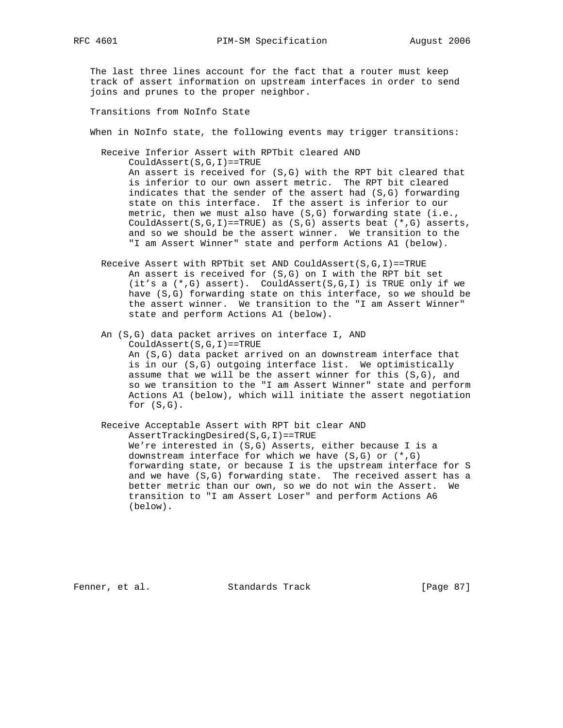The last three lines account for the fact that a router must keep track of assert information on upstream interfaces in order to send joins and prunes to the proper neighbor.

Transitions from NoInfo State

When in NoInfo state, the following events may trigger transitions:

 Receive Inferior Assert with RPTbit cleared AND CouldAssert(S,G,I)==TRUE

> An assert is received for (S,G) with the RPT bit cleared that is inferior to our own assert metric. The RPT bit cleared indicates that the sender of the assert had (S,G) forwarding state on this interface. If the assert is inferior to our metric, then we must also have  $(S, G)$  forwarding state (i.e., CouldAssert(S,G,I)==TRUE) as  $(S,G)$  asserts beat  $(*,G)$  asserts, and so we should be the assert winner. We transition to the "I am Assert Winner" state and perform Actions A1 (below).

Receive Assert with RPTbit set AND CouldAssert( $S,G,I$ )==TRUE An assert is received for (S,G) on I with the RPT bit set (it's a (\*,G) assert). CouldAssert(S,G,I) is TRUE only if we have (S,G) forwarding state on this interface, so we should be the assert winner. We transition to the "I am Assert Winner" state and perform Actions A1 (below).

 An (S,G) data packet arrives on interface I, AND CouldAssert(S,G,I)==TRUE An (S,G) data packet arrived on an downstream interface that is in our (S,G) outgoing interface list. We optimistically assume that we will be the assert winner for this (S,G), and so we transition to the "I am Assert Winner" state and perform Actions A1 (below), which will initiate the assert negotiation for (S,G).

 Receive Acceptable Assert with RPT bit clear AND AssertTrackingDesired(S,G,I)==TRUE We're interested in (S,G) Asserts, either because I is a downstream interface for which we have (S,G) or (\*,G) forwarding state, or because I is the upstream interface for S and we have (S,G) forwarding state. The received assert has a better metric than our own, so we do not win the Assert. We transition to "I am Assert Loser" and perform Actions A6 (below).

Fenner, et al. Standards Track [Page 87]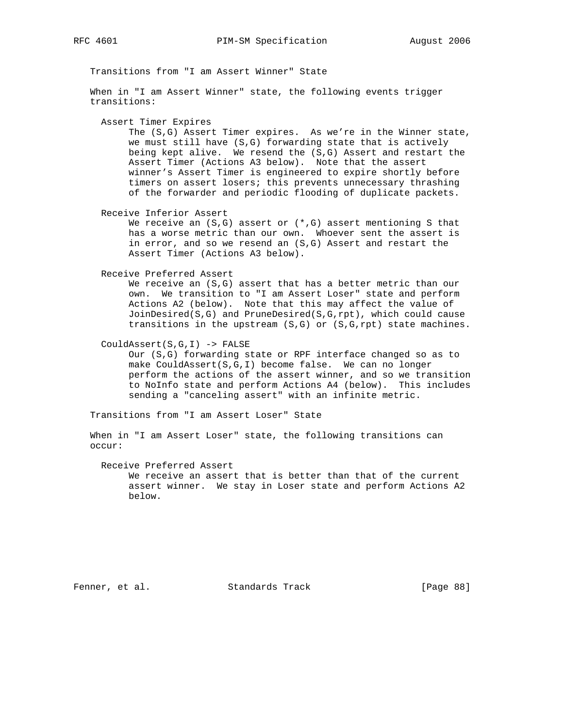Transitions from "I am Assert Winner" State

 When in "I am Assert Winner" state, the following events trigger transitions:

Assert Timer Expires

 The (S,G) Assert Timer expires. As we're in the Winner state, we must still have (S,G) forwarding state that is actively being kept alive. We resend the (S,G) Assert and restart the Assert Timer (Actions A3 below). Note that the assert winner's Assert Timer is engineered to expire shortly before timers on assert losers; this prevents unnecessary thrashing of the forwarder and periodic flooding of duplicate packets.

Receive Inferior Assert

We receive an  $(S, G)$  assert or  $(*, G)$  assert mentioning S that has a worse metric than our own. Whoever sent the assert is in error, and so we resend an (S,G) Assert and restart the Assert Timer (Actions A3 below).

Receive Preferred Assert

 We receive an (S,G) assert that has a better metric than our own. We transition to "I am Assert Loser" state and perform Actions A2 (below). Note that this may affect the value of JoinDesired(S,G) and PruneDesired(S,G,rpt), which could cause transitions in the upstream (S,G) or (S,G,rpt) state machines.

CouldAssert(S,G,I) -> FALSE

 Our (S,G) forwarding state or RPF interface changed so as to make CouldAssert(S,G,I) become false. We can no longer perform the actions of the assert winner, and so we transition to NoInfo state and perform Actions A4 (below). This includes sending a "canceling assert" with an infinite metric.

Transitions from "I am Assert Loser" State

 When in "I am Assert Loser" state, the following transitions can occur:

Receive Preferred Assert

 We receive an assert that is better than that of the current assert winner. We stay in Loser state and perform Actions A2 below.

Fenner, et al. Standards Track [Page 88]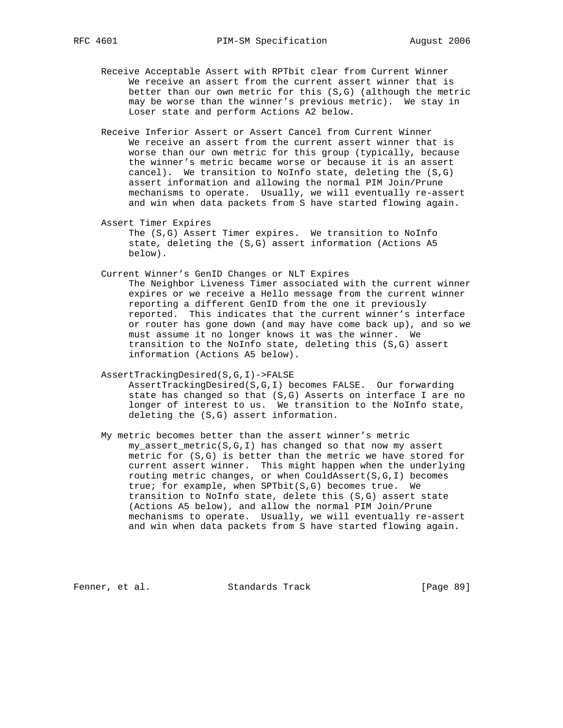- Receive Acceptable Assert with RPTbit clear from Current Winner We receive an assert from the current assert winner that is better than our own metric for this (S,G) (although the metric may be worse than the winner's previous metric). We stay in Loser state and perform Actions A2 below.
- Receive Inferior Assert or Assert Cancel from Current Winner We receive an assert from the current assert winner that is worse than our own metric for this group (typically, because the winner's metric became worse or because it is an assert cancel). We transition to NoInfo state, deleting the (S,G) assert information and allowing the normal PIM Join/Prune mechanisms to operate. Usually, we will eventually re-assert and win when data packets from S have started flowing again.

 Assert Timer Expires The (S,G) Assert Timer expires. We transition to NoInfo state, deleting the (S,G) assert information (Actions A5 below).

 Current Winner's GenID Changes or NLT Expires The Neighbor Liveness Timer associated with the current winner expires or we receive a Hello message from the current winner reporting a different GenID from the one it previously reported. This indicates that the current winner's interface or router has gone down (and may have come back up), and so we must assume it no longer knows it was the winner. We transition to the NoInfo state, deleting this (S,G) assert information (Actions A5 below).

 AssertTrackingDesired(S,G,I)->FALSE AssertTrackingDesired(S,G,I) becomes FALSE. Our forwarding state has changed so that (S,G) Asserts on interface I are no longer of interest to us. We transition to the NoInfo state,

deleting the (S,G) assert information.

 My metric becomes better than the assert winner's metric my\_assert\_metric(S,G,I) has changed so that now my assert metric for (S,G) is better than the metric we have stored for current assert winner. This might happen when the underlying routing metric changes, or when CouldAssert(S,G,I) becomes true; for example, when SPTbit(S,G) becomes true. We transition to NoInfo state, delete this (S,G) assert state (Actions A5 below), and allow the normal PIM Join/Prune mechanisms to operate. Usually, we will eventually re-assert and win when data packets from S have started flowing again.

Fenner, et al. Standards Track [Page 89]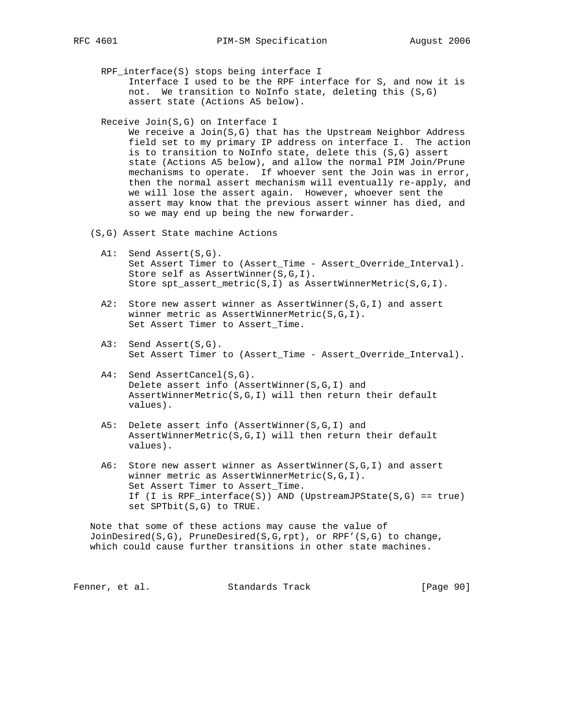- RPF\_interface(S) stops being interface I Interface I used to be the RPF interface for S, and now it is not. We transition to NoInfo state, deleting this (S,G) assert state (Actions A5 below).
- Receive Join(S,G) on Interface I

We receive a Join(S,G) that has the Upstream Neighbor Address field set to my primary IP address on interface I. The action is to transition to NoInfo state, delete this (S,G) assert state (Actions A5 below), and allow the normal PIM Join/Prune mechanisms to operate. If whoever sent the Join was in error, then the normal assert mechanism will eventually re-apply, and we will lose the assert again. However, whoever sent the assert may know that the previous assert winner has died, and so we may end up being the new forwarder.

- (S,G) Assert State machine Actions
	- A1: Send Assert(S,G). Set Assert Timer to (Assert\_Time - Assert\_Override\_Interval). Store self as AssertWinner(S,G,I). Store spt\_assert\_metric(S,I) as AssertWinnerMetric(S,G,I).
	- A2: Store new assert winner as AssertWinner(S,G,I) and assert winner metric as AssertWinnerMetric(S,G,I). Set Assert Timer to Assert\_Time.
	- A3: Send Assert(S,G). Set Assert Timer to (Assert\_Time - Assert\_Override\_Interval).
	- A4: Send AssertCancel(S,G). Delete assert info (AssertWinner(S,G,I) and AssertWinnerMetric(S,G,I) will then return their default values).
	- A5: Delete assert info (AssertWinner(S,G,I) and AssertWinnerMetric(S,G,I) will then return their default values).
	- A6: Store new assert winner as AssertWinner(S,G,I) and assert winner metric as AssertWinnerMetric(S,G,I). Set Assert Timer to Assert\_Time. If (I is RPF\_interface(S)) AND (UpstreamJPState(S,G) == true) set SPTbit(S,G) to TRUE.

 Note that some of these actions may cause the value of JoinDesired(S,G), PruneDesired(S,G,rpt), or RPF'(S,G) to change, which could cause further transitions in other state machines.

Fenner, et al. Standards Track [Page 90]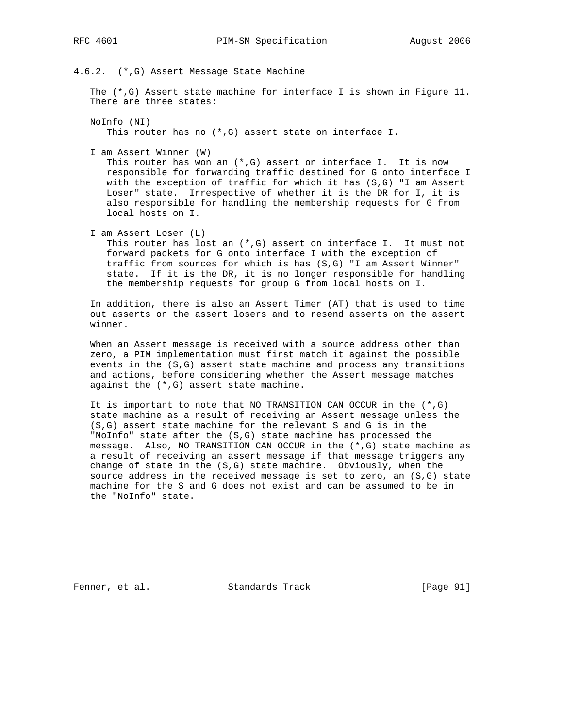4.6.2. (\*,G) Assert Message State Machine

The  $(*$ , G) Assert state machine for interface I is shown in Figure 11. There are three states:

 NoInfo (NI) This router has no (\*,G) assert state on interface I.

I am Assert Winner (W)

This router has won an  $(*,G)$  assert on interface I. It is now responsible for forwarding traffic destined for G onto interface I with the exception of traffic for which it has (S,G) "I am Assert Loser" state. Irrespective of whether it is the DR for I, it is also responsible for handling the membership requests for G from local hosts on I.

I am Assert Loser (L)

 This router has lost an (\*,G) assert on interface I. It must not forward packets for G onto interface I with the exception of traffic from sources for which is has (S,G) "I am Assert Winner" state. If it is the DR, it is no longer responsible for handling the membership requests for group G from local hosts on I.

 In addition, there is also an Assert Timer (AT) that is used to time out asserts on the assert losers and to resend asserts on the assert winner.

 When an Assert message is received with a source address other than zero, a PIM implementation must first match it against the possible events in the (S,G) assert state machine and process any transitions and actions, before considering whether the Assert message matches against the (\*,G) assert state machine.

It is important to note that NO TRANSITION CAN OCCUR in the  $(*$ , G) state machine as a result of receiving an Assert message unless the (S,G) assert state machine for the relevant S and G is in the "NoInfo" state after the (S,G) state machine has processed the message. Also, NO TRANSITION CAN OCCUR in the (\*,G) state machine as a result of receiving an assert message if that message triggers any change of state in the (S,G) state machine. Obviously, when the source address in the received message is set to zero, an (S,G) state machine for the S and G does not exist and can be assumed to be in the "NoInfo" state.

Fenner, et al. Standards Track [Page 91]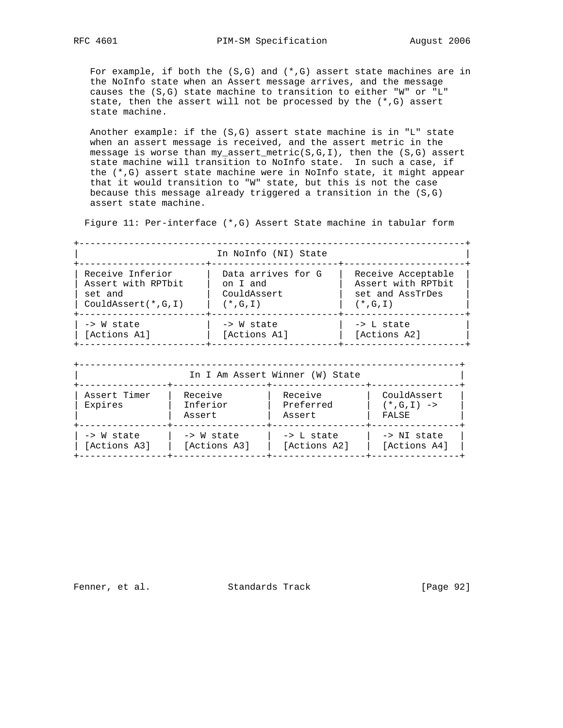For example, if both the  $(S, G)$  and  $(*, G)$  assert state machines are in the NoInfo state when an Assert message arrives, and the message causes the (S,G) state machine to transition to either "W" or "L" state, then the assert will not be processed by the (\*,G) assert state machine.

Another example: if the  $(S, G)$  assert state machine is in "L" state when an assert message is received, and the assert metric in the message is worse than my\_assert\_metric( $S, G, I$ ), then the ( $S, G$ ) assert state machine will transition to NoInfo state. In such a case, if the (\*,G) assert state machine were in NoInfo state, it might appear that it would transition to "W" state, but this is not the case because this message already triggered a transition in the (S,G) assert state machine.

Figure 11: Per-interface (\*,G) Assert State machine in tabular form

|                                                                            |                                         | In NoInfo (NI) State |                                                                              |  |
|----------------------------------------------------------------------------|-----------------------------------------|----------------------|------------------------------------------------------------------------------|--|
| Receive Inferior<br>Assert with RPTbit<br>set and<br>$CouldAsert(*, G, I)$ | on I and<br>CouldAssert<br>$(*$ , G, I) | Data arrives for G   | Receive Acceptable<br>Assert with RPTbit<br>set and AssTrDes<br>$(*$ , G, I) |  |
| -> W state<br>[Actions A1]                                                 | -> W state<br>[Actions A1]              |                      | $\rightarrow$ L state<br>[Actions A2]                                        |  |
| In I Am Assert Winner (W) State                                            |                                         |                      |                                                                              |  |
| Receive<br>Assert Timer<br>Inferior<br>Expires                             |                                         | Receive<br>Preferred | CouldAssert<br>$(* , G , I )$ ->                                             |  |

| Assert | Assert | FALSE

+----------------+-----------------+-----------------+----------------+ | -> W state | -> W state | -> L state | -> NI state | | [Actions A3] | [Actions A3] | [Actions A2] | [Actions A4] | +----------------+-----------------+-----------------+----------------+

Fenner, et al. Standards Track [Page 92]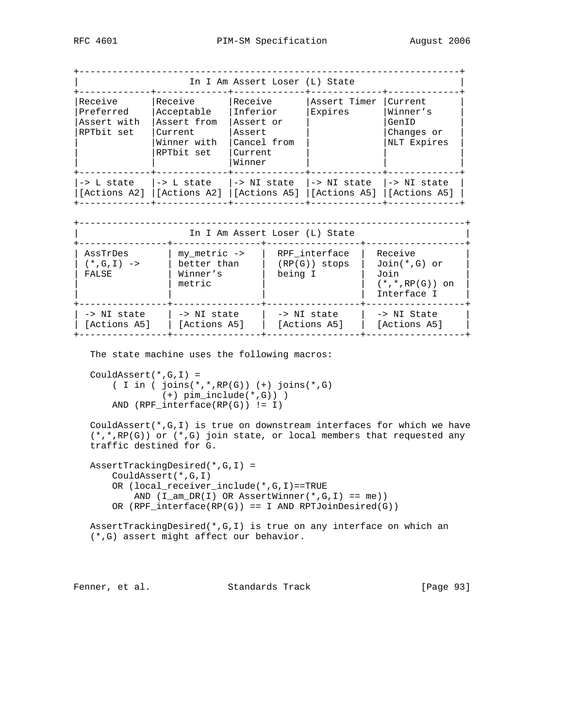| In I Am Assert Loser (L) State<br>----+------------- |                                                                              |                                                                                                      |                          |                                                           |
|------------------------------------------------------|------------------------------------------------------------------------------|------------------------------------------------------------------------------------------------------|--------------------------|-----------------------------------------------------------|
| Receive<br>Preferred<br>Assert with<br>RPTbit set    | Receive<br>Acceptable<br>Assert from<br>Current<br>Winner with<br>RPTbit set | Receive<br>Inferior<br>Assert or<br>Assert<br>Cancel from<br>Current<br>Winner                       | Assert Timer<br>Expires  | Current<br>Winner's<br>GenID<br>Changes or<br>NLT Expires |
| $\rightarrow$ L state $\rightarrow$ L state          | --+------                                                                    | --+----------<br>-> NI state<br>[Actions A2]  [Actions A2]  [Actions A5]  [Actions A5]  [Actions A5] | -> NI state  -> NI state |                                                           |

| In I Am Assert Loser (L) State                  |                                                       |                                             |                                                                          |  |
|-------------------------------------------------|-------------------------------------------------------|---------------------------------------------|--------------------------------------------------------------------------|--|
| AssTrDes<br>$(* , G , I ) \rightarrow$<br>FALSE | $my$ metric $->$<br>better than<br>Winner's<br>metric | RPF interface<br>$(RP(G))$ stops<br>being I | Receive<br>$Join(*,G)$ or<br>Join<br>$(*$ , $*,RP(G))$ on<br>Interface I |  |
| -> NI state<br>[Actions A5]                     | -> NI state<br>[Actions A5]                           | -> NI state<br>[Actions A5]                 | -> NI State<br>[Actions A5]                                              |  |

The state machine uses the following macros:

```
 CouldAssert(*,G,I) =
   ( I in ( joins(*,*,RP(G)) (+) joins(*,G)
            (+) pim_include(*,G)) )
     AND (RPF_interface(RP(G)) != I)
```
CouldAssert( $*,G,I$ ) is true on downstream interfaces for which we have (\*,\*,RP(G)) or (\*,G) join state, or local members that requested any traffic destined for G.

```
 AssertTrackingDesired(*,G,I) =
     CouldAssert(*,G,I)
     OR (local_receiver_include(*,G,I)==TRUE
       AND (I_\text{am\_DR}(I) OR AssertWinner(*,G,I) == me))
    OR (RPF_interface(RP(G)) == I AND RPTJoinDesired(G))
```
 AssertTrackingDesired(\*,G,I) is true on any interface on which an (\*,G) assert might affect our behavior.

Fenner, et al. Standards Track [Page 93]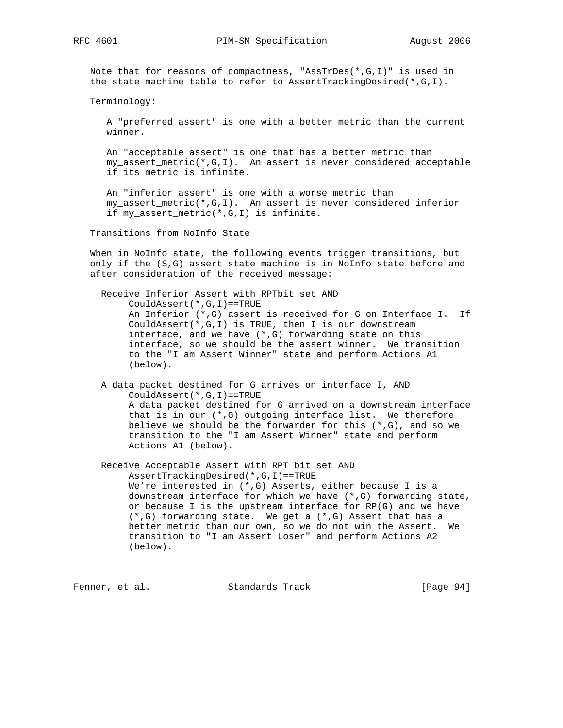Note that for reasons of compactness, "AssTrDes(\*,G,I)" is used in the state machine table to refer to AssertTrackingDesired(\*,G,I).

Terminology:

 A "preferred assert" is one with a better metric than the current winner.

 An "acceptable assert" is one that has a better metric than my\_assert\_metric(\*,G,I). An assert is never considered acceptable if its metric is infinite.

 An "inferior assert" is one with a worse metric than my\_assert\_metric(\*,G,I). An assert is never considered inferior if my\_assert\_metric(\*,G,I) is infinite.

Transitions from NoInfo State

 When in NoInfo state, the following events trigger transitions, but only if the (S,G) assert state machine is in NoInfo state before and after consideration of the received message:

 Receive Inferior Assert with RPTbit set AND CouldAssert(\*,G,I)==TRUE An Inferior (\*,G) assert is received for G on Interface I. If CouldAssert(\*,G,I) is TRUE, then I is our downstream interface, and we have (\*,G) forwarding state on this interface, so we should be the assert winner. We transition to the "I am Assert Winner" state and perform Actions A1 (below).

 A data packet destined for G arrives on interface I, AND CouldAssert(\*,G,I)==TRUE A data packet destined for G arrived on a downstream interface that is in our (\*,G) outgoing interface list. We therefore believe we should be the forwarder for this  $(*$ ,  $G)$ , and so we transition to the "I am Assert Winner" state and perform Actions A1 (below).

 Receive Acceptable Assert with RPT bit set AND AssertTrackingDesired(\*,G,I)==TRUE We're interested in (\*,G) Asserts, either because I is a downstream interface for which we have (\*,G) forwarding state, or because I is the upstream interface for RP(G) and we have (\*,G) forwarding state. We get a (\*,G) Assert that has a better metric than our own, so we do not win the Assert. We transition to "I am Assert Loser" and perform Actions A2 (below).

Fenner, et al. Standards Track [Page 94]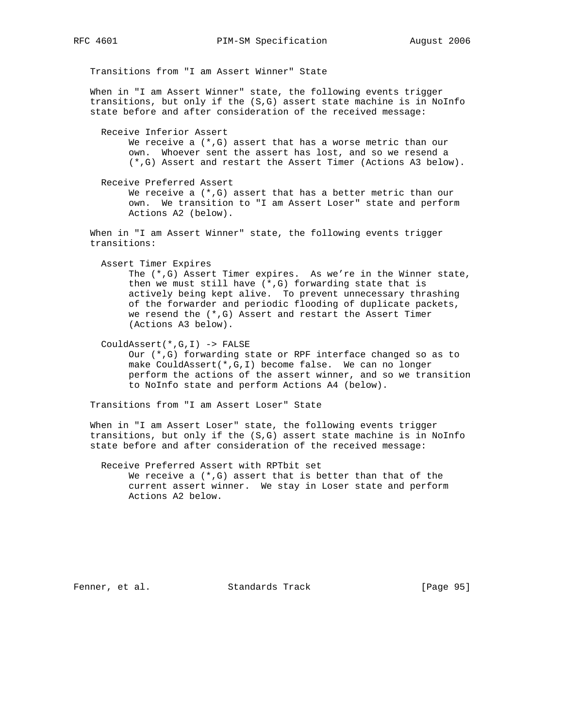Transitions from "I am Assert Winner" State

 When in "I am Assert Winner" state, the following events trigger transitions, but only if the (S,G) assert state machine is in NoInfo state before and after consideration of the received message:

 Receive Inferior Assert We receive a  $(*,G)$  assert that has a worse metric than our own. Whoever sent the assert has lost, and so we resend a (\*,G) Assert and restart the Assert Timer (Actions A3 below).

 Receive Preferred Assert We receive a  $(*,G)$  assert that has a better metric than our own. We transition to "I am Assert Loser" state and perform Actions A2 (below).

 When in "I am Assert Winner" state, the following events trigger transitions:

Assert Timer Expires

 The (\*,G) Assert Timer expires. As we're in the Winner state, then we must still have (\*,G) forwarding state that is actively being kept alive. To prevent unnecessary thrashing of the forwarder and periodic flooding of duplicate packets, we resend the (\*,G) Assert and restart the Assert Timer (Actions A3 below).

CouldAssert(\*,G,I) -> FALSE

 Our (\*,G) forwarding state or RPF interface changed so as to make CouldAssert(\*,G,I) become false. We can no longer perform the actions of the assert winner, and so we transition to NoInfo state and perform Actions A4 (below).

Transitions from "I am Assert Loser" State

 When in "I am Assert Loser" state, the following events trigger transitions, but only if the (S,G) assert state machine is in NoInfo state before and after consideration of the received message:

 Receive Preferred Assert with RPTbit set We receive a  $(*$ , G) assert that is better than that of the current assert winner. We stay in Loser state and perform Actions A2 below.

Fenner, et al. Standards Track [Page 95]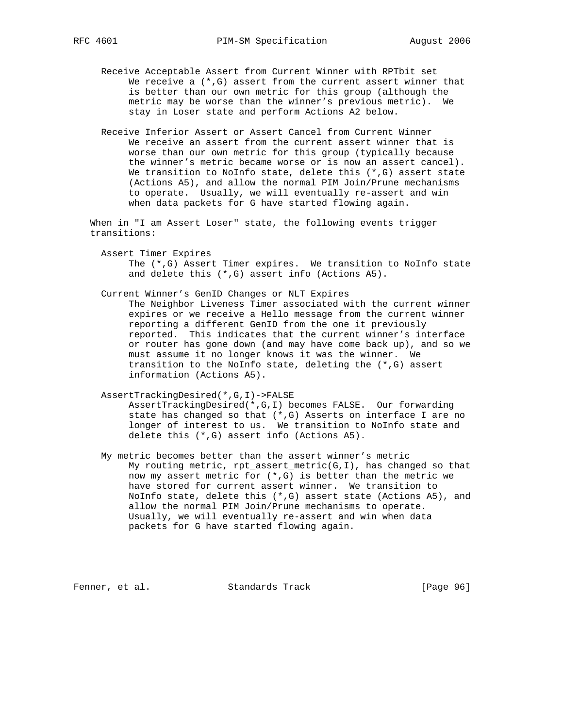- Receive Acceptable Assert from Current Winner with RPTbit set We receive a  $(*,G)$  assert from the current assert winner that is better than our own metric for this group (although the metric may be worse than the winner's previous metric). We stay in Loser state and perform Actions A2 below.
- Receive Inferior Assert or Assert Cancel from Current Winner We receive an assert from the current assert winner that is worse than our own metric for this group (typically because the winner's metric became worse or is now an assert cancel). We transition to NoInfo state, delete this  $(*,G)$  assert state (Actions A5), and allow the normal PIM Join/Prune mechanisms to operate. Usually, we will eventually re-assert and win when data packets for G have started flowing again.

 When in "I am Assert Loser" state, the following events trigger transitions:

 Assert Timer Expires The (\*,G) Assert Timer expires. We transition to NoInfo state and delete this (\*,G) assert info (Actions A5).

 Current Winner's GenID Changes or NLT Expires The Neighbor Liveness Timer associated with the current winner expires or we receive a Hello message from the current winner reporting a different GenID from the one it previously reported. This indicates that the current winner's interface or router has gone down (and may have come back up), and so we must assume it no longer knows it was the winner. We transition to the NoInfo state, deleting the (\*,G) assert information (Actions A5).

 AssertTrackingDesired(\*,G,I)->FALSE AssertTrackingDesired(\*,G,I) becomes FALSE. Our forwarding state has changed so that  $(*$ , G) Asserts on interface I are no longer of interest to us. We transition to NoInfo state and delete this (\*,G) assert info (Actions A5).

 My metric becomes better than the assert winner's metric My routing metric, rpt assert metric(G,I), has changed so that now my assert metric for (\*,G) is better than the metric we have stored for current assert winner. We transition to NoInfo state, delete this (\*,G) assert state (Actions A5), and allow the normal PIM Join/Prune mechanisms to operate. Usually, we will eventually re-assert and win when data packets for G have started flowing again.

Fenner, et al. Standards Track [Page 96]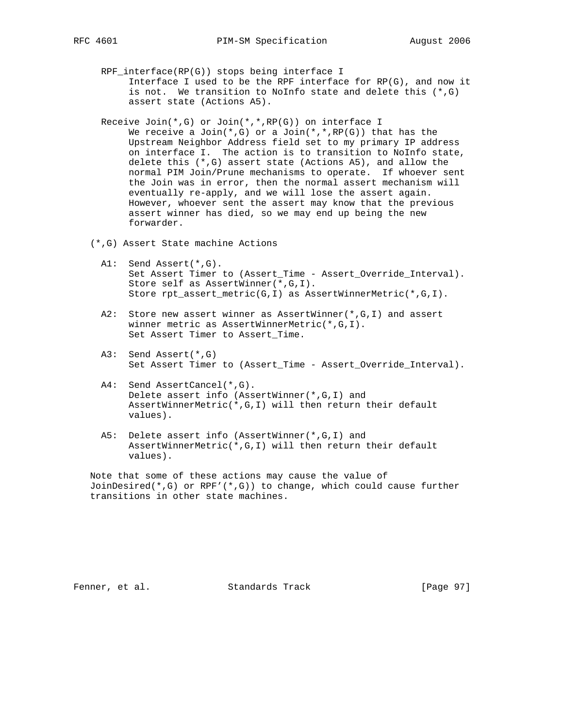- RPF\_interface(RP(G)) stops being interface I Interface I used to be the RPF interface for RP(G), and now it is not. We transition to NoInfo state and delete this  $(*,G)$ assert state (Actions A5).
- Receive Join(\*,G) or Join(\*,\*,RP(G)) on interface I We receive a Join(\*,G) or a Join(\*,\*,RP(G)) that has the Upstream Neighbor Address field set to my primary IP address on interface I. The action is to transition to NoInfo state, delete this (\*,G) assert state (Actions A5), and allow the normal PIM Join/Prune mechanisms to operate. If whoever sent the Join was in error, then the normal assert mechanism will eventually re-apply, and we will lose the assert again. However, whoever sent the assert may know that the previous assert winner has died, so we may end up being the new forwarder.
- (\*,G) Assert State machine Actions
	- A1: Send Assert(\*,G). Set Assert Timer to (Assert\_Time - Assert\_Override\_Interval). Store self as AssertWinner(\*,G,I). Store rpt\_assert\_metric(G,I) as AssertWinnerMetric(\*,G,I).
	- A2: Store new assert winner as AssertWinner(\*,G,I) and assert winner metric as AssertWinnerMetric(\*,G,I). Set Assert Timer to Assert\_Time.
	- A3: Send Assert(\*,G) Set Assert Timer to (Assert\_Time - Assert\_Override\_Interval).
	- A4: Send AssertCancel(\*,G). Delete assert info (AssertWinner(\*,G,I) and AssertWinnerMetric(\*,G,I) will then return their default values).
	- A5: Delete assert info (AssertWinner(\*,G,I) and AssertWinnerMetric(\*,G,I) will then return their default values).

 Note that some of these actions may cause the value of JoinDesired(\*,G) or RPF'(\*,G)) to change, which could cause further transitions in other state machines.

Fenner, et al. Standards Track [Page 97]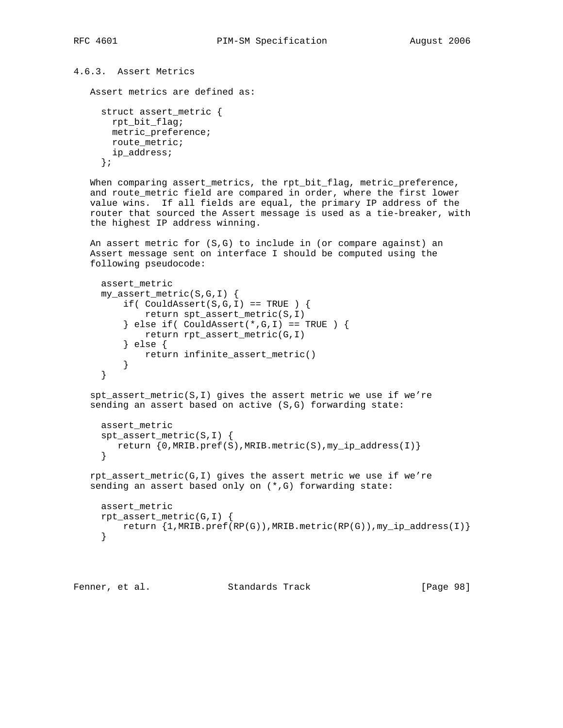```
4.6.3. Assert Metrics
    Assert metrics are defined as:
```

```
 struct assert_metric {
  rpt_bit_flag;
  metric_preference;
  route_metric;
  ip_address;
 };
```
When comparing assert\_metrics, the rpt\_bit\_flag, metric\_preference, and route\_metric field are compared in order, where the first lower value wins. If all fields are equal, the primary IP address of the router that sourced the Assert message is used as a tie-breaker, with the highest IP address winning.

 An assert metric for (S,G) to include in (or compare against) an Assert message sent on interface I should be computed using the following pseudocode:

```
 assert_metric
     my_assert_metric(S,G,I) {
        if( Couldissert(S,G,I) == TRUE ) {
              return spt_assert_metric(S,I)
         \} else if( CouldAssert(*,G,I) == TRUE ) {
              return rpt_assert_metric(G,I)
          } else {
             return infinite_assert_metric()
 }
     }
```
 $spt\_assert\_metric(S,I)$  gives the assert metric we use if we're sending an assert based on active (S,G) forwarding state:

```
 assert_metric
 spt_assert_metric(S,I) {
    return {0,MRIB.pref(S),MRIB.metric(S),my_ip_address(I)}
 }
```

```
 rpt_assert_metric(G,I) gives the assert metric we use if we're
 sending an assert based only on (*,G) forwarding state:
```

```
 assert_metric
 rpt_assert_metric(G,I) {
    return \{1, \text{MRIB.pref(RP(G))}, \text{MRIB.metric(RP(G))}, \text{my\_ip\_address(I)}\} }
```

```
Fenner, et al. Standards Track [Page 98]
```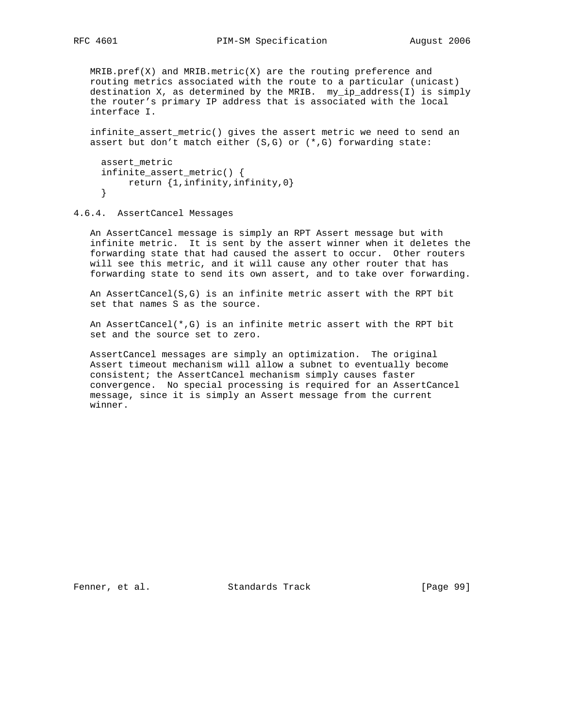MRIB.pref(X) and MRIB.metric(X) are the routing preference and routing metrics associated with the route to a particular (unicast) destination X, as determined by the MRIB. my\_ip\_address(I) is simply the router's primary IP address that is associated with the local interface I.

 infinite\_assert\_metric() gives the assert metric we need to send an assert but don't match either  $(S,G)$  or  $(*,G)$  forwarding state:

```
assert metric
 infinite_assert_metric() {
    return {1,infinity,infinity,0}
 }
```
4.6.4. AssertCancel Messages

 An AssertCancel message is simply an RPT Assert message but with infinite metric. It is sent by the assert winner when it deletes the forwarding state that had caused the assert to occur. Other routers will see this metric, and it will cause any other router that has forwarding state to send its own assert, and to take over forwarding.

 An AssertCancel(S,G) is an infinite metric assert with the RPT bit set that names S as the source.

 An AssertCancel(\*,G) is an infinite metric assert with the RPT bit set and the source set to zero.

 AssertCancel messages are simply an optimization. The original Assert timeout mechanism will allow a subnet to eventually become consistent; the AssertCancel mechanism simply causes faster convergence. No special processing is required for an AssertCancel message, since it is simply an Assert message from the current winner.

Fenner, et al. Standards Track [Page 99]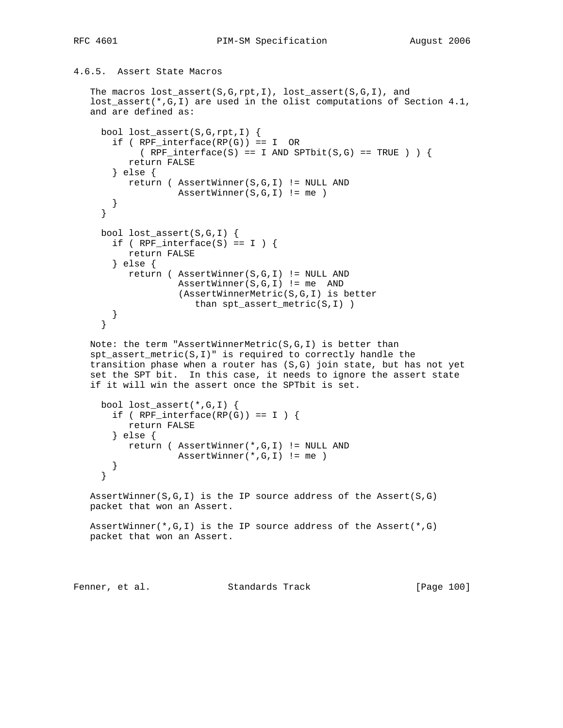```
4.6.5. Assert State Macros
```

```
 The macros lost_assert(S,G,rpt,I), lost_assert(S,G,I), and
 lost_assert(*,G,I) are used in the olist computations of Section 4.1,
 and are defined as:
   bool lost_assert(S,G,rpt,I) {
     if ( RPF_interface(RP(G)) == I OR
         (RPF_interface(S) == I AND SPTbit(S,G) == TRUE ) ) {
        return FALSE
     } else {
       return ( AssertWinner(S,G,I) != NULL AND
                 AssertWinner(S,G,I) != me )
     }
   }
   bool lost_assert(S,G,I) {
    if ( RPF_interface(S) == I ) {
        return FALSE
     } else {
        return ( AssertWinner(S,G,I) != NULL AND
                 AssertWinner(S,G,I) != me AND
                  (AssertWinnerMetric(S,G,I) is better
                     than spt_assert_metric(S,I) )
     }
   }
 Note: the term "AssertWinnerMetric(S,G,I) is better than
 spt_assert_metric(S,I)" is required to correctly handle the
 transition phase when a router has (S,G) join state, but has not yet
 set the SPT bit. In this case, it needs to ignore the assert state
 if it will win the assert once the SPTbit is set.
   bool lost_assert(*,G,I) {
    if ( RPF\_interface(RP(G)) == I ) {
        return FALSE
     } else {
        return ( AssertWinner(*,G,I) != NULL AND
                \texttt{AssertWinner}(*,G,I) \text{ != } me }
   }
AssertWinner(S,G,I) is the IP source address of the Assert(S,G)
 packet that won an Assert.
 AssertWinner(*,G,I) is the IP source address of the Assert(*,G)
 packet that won an Assert.
```
Fenner, et al. Standards Track [Page 100]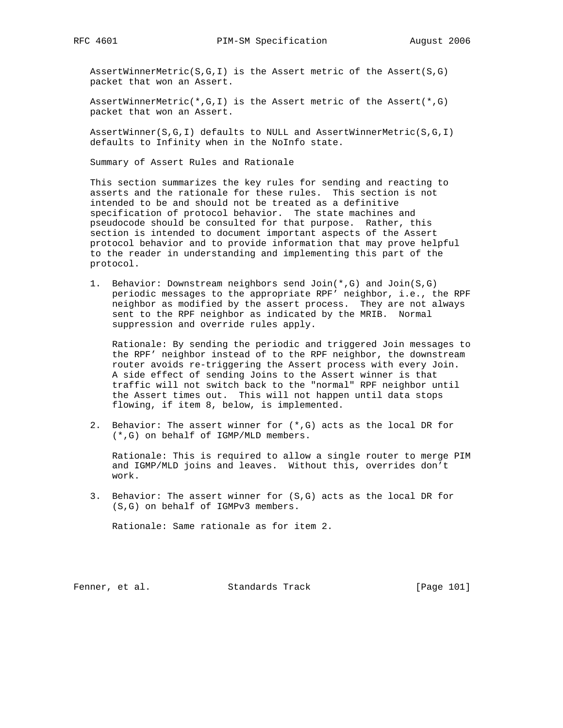AssertWinnerMetric(S,G,I) is the Assert metric of the Assert(S,G) packet that won an Assert.

AssertWinnerMetric(\*,G,I) is the Assert metric of the Assert(\*,G) packet that won an Assert.

 AssertWinner(S,G,I) defaults to NULL and AssertWinnerMetric(S,G,I) defaults to Infinity when in the NoInfo state.

Summary of Assert Rules and Rationale

 This section summarizes the key rules for sending and reacting to asserts and the rationale for these rules. This section is not intended to be and should not be treated as a definitive specification of protocol behavior. The state machines and pseudocode should be consulted for that purpose. Rather, this section is intended to document important aspects of the Assert protocol behavior and to provide information that may prove helpful to the reader in understanding and implementing this part of the protocol.

 1. Behavior: Downstream neighbors send Join(\*,G) and Join(S,G) periodic messages to the appropriate RPF' neighbor, i.e., the RPF neighbor as modified by the assert process. They are not always sent to the RPF neighbor as indicated by the MRIB. Normal suppression and override rules apply.

 Rationale: By sending the periodic and triggered Join messages to the RPF' neighbor instead of to the RPF neighbor, the downstream router avoids re-triggering the Assert process with every Join. A side effect of sending Joins to the Assert winner is that traffic will not switch back to the "normal" RPF neighbor until the Assert times out. This will not happen until data stops flowing, if item 8, below, is implemented.

 2. Behavior: The assert winner for (\*,G) acts as the local DR for (\*,G) on behalf of IGMP/MLD members.

 Rationale: This is required to allow a single router to merge PIM and IGMP/MLD joins and leaves. Without this, overrides don't work.

 3. Behavior: The assert winner for (S,G) acts as the local DR for (S,G) on behalf of IGMPv3 members.

Rationale: Same rationale as for item 2.

Fenner, et al. Standards Track [Page 101]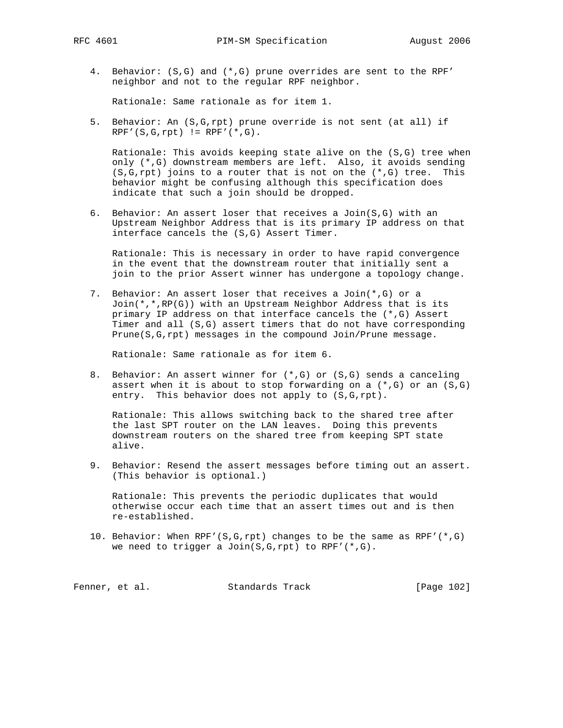- - 4. Behavior: (S,G) and (\*,G) prune overrides are sent to the RPF' neighbor and not to the regular RPF neighbor.

Rationale: Same rationale as for item 1.

 5. Behavior: An (S,G,rpt) prune override is not sent (at all) if  $RPF'(S,G,rpt) := RPF'(*,G).$ 

 Rationale: This avoids keeping state alive on the (S,G) tree when only (\*,G) downstream members are left. Also, it avoids sending  $(S, G, rpt)$  joins to a router that is not on the  $(*, G)$  tree. This behavior might be confusing although this specification does indicate that such a join should be dropped.

 6. Behavior: An assert loser that receives a Join(S,G) with an Upstream Neighbor Address that is its primary IP address on that interface cancels the (S,G) Assert Timer.

 Rationale: This is necessary in order to have rapid convergence in the event that the downstream router that initially sent a join to the prior Assert winner has undergone a topology change.

 7. Behavior: An assert loser that receives a Join(\*,G) or a Join(\*,\*,RP(G)) with an Upstream Neighbor Address that is its primary IP address on that interface cancels the (\*,G) Assert Timer and all (S,G) assert timers that do not have corresponding Prune(S,G,rpt) messages in the compound Join/Prune message.

Rationale: Same rationale as for item 6.

 8. Behavior: An assert winner for (\*,G) or (S,G) sends a canceling assert when it is about to stop forwarding on a  $(*,G)$  or an  $(S,G)$ entry. This behavior does not apply to  $(S, G, rpt)$ .

 Rationale: This allows switching back to the shared tree after the last SPT router on the LAN leaves. Doing this prevents downstream routers on the shared tree from keeping SPT state alive.

 9. Behavior: Resend the assert messages before timing out an assert. (This behavior is optional.)

 Rationale: This prevents the periodic duplicates that would otherwise occur each time that an assert times out and is then re-established.

 10. Behavior: When RPF'(S,G,rpt) changes to be the same as RPF'(\*,G) we need to trigger a Join( $S, G, rpt$ ) to RPF'( $*, G$ ).

Fenner, et al. Standards Track [Page 102]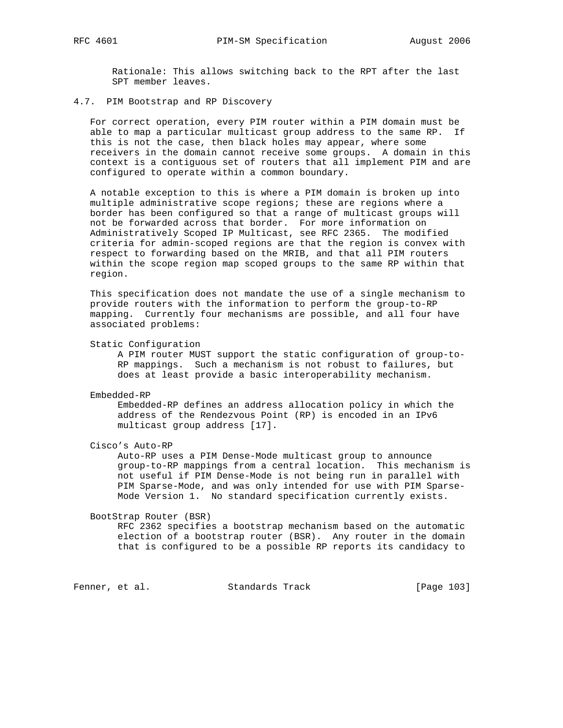Rationale: This allows switching back to the RPT after the last SPT member leaves.

4.7. PIM Bootstrap and RP Discovery

 For correct operation, every PIM router within a PIM domain must be able to map a particular multicast group address to the same RP. If this is not the case, then black holes may appear, where some receivers in the domain cannot receive some groups. A domain in this context is a contiguous set of routers that all implement PIM and are configured to operate within a common boundary.

 A notable exception to this is where a PIM domain is broken up into multiple administrative scope regions; these are regions where a border has been configured so that a range of multicast groups will not be forwarded across that border. For more information on Administratively Scoped IP Multicast, see RFC 2365. The modified criteria for admin-scoped regions are that the region is convex with respect to forwarding based on the MRIB, and that all PIM routers within the scope region map scoped groups to the same RP within that region.

 This specification does not mandate the use of a single mechanism to provide routers with the information to perform the group-to-RP mapping. Currently four mechanisms are possible, and all four have associated problems:

Static Configuration

 A PIM router MUST support the static configuration of group-to- RP mappings. Such a mechanism is not robust to failures, but does at least provide a basic interoperability mechanism.

Embedded-RP

 Embedded-RP defines an address allocation policy in which the address of the Rendezvous Point (RP) is encoded in an IPv6 multicast group address [17].

Cisco's Auto-RP

 Auto-RP uses a PIM Dense-Mode multicast group to announce group-to-RP mappings from a central location. This mechanism is not useful if PIM Dense-Mode is not being run in parallel with PIM Sparse-Mode, and was only intended for use with PIM Sparse- Mode Version 1. No standard specification currently exists.

BootStrap Router (BSR)

 RFC 2362 specifies a bootstrap mechanism based on the automatic election of a bootstrap router (BSR). Any router in the domain that is configured to be a possible RP reports its candidacy to

Fenner, et al. Standards Track [Page 103]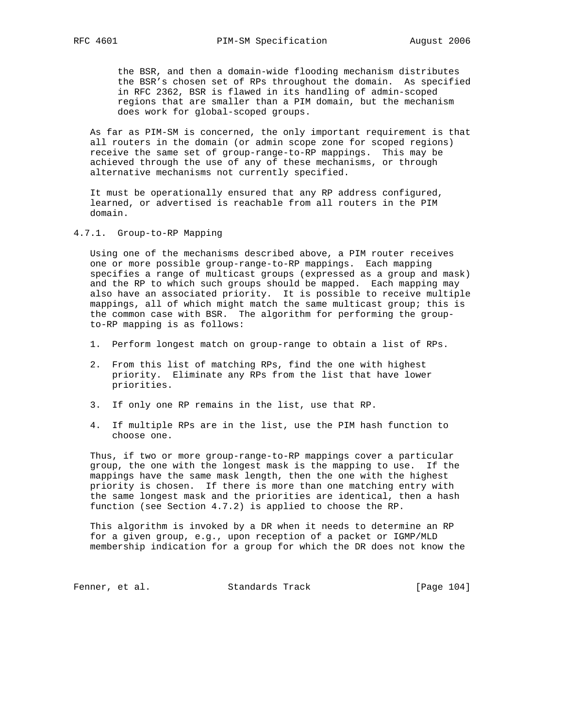the BSR, and then a domain-wide flooding mechanism distributes the BSR's chosen set of RPs throughout the domain. As specified in RFC 2362, BSR is flawed in its handling of admin-scoped regions that are smaller than a PIM domain, but the mechanism does work for global-scoped groups.

 As far as PIM-SM is concerned, the only important requirement is that all routers in the domain (or admin scope zone for scoped regions) receive the same set of group-range-to-RP mappings. This may be achieved through the use of any of these mechanisms, or through alternative mechanisms not currently specified.

 It must be operationally ensured that any RP address configured, learned, or advertised is reachable from all routers in the PIM domain.

4.7.1. Group-to-RP Mapping

 Using one of the mechanisms described above, a PIM router receives one or more possible group-range-to-RP mappings. Each mapping specifies a range of multicast groups (expressed as a group and mask) and the RP to which such groups should be mapped. Each mapping may also have an associated priority. It is possible to receive multiple mappings, all of which might match the same multicast group; this is the common case with BSR. The algorithm for performing the group to-RP mapping is as follows:

- 1. Perform longest match on group-range to obtain a list of RPs.
- 2. From this list of matching RPs, find the one with highest priority. Eliminate any RPs from the list that have lower priorities.
- 3. If only one RP remains in the list, use that RP.
- 4. If multiple RPs are in the list, use the PIM hash function to choose one.

 Thus, if two or more group-range-to-RP mappings cover a particular group, the one with the longest mask is the mapping to use. If the mappings have the same mask length, then the one with the highest priority is chosen. If there is more than one matching entry with the same longest mask and the priorities are identical, then a hash function (see Section 4.7.2) is applied to choose the RP.

 This algorithm is invoked by a DR when it needs to determine an RP for a given group, e.g., upon reception of a packet or IGMP/MLD membership indication for a group for which the DR does not know the

Fenner, et al. Standards Track [Page 104]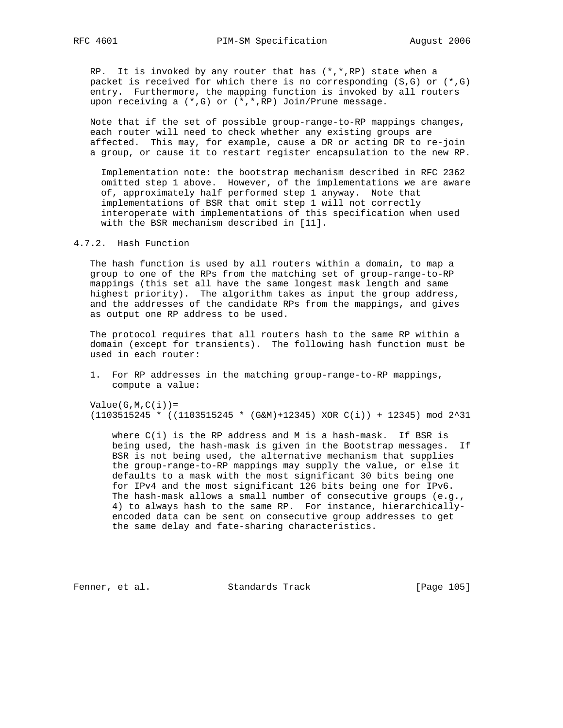RP. It is invoked by any router that has  $(*,*,RP)$  state when a packet is received for which there is no corresponding  $(S,G)$  or  $(*,G)$  entry. Furthermore, the mapping function is invoked by all routers upon receiving a (\*,G) or (\*,\*,RP) Join/Prune message.

 Note that if the set of possible group-range-to-RP mappings changes, each router will need to check whether any existing groups are affected. This may, for example, cause a DR or acting DR to re-join a group, or cause it to restart register encapsulation to the new RP.

 Implementation note: the bootstrap mechanism described in RFC 2362 omitted step 1 above. However, of the implementations we are aware of, approximately half performed step 1 anyway. Note that implementations of BSR that omit step 1 will not correctly interoperate with implementations of this specification when used with the BSR mechanism described in [11].

4.7.2. Hash Function

 The hash function is used by all routers within a domain, to map a group to one of the RPs from the matching set of group-range-to-RP mappings (this set all have the same longest mask length and same highest priority). The algorithm takes as input the group address, and the addresses of the candidate RPs from the mappings, and gives as output one RP address to be used.

 The protocol requires that all routers hash to the same RP within a domain (except for transients). The following hash function must be used in each router:

 1. For RP addresses in the matching group-range-to-RP mappings, compute a value:

```
Value(G, M, C(i)) =
```
(1103515245 \* ((1103515245 \* (G&M)+12345) XOR C(i)) + 12345) mod 2^31

 where C(i) is the RP address and M is a hash-mask. If BSR is being used, the hash-mask is given in the Bootstrap messages. If BSR is not being used, the alternative mechanism that supplies the group-range-to-RP mappings may supply the value, or else it defaults to a mask with the most significant 30 bits being one for IPv4 and the most significant 126 bits being one for IPv6. The hash-mask allows a small number of consecutive groups (e.g., 4) to always hash to the same RP. For instance, hierarchically encoded data can be sent on consecutive group addresses to get the same delay and fate-sharing characteristics.

Fenner, et al. Standards Track [Page 105]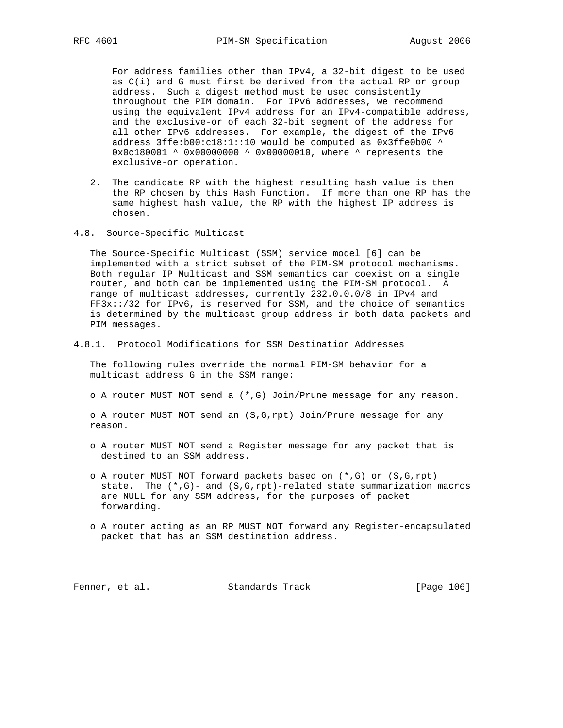For address families other than IPv4, a 32-bit digest to be used as  $C(i)$  and G must first be derived from the actual RP or group address. Such a digest method must be used consistently throughout the PIM domain. For IPv6 addresses, we recommend using the equivalent IPv4 address for an IPv4-compatible address, and the exclusive-or of each 32-bit segment of the address for all other IPv6 addresses. For example, the digest of the IPv6 address 3ffe:b00:c18:1::10 would be computed as 0x3ffe0b00 ^ 0x0c180001 ^ 0x00000000 ^ 0x00000010, where ^ represents the exclusive-or operation.

- 2. The candidate RP with the highest resulting hash value is then the RP chosen by this Hash Function. If more than one RP has the same highest hash value, the RP with the highest IP address is chosen.
- 4.8. Source-Specific Multicast

 The Source-Specific Multicast (SSM) service model [6] can be implemented with a strict subset of the PIM-SM protocol mechanisms. Both regular IP Multicast and SSM semantics can coexist on a single router, and both can be implemented using the PIM-SM protocol. A range of multicast addresses, currently 232.0.0.0/8 in IPv4 and FF3x::/32 for IPv6, is reserved for SSM, and the choice of semantics is determined by the multicast group address in both data packets and PIM messages.

4.8.1. Protocol Modifications for SSM Destination Addresses

 The following rules override the normal PIM-SM behavior for a multicast address G in the SSM range:

o A router MUST NOT send a (\*,G) Join/Prune message for any reason.

 o A router MUST NOT send an (S,G,rpt) Join/Prune message for any reason.

- o A router MUST NOT send a Register message for any packet that is destined to an SSM address.
- o A router MUST NOT forward packets based on (\*,G) or (S,G,rpt) state. The  $(*$ , G)- and  $(S, G, rpt)$ -related state summarization macros are NULL for any SSM address, for the purposes of packet forwarding.
- o A router acting as an RP MUST NOT forward any Register-encapsulated packet that has an SSM destination address.

Fenner, et al. Standards Track [Page 106]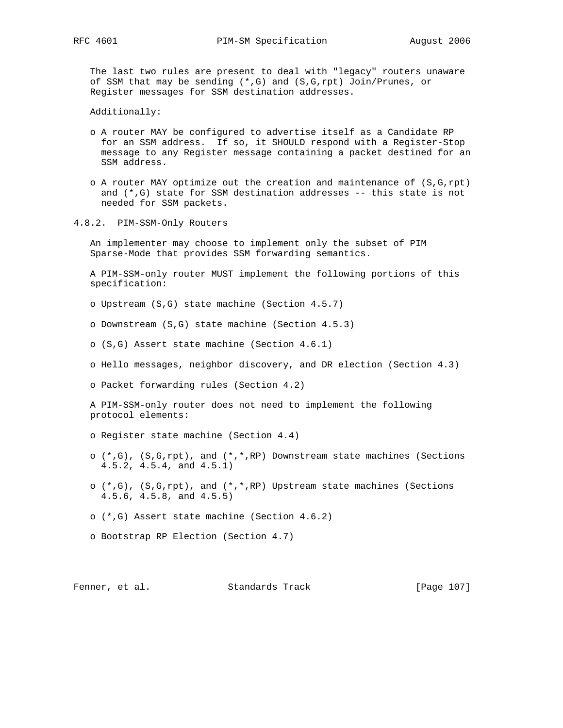The last two rules are present to deal with "legacy" routers unaware of SSM that may be sending (\*,G) and (S,G,rpt) Join/Prunes, or Register messages for SSM destination addresses.

Additionally:

- o A router MAY be configured to advertise itself as a Candidate RP for an SSM address. If so, it SHOULD respond with a Register-Stop message to any Register message containing a packet destined for an SSM address.
- o A router MAY optimize out the creation and maintenance of  $(S, G, rpt)$  and (\*,G) state for SSM destination addresses -- this state is not needed for SSM packets.
- 4.8.2. PIM-SSM-Only Routers

 An implementer may choose to implement only the subset of PIM Sparse-Mode that provides SSM forwarding semantics.

 A PIM-SSM-only router MUST implement the following portions of this specification:

- o Upstream (S,G) state machine (Section 4.5.7)
- o Downstream (S,G) state machine (Section 4.5.3)
- o (S,G) Assert state machine (Section 4.6.1)
- o Hello messages, neighbor discovery, and DR election (Section 4.3)

o Packet forwarding rules (Section 4.2)

 A PIM-SSM-only router does not need to implement the following protocol elements:

- o Register state machine (Section 4.4)
- o  $(*,G)$ ,  $(S,G,rpt)$ , and  $(*,*,RP)$  Downstream state machines (Sections 4.5.2, 4.5.4, and 4.5.1)
- o  $(*,G)$ ,  $(S,G,rpt)$ , and  $(*,*,RP)$  Upstream state machines (Sections 4.5.6, 4.5.8, and 4.5.5)
- o (\*,G) Assert state machine (Section 4.6.2)
- o Bootstrap RP Election (Section 4.7)

Fenner, et al. Standards Track [Page 107]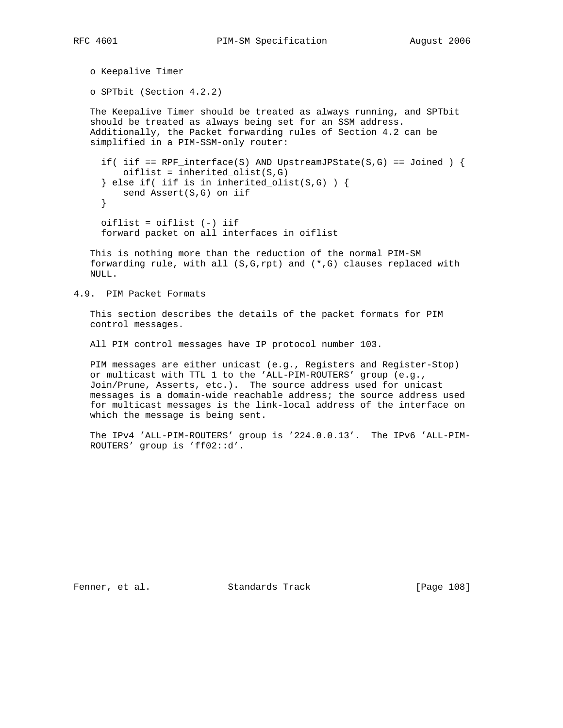```
 o Keepalive Timer
```
o SPTbit (Section 4.2.2)

 The Keepalive Timer should be treated as always running, and SPTbit should be treated as always being set for an SSM address. Additionally, the Packet forwarding rules of Section 4.2 can be simplified in a PIM-SSM-only router:

if( iif == RPF interface(S) AND UpstreamJPState(S,G) == Joined ) { oiflist = inherited\_olist(S,G) } else if( iif is in inherited\_olist(S,G) ) { send Assert(S,G) on iif } oiflist = oiflist (-) iif forward packet on all interfaces in oiflist

 This is nothing more than the reduction of the normal PIM-SM forwarding rule, with all (S,G,rpt) and (\*,G) clauses replaced with

4.9. PIM Packet Formats

NULL.

 This section describes the details of the packet formats for PIM control messages.

All PIM control messages have IP protocol number 103.

 PIM messages are either unicast (e.g., Registers and Register-Stop) or multicast with TTL 1 to the 'ALL-PIM-ROUTERS' group (e.g., Join/Prune, Asserts, etc.). The source address used for unicast messages is a domain-wide reachable address; the source address used for multicast messages is the link-local address of the interface on which the message is being sent.

 The IPv4 'ALL-PIM-ROUTERS' group is '224.0.0.13'. The IPv6 'ALL-PIM- ROUTERS' group is 'ff02::d'.

Fenner, et al. Standards Track [Page 108]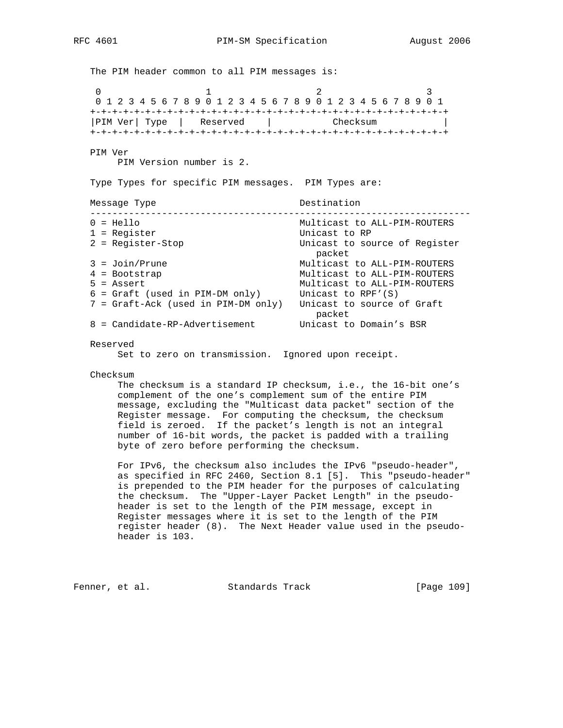RFC 4601 PIM-SM Specification August 2006

The PIM header common to all PIM messages is: 0  $1$  2 3 0 1 2 3 4 5 6 7 8 9 0 1 2 3 4 5 6 7 8 9 0 1 2 3 4 5 6 7 8 9 0 1 +-+-+-+-+-+-+-+-+-+-+-+-+-+-+-+-+-+-+-+-+-+-+-+-+-+-+-+-+-+-+-+-+ |PIM Ver| Type | Reserved | Checksum | +-+-+-+-+-+-+-+-+-+-+-+-+-+-+-+-+-+-+-+-+-+-+-+-+-+-+-+-+-+-+-+-+ PIM Ver PIM Version number is 2. Type Types for specific PIM messages. PIM Types are: Message Type  $\qquad \qquad$  Destination --------------------------------------------------------------------- 0 = Hello Multicast to ALL-PIM-ROUTERS 1 = Register<br>2 = Reqister-Stop<br>2 = Reqister-Stop<br>Unicast to sou Unicast to source of Register packet 3 = Join/Prune Multicast to ALL-PIM-ROUTERS 4 = Bootstrap Multicast to ALL-PIM-ROUTERS 5 = Assert Multicast to ALL-PIM-ROUTERS 6 = Graft (used in PIM-DM only) Unicast to RPF'(S) 7 = Graft-Ack (used in PIM-DM only) Unicast to source of Graft packet 8 = Candidate-RP-Advertisement Unicast to Domain's BSR Reserved

Set to zero on transmission. Ignored upon receipt.

Checksum

 The checksum is a standard IP checksum, i.e., the 16-bit one's complement of the one's complement sum of the entire PIM message, excluding the "Multicast data packet" section of the Register message. For computing the checksum, the checksum field is zeroed. If the packet's length is not an integral number of 16-bit words, the packet is padded with a trailing byte of zero before performing the checksum.

 For IPv6, the checksum also includes the IPv6 "pseudo-header", as specified in RFC 2460, Section 8.1 [5]. This "pseudo-header" is prepended to the PIM header for the purposes of calculating the checksum. The "Upper-Layer Packet Length" in the pseudo header is set to the length of the PIM message, except in Register messages where it is set to the length of the PIM register header (8). The Next Header value used in the pseudo header is 103.

Fenner, et al. Standards Track [Page 109]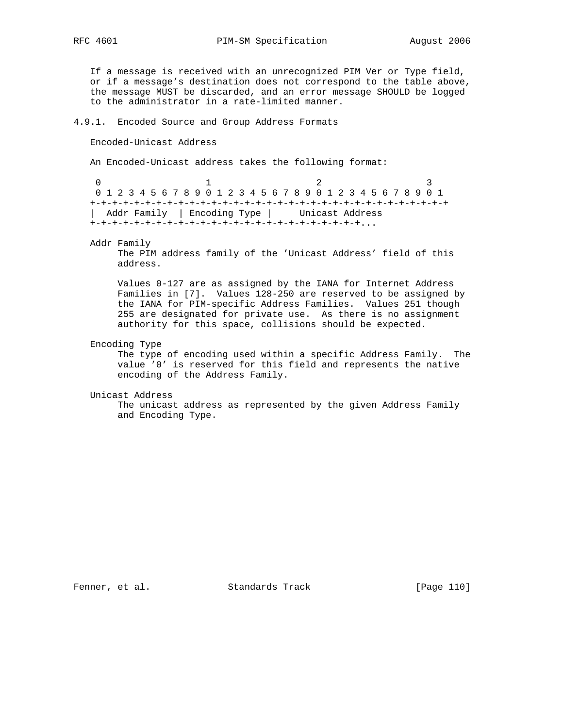RFC 4601 PIM-SM Specification August 2006

 If a message is received with an unrecognized PIM Ver or Type field, or if a message's destination does not correspond to the table above, the message MUST be discarded, and an error message SHOULD be logged to the administrator in a rate-limited manner.

# 4.9.1. Encoded Source and Group Address Formats

Encoded-Unicast Address

An Encoded-Unicast address takes the following format:

0  $1$  2 3 0 1 2 3 4 5 6 7 8 9 0 1 2 3 4 5 6 7 8 9 0 1 2 3 4 5 6 7 8 9 0 1 +-+-+-+-+-+-+-+-+-+-+-+-+-+-+-+-+-+-+-+-+-+-+-+-+-+-+-+-+-+-+-+-+ | Addr Family | Encoding Type | Unicast Address +-+-+-+-+-+-+-+-+-+-+-+-+-+-+-+-+-+-+-+-+-+-+-+-+...

Addr Family

 The PIM address family of the 'Unicast Address' field of this address.

 Values 0-127 are as assigned by the IANA for Internet Address Families in [7]. Values 128-250 are reserved to be assigned by the IANA for PIM-specific Address Families. Values 251 though 255 are designated for private use. As there is no assignment authority for this space, collisions should be expected.

Encoding Type

 The type of encoding used within a specific Address Family. The value '0' is reserved for this field and represents the native encoding of the Address Family.

Unicast Address

 The unicast address as represented by the given Address Family and Encoding Type.

Fenner, et al. Standards Track [Page 110]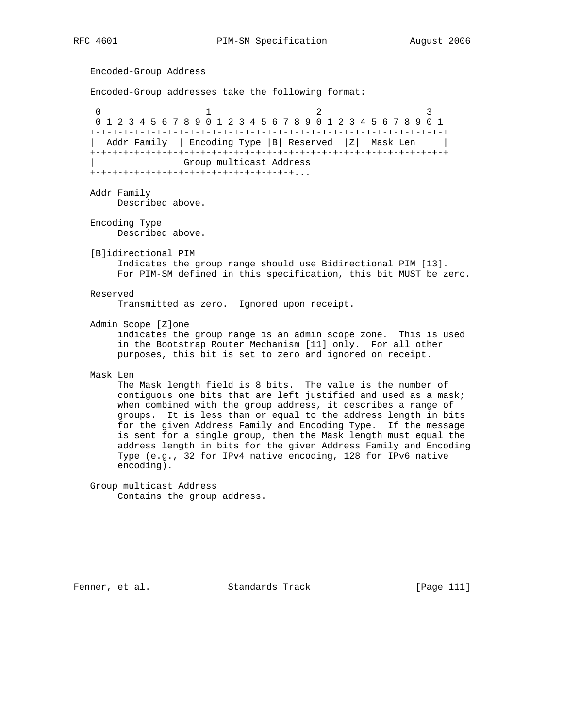```
 Encoded-Group Address
   Encoded-Group addresses take the following format:
0 1 2 3
    0 1 2 3 4 5 6 7 8 9 0 1 2 3 4 5 6 7 8 9 0 1 2 3 4 5 6 7 8 9 0 1
   +-+-+-+-+-+-+-+-+-+-+-+-+-+-+-+-+-+-+-+-+-+-+-+-+-+-+-+-+-+-+-+-+
   | Addr Family | Encoding Type |B| Reserved |Z| Mask Len |
   +-+-+-+-+-+-+-+-+-+-+-+-+-+-+-+-+-+-+-+-+-+-+-+-+-+-+-+-+-+-+-+-+
                  | Group multicast Address
   +-+-+-+-+-+-+-+-+-+-+-+-+-+-+-+-+-+-+...
   Addr Family
       Described above.
   Encoding Type
        Described above.
   [B]idirectional PIM
        Indicates the group range should use Bidirectional PIM [13].
        For PIM-SM defined in this specification, this bit MUST be zero.
   Reserved
        Transmitted as zero. Ignored upon receipt.
   Admin Scope [Z]one
        indicates the group range is an admin scope zone. This is used
        in the Bootstrap Router Mechanism [11] only. For all other
        purposes, this bit is set to zero and ignored on receipt.
   Mask Len
        The Mask length field is 8 bits. The value is the number of
        contiguous one bits that are left justified and used as a mask;
        when combined with the group address, it describes a range of
        groups. It is less than or equal to the address length in bits
        for the given Address Family and Encoding Type. If the message
        is sent for a single group, then the Mask length must equal the
        address length in bits for the given Address Family and Encoding
        Type (e.g., 32 for IPv4 native encoding, 128 for IPv6 native
        encoding).
   Group multicast Address
        Contains the group address.
```
Fenner, et al. Standards Track [Page 111]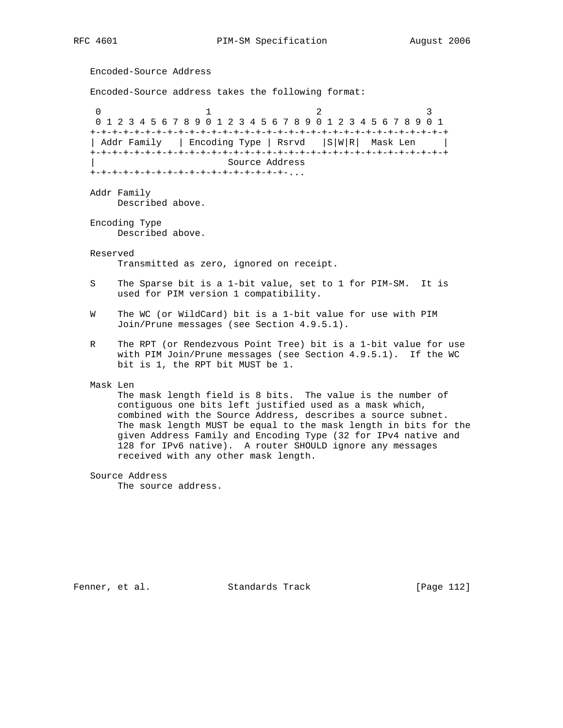Encoded-Source Address Encoded-Source address takes the following format: 0  $1$  2 3 0 1 2 3 4 5 6 7 8 9 0 1 2 3 4 5 6 7 8 9 0 1 2 3 4 5 6 7 8 9 0 1 +-+-+-+-+-+-+-+-+-+-+-+-+-+-+-+-+-+-+-+-+-+-+-+-+-+-+-+-+-+-+-+-+ | Addr Family | Encoding Type | Rsrvd | S|W|R| Mask Len | +-+-+-+-+-+-+-+-+-+-+-+-+-+-+-+-+-+-+-+-+-+-+-+-+-+-+-+-+-+-+-+-+ | Source Address +-+-+-+-+-+-+-+-+-+-+-+-+-+-+-+-+-+-... Addr Family Described above. Encoding Type Described above. Reserved Transmitted as zero, ignored on receipt. S The Sparse bit is a 1-bit value, set to 1 for PIM-SM. It is used for PIM version 1 compatibility. W The WC (or WildCard) bit is a 1-bit value for use with PIM Join/Prune messages (see Section 4.9.5.1). R The RPT (or Rendezvous Point Tree) bit is a 1-bit value for use with PIM Join/Prune messages (see Section 4.9.5.1). If the WC bit is 1, the RPT bit MUST be 1. Mask Len The mask length field is 8 bits. The value is the number of contiguous one bits left justified used as a mask which, combined with the Source Address, describes a source subnet. The mask length MUST be equal to the mask length in bits for the given Address Family and Encoding Type (32 for IPv4 native and 128 for IPv6 native). A router SHOULD ignore any messages received with any other mask length. Source Address The source address.

Fenner, et al. Standards Track [Page 112]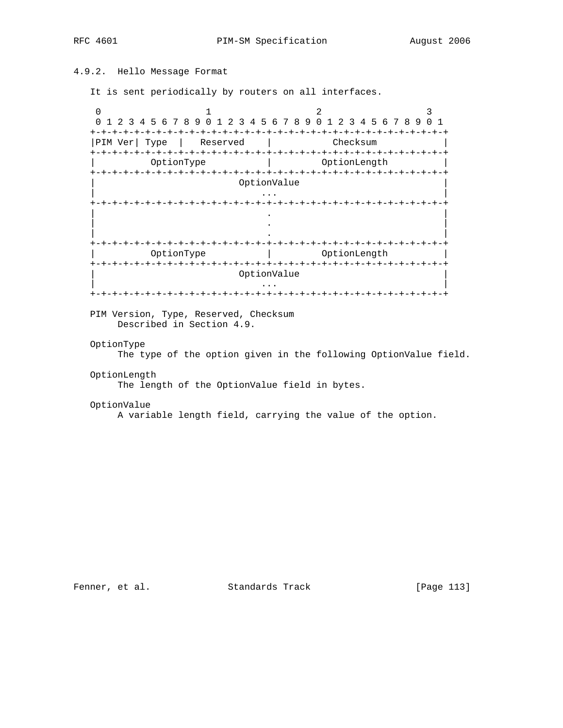# 4.9.2. Hello Message Format

It is sent periodically by routers on all interfaces.

0  $1$  2 3 0 1 2 3 4 5 6 7 8 9 0 1 2 3 4 5 6 7 8 9 0 1 2 3 4 5 6 7 8 9 0 1 +-+-+-+-+-+-+-+-+-+-+-+-+-+-+-+-+-+-+-+-+-+-+-+-+-+-+-+-+-+-+-+-+ |PIM Ver| Type | Reserved | Checksum +-+-+-+-+-+-+-+-+-+-+-+-+-+-+-+-+-+-+-+-+-+-+-+-+-+-+-+-+-+-+-+-+ | OptionType | OptionLength | +-+-+-+-+-+-+-+-+-+-+-+-+-+-+-+-+-+-+-+-+-+-+-+-+-+-+-+-+-+-+-+-+ 0ptionValue | ... | ... | ... | ... | ... | ... | ... | ... | ... | ... | ... | ... | ... | ... | ... | ... | ... | ... | . +-+-+-+-+-+-+-+-+-+-+-+-+-+-+-+-+-+-+-+-+-+-+-+-+-+-+-+-+-+-+-+-+ | . | | . | | . | +-+-+-+-+-+-+-+-+-+-+-+-+-+-+-+-+-+-+-+-+-+-+-+-+-+-+-+-+-+-+-+-+ | OptionType | OptionLength | +-+-+-+-+-+-+-+-+-+-+-+-+-+-+-+-+-+-+-+-+-+-+-+-+-+-+-+-+-+-+-+-+ 0ptionValue | ... | ... | ... | ... | ... | ... | ... | ... | ... | ... | ... | ... | ... | ... | ... | ... | ... | ... | . +-+-+-+-+-+-+-+-+-+-+-+-+-+-+-+-+-+-+-+-+-+-+-+-+-+-+-+-+-+-+-+-+

 PIM Version, Type, Reserved, Checksum Described in Section 4.9.

# OptionType

The type of the option given in the following OptionValue field.

### OptionLength

The length of the OptionValue field in bytes.

#### OptionValue

A variable length field, carrying the value of the option.

Fenner, et al. Standards Track [Page 113]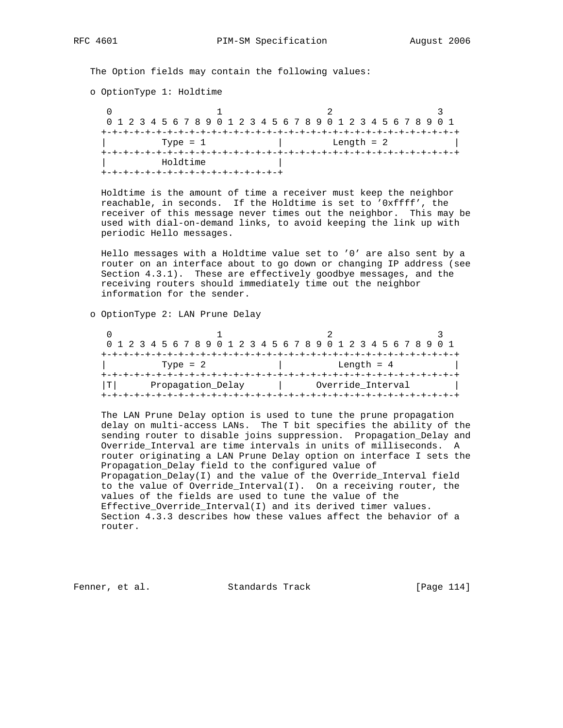The Option fields may contain the following values:

o OptionType 1: Holdtime

 $0$  and  $1$  and  $2$  3 0 1 2 3 4 5 6 7 8 9 0 1 2 3 4 5 6 7 8 9 0 1 2 3 4 5 6 7 8 9 0 1 +-+-+-+-+-+-+-+-+-+-+-+-+-+-+-+-+-+-+-+-+-+-+-+-+-+-+-+-+-+-+-+-+  $\text{Type} = 1$  | Length = 2 +-+-+-+-+-+-+-+-+-+-+-+-+-+-+-+-+-+-+-+-+-+-+-+-+-+-+-+-+-+-+-+-+ | Holdtime | +-+-+-+-+-+-+-+-+-+-+-+-+-+-+-+-+

 Holdtime is the amount of time a receiver must keep the neighbor reachable, in seconds. If the Holdtime is set to '0xffff', the receiver of this message never times out the neighbor. This may be used with dial-on-demand links, to avoid keeping the link up with periodic Hello messages.

 Hello messages with a Holdtime value set to '0' are also sent by a router on an interface about to go down or changing IP address (see Section 4.3.1). These are effectively goodbye messages, and the receiving routers should immediately time out the neighbor information for the sender.

o OptionType 2: LAN Prune Delay

|                         |  |  |  |  |  |  |  |  |  |  |  |              |  | 0 1 2 3 4 5 6 7 8 9 0 1 2 3 4 5 6 7 8 9 0 1 2 3 4 5 6 7 8 9 0 1 |  |                   |  |  |  |  |  |  |  |  |  |  |  |  |
|-------------------------|--|--|--|--|--|--|--|--|--|--|--|--------------|--|-----------------------------------------------------------------|--|-------------------|--|--|--|--|--|--|--|--|--|--|--|--|
|                         |  |  |  |  |  |  |  |  |  |  |  |              |  |                                                                 |  |                   |  |  |  |  |  |  |  |  |  |  |  |  |
| Type = $2$              |  |  |  |  |  |  |  |  |  |  |  | Length $= 4$ |  |                                                                 |  |                   |  |  |  |  |  |  |  |  |  |  |  |  |
|                         |  |  |  |  |  |  |  |  |  |  |  |              |  |                                                                 |  |                   |  |  |  |  |  |  |  |  |  |  |  |  |
| Propagation Delay<br>TΙ |  |  |  |  |  |  |  |  |  |  |  |              |  |                                                                 |  | Override Interval |  |  |  |  |  |  |  |  |  |  |  |  |
|                         |  |  |  |  |  |  |  |  |  |  |  |              |  |                                                                 |  |                   |  |  |  |  |  |  |  |  |  |  |  |  |

 The LAN Prune Delay option is used to tune the prune propagation delay on multi-access LANs. The T bit specifies the ability of the sending router to disable joins suppression. Propagation\_Delay and Override\_Interval are time intervals in units of milliseconds. A router originating a LAN Prune Delay option on interface I sets the Propagation\_Delay field to the configured value of Propagation\_Delay(I) and the value of the Override\_Interval field to the value of Override\_Interval(I). On a receiving router, the values of the fields are used to tune the value of the Effective\_Override\_Interval(I) and its derived timer values. Section 4.3.3 describes how these values affect the behavior of a router.

Fenner, et al. Standards Track [Page 114]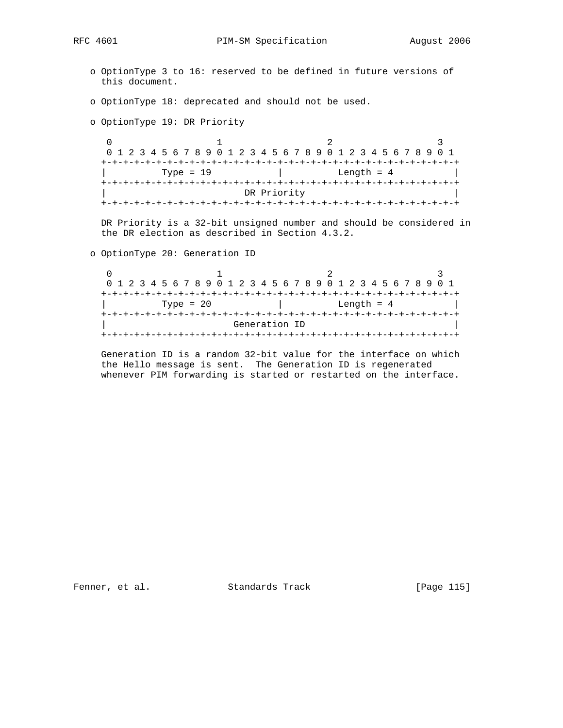RFC 4601 PIM-SM Specification August 2006

- o OptionType 3 to 16: reserved to be defined in future versions of this document.
- o OptionType 18: deprecated and should not be used.

o OptionType 19: DR Priority

 $0$  and  $1$  and  $2$  3 0 1 2 3 4 5 6 7 8 9 0 1 2 3 4 5 6 7 8 9 0 1 2 3 4 5 6 7 8 9 0 1 +-+-+-+-+-+-+-+-+-+-+-+-+-+-+-+-+-+-+-+-+-+-+-+-+-+-+-+-+-+-+-+-+  $\text{Type} = 19$  | Length = 4 +-+-+-+-+-+-+-+-+-+-+-+-+-+-+-+-+-+-+-+-+-+-+-+-+-+-+-+-+-+-+-+-+ DR Priority +-+-+-+-+-+-+-+-+-+-+-+-+-+-+-+-+-+-+-+-+-+-+-+-+-+-+-+-+-+-+-+-+

 DR Priority is a 32-bit unsigned number and should be considered in the DR election as described in Section 4.3.2.

o OptionType 20: Generation ID

|  |  |  |             |  |  |  |  |  | 0 1 2 3 4 5 6 7 8 9 0 1 2 3 4 5 6 7 8 9 0 1 2 3 4 5 6 7 8 9 0 1 |  |  |  |              |  |  |  |
|--|--|--|-------------|--|--|--|--|--|-----------------------------------------------------------------|--|--|--|--------------|--|--|--|
|  |  |  |             |  |  |  |  |  |                                                                 |  |  |  |              |  |  |  |
|  |  |  | Type = $20$ |  |  |  |  |  |                                                                 |  |  |  | Length $= 4$ |  |  |  |
|  |  |  |             |  |  |  |  |  |                                                                 |  |  |  |              |  |  |  |
|  |  |  |             |  |  |  |  |  | Generation ID                                                   |  |  |  |              |  |  |  |
|  |  |  |             |  |  |  |  |  |                                                                 |  |  |  |              |  |  |  |

 Generation ID is a random 32-bit value for the interface on which the Hello message is sent. The Generation ID is regenerated whenever PIM forwarding is started or restarted on the interface.

Fenner, et al. Standards Track [Page 115]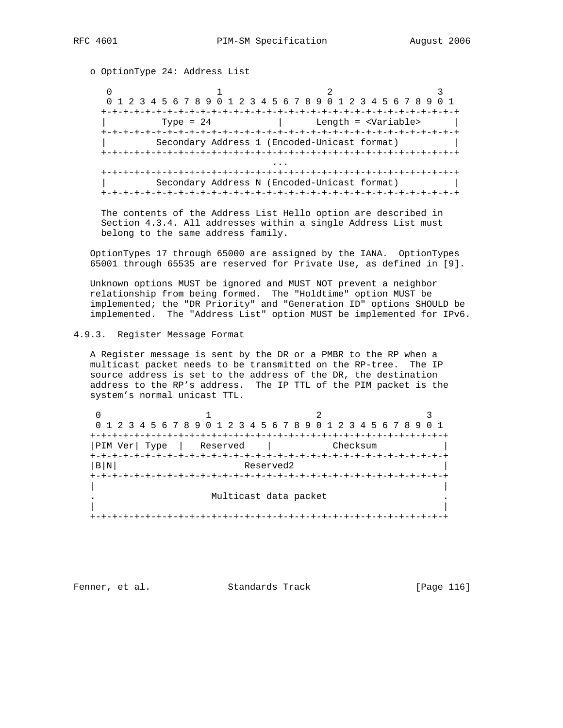o OptionType 24: Address List

0  $1$   $2$   $3$  0 1 2 3 4 5 6 7 8 9 0 1 2 3 4 5 6 7 8 9 0 1 2 3 4 5 6 7 8 9 0 1 +-+-+-+-+-+-+-+-+-+-+-+-+-+-+-+-+-+-+-+-+-+-+-+-+-+-+-+-+-+-+-+-+ | Type = 24 | Length = <Variable> | +-+-+-+-+-+-+-+-+-+-+-+-+-+-+-+-+-+-+-+-+-+-+-+-+-+-+-+-+-+-+-+-+ | Secondary Address 1 (Encoded-Unicast format) | +-+-+-+-+-+-+-+-+-+-+-+-+-+-+-+-+-+-+-+-+-+-+-+-+-+-+-+-+-+-+-+-+ ... +-+-+-+-+-+-+-+-+-+-+-+-+-+-+-+-+-+-+-+-+-+-+-+-+-+-+-+-+-+-+-+-+ Secondary Address N (Encoded-Unicast format) | +-+-+-+-+-+-+-+-+-+-+-+-+-+-+-+-+-+-+-+-+-+-+-+-+-+-+-+-+-+-+-+-+

 The contents of the Address List Hello option are described in Section 4.3.4. All addresses within a single Address List must belong to the same address family.

 OptionTypes 17 through 65000 are assigned by the IANA. OptionTypes 65001 through 65535 are reserved for Private Use, as defined in [9].

 Unknown options MUST be ignored and MUST NOT prevent a neighbor relationship from being formed. The "Holdtime" option MUST be implemented; the "DR Priority" and "Generation ID" options SHOULD be implemented. The "Address List" option MUST be implemented for IPv6.

4.9.3. Register Message Format

 A Register message is sent by the DR or a PMBR to the RP when a multicast packet needs to be transmitted on the RP-tree. The IP source address is set to the address of the DR, the destination address to the RP's address. The IP TTL of the PIM packet is the system's normal unicast TTL.

| 0 1 2 3 4 5 6 7 8 9 0 1 2 3 4 5 6 7 8 9 0 1 2 3 4 5 6 7 8 9 |                       |  |          |  |  |  |  |  |  |  |  |
|-------------------------------------------------------------|-----------------------|--|----------|--|--|--|--|--|--|--|--|
|                                                             |                       |  |          |  |  |  |  |  |  |  |  |
| PIM Ver  Type                                               | Reserved              |  | Checksum |  |  |  |  |  |  |  |  |
|                                                             |                       |  |          |  |  |  |  |  |  |  |  |
| B N<br>Reserved2                                            |                       |  |          |  |  |  |  |  |  |  |  |
|                                                             |                       |  |          |  |  |  |  |  |  |  |  |
|                                                             |                       |  |          |  |  |  |  |  |  |  |  |
|                                                             | Multicast data packet |  |          |  |  |  |  |  |  |  |  |
|                                                             |                       |  |          |  |  |  |  |  |  |  |  |
|                                                             |                       |  |          |  |  |  |  |  |  |  |  |

Fenner, et al. Standards Track [Page 116]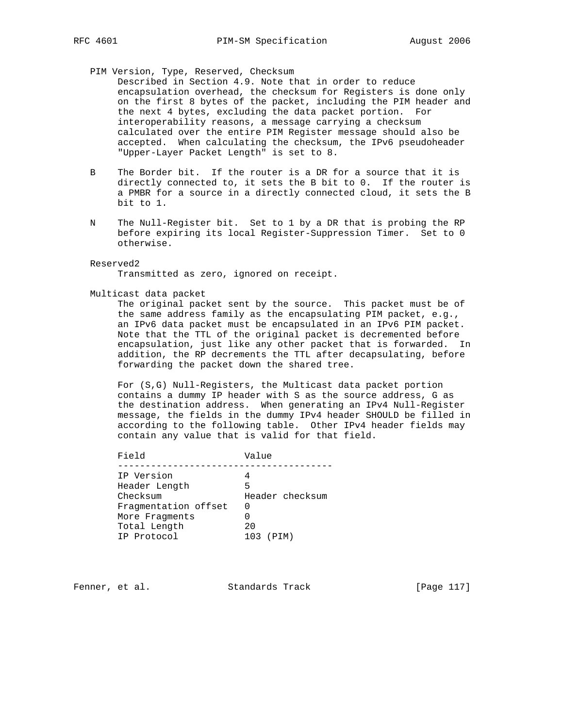# PIM Version, Type, Reserved, Checksum

 Described in Section 4.9. Note that in order to reduce encapsulation overhead, the checksum for Registers is done only on the first 8 bytes of the packet, including the PIM header and the next 4 bytes, excluding the data packet portion. For interoperability reasons, a message carrying a checksum calculated over the entire PIM Register message should also be accepted. When calculating the checksum, the IPv6 pseudoheader "Upper-Layer Packet Length" is set to 8.

- B The Border bit. If the router is a DR for a source that it is directly connected to, it sets the B bit to 0. If the router is a PMBR for a source in a directly connected cloud, it sets the B bit to 1.
- N The Null-Register bit. Set to 1 by a DR that is probing the RP before expiring its local Register-Suppression Timer. Set to 0 otherwise.

### Reserved2

Transmitted as zero, ignored on receipt.

#### Multicast data packet

 The original packet sent by the source. This packet must be of the same address family as the encapsulating PIM packet, e.g., an IPv6 data packet must be encapsulated in an IPv6 PIM packet. Note that the TTL of the original packet is decremented before encapsulation, just like any other packet that is forwarded. In addition, the RP decrements the TTL after decapsulating, before forwarding the packet down the shared tree.

 For (S,G) Null-Registers, the Multicast data packet portion contains a dummy IP header with S as the source address, G as the destination address. When generating an IPv4 Null-Register message, the fields in the dummy IPv4 header SHOULD be filled in according to the following table. Other IPv4 header fields may contain any value that is valid for that field.

| Field                | Value           |
|----------------------|-----------------|
|                      |                 |
| IP Version           |                 |
| Header Length        | 5               |
| Checksum             | Header checksum |
| Fragmentation offset | 0               |
| More Fragments       |                 |
| Total Length         | 20              |
| IP Protocol          | 103 (PIM)       |
|                      |                 |

Fenner, et al. Standards Track [Page 117]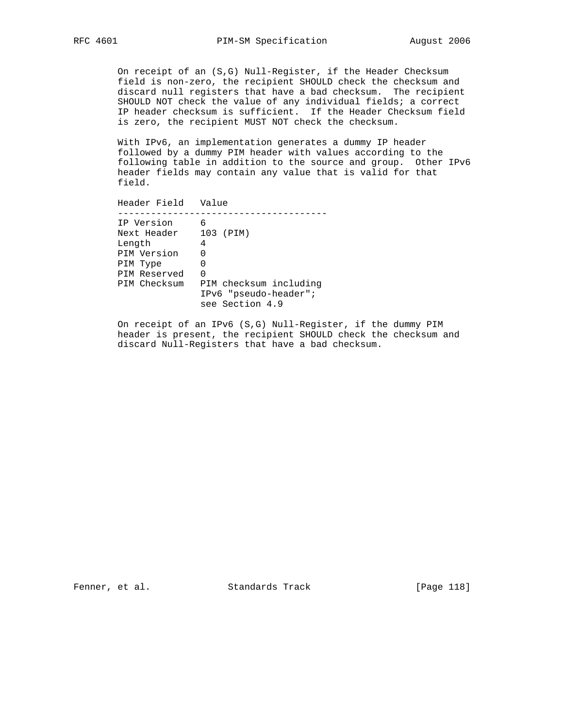On receipt of an (S,G) Null-Register, if the Header Checksum field is non-zero, the recipient SHOULD check the checksum and discard null registers that have a bad checksum. The recipient SHOULD NOT check the value of any individual fields; a correct IP header checksum is sufficient. If the Header Checksum field is zero, the recipient MUST NOT check the checksum.

With IPv6, an implementation generates a dummy IP header followed by a dummy PIM header with values according to the following table in addition to the source and group. Other IPv6 header fields may contain any value that is valid for that field.

 Header Field Value -------------------------------------- IP Version 6 Next Header 103 (PIM) Length 4 PIM Version 0 PIM Type 0 PIM Reserved 0 PIM Checksum PIM checksum including IPv6 "pseudo-header"; see Section 4.9

> On receipt of an IPv6 (S,G) Null-Register, if the dummy PIM header is present, the recipient SHOULD check the checksum and discard Null-Registers that have a bad checksum.

Fenner, et al. Standards Track [Page 118]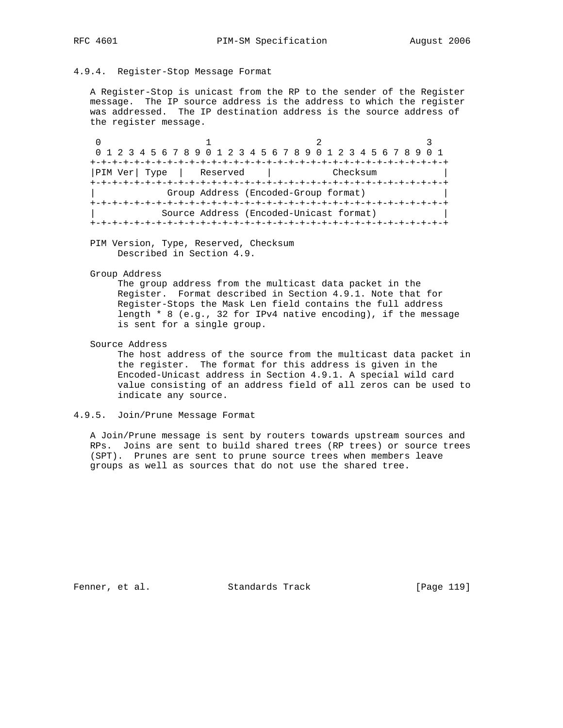# 4.9.4. Register-Stop Message Format

 A Register-Stop is unicast from the RP to the sender of the Register message. The IP source address is the address to which the register was addressed. The IP destination address is the source address of the register message.

0  $1$  2 3 0 1 2 3 4 5 6 7 8 9 0 1 2 3 4 5 6 7 8 9 0 1 2 3 4 5 6 7 8 9 0 1 +-+-+-+-+-+-+-+-+-+-+-+-+-+-+-+-+-+-+-+-+-+-+-+-+-+-+-+-+-+-+-+-+ |PIM Ver| Type | Reserved | Checksum +-+-+-+-+-+-+-+-+-+-+-+-+-+-+-+-+-+-+-+-+-+-+-+-+-+-+-+-+-+-+-+-+ | Group Address (Encoded-Group format) | +-+-+-+-+-+-+-+-+-+-+-+-+-+-+-+-+-+-+-+-+-+-+-+-+-+-+-+-+-+-+-+-+ | Source Address (Encoded-Unicast format) | +-+-+-+-+-+-+-+-+-+-+-+-+-+-+-+-+-+-+-+-+-+-+-+-+-+-+-+-+-+-+-+-+

 PIM Version, Type, Reserved, Checksum Described in Section 4.9.

#### Group Address

 The group address from the multicast data packet in the Register. Format described in Section 4.9.1. Note that for Register-Stops the Mask Len field contains the full address length \* 8 (e.g., 32 for IPv4 native encoding), if the message is sent for a single group.

Source Address

 The host address of the source from the multicast data packet in the register. The format for this address is given in the Encoded-Unicast address in Section 4.9.1. A special wild card value consisting of an address field of all zeros can be used to indicate any source.

# 4.9.5. Join/Prune Message Format

 A Join/Prune message is sent by routers towards upstream sources and RPs. Joins are sent to build shared trees (RP trees) or source trees (SPT). Prunes are sent to prune source trees when members leave groups as well as sources that do not use the shared tree.

Fenner, et al. Standards Track [Page 119]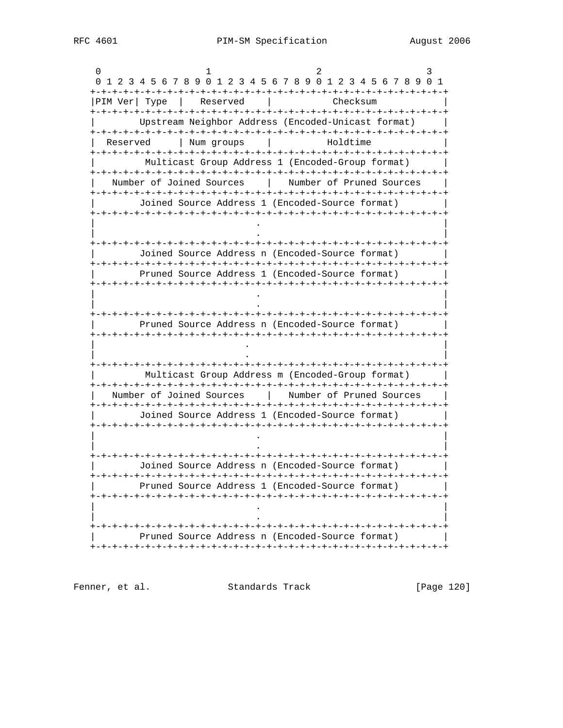0  $1$  2 3 0 1 2 3 4 5 6 7 8 9 0 1 2 3 4 5 6 7 8 9 0 1 2 3 4 5 6 7 8 9 0 1 +-+-+-+-+-+-+-+-+-+-+-+-+-+-+-+-+-+-+-+-+-+-+-+-+-+-+-+-+-+-+-+-+ |PIM Ver| Type | Reserved | Checksum +-+-+-+-+-+-+-+-+-+-+-+-+-+-+-+-+-+-+-+-+-+-+-+-+-+-+-+-+-+-+-+-+ | Upstream Neighbor Address (Encoded-Unicast format) | +-+-+-+-+-+-+-+-+-+-+-+-+-+-+-+-+-+-+-+-+-+-+-+-+-+-+-+-+-+-+-+-+ Reserved | Num groups | Holdtime +-+-+-+-+-+-+-+-+-+-+-+-+-+-+-+-+-+-+-+-+-+-+-+-+-+-+-+-+-+-+-+-+ Multicast Group Address 1 (Encoded-Group format) +-+-+-+-+-+-+-+-+-+-+-+-+-+-+-+-+-+-+-+-+-+-+-+-+-+-+-+-+-+-+-+-+ Number of Joined Sources | Number of Pruned Sources +-+-+-+-+-+-+-+-+-+-+-+-+-+-+-+-+-+-+-+-+-+-+-+-+-+-+-+-+-+-+-+-+ | Joined Source Address 1 (Encoded-Source format) | +-+-+-+-+-+-+-+-+-+-+-+-+-+-+-+-+-+-+-+-+-+-+-+-+-+-+-+-+-+-+-+-+ | . | | . | +-+-+-+-+-+-+-+-+-+-+-+-+-+-+-+-+-+-+-+-+-+-+-+-+-+-+-+-+-+-+-+-+ | Joined Source Address n (Encoded-Source format) | +-+-+-+-+-+-+-+-+-+-+-+-+-+-+-+-+-+-+-+-+-+-+-+-+-+-+-+-+-+-+-+-+ Pruned Source Address 1 (Encoded-Source format) +-+-+-+-+-+-+-+-+-+-+-+-+-+-+-+-+-+-+-+-+-+-+-+-+-+-+-+-+-+-+-+-+ | . | | . | +-+-+-+-+-+-+-+-+-+-+-+-+-+-+-+-+-+-+-+-+-+-+-+-+-+-+-+-+-+-+-+-+ | Pruned Source Address n (Encoded-Source format) | +-+-+-+-+-+-+-+-+-+-+-+-+-+-+-+-+-+-+-+-+-+-+-+-+-+-+-+-+-+-+-+-+ | . | | . | +-+-+-+-+-+-+-+-+-+-+-+-+-+-+-+-+-+-+-+-+-+-+-+-+-+-+-+-+-+-+-+-+ | Multicast Group Address m (Encoded-Group format) | +-+-+-+-+-+-+-+-+-+-+-+-+-+-+-+-+-+-+-+-+-+-+-+-+-+-+-+-+-+-+-+-+ | Number of Joined Sources | Number of Pruned Sources | +-+-+-+-+-+-+-+-+-+-+-+-+-+-+-+-+-+-+-+-+-+-+-+-+-+-+-+-+-+-+-+-+ | Joined Source Address 1 (Encoded-Source format) | +-+-+-+-+-+-+-+-+-+-+-+-+-+-+-+-+-+-+-+-+-+-+-+-+-+-+-+-+-+-+-+-+ | . | | . | +-+-+-+-+-+-+-+-+-+-+-+-+-+-+-+-+-+-+-+-+-+-+-+-+-+-+-+-+-+-+-+-+ | Joined Source Address n (Encoded-Source format) | +-+-+-+-+-+-+-+-+-+-+-+-+-+-+-+-+-+-+-+-+-+-+-+-+-+-+-+-+-+-+-+-+ Pruned Source Address 1 (Encoded-Source format) +-+-+-+-+-+-+-+-+-+-+-+-+-+-+-+-+-+-+-+-+-+-+-+-+-+-+-+-+-+-+-+-+ | . | | . | +-+-+-+-+-+-+-+-+-+-+-+-+-+-+-+-+-+-+-+-+-+-+-+-+-+-+-+-+-+-+-+-+ Pruned Source Address n (Encoded-Source format) +-+-+-+-+-+-+-+-+-+-+-+-+-+-+-+-+-+-+-+-+-+-+-+-+-+-+-+-+-+-+-+-+

Fenner, et al. Standards Track [Page 120]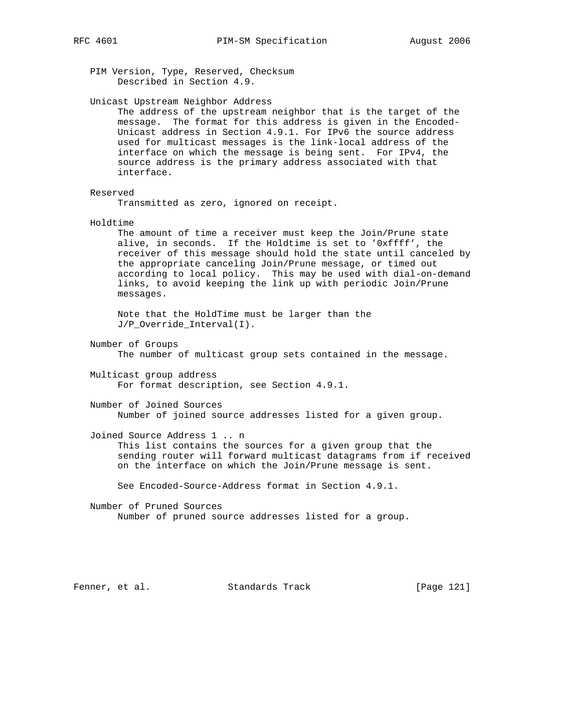PIM Version, Type, Reserved, Checksum Described in Section 4.9.

Unicast Upstream Neighbor Address

 The address of the upstream neighbor that is the target of the message. The format for this address is given in the Encoded- Unicast address in Section 4.9.1. For IPv6 the source address used for multicast messages is the link-local address of the interface on which the message is being sent. For IPv4, the source address is the primary address associated with that interface.

#### Reserved

Transmitted as zero, ignored on receipt.

Holdtime

 The amount of time a receiver must keep the Join/Prune state alive, in seconds. If the Holdtime is set to '0xffff', the receiver of this message should hold the state until canceled by the appropriate canceling Join/Prune message, or timed out according to local policy. This may be used with dial-on-demand links, to avoid keeping the link up with periodic Join/Prune messages.

 Note that the HoldTime must be larger than the J/P\_Override\_Interval(I).

Number of Groups

The number of multicast group sets contained in the message.

 Multicast group address For format description, see Section 4.9.1.

 Number of Joined Sources Number of joined source addresses listed for a given group.

Joined Source Address 1 .. n

 This list contains the sources for a given group that the sending router will forward multicast datagrams from if received on the interface on which the Join/Prune message is sent.

See Encoded-Source-Address format in Section 4.9.1.

 Number of Pruned Sources Number of pruned source addresses listed for a group.

Fenner, et al. Standards Track [Page 121]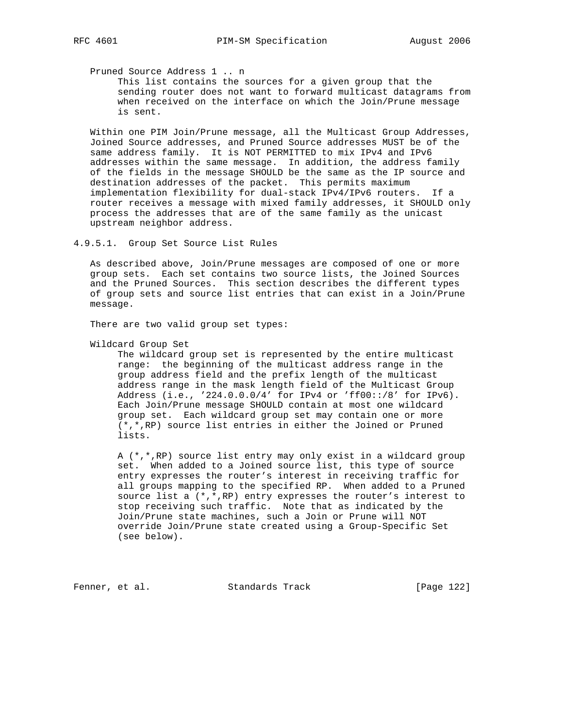Pruned Source Address 1 .. n

 This list contains the sources for a given group that the sending router does not want to forward multicast datagrams from when received on the interface on which the Join/Prune message is sent.

 Within one PIM Join/Prune message, all the Multicast Group Addresses, Joined Source addresses, and Pruned Source addresses MUST be of the same address family. It is NOT PERMITTED to mix IPv4 and IPv6 addresses within the same message. In addition, the address family of the fields in the message SHOULD be the same as the IP source and destination addresses of the packet. This permits maximum implementation flexibility for dual-stack IPv4/IPv6 routers. If a router receives a message with mixed family addresses, it SHOULD only process the addresses that are of the same family as the unicast upstream neighbor address.

4.9.5.1. Group Set Source List Rules

 As described above, Join/Prune messages are composed of one or more group sets. Each set contains two source lists, the Joined Sources and the Pruned Sources. This section describes the different types of group sets and source list entries that can exist in a Join/Prune message.

There are two valid group set types:

Wildcard Group Set

 The wildcard group set is represented by the entire multicast range: the beginning of the multicast address range in the group address field and the prefix length of the multicast address range in the mask length field of the Multicast Group Address (i.e., '224.0.0.0/4' for IPv4 or 'ff00::/8' for IPv6). Each Join/Prune message SHOULD contain at most one wildcard group set. Each wildcard group set may contain one or more (\*,\*,RP) source list entries in either the Joined or Pruned lists.

 A (\*,\*,RP) source list entry may only exist in a wildcard group set. When added to a Joined source list, this type of source entry expresses the router's interest in receiving traffic for all groups mapping to the specified RP. When added to a Pruned source list a  $(*,*,RP)$  entry expresses the router's interest to stop receiving such traffic. Note that as indicated by the Join/Prune state machines, such a Join or Prune will NOT override Join/Prune state created using a Group-Specific Set (see below).

Fenner, et al. Standards Track [Page 122]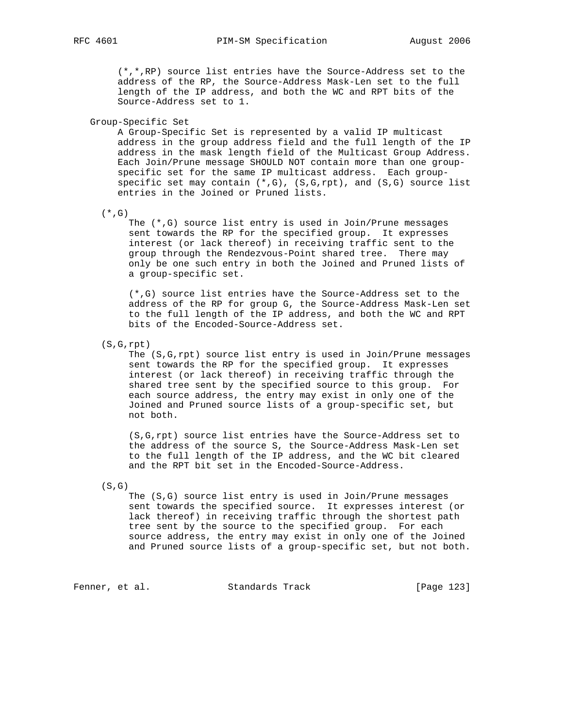(\*,\*,RP) source list entries have the Source-Address set to the address of the RP, the Source-Address Mask-Len set to the full length of the IP address, and both the WC and RPT bits of the Source-Address set to 1.

Group-Specific Set

 A Group-Specific Set is represented by a valid IP multicast address in the group address field and the full length of the IP address in the mask length field of the Multicast Group Address. Each Join/Prune message SHOULD NOT contain more than one group specific set for the same IP multicast address. Each group specific set may contain  $(*,G)$ ,  $(S,G,rpt)$ , and  $(S,G)$  source list entries in the Joined or Pruned lists.

 $(*$ , G)

 The (\*,G) source list entry is used in Join/Prune messages sent towards the RP for the specified group. It expresses interest (or lack thereof) in receiving traffic sent to the group through the Rendezvous-Point shared tree. There may only be one such entry in both the Joined and Pruned lists of a group-specific set.

 (\*,G) source list entries have the Source-Address set to the address of the RP for group G, the Source-Address Mask-Len set to the full length of the IP address, and both the WC and RPT bits of the Encoded-Source-Address set.

(S,G,rpt)

 The (S,G,rpt) source list entry is used in Join/Prune messages sent towards the RP for the specified group. It expresses interest (or lack thereof) in receiving traffic through the shared tree sent by the specified source to this group. For each source address, the entry may exist in only one of the Joined and Pruned source lists of a group-specific set, but not both.

 (S,G,rpt) source list entries have the Source-Address set to the address of the source S, the Source-Address Mask-Len set to the full length of the IP address, and the WC bit cleared and the RPT bit set in the Encoded-Source-Address.

 $(S, G)$ 

 The (S,G) source list entry is used in Join/Prune messages sent towards the specified source. It expresses interest (or lack thereof) in receiving traffic through the shortest path tree sent by the source to the specified group. For each source address, the entry may exist in only one of the Joined and Pruned source lists of a group-specific set, but not both.

Fenner, et al. Standards Track [Page 123]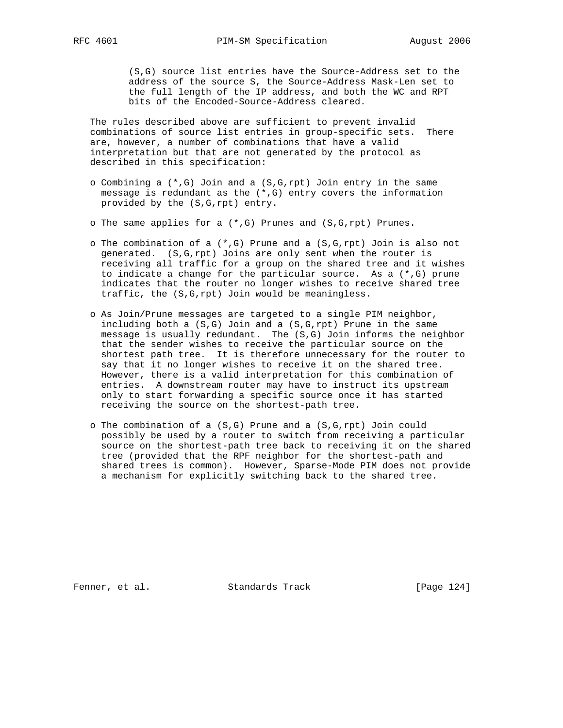(S,G) source list entries have the Source-Address set to the address of the source S, the Source-Address Mask-Len set to the full length of the IP address, and both the WC and RPT bits of the Encoded-Source-Address cleared.

 The rules described above are sufficient to prevent invalid combinations of source list entries in group-specific sets. There are, however, a number of combinations that have a valid interpretation but that are not generated by the protocol as described in this specification:

- o Combining a (\*,G) Join and a (S,G,rpt) Join entry in the same message is redundant as the  $(*,G)$  entry covers the information provided by the (S,G,rpt) entry.
- o The same applies for a (\*,G) Prunes and (S,G,rpt) Prunes.
- o The combination of a  $(*,G)$  Prune and a  $(S,G,rpt)$  Join is also not generated. (S,G,rpt) Joins are only sent when the router is receiving all traffic for a group on the shared tree and it wishes to indicate a change for the particular source. As a (\*,G) prune indicates that the router no longer wishes to receive shared tree traffic, the (S,G,rpt) Join would be meaningless.
- o As Join/Prune messages are targeted to a single PIM neighbor, including both a (S,G) Join and a (S,G,rpt) Prune in the same message is usually redundant. The (S,G) Join informs the neighbor that the sender wishes to receive the particular source on the shortest path tree. It is therefore unnecessary for the router to say that it no longer wishes to receive it on the shared tree. However, there is a valid interpretation for this combination of entries. A downstream router may have to instruct its upstream only to start forwarding a specific source once it has started receiving the source on the shortest-path tree.
- o The combination of a (S,G) Prune and a (S,G,rpt) Join could possibly be used by a router to switch from receiving a particular source on the shortest-path tree back to receiving it on the shared tree (provided that the RPF neighbor for the shortest-path and shared trees is common). However, Sparse-Mode PIM does not provide a mechanism for explicitly switching back to the shared tree.

Fenner, et al. Standards Track [Page 124]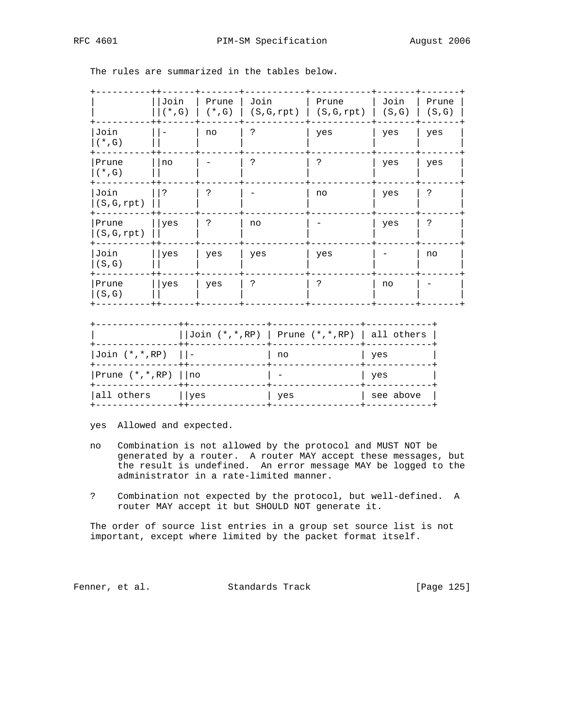|                      | Join<br>$(*$ , G) | Prune<br>$(*$ , G) | Join<br>(S, G, rpt) | Prune<br>(S, G, rpt) | Join<br>(S,G) | Prune<br>(S, G) |
|----------------------|-------------------|--------------------|---------------------|----------------------|---------------|-----------------|
| Join<br>$(*$ , G)    |                   | no                 |                     | yes                  | yes           | yes             |
| Prune<br>$(* , G)$   | no                |                    |                     | C                    | yes           | yes             |
| Join<br>(S, G, rpt)  | ?                 | S.                 |                     | no                   | yes           | د.              |
| Prune<br>(S, G, rpt) | yes               | $\tilde{ }$        | no                  |                      | yes           | د.              |
| Join<br>(S,G)        | yes               | yes                | yes                 | yes                  |               | no              |
| Prune<br>(S,G)       | yes               | yes                | ာ                   | っ                    | no            |                 |
|                      |                   |                    |                     |                      |               |                 |

The rules are summarized in the tables below.

|                               | - + + - - - | $\vert$ Join (*,*, RP)   Prune (*,*, RP)   all others |           |
|-------------------------------|-------------|-------------------------------------------------------|-----------|
| $Join$ $(*$ , $*,$ RP) $  $ - |             | no                                                    | yes       |
| Prune $(*,*,RP)$     no       |             |                                                       | yes       |
| all others                    | ∣ yes       | yes                                                   | see above |

yes Allowed and expected.

- no Combination is not allowed by the protocol and MUST NOT be generated by a router. A router MAY accept these messages, but the result is undefined. An error message MAY be logged to the administrator in a rate-limited manner.
- ? Combination not expected by the protocol, but well-defined. A router MAY accept it but SHOULD NOT generate it.

 The order of source list entries in a group set source list is not important, except where limited by the packet format itself.

Fenner, et al. Standards Track [Page 125]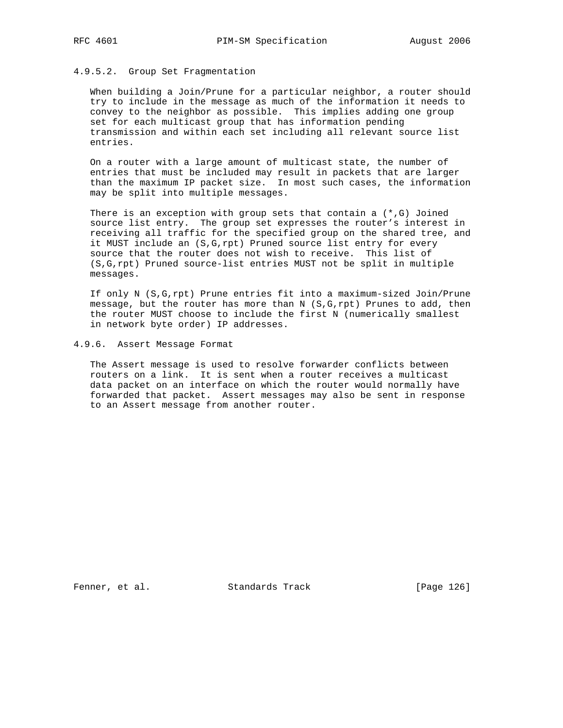# 4.9.5.2. Group Set Fragmentation

 When building a Join/Prune for a particular neighbor, a router should try to include in the message as much of the information it needs to convey to the neighbor as possible. This implies adding one group set for each multicast group that has information pending transmission and within each set including all relevant source list entries.

 On a router with a large amount of multicast state, the number of entries that must be included may result in packets that are larger than the maximum IP packet size. In most such cases, the information may be split into multiple messages.

There is an exception with group sets that contain a  $(*,G)$  Joined source list entry. The group set expresses the router's interest in receiving all traffic for the specified group on the shared tree, and it MUST include an (S,G,rpt) Pruned source list entry for every source that the router does not wish to receive. This list of (S,G,rpt) Pruned source-list entries MUST not be split in multiple messages.

 If only N (S,G,rpt) Prune entries fit into a maximum-sized Join/Prune message, but the router has more than  $N(S, G, rpt)$  Prunes to add, then the router MUST choose to include the first N (numerically smallest in network byte order) IP addresses.

4.9.6. Assert Message Format

 The Assert message is used to resolve forwarder conflicts between routers on a link. It is sent when a router receives a multicast data packet on an interface on which the router would normally have forwarded that packet. Assert messages may also be sent in response to an Assert message from another router.

Fenner, et al. Standards Track [Page 126]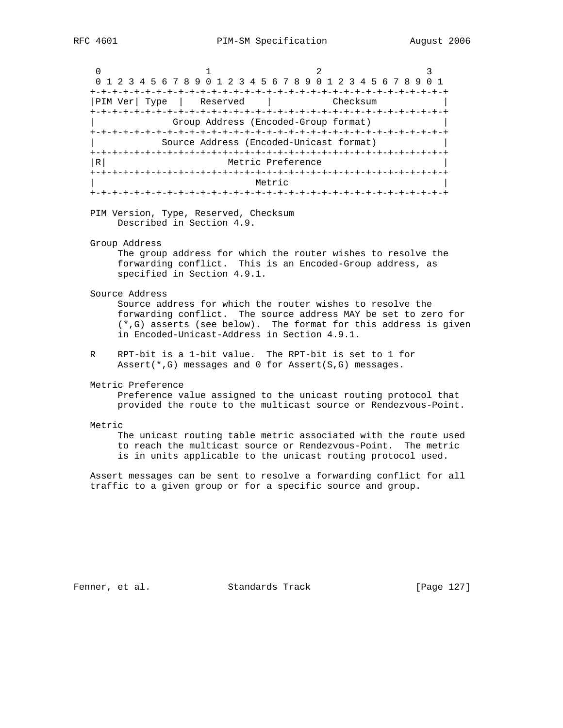|                                         | 0 1 2 3 4 5 6 7 8 9 0 1 2 3 4 5 6 7 8 9 0 1 2 3 4 5 6 7 8 9 |  |  |  |  |  |  |  |  |  |  |  |  |  |
|-----------------------------------------|-------------------------------------------------------------|--|--|--|--|--|--|--|--|--|--|--|--|--|
|                                         |                                                             |  |  |  |  |  |  |  |  |  |  |  |  |  |
| PIM Ver  Type<br>Checksum<br>  Reserved |                                                             |  |  |  |  |  |  |  |  |  |  |  |  |  |
|                                         |                                                             |  |  |  |  |  |  |  |  |  |  |  |  |  |
|                                         | Group Address (Encoded-Group format)                        |  |  |  |  |  |  |  |  |  |  |  |  |  |
|                                         |                                                             |  |  |  |  |  |  |  |  |  |  |  |  |  |
|                                         | Source Address (Encoded-Unicast format)                     |  |  |  |  |  |  |  |  |  |  |  |  |  |
|                                         |                                                             |  |  |  |  |  |  |  |  |  |  |  |  |  |
| R                                       | Metric Preference                                           |  |  |  |  |  |  |  |  |  |  |  |  |  |
|                                         |                                                             |  |  |  |  |  |  |  |  |  |  |  |  |  |
|                                         | Metric                                                      |  |  |  |  |  |  |  |  |  |  |  |  |  |
|                                         | +-+-+-+-+-+-+-+-+-                                          |  |  |  |  |  |  |  |  |  |  |  |  |  |

 PIM Version, Type, Reserved, Checksum Described in Section 4.9.

Group Address

 The group address for which the router wishes to resolve the forwarding conflict. This is an Encoded-Group address, as specified in Section 4.9.1.

Source Address

 Source address for which the router wishes to resolve the forwarding conflict. The source address MAY be set to zero for (\*,G) asserts (see below). The format for this address is given in Encoded-Unicast-Address in Section 4.9.1.

 R RPT-bit is a 1-bit value. The RPT-bit is set to 1 for Assert(\*,G) messages and 0 for Assert(S,G) messages.

Metric Preference

 Preference value assigned to the unicast routing protocol that provided the route to the multicast source or Rendezvous-Point.

#### Metric

 The unicast routing table metric associated with the route used to reach the multicast source or Rendezvous-Point. The metric is in units applicable to the unicast routing protocol used.

 Assert messages can be sent to resolve a forwarding conflict for all traffic to a given group or for a specific source and group.

Fenner, et al. Standards Track [Page 127]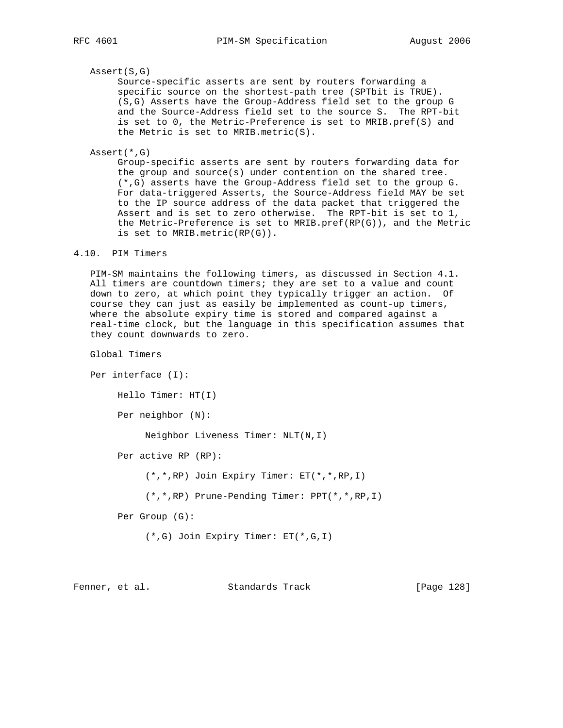### Assert(S,G)

 Source-specific asserts are sent by routers forwarding a specific source on the shortest-path tree (SPTbit is TRUE). (S,G) Asserts have the Group-Address field set to the group G and the Source-Address field set to the source S. The RPT-bit is set to 0, the Metric-Preference is set to MRIB.pref(S) and the Metric is set to MRIB.metric(S).

Assert(\*,G)

 Group-specific asserts are sent by routers forwarding data for the group and source(s) under contention on the shared tree. (\*,G) asserts have the Group-Address field set to the group G. For data-triggered Asserts, the Source-Address field MAY be set to the IP source address of the data packet that triggered the Assert and is set to zero otherwise. The RPT-bit is set to 1, the Metric-Preference is set to MRIB.pref(RP(G)), and the Metric is set to MRIB.metric(RP(G)).

## 4.10. PIM Timers

 PIM-SM maintains the following timers, as discussed in Section 4.1. All timers are countdown timers; they are set to a value and count down to zero, at which point they typically trigger an action. Of course they can just as easily be implemented as count-up timers, where the absolute expiry time is stored and compared against a real-time clock, but the language in this specification assumes that they count downwards to zero.

Global Timers

 Per interface (I): Hello Timer: HT(I) Per neighbor (N): Neighbor Liveness Timer: NLT(N,I) Per active RP (RP): (\*,\*,RP) Join Expiry Timer: ET(\*,\*,RP,I) (\*,\*,RP) Prune-Pending Timer: PPT(\*,\*,RP,I) Per Group (G): (\*,G) Join Expiry Timer: ET(\*,G,I)

Fenner, et al. Standards Track [Page 128]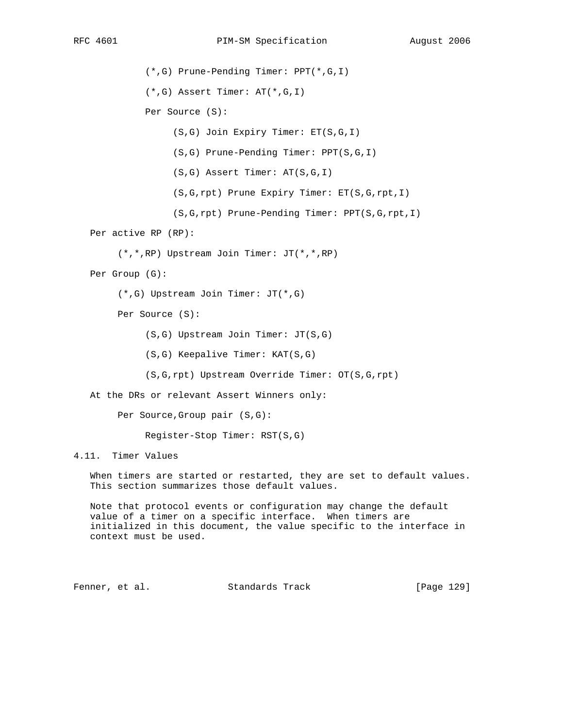(\*,G) Prune-Pending Timer: PPT(\*,G,I)

(\*,G) Assert Timer: AT(\*,G,I)

Per Source (S):

(S,G) Join Expiry Timer: ET(S,G,I)

(S,G) Prune-Pending Timer: PPT(S,G,I)

(S,G) Assert Timer: AT(S,G,I)

(S,G,rpt) Prune Expiry Timer: ET(S,G,rpt,I)

(S,G,rpt) Prune-Pending Timer: PPT(S,G,rpt,I)

Per active RP (RP):

(\*,\*,RP) Upstream Join Timer: JT(\*,\*,RP)

Per Group (G):

(\*,G) Upstream Join Timer: JT(\*,G)

Per Source (S):

(S,G) Upstream Join Timer: JT(S,G)

- (S,G) Keepalive Timer: KAT(S,G)
- (S,G,rpt) Upstream Override Timer: OT(S,G,rpt)

At the DRs or relevant Assert Winners only:

Per Source,Group pair (S,G):

Register-Stop Timer: RST(S,G)

4.11. Timer Values

 When timers are started or restarted, they are set to default values. This section summarizes those default values.

 Note that protocol events or configuration may change the default value of a timer on a specific interface. When timers are initialized in this document, the value specific to the interface in context must be used.

Fenner, et al. Standards Track [Page 129]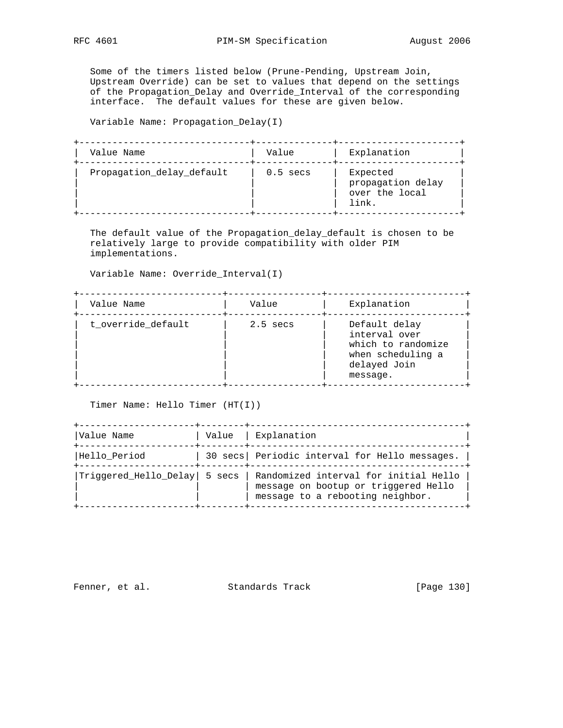Some of the timers listed below (Prune-Pending, Upstream Join, Upstream Override) can be set to values that depend on the settings of the Propagation\_Delay and Override\_Interval of the corresponding interface. The default values for these are given below.

Variable Name: Propagation\_Delay(I)

| Value Name                | Value      | Explanation                                              |
|---------------------------|------------|----------------------------------------------------------|
| Propagation_delay_default | $0.5$ secs | Expected<br>propagation delay<br>over the local<br>link. |

 The default value of the Propagation\_delay\_default is chosen to be relatively large to provide compatibility with older PIM implementations.

Variable Name: Override\_Interval(I)

| Value Name         | Value      | Explanation                                                                                           |
|--------------------|------------|-------------------------------------------------------------------------------------------------------|
| t_override_default | $2.5$ secs | Default delay<br>interval over<br>which to randomize<br>when scheduling a<br>delayed Join<br>message. |

Timer Name: Hello Timer (HT(I))

| Value Name                   | Value   Explanation                                                                                               |
|------------------------------|-------------------------------------------------------------------------------------------------------------------|
| Hello_Period                 | 30 secs   Periodic interval for Hello messages.                                                                   |
| Triggered Hello Delay 5 secs | Randomized interval for initial Hello<br>message on bootup or triggered Hello<br>message to a rebooting neighbor. |

Fenner, et al. Standards Track [Page 130]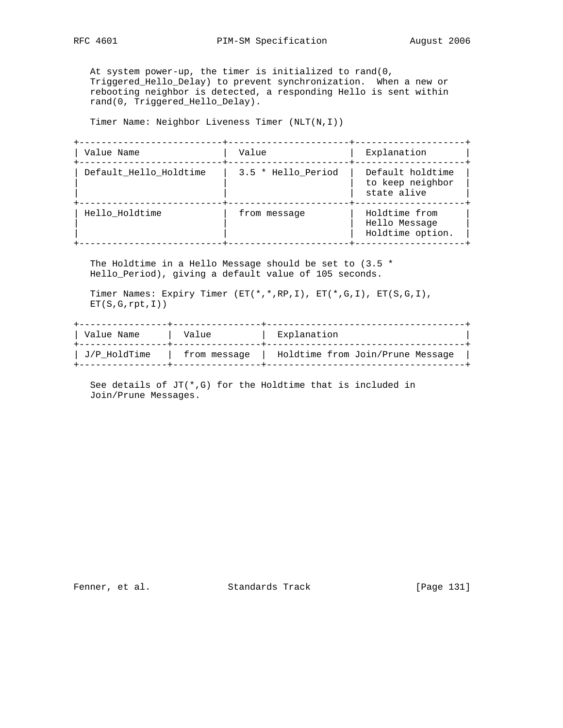At system power-up, the timer is initialized to rand(0, Triggered\_Hello\_Delay) to prevent synchronization. When a new or rebooting neighbor is detected, a responding Hello is sent within rand(0, Triggered\_Hello\_Delay).

Timer Name: Neighbor Liveness Timer (NLT(N,I))

| Value Name             | Value              | Explanation                                         |
|------------------------|--------------------|-----------------------------------------------------|
| Default Hello Holdtime | 3.5 * Hello_Period | Default holdtime<br>to keep neighbor<br>state alive |
| Hello Holdtime         | from message       | Holdtime from<br>Hello Message<br>Holdtime option.  |

 The Holdtime in a Hello Message should be set to (3.5 \* Hello\_Period), giving a default value of 105 seconds.

 Timer Names: Expiry Timer (ET(\*,\*,RP,I), ET(\*,G,I), ET(S,G,I),  $ET(S,G,rpt,I))$ 

| Value Name   | Value        | Explanation                      |  |
|--------------|--------------|----------------------------------|--|
| J/P HoldTime | from message | Holdtime from Join/Prune Message |  |

See details of  $JT(*,G)$  for the Holdtime that is included in Join/Prune Messages.

Fenner, et al. Standards Track [Page 131]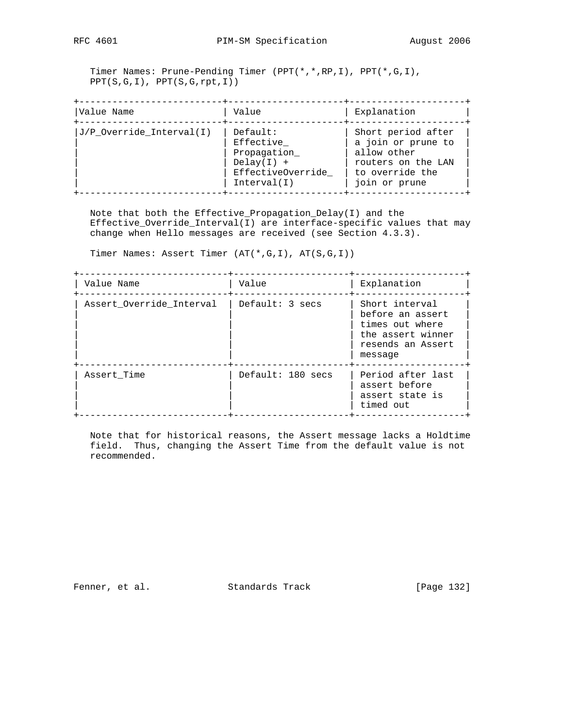Timer Names: Prune-Pending Timer (PPT(\*,\*,RP,I), PPT(\*,G,I), PPT(S,G,I), PPT(S,G,rpt,I))

| Value Name               | Value                                                                                    | Explanation                                                                                                       |
|--------------------------|------------------------------------------------------------------------------------------|-------------------------------------------------------------------------------------------------------------------|
| J/P_Override_Interval(I) | Default:<br>Effective<br>Propagation<br>$Delay(I) +$<br>EffectiveOverride<br>Interval(I) | Short period after<br>a join or prune to<br>allow other<br>routers on the LAN<br>to override the<br>join or prune |

 Note that both the Effective\_Propagation\_Delay(I) and the Effective\_Override\_Interval(I) are interface-specific values that may change when Hello messages are received (see Section 4.3.3).

Timer Names: Assert Timer (AT(\*,G,I), AT(S,G,I))

| Value Name               | Value             | Explanation                                                                                                |
|--------------------------|-------------------|------------------------------------------------------------------------------------------------------------|
| Assert_Override_Interval | Default: 3 secs   | Short interval<br>before an assert<br>times out where<br>the assert winner<br>resends an Assert<br>message |
| Assert Time              | Default: 180 secs | Period after last<br>assert before<br>assert state is<br>timed out                                         |

 Note that for historical reasons, the Assert message lacks a Holdtime field. Thus, changing the Assert Time from the default value is not recommended.

Fenner, et al. Standards Track [Page 132]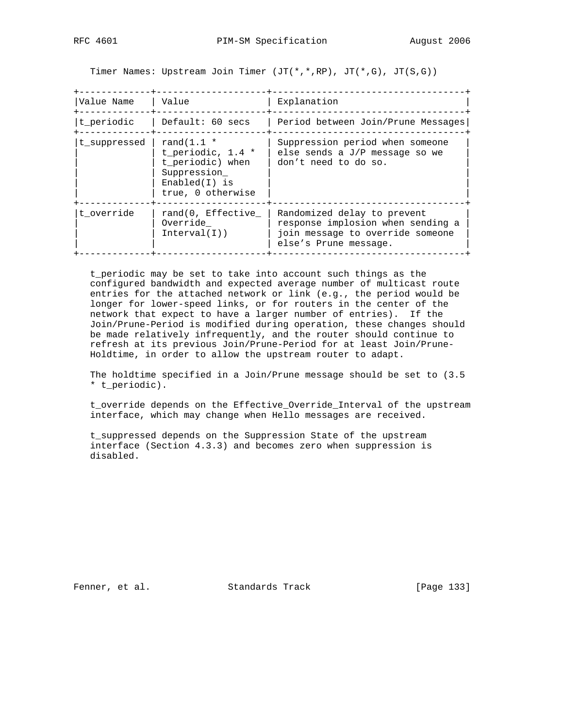Timer Names: Upstream Join Timer (JT(\*,\*,RP), JT(\*,G), JT(S,G))

| Value Name   | Value                                                                                                       | Explanation                                                                                                                   |
|--------------|-------------------------------------------------------------------------------------------------------------|-------------------------------------------------------------------------------------------------------------------------------|
| t_periodic   | Default: 60 secs                                                                                            | Period between Join/Prune Messages                                                                                            |
| t suppressed | rand $(1.1$ *<br>t periodic, $1.4$ *<br>t periodic) when<br>Suppression<br>$End(I)$ is<br>true, 0 otherwise | Suppression period when someone<br>else sends a $J/P$ message so we<br>don't need to do so.                                   |
| t override   | rand(0, Effective<br>Override<br>Interval(I))                                                               | Randomized delay to prevent<br>response implosion when sending a<br>join message to override someone<br>else's Prune message. |

 t\_periodic may be set to take into account such things as the configured bandwidth and expected average number of multicast route entries for the attached network or link (e.g., the period would be longer for lower-speed links, or for routers in the center of the network that expect to have a larger number of entries). If the Join/Prune-Period is modified during operation, these changes should be made relatively infrequently, and the router should continue to refresh at its previous Join/Prune-Period for at least Join/Prune- Holdtime, in order to allow the upstream router to adapt.

 The holdtime specified in a Join/Prune message should be set to (3.5 \* t\_periodic).

 t\_override depends on the Effective\_Override\_Interval of the upstream interface, which may change when Hello messages are received.

 t\_suppressed depends on the Suppression State of the upstream interface (Section 4.3.3) and becomes zero when suppression is disabled.

Fenner, et al. Standards Track [Page 133]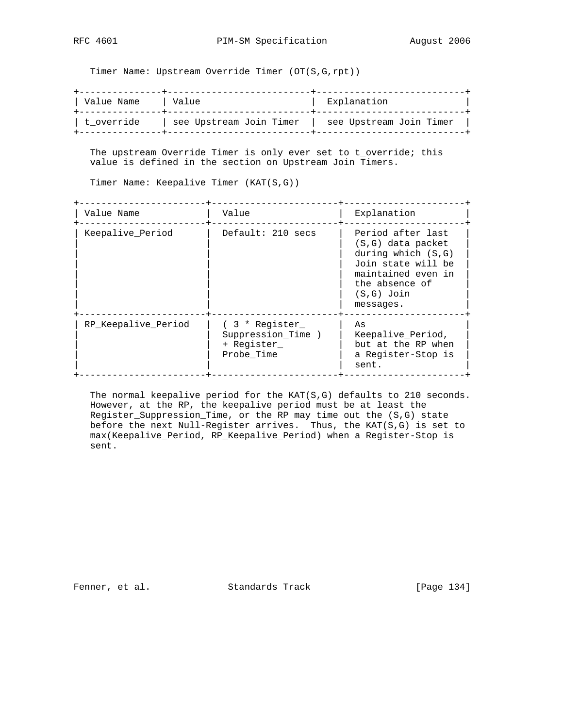Timer Name: Upstream Override Timer (OT(S,G,rpt))

| Value Name | Value                   | Explanation             |
|------------|-------------------------|-------------------------|
| t override | see Upstream Join Timer | see Upstream Join Timer |

 The upstream Override Timer is only ever set to t\_override; this value is defined in the section on Upstream Join Timers.

Timer Name: Keepalive Timer (KAT(S,G))

| Value Name          | Value                                                           | Explanation                                                                                                                                                 |
|---------------------|-----------------------------------------------------------------|-------------------------------------------------------------------------------------------------------------------------------------------------------------|
| Keepalive Period    | Default: 210 secs                                               | Period after last<br>$(S,G)$ data packet<br>during which $(S,G)$<br>Join state will be<br>maintained even in<br>the absence of<br>$(S,G)$ Join<br>messages. |
| RP Keepalive Period | (3 * Register<br>Suppression Time )<br>+ Register<br>Probe Time | As<br>Keepalive_Period,<br>but at the RP when<br>a Register-Stop is<br>sent.                                                                                |

 The normal keepalive period for the KAT(S,G) defaults to 210 seconds. However, at the RP, the keepalive period must be at least the Register\_Suppression\_Time, or the RP may time out the (S,G) state before the next Null-Register arrives. Thus, the KAT(S,G) is set to max(Keepalive\_Period, RP\_Keepalive\_Period) when a Register-Stop is sent.

Fenner, et al. Standards Track [Page 134]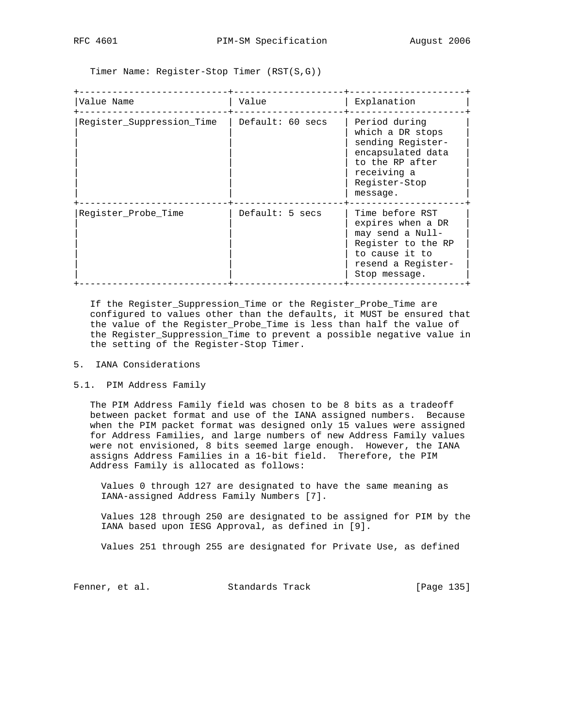Timer Name: Register-Stop Timer (RST(S,G))

| Value Name                | Value            | Explanation                                                                                                                                |
|---------------------------|------------------|--------------------------------------------------------------------------------------------------------------------------------------------|
| Register_Suppression_Time | Default: 60 secs | Period during<br>which a DR stops<br>sending Register-<br>encapsulated data<br>to the RP after<br>receiving a<br>Register-Stop<br>message. |
| Register Probe Time       | Default: 5 secs  | Time before RST<br>expires when a DR<br>may send a Null-<br>Register to the RP<br>to cause it to<br>resend a Register-<br>Stop message.    |

 If the Register\_Suppression\_Time or the Register\_Probe\_Time are configured to values other than the defaults, it MUST be ensured that the value of the Register\_Probe\_Time is less than half the value of the Register\_Suppression\_Time to prevent a possible negative value in the setting of the Register-Stop Timer.

# 5. IANA Considerations

### 5.1. PIM Address Family

 The PIM Address Family field was chosen to be 8 bits as a tradeoff between packet format and use of the IANA assigned numbers. Because when the PIM packet format was designed only 15 values were assigned for Address Families, and large numbers of new Address Family values were not envisioned, 8 bits seemed large enough. However, the IANA assigns Address Families in a 16-bit field. Therefore, the PIM Address Family is allocated as follows:

 Values 0 through 127 are designated to have the same meaning as IANA-assigned Address Family Numbers [7].

 Values 128 through 250 are designated to be assigned for PIM by the IANA based upon IESG Approval, as defined in [9].

Values 251 through 255 are designated for Private Use, as defined

Fenner, et al. Standards Track [Page 135]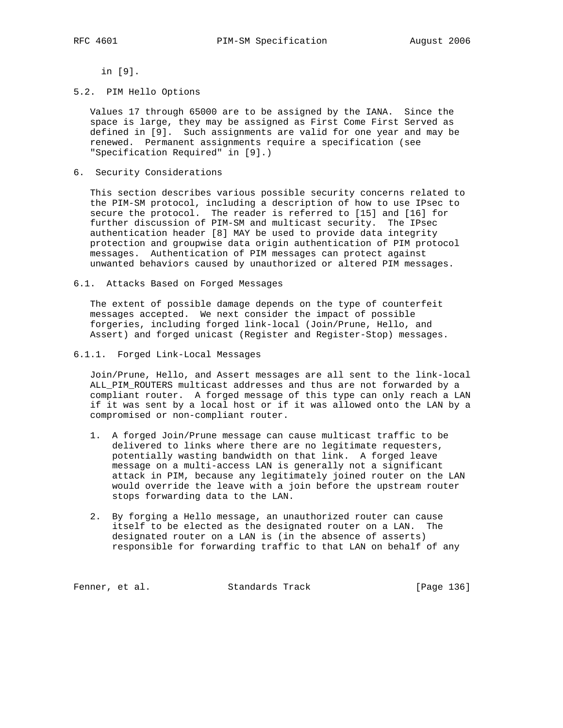in [9].

5.2. PIM Hello Options

 Values 17 through 65000 are to be assigned by the IANA. Since the space is large, they may be assigned as First Come First Served as defined in [9]. Such assignments are valid for one year and may be renewed. Permanent assignments require a specification (see "Specification Required" in [9].)

6. Security Considerations

 This section describes various possible security concerns related to the PIM-SM protocol, including a description of how to use IPsec to secure the protocol. The reader is referred to [15] and [16] for further discussion of PIM-SM and multicast security. The IPsec authentication header [8] MAY be used to provide data integrity protection and groupwise data origin authentication of PIM protocol messages. Authentication of PIM messages can protect against unwanted behaviors caused by unauthorized or altered PIM messages.

6.1. Attacks Based on Forged Messages

 The extent of possible damage depends on the type of counterfeit messages accepted. We next consider the impact of possible forgeries, including forged link-local (Join/Prune, Hello, and Assert) and forged unicast (Register and Register-Stop) messages.

6.1.1. Forged Link-Local Messages

 Join/Prune, Hello, and Assert messages are all sent to the link-local ALL\_PIM\_ROUTERS multicast addresses and thus are not forwarded by a compliant router. A forged message of this type can only reach a LAN if it was sent by a local host or if it was allowed onto the LAN by a compromised or non-compliant router.

- 1. A forged Join/Prune message can cause multicast traffic to be delivered to links where there are no legitimate requesters, potentially wasting bandwidth on that link. A forged leave message on a multi-access LAN is generally not a significant attack in PIM, because any legitimately joined router on the LAN would override the leave with a join before the upstream router stops forwarding data to the LAN.
- 2. By forging a Hello message, an unauthorized router can cause itself to be elected as the designated router on a LAN. The designated router on a LAN is (in the absence of asserts) responsible for forwarding traffic to that LAN on behalf of any

Fenner, et al. Standards Track [Page 136]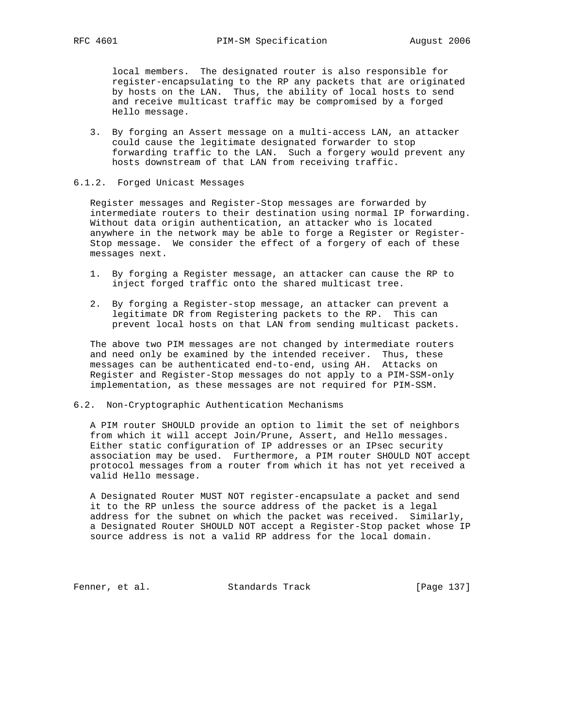local members. The designated router is also responsible for register-encapsulating to the RP any packets that are originated by hosts on the LAN. Thus, the ability of local hosts to send and receive multicast traffic may be compromised by a forged Hello message.

 3. By forging an Assert message on a multi-access LAN, an attacker could cause the legitimate designated forwarder to stop forwarding traffic to the LAN. Such a forgery would prevent any hosts downstream of that LAN from receiving traffic.

## 6.1.2. Forged Unicast Messages

 Register messages and Register-Stop messages are forwarded by intermediate routers to their destination using normal IP forwarding. Without data origin authentication, an attacker who is located anywhere in the network may be able to forge a Register or Register- Stop message. We consider the effect of a forgery of each of these messages next.

- 1. By forging a Register message, an attacker can cause the RP to inject forged traffic onto the shared multicast tree.
- 2. By forging a Register-stop message, an attacker can prevent a legitimate DR from Registering packets to the RP. This can prevent local hosts on that LAN from sending multicast packets.

 The above two PIM messages are not changed by intermediate routers and need only be examined by the intended receiver. Thus, these messages can be authenticated end-to-end, using AH. Attacks on Register and Register-Stop messages do not apply to a PIM-SSM-only implementation, as these messages are not required for PIM-SSM.

# 6.2. Non-Cryptographic Authentication Mechanisms

 A PIM router SHOULD provide an option to limit the set of neighbors from which it will accept Join/Prune, Assert, and Hello messages. Either static configuration of IP addresses or an IPsec security association may be used. Furthermore, a PIM router SHOULD NOT accept protocol messages from a router from which it has not yet received a valid Hello message.

 A Designated Router MUST NOT register-encapsulate a packet and send it to the RP unless the source address of the packet is a legal address for the subnet on which the packet was received. Similarly, a Designated Router SHOULD NOT accept a Register-Stop packet whose IP source address is not a valid RP address for the local domain.

Fenner, et al. Standards Track [Page 137]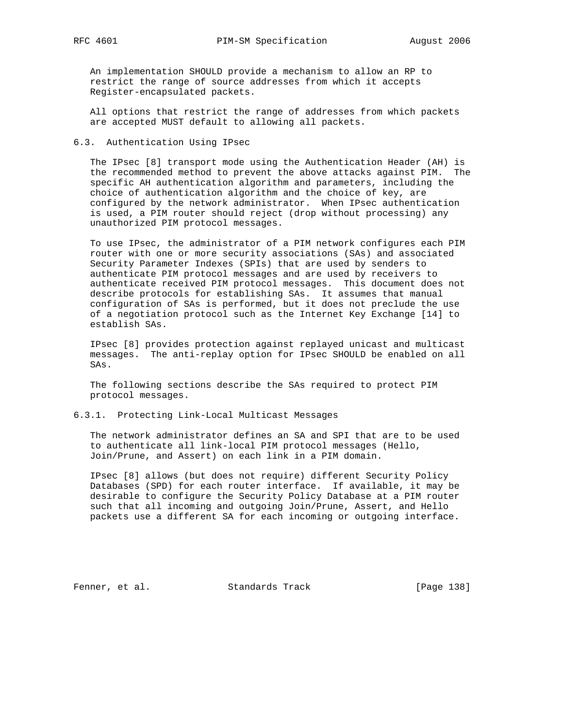An implementation SHOULD provide a mechanism to allow an RP to restrict the range of source addresses from which it accepts Register-encapsulated packets.

 All options that restrict the range of addresses from which packets are accepted MUST default to allowing all packets.

# 6.3. Authentication Using IPsec

 The IPsec [8] transport mode using the Authentication Header (AH) is the recommended method to prevent the above attacks against PIM. The specific AH authentication algorithm and parameters, including the choice of authentication algorithm and the choice of key, are configured by the network administrator. When IPsec authentication is used, a PIM router should reject (drop without processing) any unauthorized PIM protocol messages.

 To use IPsec, the administrator of a PIM network configures each PIM router with one or more security associations (SAs) and associated Security Parameter Indexes (SPIs) that are used by senders to authenticate PIM protocol messages and are used by receivers to authenticate received PIM protocol messages. This document does not describe protocols for establishing SAs. It assumes that manual configuration of SAs is performed, but it does not preclude the use of a negotiation protocol such as the Internet Key Exchange [14] to establish SAs.

 IPsec [8] provides protection against replayed unicast and multicast messages. The anti-replay option for IPsec SHOULD be enabled on all SAs.

 The following sections describe the SAs required to protect PIM protocol messages.

## 6.3.1. Protecting Link-Local Multicast Messages

 The network administrator defines an SA and SPI that are to be used to authenticate all link-local PIM protocol messages (Hello, Join/Prune, and Assert) on each link in a PIM domain.

 IPsec [8] allows (but does not require) different Security Policy Databases (SPD) for each router interface. If available, it may be desirable to configure the Security Policy Database at a PIM router such that all incoming and outgoing Join/Prune, Assert, and Hello packets use a different SA for each incoming or outgoing interface.

Fenner, et al. Standards Track [Page 138]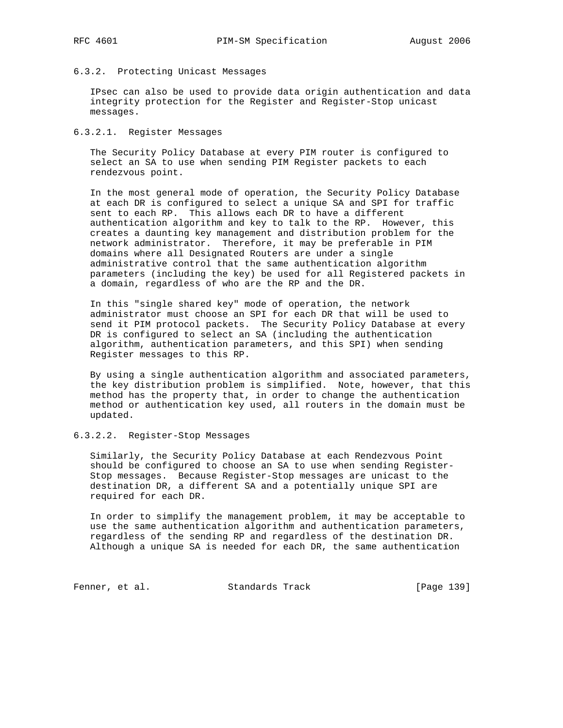# 6.3.2. Protecting Unicast Messages

 IPsec can also be used to provide data origin authentication and data integrity protection for the Register and Register-Stop unicast messages.

6.3.2.1. Register Messages

 The Security Policy Database at every PIM router is configured to select an SA to use when sending PIM Register packets to each rendezvous point.

 In the most general mode of operation, the Security Policy Database at each DR is configured to select a unique SA and SPI for traffic sent to each RP. This allows each DR to have a different authentication algorithm and key to talk to the RP. However, this creates a daunting key management and distribution problem for the network administrator. Therefore, it may be preferable in PIM domains where all Designated Routers are under a single administrative control that the same authentication algorithm parameters (including the key) be used for all Registered packets in a domain, regardless of who are the RP and the DR.

 In this "single shared key" mode of operation, the network administrator must choose an SPI for each DR that will be used to send it PIM protocol packets. The Security Policy Database at every DR is configured to select an SA (including the authentication algorithm, authentication parameters, and this SPI) when sending Register messages to this RP.

 By using a single authentication algorithm and associated parameters, the key distribution problem is simplified. Note, however, that this method has the property that, in order to change the authentication method or authentication key used, all routers in the domain must be updated.

# 6.3.2.2. Register-Stop Messages

 Similarly, the Security Policy Database at each Rendezvous Point should be configured to choose an SA to use when sending Register- Stop messages. Because Register-Stop messages are unicast to the destination DR, a different SA and a potentially unique SPI are required for each DR.

 In order to simplify the management problem, it may be acceptable to use the same authentication algorithm and authentication parameters, regardless of the sending RP and regardless of the destination DR. Although a unique SA is needed for each DR, the same authentication

Fenner, et al. Standards Track [Page 139]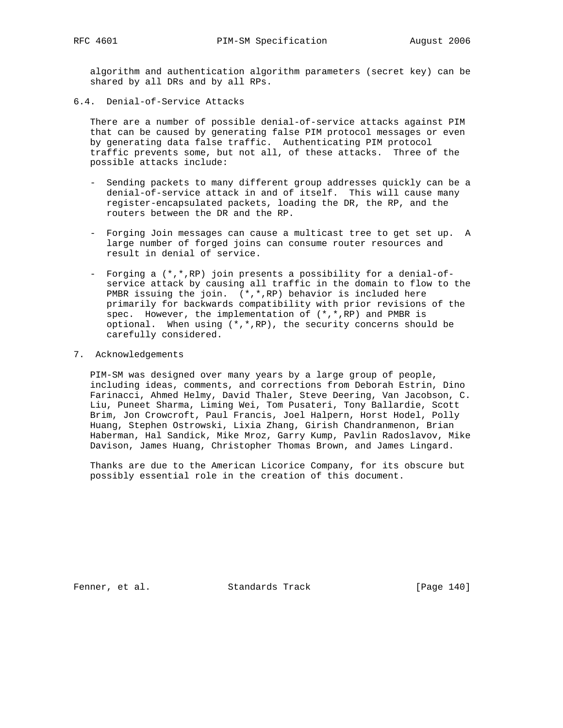algorithm and authentication algorithm parameters (secret key) can be shared by all DRs and by all RPs.

6.4. Denial-of-Service Attacks

 There are a number of possible denial-of-service attacks against PIM that can be caused by generating false PIM protocol messages or even by generating data false traffic. Authenticating PIM protocol traffic prevents some, but not all, of these attacks. Three of the possible attacks include:

- Sending packets to many different group addresses quickly can be a denial-of-service attack in and of itself. This will cause many register-encapsulated packets, loading the DR, the RP, and the routers between the DR and the RP.
- Forging Join messages can cause a multicast tree to get set up. A large number of forged joins can consume router resources and result in denial of service.
- Forging a (\*,\*,RP) join presents a possibility for a denial-of service attack by causing all traffic in the domain to flow to the PMBR issuing the join. (\*,\*,RP) behavior is included here primarily for backwards compatibility with prior revisions of the spec. However, the implementation of (\*,\*,RP) and PMBR is optional. When using  $(*,*,RP)$ , the security concerns should be carefully considered.
- 7. Acknowledgements

 PIM-SM was designed over many years by a large group of people, including ideas, comments, and corrections from Deborah Estrin, Dino Farinacci, Ahmed Helmy, David Thaler, Steve Deering, Van Jacobson, C. Liu, Puneet Sharma, Liming Wei, Tom Pusateri, Tony Ballardie, Scott Brim, Jon Crowcroft, Paul Francis, Joel Halpern, Horst Hodel, Polly Huang, Stephen Ostrowski, Lixia Zhang, Girish Chandranmenon, Brian Haberman, Hal Sandick, Mike Mroz, Garry Kump, Pavlin Radoslavov, Mike Davison, James Huang, Christopher Thomas Brown, and James Lingard.

 Thanks are due to the American Licorice Company, for its obscure but possibly essential role in the creation of this document.

Fenner, et al. Standards Track [Page 140]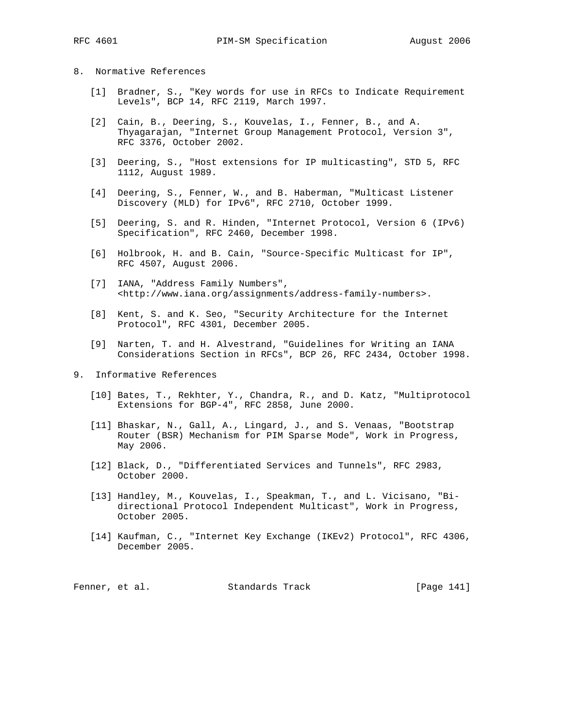#### 8. Normative References

- [1] Bradner, S., "Key words for use in RFCs to Indicate Requirement Levels", BCP 14, RFC 2119, March 1997.
- [2] Cain, B., Deering, S., Kouvelas, I., Fenner, B., and A. Thyagarajan, "Internet Group Management Protocol, Version 3", RFC 3376, October 2002.
- [3] Deering, S., "Host extensions for IP multicasting", STD 5, RFC 1112, August 1989.
- [4] Deering, S., Fenner, W., and B. Haberman, "Multicast Listener Discovery (MLD) for IPv6", RFC 2710, October 1999.
- [5] Deering, S. and R. Hinden, "Internet Protocol, Version 6 (IPv6) Specification", RFC 2460, December 1998.
- [6] Holbrook, H. and B. Cain, "Source-Specific Multicast for IP", RFC 4507, August 2006.
- [7] IANA, "Address Family Numbers", <http://www.iana.org/assignments/address-family-numbers>.
- [8] Kent, S. and K. Seo, "Security Architecture for the Internet Protocol", RFC 4301, December 2005.
- [9] Narten, T. and H. Alvestrand, "Guidelines for Writing an IANA Considerations Section in RFCs", BCP 26, RFC 2434, October 1998.
- 9. Informative References
	- [10] Bates, T., Rekhter, Y., Chandra, R., and D. Katz, "Multiprotocol Extensions for BGP-4", RFC 2858, June 2000.
	- [11] Bhaskar, N., Gall, A., Lingard, J., and S. Venaas, "Bootstrap Router (BSR) Mechanism for PIM Sparse Mode", Work in Progress, May 2006.
	- [12] Black, D., "Differentiated Services and Tunnels", RFC 2983, October 2000.
	- [13] Handley, M., Kouvelas, I., Speakman, T., and L. Vicisano, "Bi directional Protocol Independent Multicast", Work in Progress, October 2005.
	- [14] Kaufman, C., "Internet Key Exchange (IKEv2) Protocol", RFC 4306, December 2005.

| Fenner, et al. | Standards Track | [Page 141] |
|----------------|-----------------|------------|
|----------------|-----------------|------------|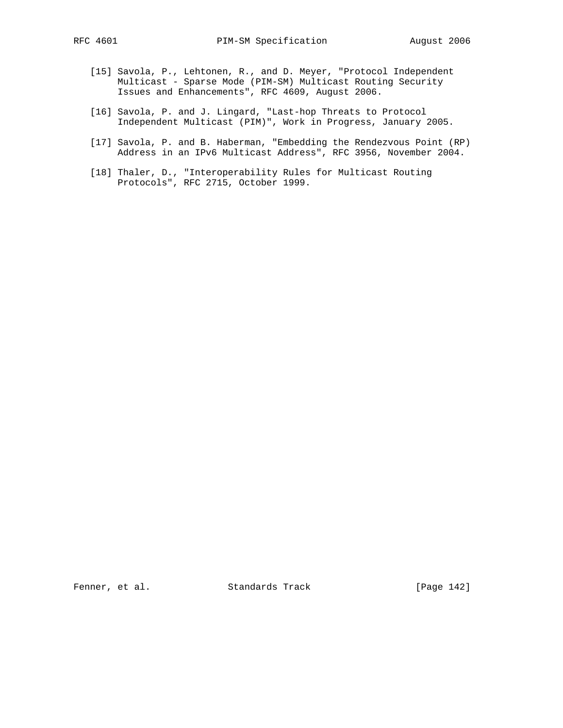- [15] Savola, P., Lehtonen, R., and D. Meyer, "Protocol Independent Multicast - Sparse Mode (PIM-SM) Multicast Routing Security Issues and Enhancements", RFC 4609, August 2006.
- [16] Savola, P. and J. Lingard, "Last-hop Threats to Protocol Independent Multicast (PIM)", Work in Progress, January 2005.
- [17] Savola, P. and B. Haberman, "Embedding the Rendezvous Point (RP) Address in an IPv6 Multicast Address", RFC 3956, November 2004.
- [18] Thaler, D., "Interoperability Rules for Multicast Routing Protocols", RFC 2715, October 1999.

Fenner, et al. Standards Track [Page 142]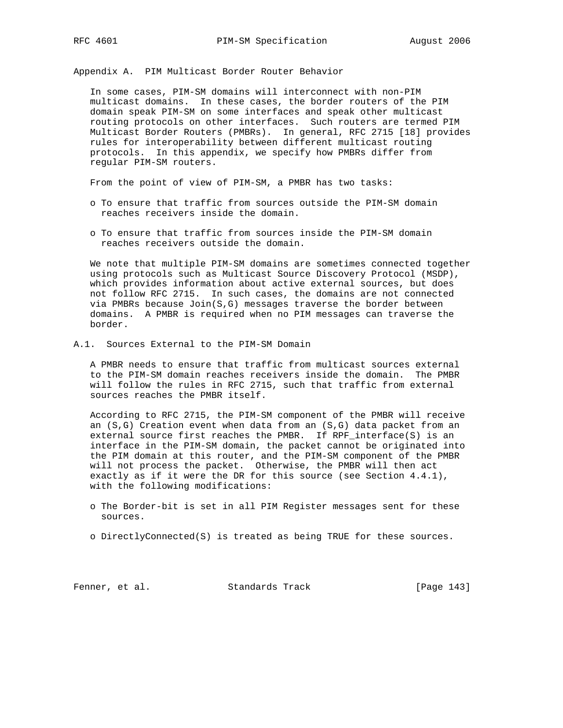Appendix A. PIM Multicast Border Router Behavior

 In some cases, PIM-SM domains will interconnect with non-PIM multicast domains. In these cases, the border routers of the PIM domain speak PIM-SM on some interfaces and speak other multicast routing protocols on other interfaces. Such routers are termed PIM Multicast Border Routers (PMBRs). In general, RFC 2715 [18] provides rules for interoperability between different multicast routing protocols. In this appendix, we specify how PMBRs differ from regular PIM-SM routers.

From the point of view of PIM-SM, a PMBR has two tasks:

- o To ensure that traffic from sources outside the PIM-SM domain reaches receivers inside the domain.
- o To ensure that traffic from sources inside the PIM-SM domain reaches receivers outside the domain.

 We note that multiple PIM-SM domains are sometimes connected together using protocols such as Multicast Source Discovery Protocol (MSDP), which provides information about active external sources, but does not follow RFC 2715. In such cases, the domains are not connected via PMBRs because  $Join(S,G)$  messages traverse the border between domains. A PMBR is required when no PIM messages can traverse the border.

A.1. Sources External to the PIM-SM Domain

 A PMBR needs to ensure that traffic from multicast sources external to the PIM-SM domain reaches receivers inside the domain. The PMBR will follow the rules in RFC 2715, such that traffic from external sources reaches the PMBR itself.

 According to RFC 2715, the PIM-SM component of the PMBR will receive an (S,G) Creation event when data from an (S,G) data packet from an external source first reaches the PMBR. If RPF\_interface(S) is an interface in the PIM-SM domain, the packet cannot be originated into the PIM domain at this router, and the PIM-SM component of the PMBR will not process the packet. Otherwise, the PMBR will then act exactly as if it were the DR for this source (see Section 4.4.1), with the following modifications:

- o The Border-bit is set in all PIM Register messages sent for these sources.
- o DirectlyConnected(S) is treated as being TRUE for these sources.

Fenner, et al. Standards Track [Page 143]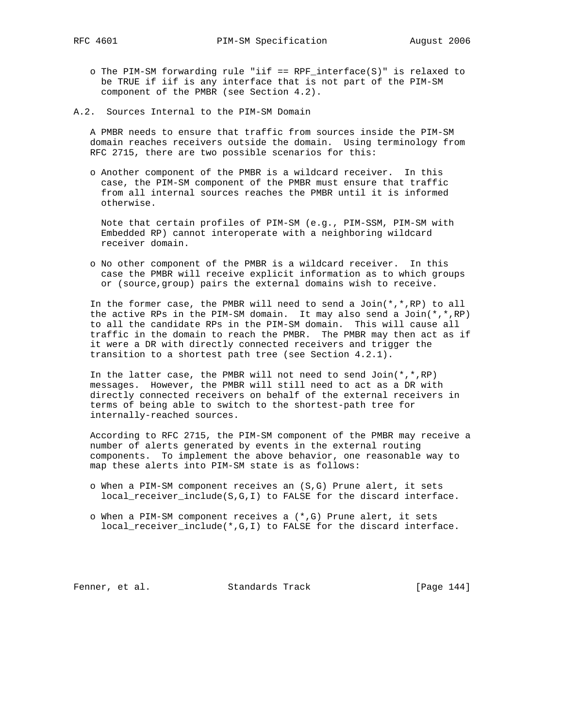- o The PIM-SM forwarding rule "iif == RPF\_interface(S)" is relaxed to be TRUE if iif is any interface that is not part of the PIM-SM component of the PMBR (see Section 4.2).
- A.2. Sources Internal to the PIM-SM Domain

 A PMBR needs to ensure that traffic from sources inside the PIM-SM domain reaches receivers outside the domain. Using terminology from RFC 2715, there are two possible scenarios for this:

 o Another component of the PMBR is a wildcard receiver. In this case, the PIM-SM component of the PMBR must ensure that traffic from all internal sources reaches the PMBR until it is informed otherwise.

 Note that certain profiles of PIM-SM (e.g., PIM-SSM, PIM-SM with Embedded RP) cannot interoperate with a neighboring wildcard receiver domain.

 o No other component of the PMBR is a wildcard receiver. In this case the PMBR will receive explicit information as to which groups or (source,group) pairs the external domains wish to receive.

In the former case, the PMBR will need to send a Join $(*$ , \*, RP) to all the active RPs in the PIM-SM domain. It may also send a Join(\*,\*,RP) to all the candidate RPs in the PIM-SM domain. This will cause all traffic in the domain to reach the PMBR. The PMBR may then act as if it were a DR with directly connected receivers and trigger the transition to a shortest path tree (see Section 4.2.1).

In the latter case, the PMBR will not need to send  $Join(*,*,RP)$  messages. However, the PMBR will still need to act as a DR with directly connected receivers on behalf of the external receivers in terms of being able to switch to the shortest-path tree for internally-reached sources.

 According to RFC 2715, the PIM-SM component of the PMBR may receive a number of alerts generated by events in the external routing components. To implement the above behavior, one reasonable way to map these alerts into PIM-SM state is as follows:

- o When a PIM-SM component receives an (S,G) Prune alert, it sets local\_receiver\_include(S,G,I) to FALSE for the discard interface.
- o When a PIM-SM component receives a (\*,G) Prune alert, it sets local\_receiver\_include(\*,G,I) to FALSE for the discard interface.

Fenner, et al. Standards Track [Page 144]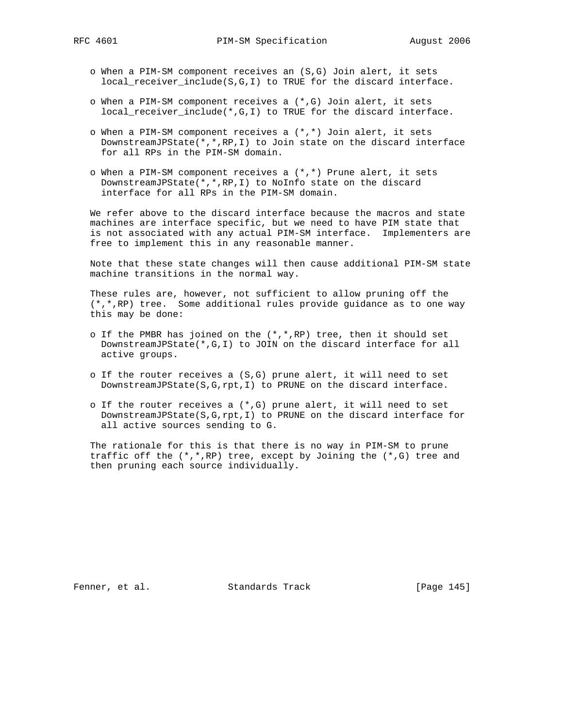- o When a PIM-SM component receives an (S,G) Join alert, it sets local\_receiver\_include(S,G,I) to TRUE for the discard interface.
- o When a PIM-SM component receives a (\*,G) Join alert, it sets local\_receiver\_include(\*,G,I) to TRUE for the discard interface.
- o When a PIM-SM component receives a (\*,\*) Join alert, it sets DownstreamJPState(\*,\*,RP,I) to Join state on the discard interface for all RPs in the PIM-SM domain.
- o When a PIM-SM component receives a (\*,\*) Prune alert, it sets DownstreamJPState(\*,\*,RP,I) to NoInfo state on the discard interface for all RPs in the PIM-SM domain.

 We refer above to the discard interface because the macros and state machines are interface specific, but we need to have PIM state that is not associated with any actual PIM-SM interface. Implementers are free to implement this in any reasonable manner.

 Note that these state changes will then cause additional PIM-SM state machine transitions in the normal way.

 These rules are, however, not sufficient to allow pruning off the (\*,\*,RP) tree. Some additional rules provide guidance as to one way this may be done:

- o If the PMBR has joined on the  $(*,*,RP)$  tree, then it should set DownstreamJPState(\*,G,I) to JOIN on the discard interface for all active groups.
- o If the router receives a (S,G) prune alert, it will need to set DownstreamJPState(S,G,rpt,I) to PRUNE on the discard interface.
- o If the router receives a (\*,G) prune alert, it will need to set DownstreamJPState(S,G,rpt,I) to PRUNE on the discard interface for all active sources sending to G.

 The rationale for this is that there is no way in PIM-SM to prune traffic off the  $(*,*,RP)$  tree, except by Joining the  $(*,G)$  tree and then pruning each source individually.

Fenner, et al. Standards Track [Page 145]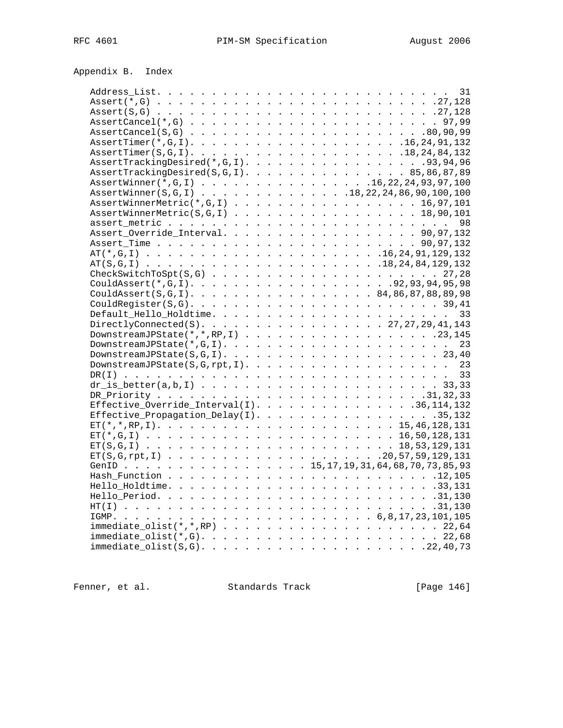| AssertCancel $(*$ , G) $\ldots$ $\ldots$ $\ldots$ $\ldots$ $\ldots$ $\ldots$ $\ldots$ $\ldots$ $\ldots$ $\ldots$ 97,99                                   |  |  |  |  |  |  |  |  |  |
|----------------------------------------------------------------------------------------------------------------------------------------------------------|--|--|--|--|--|--|--|--|--|
|                                                                                                                                                          |  |  |  |  |  |  |  |  |  |
| $\texttt{assertTimer}(*, \texttt{G}, 1) \texttt{} \texttt{} \texttt{} \texttt{} \texttt{} \texttt{} \texttt{} \texttt{} \texttt{} \texttt{16,24,91,132}$ |  |  |  |  |  |  |  |  |  |
|                                                                                                                                                          |  |  |  |  |  |  |  |  |  |
| AssertTrackingDesired $(*$ , G, I). 93, 94, 96                                                                                                           |  |  |  |  |  |  |  |  |  |
| $\texttt{asserttractingDesired}(S, G, I) 85,86,87,89$                                                                                                    |  |  |  |  |  |  |  |  |  |
| AssertWinner(*,G,I) 16, 22, 24, 93, 97, 100                                                                                                              |  |  |  |  |  |  |  |  |  |
| AssertWinner(S,G,I) 18, 22, 24, 86, 90, 100, 100                                                                                                         |  |  |  |  |  |  |  |  |  |
| $\texttt{AssertWinnerMetric}(*, G, I)$ 16,97,101                                                                                                         |  |  |  |  |  |  |  |  |  |
| $\texttt{assertWinnerMetric}(S, G, I) \texttt{18,90,101}$                                                                                                |  |  |  |  |  |  |  |  |  |
|                                                                                                                                                          |  |  |  |  |  |  |  |  |  |
| Assert_Override_Interval. 90,97,132                                                                                                                      |  |  |  |  |  |  |  |  |  |
|                                                                                                                                                          |  |  |  |  |  |  |  |  |  |
|                                                                                                                                                          |  |  |  |  |  |  |  |  |  |
|                                                                                                                                                          |  |  |  |  |  |  |  |  |  |
|                                                                                                                                                          |  |  |  |  |  |  |  |  |  |
|                                                                                                                                                          |  |  |  |  |  |  |  |  |  |
| CouldAssert $(S, G, I)$ . 84,86,87,88,89,98                                                                                                              |  |  |  |  |  |  |  |  |  |
|                                                                                                                                                          |  |  |  |  |  |  |  |  |  |
|                                                                                                                                                          |  |  |  |  |  |  |  |  |  |
|                                                                                                                                                          |  |  |  |  |  |  |  |  |  |
| DirectlyConnected(S). 27, 27, 29, 41, 143                                                                                                                |  |  |  |  |  |  |  |  |  |
| DownstreamJPState $(*,*,$ RP,I) 23,145                                                                                                                   |  |  |  |  |  |  |  |  |  |
|                                                                                                                                                          |  |  |  |  |  |  |  |  |  |
|                                                                                                                                                          |  |  |  |  |  |  |  |  |  |
|                                                                                                                                                          |  |  |  |  |  |  |  |  |  |
|                                                                                                                                                          |  |  |  |  |  |  |  |  |  |
|                                                                                                                                                          |  |  |  |  |  |  |  |  |  |
|                                                                                                                                                          |  |  |  |  |  |  |  |  |  |
| Effective_Override_Interval(I). 36,114,132                                                                                                               |  |  |  |  |  |  |  |  |  |
| Effective_Propagation_Delay(I). 35,132                                                                                                                   |  |  |  |  |  |  |  |  |  |
|                                                                                                                                                          |  |  |  |  |  |  |  |  |  |
|                                                                                                                                                          |  |  |  |  |  |  |  |  |  |
|                                                                                                                                                          |  |  |  |  |  |  |  |  |  |
|                                                                                                                                                          |  |  |  |  |  |  |  |  |  |
| GenID 15, 17, 19, 31, 64, 68, 70, 73, 85, 93                                                                                                             |  |  |  |  |  |  |  |  |  |
|                                                                                                                                                          |  |  |  |  |  |  |  |  |  |
|                                                                                                                                                          |  |  |  |  |  |  |  |  |  |
|                                                                                                                                                          |  |  |  |  |  |  |  |  |  |
|                                                                                                                                                          |  |  |  |  |  |  |  |  |  |
|                                                                                                                                                          |  |  |  |  |  |  |  |  |  |
|                                                                                                                                                          |  |  |  |  |  |  |  |  |  |
| $immediate\_olist(*,G).$                                                                                                                                 |  |  |  |  |  |  |  |  |  |
|                                                                                                                                                          |  |  |  |  |  |  |  |  |  |
|                                                                                                                                                          |  |  |  |  |  |  |  |  |  |

Fenner, et al. Standards Track [Page 146]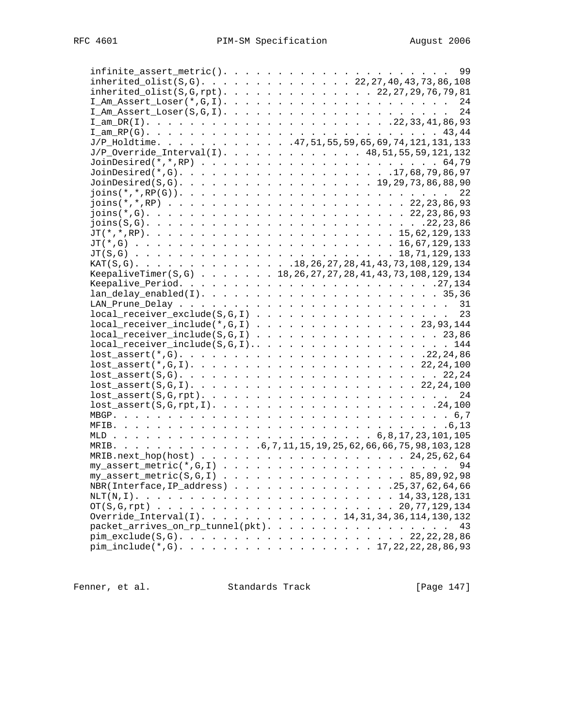| $inherited\_olist(S,G) 22,27,40,43,73,86,108$                                      |  |  |  |  |  |  |    |  |
|------------------------------------------------------------------------------------|--|--|--|--|--|--|----|--|
| $inherited\_olist(S,G,rpt)$ . 22, 27, 29, 76, 79, 81                               |  |  |  |  |  |  |    |  |
|                                                                                    |  |  |  |  |  |  |    |  |
|                                                                                    |  |  |  |  |  |  |    |  |
|                                                                                    |  |  |  |  |  |  |    |  |
|                                                                                    |  |  |  |  |  |  |    |  |
| $J/P$ _Holdtime. 47,51,55,59,65,69,74,121,131,133                                  |  |  |  |  |  |  |    |  |
| $J/P_0$ verride_Interval(I). 48,51,55,59,121,132                                   |  |  |  |  |  |  |    |  |
|                                                                                    |  |  |  |  |  |  |    |  |
|                                                                                    |  |  |  |  |  |  |    |  |
| JoinDesired(S,G). 19,29,73,86,88,90                                                |  |  |  |  |  |  |    |  |
|                                                                                    |  |  |  |  |  |  |    |  |
| $\text{joins}(*,*,RP) :  :  :  :  :  :  :  : 22,23,86,93$                          |  |  |  |  |  |  |    |  |
| $\text{joins}(*, G)$ 22,23,86,93                                                   |  |  |  |  |  |  |    |  |
|                                                                                    |  |  |  |  |  |  |    |  |
|                                                                                    |  |  |  |  |  |  |    |  |
|                                                                                    |  |  |  |  |  |  |    |  |
|                                                                                    |  |  |  |  |  |  |    |  |
| KAT(S,G). 18, 26, 27, 28, 41, 43, 73, 108, 129, 134                                |  |  |  |  |  |  |    |  |
|                                                                                    |  |  |  |  |  |  |    |  |
| KeepaliveTimer(S,G) 18, 26, 27, 27, 28, 41, 43, 73, 108, 129, 134                  |  |  |  |  |  |  |    |  |
|                                                                                    |  |  |  |  |  |  |    |  |
|                                                                                    |  |  |  |  |  |  |    |  |
|                                                                                    |  |  |  |  |  |  |    |  |
| $local\_receiver\_exclude(S, G, I)$                                                |  |  |  |  |  |  | 23 |  |
| $local_receiving include(*,G,I)$ 23,93,144                                         |  |  |  |  |  |  |    |  |
| $local_receiver\_include(S, G, I)$                                                 |  |  |  |  |  |  |    |  |
|                                                                                    |  |  |  |  |  |  |    |  |
|                                                                                    |  |  |  |  |  |  |    |  |
|                                                                                    |  |  |  |  |  |  |    |  |
| $lost\_assert(S,G). \ldots \ldots \ldots \ldots \ldots \ldots \ldots \ldots 22,24$ |  |  |  |  |  |  |    |  |
|                                                                                    |  |  |  |  |  |  |    |  |
|                                                                                    |  |  |  |  |  |  |    |  |
| $lost\_assert(S, G, rpt, I)$ 24,100                                                |  |  |  |  |  |  |    |  |
|                                                                                    |  |  |  |  |  |  |    |  |
|                                                                                    |  |  |  |  |  |  |    |  |
|                                                                                    |  |  |  |  |  |  |    |  |
|                                                                                    |  |  |  |  |  |  |    |  |
| MRIB.next_hop(host) 24, 25, 62, 64                                                 |  |  |  |  |  |  |    |  |
|                                                                                    |  |  |  |  |  |  |    |  |
| $my\_assert\_metric(S, G, I)$ 85,89,92,98                                          |  |  |  |  |  |  |    |  |
| NBR(Interface, IP_address) 25, 37, 62, 64, 66                                      |  |  |  |  |  |  |    |  |
|                                                                                    |  |  |  |  |  |  |    |  |
|                                                                                    |  |  |  |  |  |  |    |  |
| Override_Interval(I). 14,31,34,36,114,130,132                                      |  |  |  |  |  |  |    |  |
| packet_arrives_on_rp_tunnel(pkt). 43                                               |  |  |  |  |  |  |    |  |
|                                                                                    |  |  |  |  |  |  |    |  |
|                                                                                    |  |  |  |  |  |  |    |  |
| $pim\_include(*, G). \ldots 17, 22, 22, 28, 86, 93$                                |  |  |  |  |  |  |    |  |

Fenner, et al. Standards Track [Page 147]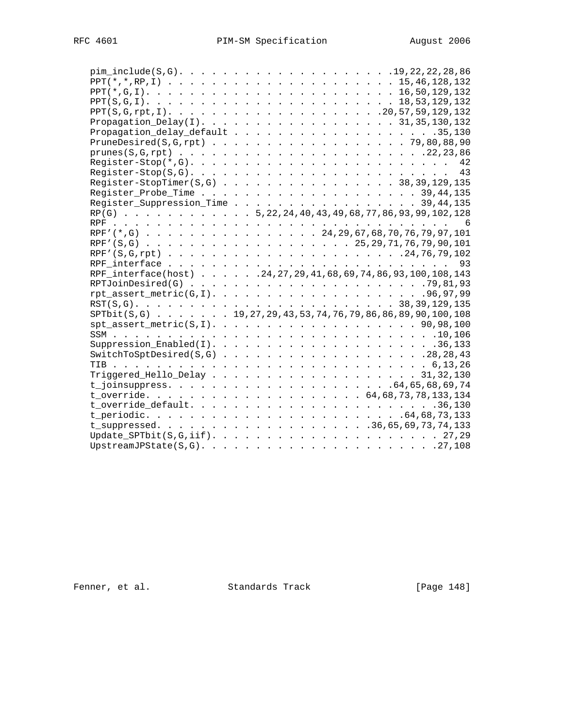| Propagation Delay(I). 31,35,130,132                                   |  |  |  |  |  |  |  |  |  |  |
|-----------------------------------------------------------------------|--|--|--|--|--|--|--|--|--|--|
|                                                                       |  |  |  |  |  |  |  |  |  |  |
|                                                                       |  |  |  |  |  |  |  |  |  |  |
|                                                                       |  |  |  |  |  |  |  |  |  |  |
|                                                                       |  |  |  |  |  |  |  |  |  |  |
|                                                                       |  |  |  |  |  |  |  |  |  |  |
| Register-StopTimer $(S,G)$ 38,39,129,135                              |  |  |  |  |  |  |  |  |  |  |
|                                                                       |  |  |  |  |  |  |  |  |  |  |
| Register_Suppression_Time 39,44,135                                   |  |  |  |  |  |  |  |  |  |  |
| $RP(G)$ 5, 22, 24, 40, 43, 49, 68, 77, 86, 93, 99, 102, 128           |  |  |  |  |  |  |  |  |  |  |
|                                                                       |  |  |  |  |  |  |  |  |  |  |
| RPF' (*, G) 24, 29, 67, 68, 70, 76, 79, 97, 101                       |  |  |  |  |  |  |  |  |  |  |
|                                                                       |  |  |  |  |  |  |  |  |  |  |
|                                                                       |  |  |  |  |  |  |  |  |  |  |
|                                                                       |  |  |  |  |  |  |  |  |  |  |
| RPF_interface(host) 24, 27, 29, 41, 68, 69, 74, 86, 93, 100, 108, 143 |  |  |  |  |  |  |  |  |  |  |
|                                                                       |  |  |  |  |  |  |  |  |  |  |
|                                                                       |  |  |  |  |  |  |  |  |  |  |
|                                                                       |  |  |  |  |  |  |  |  |  |  |
| SPTbit(S,G) 19, 27, 29, 43, 53, 74, 76, 79, 86, 86, 89, 90, 100, 108  |  |  |  |  |  |  |  |  |  |  |
| $spt\_assert\_metric(S, I)$ . 90,98,100                               |  |  |  |  |  |  |  |  |  |  |
|                                                                       |  |  |  |  |  |  |  |  |  |  |
|                                                                       |  |  |  |  |  |  |  |  |  |  |
| $SwitchToSptDesired(S,G)$ 28,28,43                                    |  |  |  |  |  |  |  |  |  |  |
|                                                                       |  |  |  |  |  |  |  |  |  |  |
| Triggered_Hello_Delay 31,32,130                                       |  |  |  |  |  |  |  |  |  |  |
|                                                                       |  |  |  |  |  |  |  |  |  |  |
|                                                                       |  |  |  |  |  |  |  |  |  |  |
|                                                                       |  |  |  |  |  |  |  |  |  |  |
|                                                                       |  |  |  |  |  |  |  |  |  |  |
|                                                                       |  |  |  |  |  |  |  |  |  |  |
|                                                                       |  |  |  |  |  |  |  |  |  |  |
|                                                                       |  |  |  |  |  |  |  |  |  |  |
|                                                                       |  |  |  |  |  |  |  |  |  |  |

Fenner, et al. Standards Track [Page 148]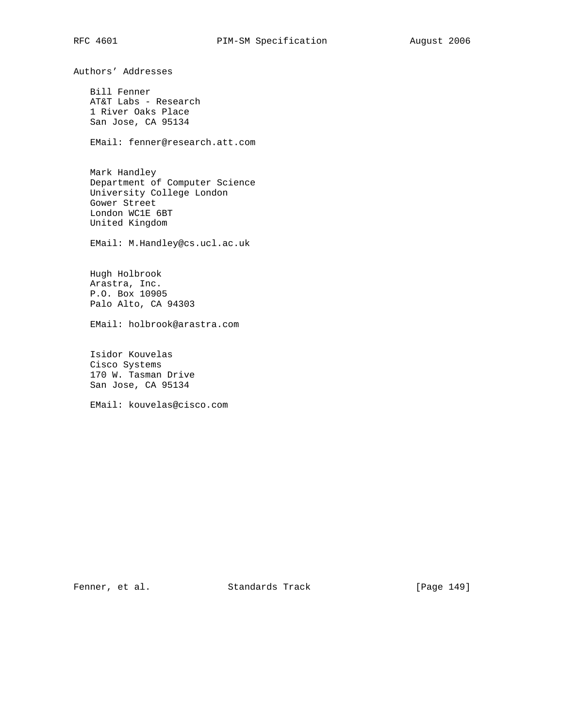Authors' Addresses Bill Fenner AT&T Labs - Research 1 River Oaks Place San Jose, CA 95134 EMail: fenner@research.att.com Mark Handley Department of Computer Science University College London Gower Street London WC1E 6BT United Kingdom EMail: M.Handley@cs.ucl.ac.uk Hugh Holbrook Arastra, Inc. P.O. Box 10905 Palo Alto, CA 94303 EMail: holbrook@arastra.com Isidor Kouvelas Cisco Systems 170 W. Tasman Drive San Jose, CA 95134 EMail: kouvelas@cisco.com

Fenner, et al. Standards Track [Page 149]